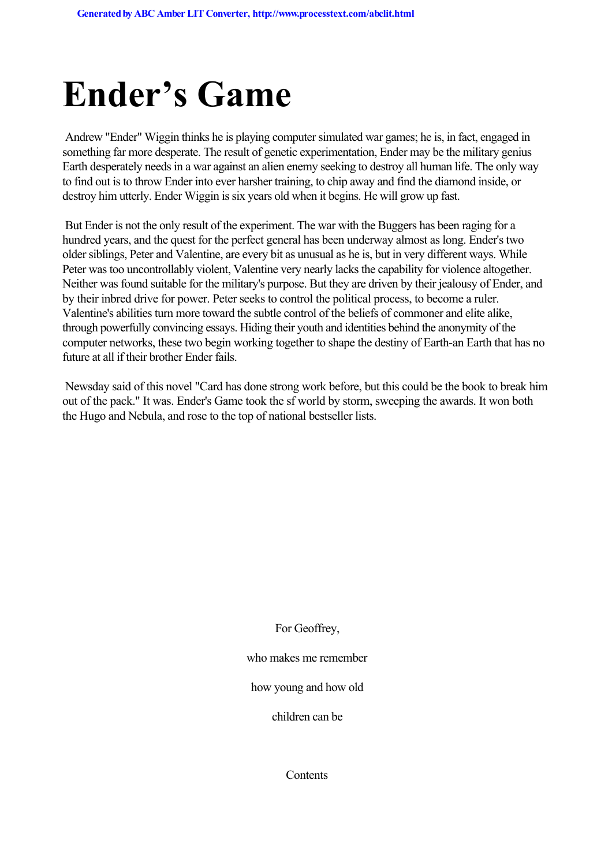# **Ender's Game**

 Andrew "Ender" Wiggin thinks he is playing computer simulated war games; he is, in fact, engaged in something far more desperate. The result of genetic experimentation, Ender may be the military genius Earth desperately needs in a war against an alien enemy seeking to destroy all human life. The only way to find out is to throw Ender into ever harsher training, to chip away and find the diamond inside, or destroy him utterly. Ender Wiggin is six years old when it begins. He will grow up fast.

 But Ender is not the only result of the experiment. The war with the Buggers has been raging for a hundred years, and the quest for the perfect general has been underway almost as long. Ender's two older siblings, Peter and Valentine, are every bit as unusual as he is, but in very different ways. While Peter was too uncontrollably violent, Valentine very nearly lacks the capability for violence altogether. Neither was found suitable for the military's purpose. But they are driven by their jealousy of Ender, and by their inbred drive for power. Peter seeks to control the political process, to become a ruler. Valentine's abilities turn more toward the subtle control of the beliefs of commoner and elite alike, through powerfully convincing essays. Hiding their youth and identities behind the anonymity of the computer networks, these two begin working together to shape the destiny of Earth-an Earth that has no future at all if their brother Ender fails.

 Newsday said of this novel "Card has done strong work before, but this could be the book to break him out of the pack." It was. Ender's Game took the sf world by storm, sweeping the awards. It won both the Hugo and Nebula, and rose to the top of national bestseller lists.

For Geoffrey,

who makes me remember

how young and how old

children can be

Contents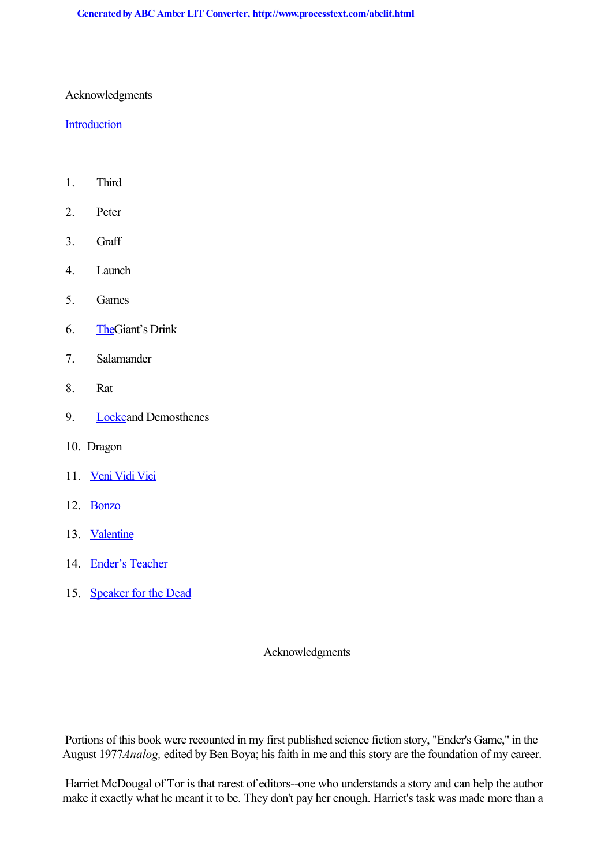# Acknowledgments

# **Introduction**

- 1. Third
- 2. Peter
- 3. Graff
- 4. Launch
- 5. Games
- 6. TheGiant's Drink
- 7. Salamander
- 8. Rat
- 9. Lockeand Demosthenes
- 10. Dragon
- 11. Veni Vidi Vici
- 12. Bonzo
- 13. Valentine
- 14. Ender's Teacher
- 15. Speaker for the Dead

# Acknowledgments

 Portions of this book were recounted in my first published science fiction story, "Ender's Game," in the August 1977*Analog,* edited by Ben Boya; his faith in me and this story are the foundation of my career.

 Harriet McDougal of Tor is that rarest of editors--one who understands a story and can help the author make it exactly what he meant it to be. They don't pay her enough. Harriet's task was made more than a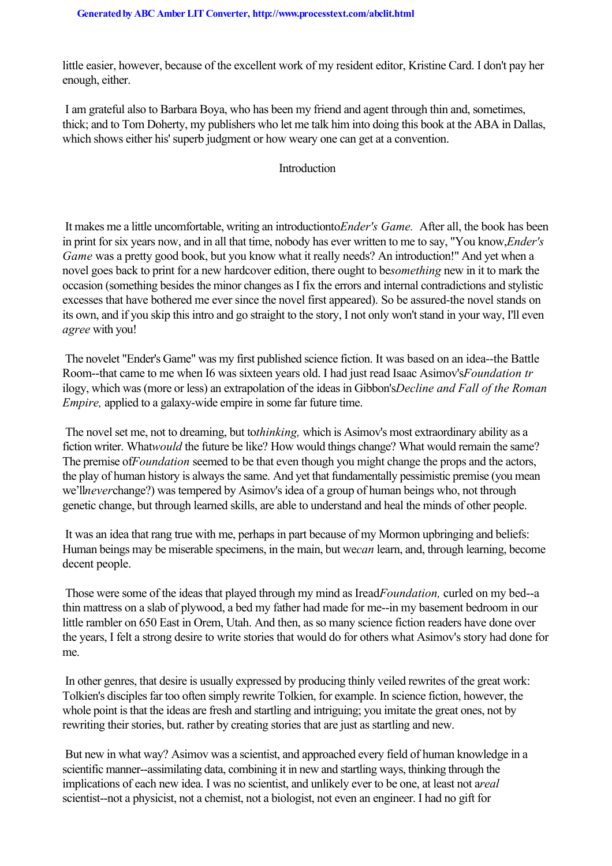little easier, however, because of the excellent work of my resident editor, Kristine Card. I don't pay her enough, either.

 I am grateful also to Barbara Boya, who has been my friend and agent through thin and, sometimes, thick; and to Tom Doherty, my publishers who let me talk him into doing this book at the ABA in Dallas, which shows either his' superb judgment or how weary one can get at a convention.

# **Introduction**

 It makes me a little uncomfortable, writing an introductionto*Ender's Game.* After all, the book has been in print for six years now, and in all that time, nobody has ever written to me to say, "You know,*Ender's Game* was a pretty good book, but you know what it really needs? An introduction!" And yet when a novel goes back to print for a new hardcover edition, there ought to be*something* new in it to mark the occasion (something besides the minor changes as I fix the errors and internal contradictions and stylistic excesses that have bothered me ever since the novel first appeared). So be assured-the novel stands on its own, and if you skip this intro and go straight to the story, I not only won't stand in your way, I'll even *agree* with you!

 The novelet "Ender's Game" was my first published science fiction. It was based on an idea--the Battle Room--that came to me when I6 was sixteen years old. I had just read Isaac Asimov's*Foundation tr* ilogy, which was (more or less) an extrapolation of the ideas in Gibbon's*Decline and Fall of the Roman Empire,* applied to a galaxy-wide empire in some far future time.

 The novel set me, not to dreaming, but to*thinking,* which is Asimov's most extraordinary ability as a fiction writer. What*would* the future be like? How would things change? What would remain the same? The premise of*Foundation* seemed to be that even though you might change the props and the actors, the play of human history is always the same. And yet that fundamentally pessimistic premise (you mean we'll*never*change?) was tempered by Asimov's idea of a group of human beings who, not through genetic change, but through learned skills, are able to understand and heal the minds of other people.

 It was an idea that rang true with me, perhaps in part because of my Mormon upbringing and beliefs: Human beings may be miserable specimens, in the main, but we*can* learn, and, through learning, become decent people.

 Those were some of the ideas that played through my mind as Iread*Foundation,* curled on my bed--a thin mattress on a slab of plywood, a bed my father had made for me--in my basement bedroom in our little rambler on 650 East in Orem, Utah. And then, as so many science fiction readers have done over the years, I felt a strong desire to write stories that would do for others what Asimov's story had done for me.

 In other genres, that desire is usually expressed by producing thinly veiled rewrites of the great work: Tolkien's disciples far too often simply rewrite Tolkien, for example. In science fiction, however, the whole point is that the ideas are fresh and startling and intriguing; you imitate the great ones, not by rewriting their stories, but. rather by creating stories that are just as startling and new.

 But new in what way? Asimov was a scientist, and approached every field of human knowledge in a scientific manner--assimilating data, combining it in new and startling ways, thinking through the implications of each new idea. I was no scientist, and unlikely ever to be one, at least not a*real* scientist--not a physicist, not a chemist, not a biologist, not even an engineer. I had no gift for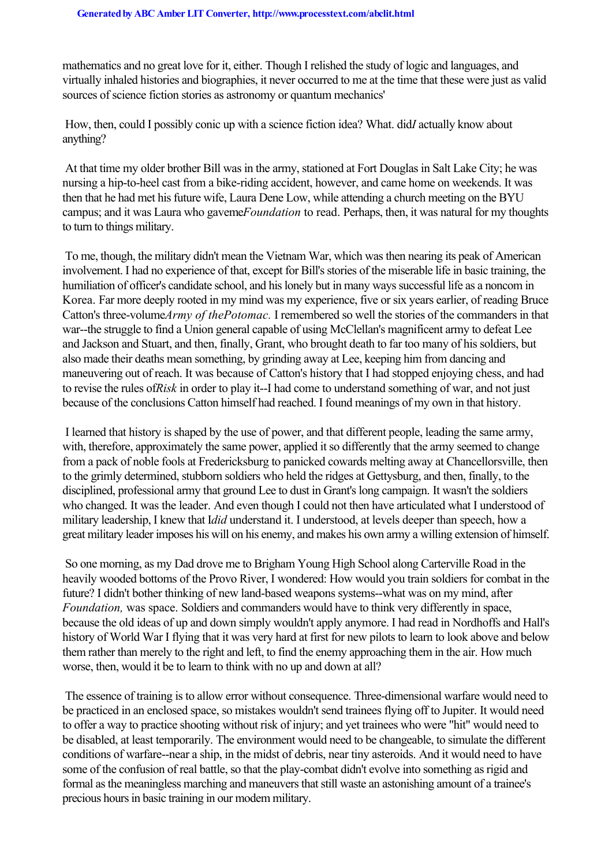mathematics and no great love for it, either. Though I relished the study of logic and languages, and virtually inhaled histories and biographies, it never occurred to me at the time that these were just as valid sources of science fiction stories as astronomy or quantum mechanics'

 How, then, could I possibly conic up with a science fiction idea? What. did*I* actually know about anything?

 At that time my older brother Bill was in the army, stationed at Fort Douglas in Salt Lake City; he was nursing a hip-to-heel cast from a bike-riding accident, however, and came home on weekends. It was then that he had met his future wife, Laura Dene Low, while attending a church meeting on the BYU campus; and it was Laura who gaveme*Foundation* to read. Perhaps, then, it was natural for my thoughts to turn to things military.

 To me, though, the military didn't mean the Vietnam War, which was then nearing its peak of American involvement. I had no experience of that, except for Bill's stories of the miserable life in basic training, the humiliation of officer's candidate school, and his lonely but in many ways successful life as a noncom in Korea. Far more deeply rooted in my mind was my experience, five or six years earlier, of reading Bruce Catton's three-volume*Army of thePotomac.* I remembered so well the stories of the commanders in that war--the struggle to find a Union general capable of using McClellan's magnificent army to defeat Lee and Jackson and Stuart, and then, finally, Grant, who brought death to far too many of his soldiers, but also made their deaths mean something, by grinding away at Lee, keeping him from dancing and maneuvering out of reach. It was because of Catton's history that I had stopped enjoying chess, and had to revise the rules of*Risk* in order to play it--I had come to understand something of war, and not just because of the conclusions Catton himself had reached. I found meanings of my own in that history.

 I learned that history is shaped by the use of power, and that different people, leading the same army, with, therefore, approximately the same power, applied it so differently that the army seemed to change from a pack of noble fools at Fredericksburg to panicked cowards melting away at Chancellorsville, then to the grimly determined, stubborn soldiers who held the ridges at Gettysburg, and then, finally, to the disciplined, professional army that ground Lee to dust in Grant's long campaign. It wasn't the soldiers who changed. It was the leader. And even though I could not then have articulated what I understood of military leadership, I knew that I*did* understand it. I understood, at levels deeper than speech, how a great military leader imposes his will on his enemy, and makes his own army a willing extension of himself.

 So one morning, as my Dad drove me to Brigham Young High School along Carterville Road in the heavily wooded bottoms of the Provo River, I wondered: How would you train soldiers for combat in the future? I didn't bother thinking of new land-based weapons systems--what was on my mind, after *Foundation,* was space. Soldiers and commanders would have to think very differently in space, because the old ideas of up and down simply wouldn't apply anymore. I had read in Nordhoffs and Hall's history of World War I flying that it was very hard at first for new pilots to learn to look above and below them rather than merely to the right and left, to find the enemy approaching them in the air. How much worse, then, would it be to learn to think with no up and down at all?

 The essence of training is to allow error without consequence. Three-dimensional warfare would need to be practiced in an enclosed space, so mistakes wouldn't send trainees flying off to Jupiter. It would need to offer a way to practice shooting without risk of injury; and yet trainees who were "hit" would need to be disabled, at least temporarily. The environment would need to be changeable, to simulate the different conditions of warfare--near a ship, in the midst of debris, near tiny asteroids. And it would need to have some of the confusion of real battle, so that the play-combat didn't evolve into something as rigid and formal as the meaningless marching and maneuvers that still waste an astonishing amount of a trainee's precious hours in basic training in our modem military.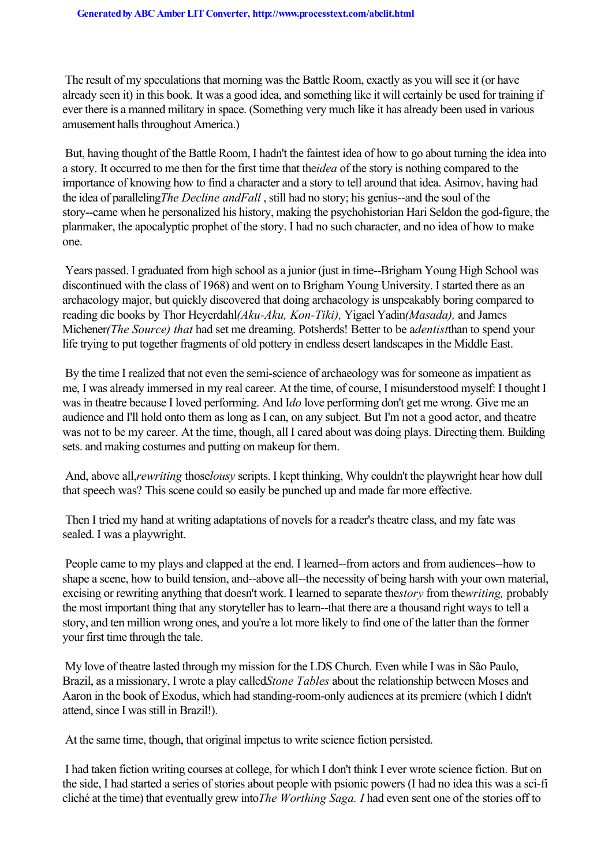The result of my speculations that morning was the Battle Room, exactly as you will see it (or have already seen it) in this book. It was a good idea, and something like it will certainly be used for training if ever there is a manned military in space. (Something very much like it has already been used in various amusement halls throughout America.)

 But, having thought of the Battle Room, I hadn't the faintest idea of how to go about turning the idea into a story. It occurred to me then for the first time that the*idea* of the story is nothing compared to the importance of knowing how to find a character and a story to tell around that idea. Asimov, having had the idea of paralleling*The Decline andFall* , still had no story; his genius--and the soul of the story--came when he personalized his history, making the psychohistorian Hari Seldon the god-figure, the planmaker, the apocalyptic prophet of the story. I had no such character, and no idea of how to make one.

 Years passed. I graduated from high school as a junior (just in time--Brigham Young High School was discontinued with the class of 1968) and went on to Brigham Young University. I started there as an archaeology major, but quickly discovered that doing archaeology is unspeakably boring compared to reading die books by Thor Heyerdahl*(Aku-Aku, Kon-Tiki),* Yigael Yadin*(Masada),* and James Michener*(The Source) that* had set me dreaming. Potsherds! Better to be a*dentist*than to spend your life trying to put together fragments of old pottery in endless desert landscapes in the Middle East.

 By the time I realized that not even the semi-science of archaeology was for someone as impatient as me, I was already immersed in my real career. At the time, of course, I misunderstood myself: I thought I was in theatre because I loved performing. And I*do* love performing don't get me wrong. Give me an audience and I'll hold onto them as long as I can, on any subject. But I'm not a good actor, and theatre was not to be my career. At the time, though, all I cared about was doing plays. Directing them. Building sets. and making costumes and putting on makeup for them.

 And, above all,*rewriting* those*lousy* scripts. I kept thinking, Why couldn't the playwright hear how dull that speech was? This scene could so easily be punched up and made far more effective.

 Then I tried my hand at writing adaptations of novels for a reader's theatre class, and my fate was sealed. I was a playwright.

 People came to my plays and clapped at the end. I learned--from actors and from audiences--how to shape a scene, how to build tension, and--above all--the necessity of being harsh with your own material, excising or rewriting anything that doesn't work. I learned to separate the*story* from the*writing,* probably the most important thing that any storyteller has to learn--that there are a thousand right ways to tell a story, and ten million wrong ones, and you're a lot more likely to find one of the latter than the former your first time through the tale.

 My love of theatre lasted through my mission for the LDS Church. Even while I was in São Paulo, Brazil, as a missionary, I wrote a play called*Stone Tables* about the relationship between Moses and Aaron in the book of Exodus, which had standing-room-only audiences at its premiere (which I didn't attend, since I was still in Brazil!).

At the same time, though, that original impetus to write science fiction persisted.

 I had taken fiction writing courses at college, for which I don't think I ever wrote science fiction. But on the side, I had started a series of stories about people with psionic powers (I had no idea this was a sci-fi cliché at the time) that eventually grew into*The Worthing Saga. I* had even sent one of the stories off to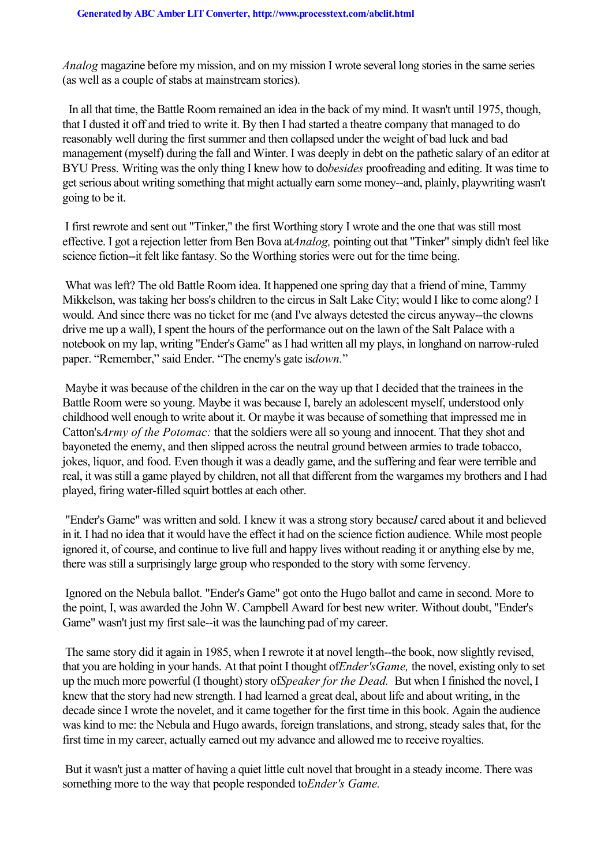*Analog* magazine before my mission, and on my mission I wrote several long stories in the same series (as well as a couple of stabs at mainstream stories).

 In all that time, the Battle Room remained an idea in the back of my mind. It wasn't until 1975, though, that I dusted it off and tried to write it. By then I had started a theatre company that managed to do reasonably well during the first summer and then collapsed under the weight of bad luck and bad management (myself) during the fall and Winter. I was deeply in debt on the pathetic salary of an editor at BYU Press. Writing was the only thing I knew how to do*besides* proofreading and editing. It was time to get serious about writing something that might actually earn some money--and, plainly, playwriting wasn't going to be it.

 I first rewrote and sent out "Tinker," the first Worthing story I wrote and the one that was still most effective. I got a rejection letter from Ben Bova at*Analog,* pointing out that "Tinker" simply didn't feel like science fiction--it felt like fantasy. So the Worthing stories were out for the time being.

 What was left? The old Battle Room idea. It happened one spring day that a friend of mine, Tammy Mikkelson, was taking her boss's children to the circus in Salt Lake City; would I like to come along? I would. And since there was no ticket for me (and I've always detested the circus anyway--the clowns drive me up a wall), I spent the hours of the performance out on the lawn of the Salt Palace with a notebook on my lap, writing "Ender's Game" as I had written all my plays, in longhand on narrow-ruled paper. "Remember," said Ender. "The enemy's gate is*down.*"

 Maybe it was because of the children in the car on the way up that I decided that the trainees in the Battle Room were so young. Maybe it was because I, barely an adolescent myself, understood only childhood well enough to write about it. Or maybe it was because of something that impressed me in Catton's*Army of the Potomac:* that the soldiers were all so young and innocent. That they shot and bayoneted the enemy, and then slipped across the neutral ground between armies to trade tobacco, jokes, liquor, and food. Even though it was a deadly game, and the suffering and fear were terrible and real, it was still a game played by children, not all that different from the wargames my brothers and I had played, firing water-filled squirt bottles at each other.

 "Ender's Game" was written and sold. I knew it was a strong story because*I* cared about it and believed in it. I had no idea that it would have the effect it had on the science fiction audience. While most people ignored it, of course, and continue to live full and happy lives without reading it or anything else by me, there was still a surprisingly large group who responded to the story with some fervency.

 Ignored on the Nebula ballot. "Ender's Game" got onto the Hugo ballot and came in second. More to the point, I, was awarded the John W. Campbell Award for best new writer. Without doubt, "Ender's Game" wasn't just my first sale--it was the launching pad of my career.

 The same story did it again in 1985, when I rewrote it at novel length--the book, now slightly revised, that you are holding in your hands. At that point I thought of*Ender'sGame,* the novel, existing only to set up the much more powerful (I thought) story of*Speaker for the Dead.* But when I finished the novel, I knew that the story had new strength. I had learned a great deal, about life and about writing, in the decade since I wrote the novelet, and it came together for the first time in this book. Again the audience was kind to me: the Nebula and Hugo awards, foreign translations, and strong, steady sales that, for the first time in my career, actually earned out my advance and allowed me to receive royalties.

 But it wasn't just a matter of having a quiet little cult novel that brought in a steady income. There was something more to the way that people responded to*Ender's Game.*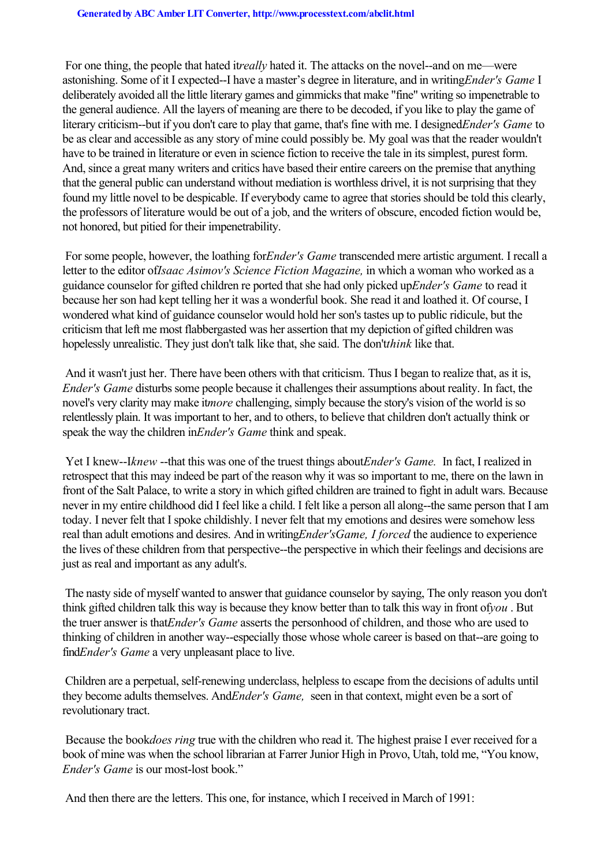For one thing, the people that hated it*really* hated it. The attacks on the novel--and on me—were astonishing. Some of it I expected--I have a master's degree in literature, and in writing*Ender's Game* I deliberately avoided all the little literary games and gimmicks that make "fine" writing so impenetrable to the general audience. All the layers of meaning are there to be decoded, if you like to play the game of literary criticism--but if you don't care to play that game, that's fine with me. I designed*Ender's Game* to be as clear and accessible as any story of mine could possibly be. My goal was that the reader wouldn't have to be trained in literature or even in science fiction to receive the tale in its simplest, purest form. And, since a great many writers and critics have based their entire careers on the premise that anything that the general public can understand without mediation is worthless drivel, it is not surprising that they found my little novel to be despicable. If everybody came to agree that stories should be told this clearly, the professors of literature would be out of a job, and the writers of obscure, encoded fiction would be, not honored, but pitied for their impenetrability.

 For some people, however, the loathing for*Ender's Game* transcended mere artistic argument. I recall a letter to the editor of*Isaac Asimov's Science Fiction Magazine,* in which a woman who worked as a guidance counselor for gifted children re ported that she had only picked up*Ender's Game* to read it because her son had kept telling her it was a wonderful book. She read it and loathed it. Of course, I wondered what kind of guidance counselor would hold her son's tastes up to public ridicule, but the criticism that left me most flabbergasted was her assertion that my depiction of gifted children was hopelessly unrealistic. They just don't talk like that, she said. The don't*think* like that.

 And it wasn't just her. There have been others with that criticism. Thus I began to realize that, as it is, *Ender's Game* disturbs some people because it challenges their assumptions about reality. In fact, the novel's very clarity may make it*more* challenging, simply because the story's vision of the world is so relentlessly plain. It was important to her, and to others, to believe that children don't actually think or speak the way the children in*Ender's Game* think and speak.

 Yet I knew--I*knew* --that this was one of the truest things about*Ender's Game.* In fact, I realized in retrospect that this may indeed be part of the reason why it was so important to me, there on the lawn in front of the Salt Palace, to write a story in which gifted children are trained to fight in adult wars. Because never in my entire childhood did I feel like a child. I felt like a person all along--the same person that I am today. I never felt that I spoke childishly. I never felt that my emotions and desires were somehow less real than adult emotions and desires. And in writing*Ender'sGame, I forced* the audience to experience the lives of these children from that perspective--the perspective in which their feelings and decisions are just as real and important as any adult's.

 The nasty side of myself wanted to answer that guidance counselor by saying, The only reason you don't think gifted children talk this way is because they know better than to talk this way in front of*you* . But the truer answer is that*Ender's Game* asserts the personhood of children, and those who are used to thinking of children in another way--especially those whose whole career is based on that--are going to find*Ender's Game* a very unpleasant place to live.

 Children are a perpetual, self-renewing underclass, helpless to escape from the decisions of adults until they become adults themselves. And*Ender's Game,* seen in that context, might even be a sort of revolutionary tract.

 Because the book*does ring* true with the children who read it. The highest praise I ever received for a book of mine was when the school librarian at Farrer Junior High in Provo, Utah, told me, "You know, *Ender's Game* is our most-lost book."

And then there are the letters. This one, for instance, which I received in March of 1991: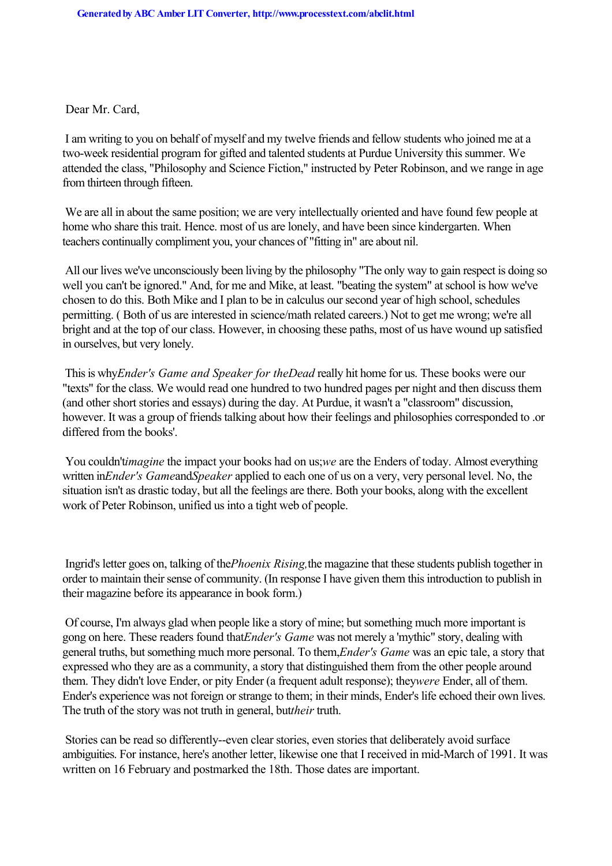Dear Mr. Card,

 I am writing to you on behalf of myself and my twelve friends and fellow students who joined me at a two-week residential program for gifted and talented students at Purdue University this summer. We attended the class, "Philosophy and Science Fiction," instructed by Peter Robinson, and we range in age from thirteen through fifteen.

We are all in about the same position; we are very intellectually oriented and have found few people at home who share this trait. Hence. most of us are lonely, and have been since kindergarten. When teachers continually compliment you, your chances of "fitting in" are about nil.

 All our lives we've unconsciously been living by the philosophy "The only way to gain respect is doing so well you can't be ignored." And, for me and Mike, at least. "beating the system" at school is how we've chosen to do this. Both Mike and I plan to be in calculus our second year of high school, schedules permitting. ( Both of us are interested in science/math related careers.) Not to get me wrong; we're all bright and at the top of our class. However, in choosing these paths, most of us have wound up satisfied in ourselves, but very lonely.

 This is why*Ender's Game and Speaker for theDead* really hit home for us. These books were our "texts" for the class. We would read one hundred to two hundred pages per night and then discuss them (and other short stories and essays) during the day. At Purdue, it wasn't a "classroom" discussion, however. It was a group of friends talking about how their feelings and philosophies corresponded to .or differed from the books'.

 You couldn't*imagine* the impact your books had on us;*we* are the Enders of today. Almost everything written in*Ender's Game*and*Speaker* applied to each one of us on a very, very personal level. No, the situation isn't as drastic today, but all the feelings are there. Both your books, along with the excellent work of Peter Robinson, unified us into a tight web of people.

 Ingrid's letter goes on, talking of the*Phoenix Rising,*the magazine that these students publish together in order to maintain their sense of community. (In response I have given them this introduction to publish in their magazine before its appearance in book form.)

 Of course, I'm always glad when people like a story of mine; but something much more important is gong on here. These readers found that*Ender's Game* was not merely a 'mythic" story, dealing with general truths, but something much more personal. To them,*Ender's Game* was an epic tale, a story that expressed who they are as a community, a story that distinguished them from the other people around them. They didn't love Ender, or pity Ender (a frequent adult response); they*were* Ender, all of them. Ender's experience was not foreign or strange to them; in their minds, Ender's life echoed their own lives. The truth of the story was not truth in general, but*their* truth.

 Stories can be read so differently--even clear stories, even stories that deliberately avoid surface ambiguities. For instance, here's another letter, likewise one that I received in mid-March of 1991. It was written on 16 February and postmarked the 18th. Those dates are important.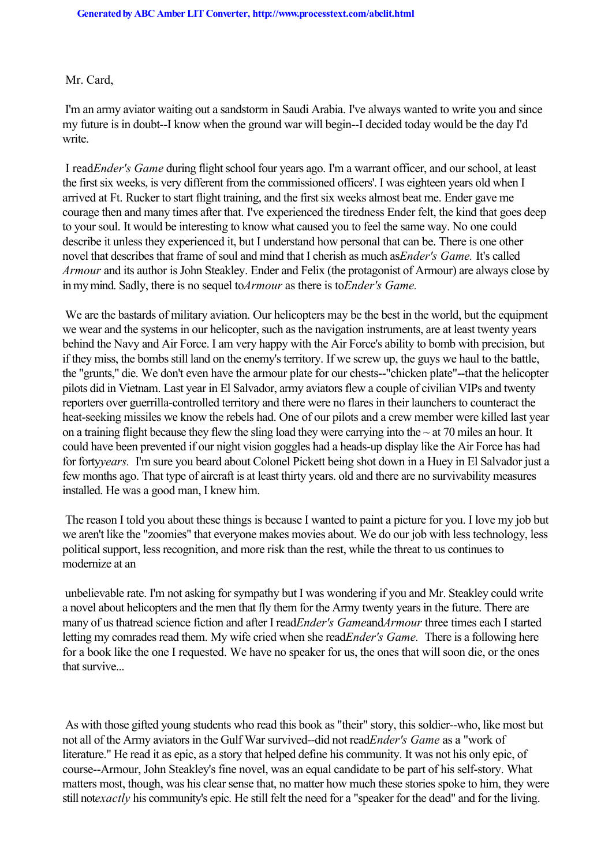## Mr. Card,

 I'm an army aviator waiting out a sandstorm in Saudi Arabia. I've always wanted to write you and since my future is in doubt--I know when the ground war will begin--I decided today would be the day I'd write.

 I read*Ender's Game* during flight school four years ago. I'm a warrant officer, and our school, at least the first six weeks, is very different from the commissioned officers'. I was eighteen years old when I arrived at Ft. Rucker to start flight training, and the first six weeks almost beat me. Ender gave me courage then and many times after that. I've experienced the tiredness Ender felt, the kind that goes deep to your soul. It would be interesting to know what caused you to feel the same way. No one could describe it unless they experienced it, but I understand how personal that can be. There is one other novel that describes that frame of soul and mind that I cherish as much as*Ender's Game.* It's called *Armour* and its author is John Steakley. Ender and Felix (the protagonist of Armour) are always close by in my mind. Sadly, there is no sequel to*Armour* as there is to*Ender's Game.*

We are the bastards of military aviation. Our helicopters may be the best in the world, but the equipment we wear and the systems in our helicopter, such as the navigation instruments, are at least twenty years behind the Navy and Air Force. I am very happy with the Air Force's ability to bomb with precision, but if they miss, the bombs still land on the enemy's territory. If we screw up, the guys we haul to the battle, the "grunts," die. We don't even have the armour plate for our chests--"chicken plate"--that the helicopter pilots did in Vietnam. Last year in El Salvador, army aviators flew a couple of civilian VIPs and twenty reporters over guerrilla-controlled territory and there were no flares in their launchers to counteract the heat-seeking missiles we know the rebels had. One of our pilots and a crew member were killed last year on a training flight because they flew the sling load they were carrying into the  $\sim$  at 70 miles an hour. It could have been prevented if our night vision goggles had a heads-up display like the Air Force has had for forty*years.* I'm sure you beard about Colonel Pickett being shot down in a Huey in El Salvador just a few months ago. That type of aircraft is at least thirty years. old and there are no survivability measures installed. He was a good man, I knew him.

 The reason I told you about these things is because I wanted to paint a picture for you. I love my job but we aren't like the "zoomies" that everyone makes movies about. We do our job with less technology, less political support, less recognition, and more risk than the rest, while the threat to us continues to modernize at an

 unbelievable rate. I'm not asking for sympathy but I was wondering if you and Mr. Steakley could write a novel about helicopters and the men that fly them for the Army twenty years in the future. There are many of us thatread science fiction and after I read*Ender's Game*and*Armour* three times each I started letting my comrades read them. My wife cried when she read*Ender's Game.* There is a following here for a book like the one I requested. We have no speaker for us, the ones that will soon die, or the ones that survive...

 As with those gifted young students who read this book as "their" story, this soldier--who, like most but not all of the Army aviators in the Gulf War survived--did not read*Ender's Game* as a "work of literature." He read it as epic, as a story that helped define his community. It was not his only epic, of course--Armour, John Steakley's fine novel, was an equal candidate to be part of his self-story. What matters most, though, was his clear sense that, no matter how much these stories spoke to him, they were still not*exactly* his community's epic. He still felt the need for a "speaker for the dead" and for the living.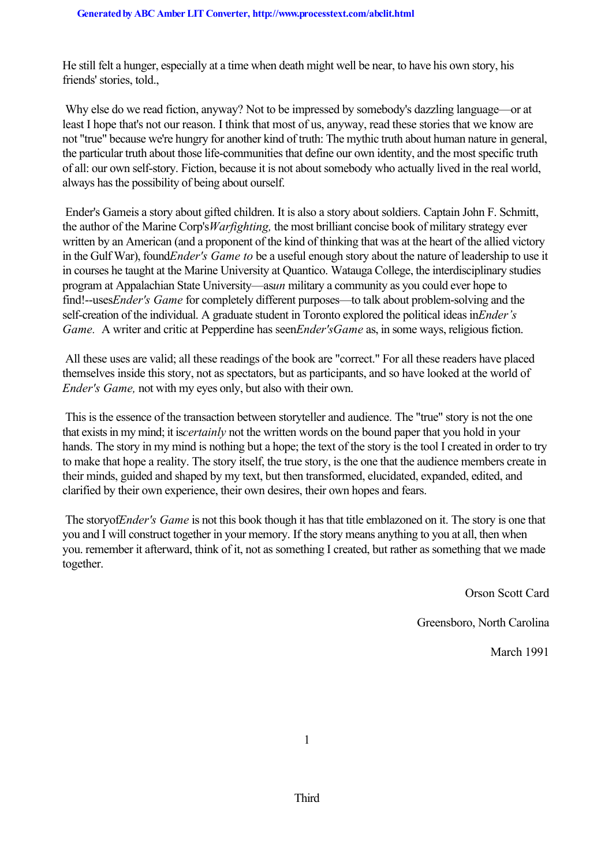He still felt a hunger, especially at a time when death might well be near, to have his own story, his friends' stories, told.,

 Why else do we read fiction, anyway? Not to be impressed by somebody's dazzling language—or at least I hope that's not our reason. I think that most of us, anyway, read these stories that we know are not "true" because we're hungry for another kind of truth: The mythic truth about human nature in general, the particular truth about those life-communities that define our own identity, and the most specific truth of all: our own self-story. Fiction, because it is not about somebody who actually lived in the real world, always has the possibility of being about ourself.

 Ender's Gameis a story about gifted children. It is also a story about soldiers. Captain John F. Schmitt, the author of the Marine Corp's*Warfighting,* the most brilliant concise book of military strategy ever written by an American (and a proponent of the kind of thinking that was at the heart of the allied victory in the Gulf War), found*Ender's Game to* be a useful enough story about the nature of leadership to use it in courses he taught at the Marine University at Quantico. Watauga College, the interdisciplinary studies program at Appalachian State University—as*un* military a community as you could ever hope to find!--uses*Ender's Game* for completely different purposes—to talk about problem-solving and the self-creation of the individual. A graduate student in Toronto explored the political ideas in*Ender's Game.* A writer and critic at Pepperdine has seen*Ender'sGame* as, in some ways, religious fiction.

 All these uses are valid; all these readings of the book are "correct." For all these readers have placed themselves inside this story, not as spectators, but as participants, and so have looked at the world of *Ender's Game,* not with my eyes only, but also with their own.

 This is the essence of the transaction between storyteller and audience. The "true" story is not the one that exists in my mind; it is*certainly* not the written words on the bound paper that you hold in your hands. The story in my mind is nothing but a hope; the text of the story is the tool I created in order to try to make that hope a reality. The story itself, the true story, is the one that the audience members create in their minds, guided and shaped by my text, but then transformed, elucidated, expanded, edited, and clarified by their own experience, their own desires, their own hopes and fears.

 The storyof*Ender's Game* is not this book though it has that title emblazoned on it. The story is one that you and I will construct together in your memory. If the story means anything to you at all, then when you. remember it afterward, think of it, not as something I created, but rather as something that we made together.

Orson Scott Card

Greensboro, North Carolina

March 1991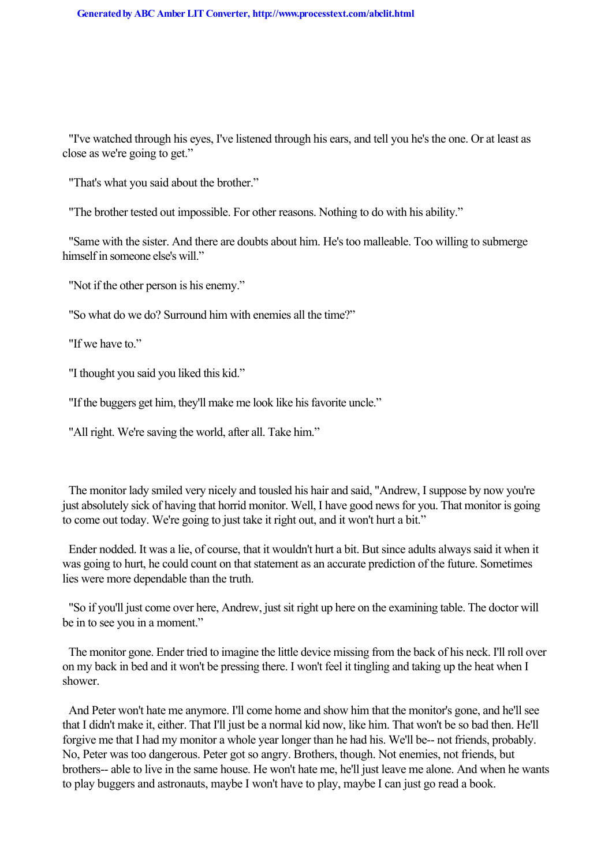"I've watched through his eyes, I've listened through his ears, and tell you he's the one. Or at least as close as we're going to get."

"That's what you said about the brother."

"The brother tested out impossible. For other reasons. Nothing to do with his ability."

 "Same with the sister. And there are doubts about him. He's too malleable. Too willing to submerge himself in someone else's will."

"Not if the other person is his enemy."

"So what do we do? Surround him with enemies all the time?"

"If we have to"

"I thought you said you liked this kid."

"If the buggers get him, they'll make me look like his favorite uncle."

"All right. We're saving the world, after all. Take him."

 The monitor lady smiled very nicely and tousled his hair and said, "Andrew, I suppose by now you're just absolutely sick of having that horrid monitor. Well, I have good news for you. That monitor is going to come out today. We're going to just take it right out, and it won't hurt a bit."

 Ender nodded. It was a lie, of course, that it wouldn't hurt a bit. But since adults always said it when it was going to hurt, he could count on that statement as an accurate prediction of the future. Sometimes lies were more dependable than the truth.

 "So if you'll just come over here, Andrew, just sit right up here on the examining table. The doctor will be in to see you in a moment."

 The monitor gone. Ender tried to imagine the little device missing from the back of his neck. I'll roll over on my back in bed and it won't be pressing there. I won't feel it tingling and taking up the heat when I shower.

 And Peter won't hate me anymore. I'll come home and show him that the monitor's gone, and he'll see that I didn't make it, either. That I'll just be a normal kid now, like him. That won't be so bad then. He'll forgive me that I had my monitor a whole year longer than he had his. We'll be-- not friends, probably. No, Peter was too dangerous. Peter got so angry. Brothers, though. Not enemies, not friends, but brothers-- able to live in the same house. He won't hate me, he'll just leave me alone. And when he wants to play buggers and astronauts, maybe I won't have to play, maybe I can just go read a book.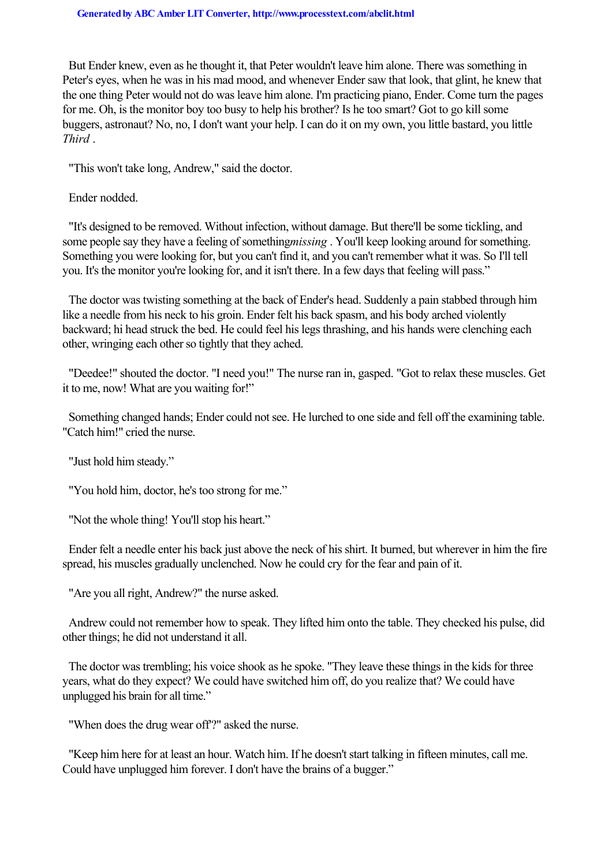But Ender knew, even as he thought it, that Peter wouldn't leave him alone. There was something in Peter's eyes, when he was in his mad mood, and whenever Ender saw that look, that glint, he knew that the one thing Peter would not do was leave him alone. I'm practicing piano, Ender. Come turn the pages for me. Oh, is the monitor boy too busy to help his brother? Is he too smart? Got to go kill some buggers, astronaut? No, no, I don't want your help. I can do it on my own, you little bastard, you little *Third* .

"This won't take long, Andrew," said the doctor.

Ender nodded.

 "It's designed to be removed. Without infection, without damage. But there'll be some tickling, and some people say they have a feeling of something*missing* . You'll keep looking around for something. Something you were looking for, but you can't find it, and you can't remember what it was. So I'll tell you. It's the monitor you're looking for, and it isn't there. In a few days that feeling will pass."

 The doctor was twisting something at the back of Ender's head. Suddenly a pain stabbed through him like a needle from his neck to his groin. Ender felt his back spasm, and his body arched violently backward; hi head struck the bed. He could feel his legs thrashing, and his hands were clenching each other, wringing each other so tightly that they ached.

 "Deedee!" shouted the doctor. "I need you!" The nurse ran in, gasped. "Got to relax these muscles. Get it to me, now! What are you waiting for!"

 Something changed hands; Ender could not see. He lurched to one side and fell off the examining table. "Catch him!" cried the nurse.

"Just hold him steady."

"You hold him, doctor, he's too strong for me."

"Not the whole thing! You'll stop his heart."

 Ender felt a needle enter his back just above the neck of his shirt. It burned, but wherever in him the fire spread, his muscles gradually unclenched. Now he could cry for the fear and pain of it.

"Are you all right, Andrew?" the nurse asked.

 Andrew could not remember how to speak. They lifted him onto the table. They checked his pulse, did other things; he did not understand it all.

 The doctor was trembling; his voice shook as he spoke. "They leave these things in the kids for three years, what do they expect? We could have switched him off, do you realize that? We could have unplugged his brain for all time."

"When does the drug wear off'?" asked the nurse.

 "Keep him here for at least an hour. Watch him. If he doesn't start talking in fifteen minutes, call me. Could have unplugged him forever. I don't have the brains of a bugger."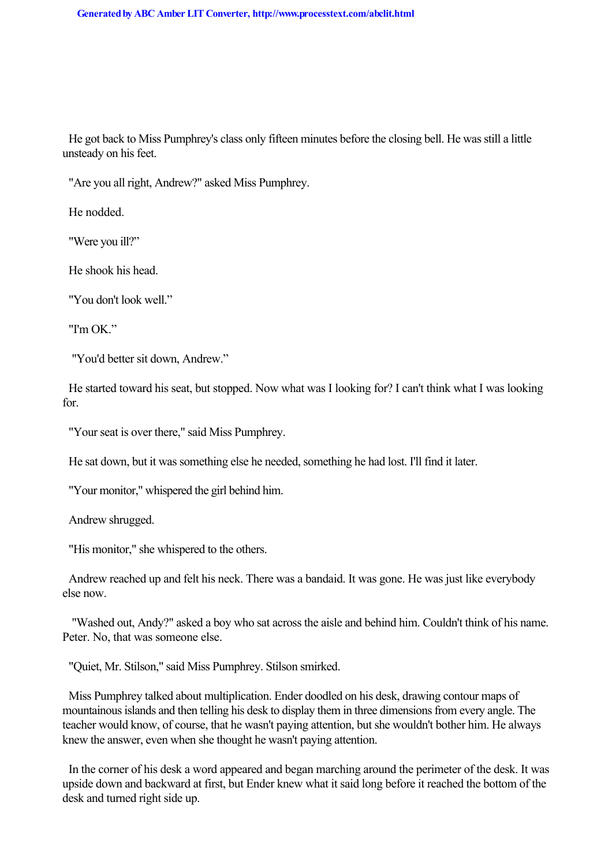He got back to Miss Pumphrey's class only fifteen minutes before the closing bell. He was still a little unsteady on his feet.

"Are you all right, Andrew?" asked Miss Pumphrey.

He nodded.

"Were you ill?"

He shook his head.

"You don't look well."

"I'm  $OK$ "

"You'd better sit down, Andrew."

 He started toward his seat, but stopped. Now what was I looking for? I can't think what I was looking for.

"Your seat is over there," said Miss Pumphrey.

He sat down, but it was something else he needed, something he had lost. I'll find it later.

"Your monitor," whispered the girl behind him.

Andrew shrugged.

"His monitor," she whispered to the others.

 Andrew reached up and felt his neck. There was a bandaid. It was gone. He was just like everybody else now.

 "Washed out, Andy?" asked a boy who sat across the aisle and behind him. Couldn't think of his name. Peter. No, that was someone else.

"Quiet, Mr. Stilson," said Miss Pumphrey. Stilson smirked.

 Miss Pumphrey talked about multiplication. Ender doodled on his desk, drawing contour maps of mountainous islands and then telling his desk to display them in three dimensions from every angle. The teacher would know, of course, that he wasn't paying attention, but she wouldn't bother him. He always knew the answer, even when she thought he wasn't paying attention.

 In the corner of his desk a word appeared and began marching around the perimeter of the desk. It was upside down and backward at first, but Ender knew what it said long before it reached the bottom of the desk and turned right side up.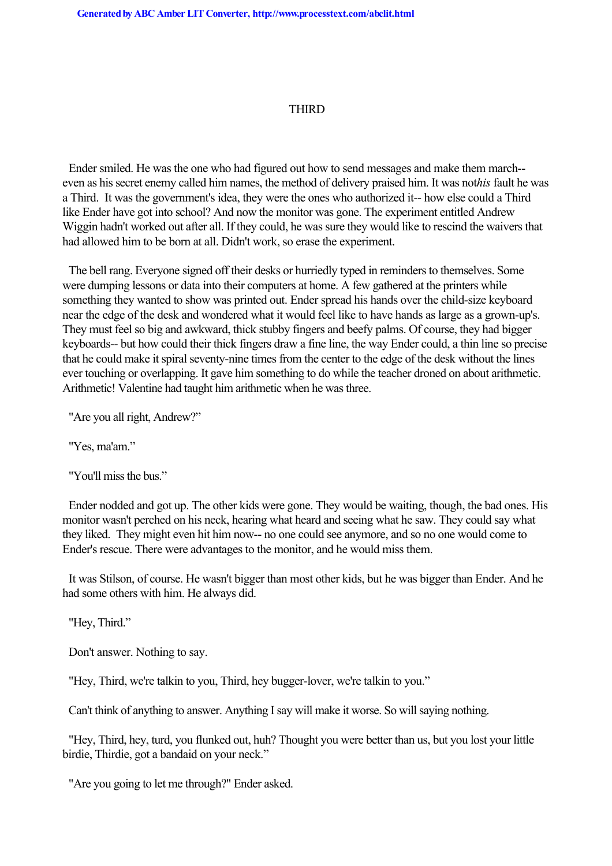#### **THIRD**

 Ender smiled. He was the one who had figured out how to send messages and make them march- even as his secret enemy called him names, the method of delivery praised him. It was not*his* fault he was a Third. It was the government's idea, they were the ones who authorized it-- how else could a Third like Ender have got into school? And now the monitor was gone. The experiment entitled Andrew Wiggin hadn't worked out after all. If they could, he was sure they would like to rescind the waivers that had allowed him to be born at all. Didn't work, so erase the experiment.

 The bell rang. Everyone signed off their desks or hurriedly typed in reminders to themselves. Some were dumping lessons or data into their computers at home. A few gathered at the printers while something they wanted to show was printed out. Ender spread his hands over the child-size keyboard near the edge of the desk and wondered what it would feel like to have hands as large as a grown-up's. They must feel so big and awkward, thick stubby fingers and beefy palms. Of course, they had bigger keyboards-- but how could their thick fingers draw a fine line, the way Ender could, a thin line so precise that he could make it spiral seventy-nine times from the center to the edge of the desk without the lines ever touching or overlapping. It gave him something to do while the teacher droned on about arithmetic. Arithmetic! Valentine had taught him arithmetic when he was three.

"Are you all right, Andrew?"

"Yes ma'am"

"You'll miss the bus."

 Ender nodded and got up. The other kids were gone. They would be waiting, though, the bad ones. His monitor wasn't perched on his neck, hearing what heard and seeing what he saw. They could say what they liked. They might even hit him now-- no one could see anymore, and so no one would come to Ender's rescue. There were advantages to the monitor, and he would miss them.

 It was Stilson, of course. He wasn't bigger than most other kids, but he was bigger than Ender. And he had some others with him. He always did.

"Hey, Third."

Don't answer. Nothing to say.

"Hey, Third, we're talkin to you, Third, hey bugger-lover, we're talkin to you."

Can't think of anything to answer. Anything I say will make it worse. So will saying nothing.

 "Hey, Third, hey, turd, you flunked out, huh? Thought you were better than us, but you lost your little birdie, Thirdie, got a bandaid on your neck."

"Are you going to let me through?" Ender asked.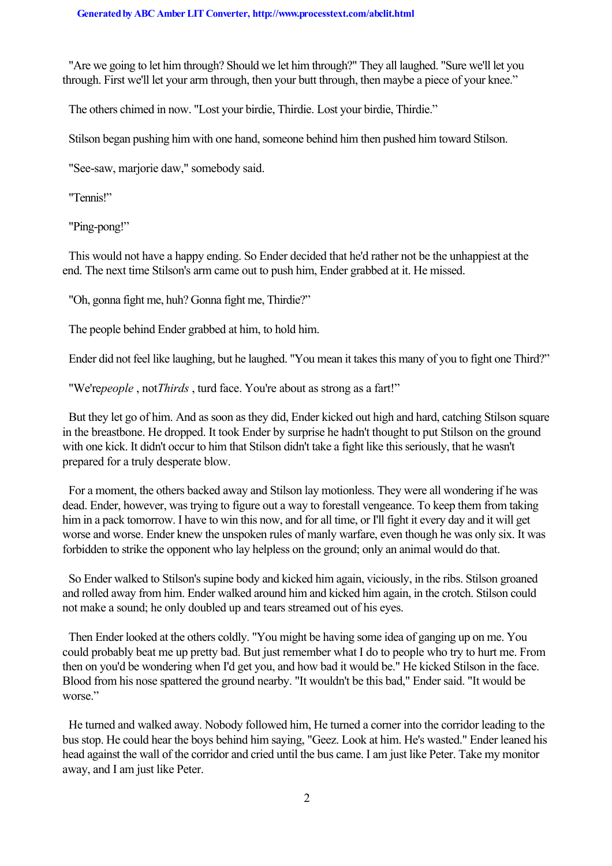#### **Generated by ABC Amber LIT Converter, <http://www.processtext.com/abclit.html>**

 "Are we going to let him through? Should we let him through?" They all laughed. "Sure we'll let you through. First we'll let your arm through, then your butt through, then maybe a piece of your knee."

The others chimed in now. "Lost your birdie, Thirdie. Lost your birdie, Thirdie."

Stilson began pushing him with one hand, someone behind him then pushed him toward Stilson.

"See-saw, marjorie daw," somebody said.

"Tennis!"

"Ping-pong!"

 This would not have a happy ending. So Ender decided that he'd rather not be the unhappiest at the end. The next time Stilson's arm came out to push him, Ender grabbed at it. He missed.

"Oh, gonna fight me, huh? Gonna fight me, Thirdie?"

The people behind Ender grabbed at him, to hold him.

Ender did not feel like laughing, but he laughed. "You mean it takes this many of you to fight one Third?"

"We're*people* , not*Thirds* , turd face. You're about as strong as a fart!"

 But they let go of him. And as soon as they did, Ender kicked out high and hard, catching Stilson square in the breastbone. He dropped. It took Ender by surprise he hadn't thought to put Stilson on the ground with one kick. It didn't occur to him that Stilson didn't take a fight like this seriously, that he wasn't prepared for a truly desperate blow.

 For a moment, the others backed away and Stilson lay motionless. They were all wondering if he was dead. Ender, however, was trying to figure out a way to forestall vengeance. To keep them from taking him in a pack tomorrow. I have to win this now, and for all time, or I'll fight it every day and it will get worse and worse. Ender knew the unspoken rules of manly warfare, even though he was only six. It was forbidden to strike the opponent who lay helpless on the ground; only an animal would do that.

 So Ender walked to Stilson's supine body and kicked him again, viciously, in the ribs. Stilson groaned and rolled away from him. Ender walked around him and kicked him again, in the crotch. Stilson could not make a sound; he only doubled up and tears streamed out of his eyes.

 Then Ender looked at the others coldly. "You might be having some idea of ganging up on me. You could probably beat me up pretty bad. But just remember what I do to people who try to hurt me. From then on you'd be wondering when I'd get you, and how bad it would be." He kicked Stilson in the face. Blood from his nose spattered the ground nearby. "It wouldn't be this bad," Ender said. "It would be worse."

 He turned and walked away. Nobody followed him, He turned a corner into the corridor leading to the bus stop. He could hear the boys behind him saying, "Geez. Look at him. He's wasted." Ender leaned his head against the wall of the corridor and cried until the bus came. I am just like Peter. Take my monitor away, and I am just like Peter.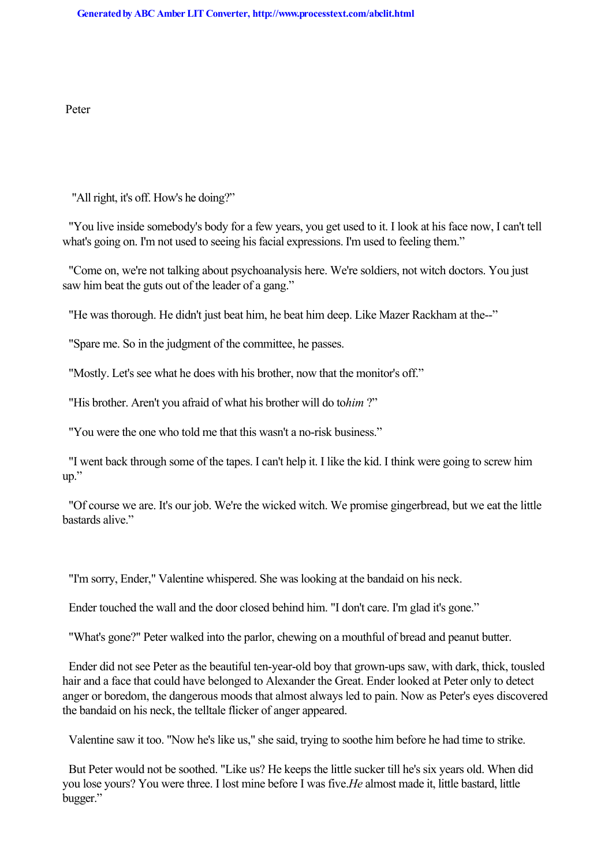# Peter

"All right, it's off. How's he doing?"

 "You live inside somebody's body for a few years, you get used to it. I look at his face now, I can't tell what's going on. I'm not used to seeing his facial expressions. I'm used to feeling them."

 "Come on, we're not talking about psychoanalysis here. We're soldiers, not witch doctors. You just saw him beat the guts out of the leader of a gang."

"He was thorough. He didn't just beat him, he beat him deep. Like Mazer Rackham at the--"

"Spare me. So in the judgment of the committee, he passes.

"Mostly. Let's see what he does with his brother, now that the monitor's off."

"His brother. Aren't you afraid of what his brother will do to*him* ?"

"You were the one who told me that this wasn't a no-risk business."

 "I went back through some of the tapes. I can't help it. I like the kid. I think were going to screw him up."

 "Of course we are. It's our job. We're the wicked witch. We promise gingerbread, but we eat the little bastards alive."

"I'm sorry, Ender," Valentine whispered. She was looking at the bandaid on his neck.

Ender touched the wall and the door closed behind him. "I don't care. I'm glad it's gone."

"What's gone?" Peter walked into the parlor, chewing on a mouthful of bread and peanut butter.

 Ender did not see Peter as the beautiful ten-year-old boy that grown-ups saw, with dark, thick, tousled hair and a face that could have belonged to Alexander the Great. Ender looked at Peter only to detect anger or boredom, the dangerous moods that almost always led to pain. Now as Peter's eyes discovered the bandaid on his neck, the telltale flicker of anger appeared.

Valentine saw it too. "Now he's like us," she said, trying to soothe him before he had time to strike.

 But Peter would not be soothed. "Like us? He keeps the little sucker till he's six years old. When did you lose yours? You were three. I lost mine before I was five.*He* almost made it, little bastard, little bugger."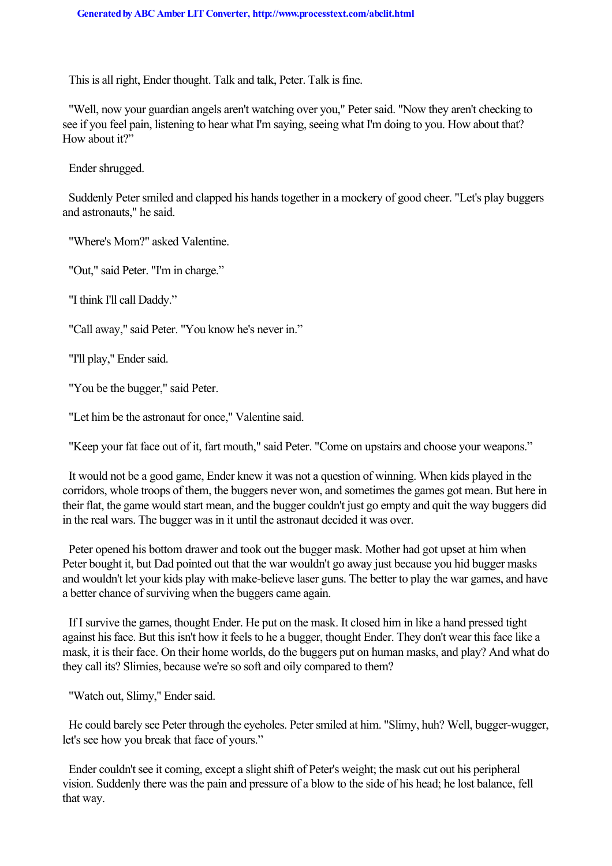This is all right, Ender thought. Talk and talk, Peter. Talk is fine.

 "Well, now your guardian angels aren't watching over you," Peter said. "Now they aren't checking to see if you feel pain, listening to hear what I'm saying, seeing what I'm doing to you. How about that? How about it?"

Ender shrugged.

 Suddenly Peter smiled and clapped his hands together in a mockery of good cheer. "Let's play buggers and astronauts," he said.

"Where's Mom?" asked Valentine.

"Out," said Peter. "I'm in charge."

"I think I'll call Daddy."

"Call away," said Peter. "You know he's never in."

"I'll play," Ender said.

"You be the bugger," said Peter.

"Let him be the astronaut for once," Valentine said.

"Keep your fat face out of it, fart mouth," said Peter. "Come on upstairs and choose your weapons."

 It would not be a good game, Ender knew it was not a question of winning. When kids played in the corridors, whole troops of them, the buggers never won, and sometimes the games got mean. But here in their flat, the game would start mean, and the bugger couldn't just go empty and quit the way buggers did in the real wars. The bugger was in it until the astronaut decided it was over.

 Peter opened his bottom drawer and took out the bugger mask. Mother had got upset at him when Peter bought it, but Dad pointed out that the war wouldn't go away just because you hid bugger masks and wouldn't let your kids play with make-believe laser guns. The better to play the war games, and have a better chance of surviving when the buggers came again.

 If I survive the games, thought Ender. He put on the mask. It closed him in like a hand pressed tight against his face. But this isn't how it feels to he a bugger, thought Ender. They don't wear this face like a mask, it is their face. On their home worlds, do the buggers put on human masks, and play? And what do they call its? Slimies, because we're so soft and oily compared to them?

"Watch out, Slimy," Ender said.

 He could barely see Peter through the eyeholes. Peter smiled at him. "Slimy, huh? Well, bugger-wugger, let's see how you break that face of yours."

 Ender couldn't see it coming, except a slight shift of Peter's weight; the mask cut out his peripheral vision. Suddenly there was the pain and pressure of a blow to the side of his head; he lost balance, fell that way.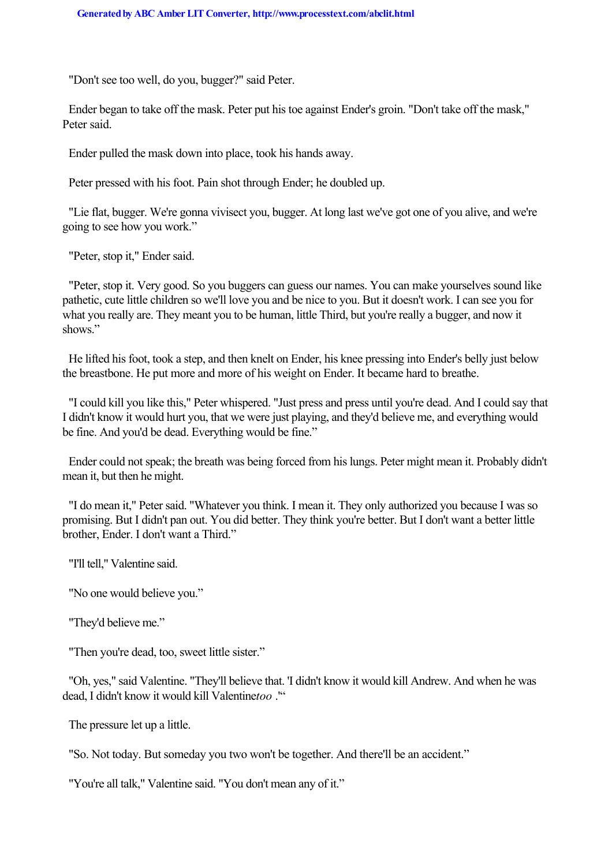"Don't see too well, do you, bugger?" said Peter.

 Ender began to take off the mask. Peter put his toe against Ender's groin. "Don't take off the mask," Peter said.

Ender pulled the mask down into place, took his hands away.

Peter pressed with his foot. Pain shot through Ender; he doubled up.

 "Lie flat, bugger. We're gonna vivisect you, bugger. At long last we've got one of you alive, and we're going to see how you work."

"Peter, stop it," Ender said.

 "Peter, stop it. Very good. So you buggers can guess our names. You can make yourselves sound like pathetic, cute little children so we'll love you and be nice to you. But it doesn't work. I can see you for what you really are. They meant you to be human, little Third, but you're really a bugger, and now it shows"

 He lifted his foot, took a step, and then knelt on Ender, his knee pressing into Ender's belly just below the breastbone. He put more and more of his weight on Ender. It became hard to breathe.

 "I could kill you like this," Peter whispered. "Just press and press until you're dead. And I could say that I didn't know it would hurt you, that we were just playing, and they'd believe me, and everything would be fine. And you'd be dead. Everything would be fine."

 Ender could not speak; the breath was being forced from his lungs. Peter might mean it. Probably didn't mean it, but then he might.

 "I do mean it," Peter said. "Whatever you think. I mean it. They only authorized you because I was so promising. But I didn't pan out. You did better. They think you're better. But I don't want a better little brother, Ender. I don't want a Third."

"I'll tell," Valentine said.

"No one would believe you."

"They'd believe me."

"Then you're dead, too, sweet little sister."

 "Oh, yes," said Valentine. "They'll believe that. 'I didn't know it would kill Andrew. And when he was dead, I didn't know it would kill Valentine*too* .'"

The pressure let up a little.

"So. Not today. But someday you two won't be together. And there'll be an accident."

"You're all talk," Valentine said. "You don't mean any of it."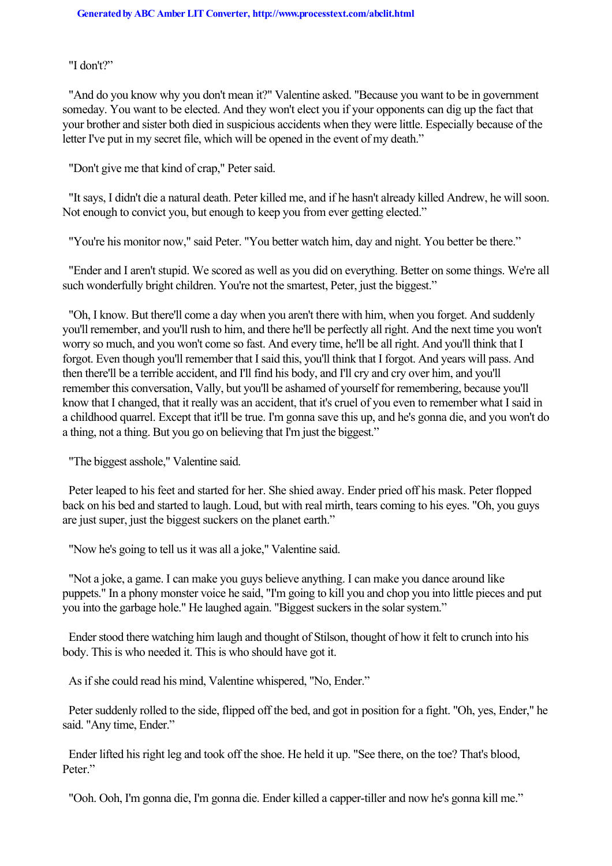"I don't?"

 "And do you know why you don't mean it?" Valentine asked. "Because you want to be in government someday. You want to be elected. And they won't elect you if your opponents can dig up the fact that your brother and sister both died in suspicious accidents when they were little. Especially because of the letter I've put in my secret file, which will be opened in the event of my death."

"Don't give me that kind of crap," Peter said.

 "It says, I didn't die a natural death. Peter killed me, and if he hasn't already killed Andrew, he will soon. Not enough to convict you, but enough to keep you from ever getting elected."

"You're his monitor now," said Peter. "You better watch him, day and night. You better be there."

 "Ender and I aren't stupid. We scored as well as you did on everything. Better on some things. We're all such wonderfully bright children. You're not the smartest, Peter, just the biggest."

 "Oh, I know. But there'll come a day when you aren't there with him, when you forget. And suddenly you'll remember, and you'll rush to him, and there he'll be perfectly all right. And the next time you won't worry so much, and you won't come so fast. And every time, he'll be all right. And you'll think that I forgot. Even though you'll remember that I said this, you'll think that I forgot. And years will pass. And then there'll be a terrible accident, and I'll find his body, and I'll cry and cry over him, and you'll remember this conversation, Vally, but you'll be ashamed of yourself for remembering, because you'll know that I changed, that it really was an accident, that it's cruel of you even to remember what I said in a childhood quarrel. Except that it'll be true. I'm gonna save this up, and he's gonna die, and you won't do a thing, not a thing. But you go on believing that I'm just the biggest."

"The biggest asshole," Valentine said.

 Peter leaped to his feet and started for her. She shied away. Ender pried off his mask. Peter flopped back on his bed and started to laugh. Loud, but with real mirth, tears coming to his eyes. "Oh, you guys are just super, just the biggest suckers on the planet earth."

"Now he's going to tell us it was all a joke," Valentine said.

 "Not a joke, a game. I can make you guys believe anything. I can make you dance around like puppets." In a phony monster voice he said, "I'm going to kill you and chop you into little pieces and put you into the garbage hole." He laughed again. "Biggest suckers in the solar system."

 Ender stood there watching him laugh and thought of Stilson, thought of how it felt to crunch into his body. This is who needed it. This is who should have got it.

As if she could read his mind, Valentine whispered, "No, Ender."

 Peter suddenly rolled to the side, flipped off the bed, and got in position for a fight. "Oh, yes, Ender," he said. "Any time, Ender."

 Ender lifted his right leg and took off the shoe. He held it up. "See there, on the toe? That's blood, Peter."

"Ooh. Ooh, I'm gonna die, I'm gonna die. Ender killed a capper-tiller and now he's gonna kill me."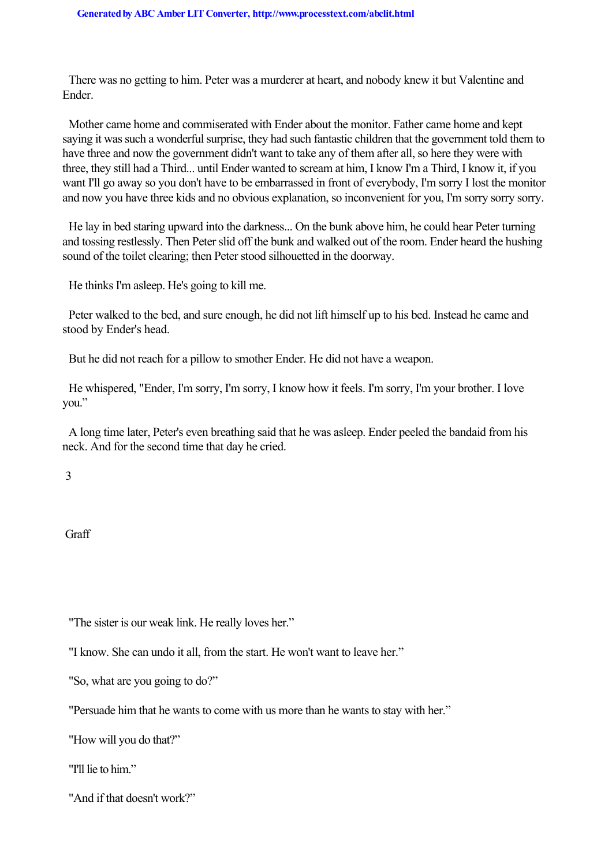There was no getting to him. Peter was a murderer at heart, and nobody knew it but Valentine and Ender.

 Mother came home and commiserated with Ender about the monitor. Father came home and kept saying it was such a wonderful surprise, they had such fantastic children that the government told them to have three and now the government didn't want to take any of them after all, so here they were with three, they still had a Third... until Ender wanted to scream at him, I know I'm a Third, I know it, if you want I'll go away so you don't have to be embarrassed in front of everybody, I'm sorry I lost the monitor and now you have three kids and no obvious explanation, so inconvenient for you, I'm sorry sorry sorry.

 He lay in bed staring upward into the darkness... On the bunk above him, he could hear Peter turning and tossing restlessly. Then Peter slid off the bunk and walked out of the room. Ender heard the hushing sound of the toilet clearing; then Peter stood silhouetted in the doorway.

He thinks I'm asleep. He's going to kill me.

 Peter walked to the bed, and sure enough, he did not lift himself up to his bed. Instead he came and stood by Ender's head.

But he did not reach for a pillow to smother Ender. He did not have a weapon.

 He whispered, "Ender, I'm sorry, I'm sorry, I know how it feels. I'm sorry, I'm your brother. I love you."

 A long time later, Peter's even breathing said that he was asleep. Ender peeled the bandaid from his neck. And for the second time that day he cried.

3

**Graff** 

"The sister is our weak link. He really loves her."

"I know. She can undo it all, from the start. He won't want to leave her."

"So, what are you going to do?"

"Persuade him that he wants to come with us more than he wants to stay with her."

"How will you do that?"

"I'll lie to him"

"And if that doesn't work?"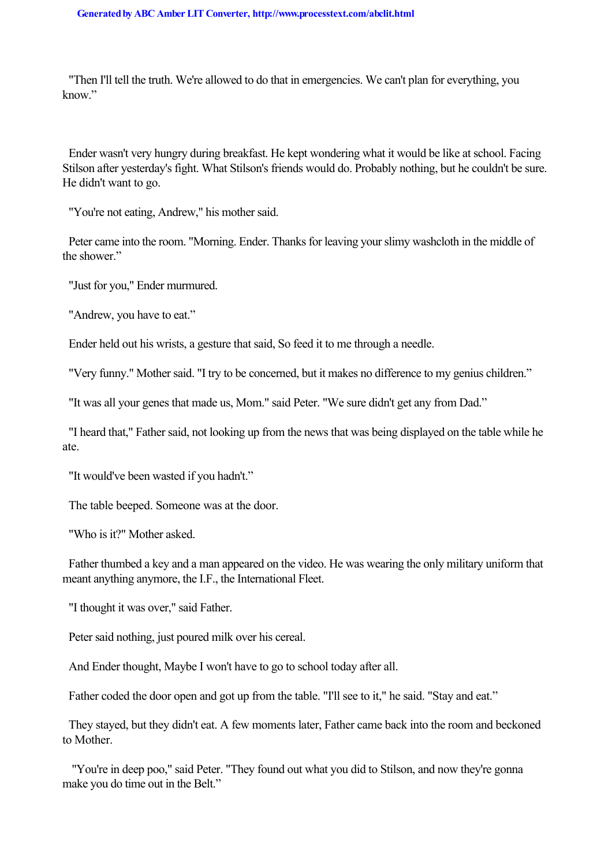"Then I'll tell the truth. We're allowed to do that in emergencies. We can't plan for everything, you know"

 Ender wasn't very hungry during breakfast. He kept wondering what it would be like at school. Facing Stilson after yesterday's fight. What Stilson's friends would do. Probably nothing, but he couldn't be sure. He didn't want to go.

"You're not eating, Andrew," his mother said.

 Peter came into the room. "Morning. Ender. Thanks for leaving your slimy washcloth in the middle of the shower."

"Just for you," Ender murmured.

"Andrew, you have to eat."

Ender held out his wrists, a gesture that said, So feed it to me through a needle.

"Very funny." Mother said. "I try to be concerned, but it makes no difference to my genius children."

"It was all your genes that made us, Mom." said Peter. "We sure didn't get any from Dad."

 "I heard that," Father said, not looking up from the news that was being displayed on the table while he ate.

"It would've been wasted if you hadn't."

The table beeped. Someone was at the door.

"Who is it?" Mother asked.

 Father thumbed a key and a man appeared on the video. He was wearing the only military uniform that meant anything anymore, the I.F., the International Fleet.

"I thought it was over," said Father.

Peter said nothing, just poured milk over his cereal.

And Ender thought, Maybe I won't have to go to school today after all.

Father coded the door open and got up from the table. "I'll see to it," he said. "Stay and eat."

 They stayed, but they didn't eat. A few moments later, Father came back into the room and beckoned to Mother.

 "You're in deep poo," said Peter. "They found out what you did to Stilson, and now they're gonna make you do time out in the Belt."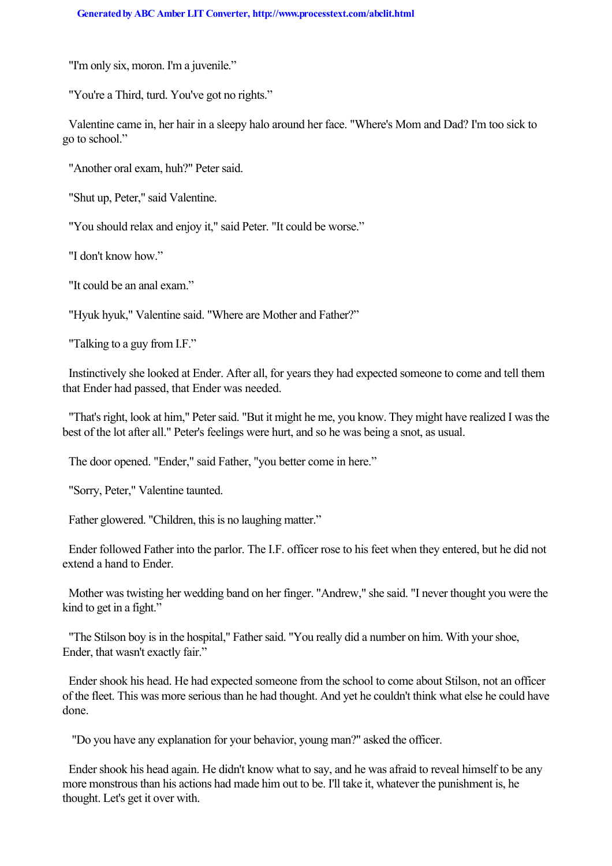#### **Generated by ABC Amber LIT Converter, <http://www.processtext.com/abclit.html>**

"I'm only six, moron. I'm a juvenile."

"You're a Third, turd. You've got no rights."

 Valentine came in, her hair in a sleepy halo around her face. "Where's Mom and Dad? I'm too sick to go to school."

"Another oral exam, huh?" Peter said.

"Shut up, Peter," said Valentine.

"You should relax and enjoy it," said Peter. "It could be worse."

"I don't know how"

"It could be an anal exam"

"Hyuk hyuk," Valentine said. "Where are Mother and Father?"

"Talking to a guy from I.F."

 Instinctively she looked at Ender. After all, for years they had expected someone to come and tell them that Ender had passed, that Ender was needed.

 "That's right, look at him," Peter said. "But it might he me, you know. They might have realized I was the best of the lot after all." Peter's feelings were hurt, and so he was being a snot, as usual.

The door opened. "Ender," said Father, "you better come in here."

"Sorry, Peter," Valentine taunted.

Father glowered. "Children, this is no laughing matter."

 Ender followed Father into the parlor. The I.F. officer rose to his feet when they entered, but he did not extend a hand to Ender.

 Mother was twisting her wedding band on her finger. "Andrew," she said. "I never thought you were the kind to get in a fight."

 "The Stilson boy is in the hospital," Father said. "You really did a number on him. With your shoe, Ender, that wasn't exactly fair."

 Ender shook his head. He had expected someone from the school to come about Stilson, not an officer of the fleet. This was more serious than he had thought. And yet he couldn't think what else he could have done.

"Do you have any explanation for your behavior, young man?" asked the officer.

 Ender shook his head again. He didn't know what to say, and he was afraid to reveal himself to be any more monstrous than his actions had made him out to be. I'll take it, whatever the punishment is, he thought. Let's get it over with.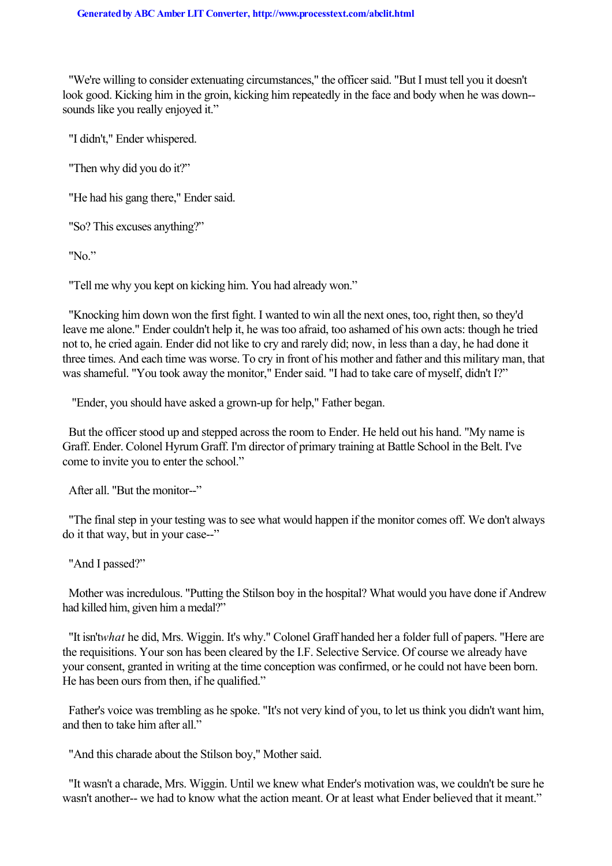"We're willing to consider extenuating circumstances," the officer said. "But I must tell you it doesn't look good. Kicking him in the groin, kicking him repeatedly in the face and body when he was down- sounds like you really enjoyed it."

"I didn't," Ender whispered.

"Then why did you do it?"

"He had his gang there," Ender said.

"So? This excuses anything?"

"No."

"Tell me why you kept on kicking him. You had already won."

 "Knocking him down won the first fight. I wanted to win all the next ones, too, right then, so they'd leave me alone." Ender couldn't help it, he was too afraid, too ashamed of his own acts: though he tried not to, he cried again. Ender did not like to cry and rarely did; now, in less than a day, he had done it three times. And each time was worse. To cry in front of his mother and father and this military man, that was shameful. "You took away the monitor," Ender said. "I had to take care of myself, didn't I?"

"Ender, you should have asked a grown-up for help," Father began.

 But the officer stood up and stepped across the room to Ender. He held out his hand. "My name is Graff. Ender. Colonel Hyrum Graff. I'm director of primary training at Battle School in the Belt. I've come to invite you to enter the school."

After all "But the monitor--"

 "The final step in your testing was to see what would happen if the monitor comes off. We don't always do it that way, but in your case--"

"And I passed?"

 Mother was incredulous. "Putting the Stilson boy in the hospital? What would you have done if Andrew had killed him, given him a medal?"

 "It isn't*what* he did, Mrs. Wiggin. It's why." Colonel Graff handed her a folder full of papers. "Here are the requisitions. Your son has been cleared by the I.F. Selective Service. Of course we already have your consent, granted in writing at the time conception was confirmed, or he could not have been born. He has been ours from then, if he qualified."

 Father's voice was trembling as he spoke. "It's not very kind of you, to let us think you didn't want him, and then to take him after all."

"And this charade about the Stilson boy," Mother said.

 "It wasn't a charade, Mrs. Wiggin. Until we knew what Ender's motivation was, we couldn't be sure he wasn't another-- we had to know what the action meant. Or at least what Ender believed that it meant."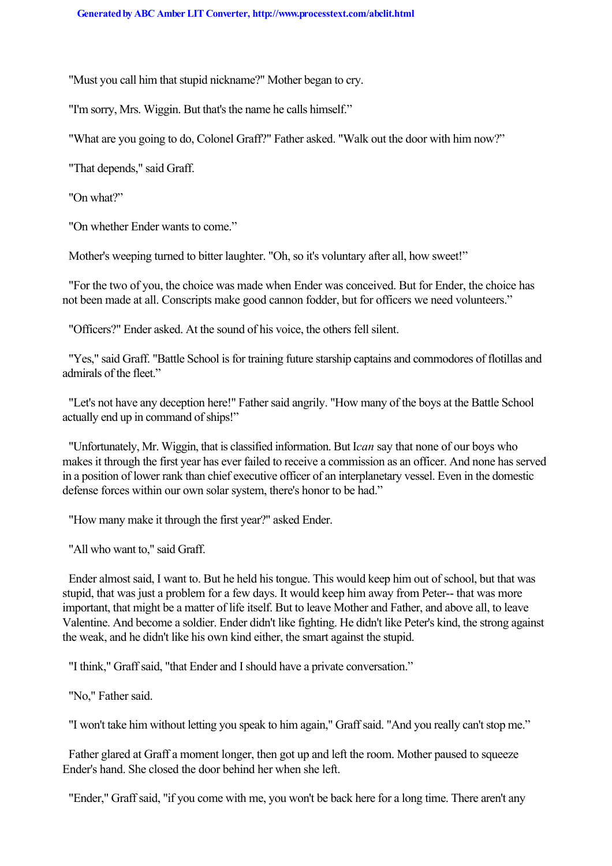"Must you call him that stupid nickname?" Mother began to cry.

"I'm sorry, Mrs. Wiggin. But that's the name he calls himself."

"What are you going to do, Colonel Graff?" Father asked. "Walk out the door with him now?"

"That depends," said Graff.

"On what?"

"On whether Ender wants to come"

Mother's weeping turned to bitter laughter. "Oh, so it's voluntary after all, how sweet!"

 "For the two of you, the choice was made when Ender was conceived. But for Ender, the choice has not been made at all. Conscripts make good cannon fodder, but for officers we need volunteers."

"Officers?" Ender asked. At the sound of his voice, the others fell silent.

 "Yes," said Graff. "Battle School is for training future starship captains and commodores of flotillas and admirals of the fleet."

 "Let's not have any deception here!" Father said angrily. "How many of the boys at the Battle School actually end up in command of ships!"

 "Unfortunately, Mr. Wiggin, that is classified information. But I*can* say that none of our boys who makes it through the first year has ever failed to receive a commission as an officer. And none has served in a position of lower rank than chief executive officer of an interplanetary vessel. Even in the domestic defense forces within our own solar system, there's honor to be had."

"How many make it through the first year?" asked Ender.

"All who want to," said Graff.

 Ender almost said, I want to. But he held his tongue. This would keep him out of school, but that was stupid, that was just a problem for a few days. It would keep him away from Peter-- that was more important, that might be a matter of life itself. But to leave Mother and Father, and above all, to leave Valentine. And become a soldier. Ender didn't like fighting. He didn't like Peter's kind, the strong against the weak, and he didn't like his own kind either, the smart against the stupid.

"I think," Graff said, "that Ender and I should have a private conversation."

"No," Father said.

"I won't take him without letting you speak to him again," Graff said. "And you really can't stop me."

 Father glared at Graff a moment longer, then got up and left the room. Mother paused to squeeze Ender's hand. She closed the door behind her when she left.

"Ender," Graff said, "if you come with me, you won't be back here for a long time. There aren't any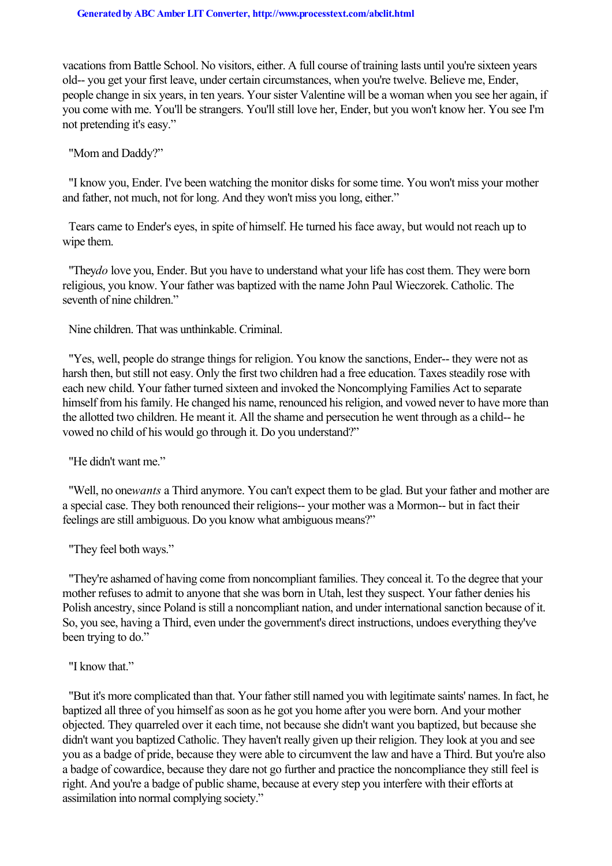vacations from Battle School. No visitors, either. A full course of training lasts until you're sixteen years old-- you get your first leave, under certain circumstances, when you're twelve. Believe me, Ender, people change in six years, in ten years. Your sister Valentine will be a woman when you see her again, if you come with me. You'll be strangers. You'll still love her, Ender, but you won't know her. You see I'm not pretending it's easy."

# "Mom and Daddy?"

 "I know you, Ender. I've been watching the monitor disks for some time. You won't miss your mother and father, not much, not for long. And they won't miss you long, either."

 Tears came to Ender's eyes, in spite of himself. He turned his face away, but would not reach up to wipe them.

 "They*do* love you, Ender. But you have to understand what your life has cost them. They were born religious, you know. Your father was baptized with the name John Paul Wieczorek. Catholic. The seventh of nine children."

Nine children. That was unthinkable. Criminal.

 "Yes, well, people do strange things for religion. You know the sanctions, Ender-- they were not as harsh then, but still not easy. Only the first two children had a free education. Taxes steadily rose with each new child. Your father turned sixteen and invoked the Noncomplying Families Act to separate himself from his family. He changed his name, renounced his religion, and vowed never to have more than the allotted two children. He meant it. All the shame and persecution he went through as a child-- he vowed no child of his would go through it. Do you understand?"

"He didn't want me."

 "Well, no one*wants* a Third anymore. You can't expect them to be glad. But your father and mother are a special case. They both renounced their religions-- your mother was a Mormon-- but in fact their feelings are still ambiguous. Do you know what ambiguous means?"

"They feel both ways."

 "They're ashamed of having come from noncompliant families. They conceal it. To the degree that your mother refuses to admit to anyone that she was born in Utah, lest they suspect. Your father denies his Polish ancestry, since Poland is still a noncompliant nation, and under international sanction because of it. So, you see, having a Third, even under the government's direct instructions, undoes everything they've been trying to do."

### "I know that."

 "But it's more complicated than that. Your father still named you with legitimate saints' names. In fact, he baptized all three of you himself as soon as he got you home after you were born. And your mother objected. They quarreled over it each time, not because she didn't want you baptized, but because she didn't want you baptized Catholic. They haven't really given up their religion. They look at you and see you as a badge of pride, because they were able to circumvent the law and have a Third. But you're also a badge of cowardice, because they dare not go further and practice the noncompliance they still feel is right. And you're a badge of public shame, because at every step you interfere with their efforts at assimilation into normal complying society."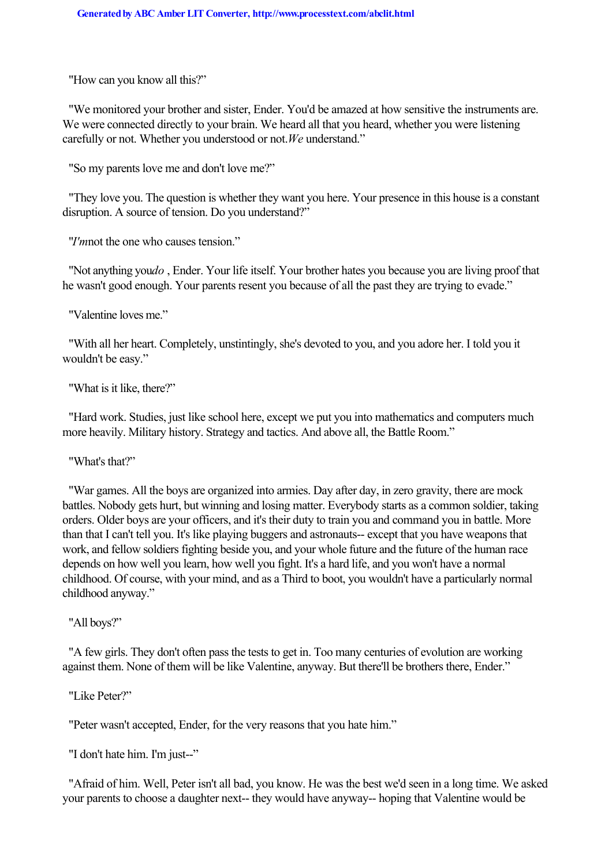"How can you know all this?"

 "We monitored your brother and sister, Ender. You'd be amazed at how sensitive the instruments are. We were connected directly to your brain. We heard all that you heard, whether you were listening carefully or not. Whether you understood or not.*We* understand."

"So my parents love me and don't love me?"

 "They love you. The question is whether they want you here. Your presence in this house is a constant disruption. A source of tension. Do you understand?"

"*I'm*not the one who causes tension."

 "Not anything you*do* , Ender. Your life itself. Your brother hates you because you are living proof that he wasn't good enough. Your parents resent you because of all the past they are trying to evade."

"Valentine loves me."

 "With all her heart. Completely, unstintingly, she's devoted to you, and you adore her. I told you it wouldn't be easy."

"What is it like, there?"

 "Hard work. Studies, just like school here, except we put you into mathematics and computers much more heavily. Military history. Strategy and tactics. And above all, the Battle Room."

"What's that?"

 "War games. All the boys are organized into armies. Day after day, in zero gravity, there are mock battles. Nobody gets hurt, but winning and losing matter. Everybody starts as a common soldier, taking orders. Older boys are your officers, and it's their duty to train you and command you in battle. More than that I can't tell you. It's like playing buggers and astronauts-- except that you have weapons that work, and fellow soldiers fighting beside you, and your whole future and the future of the human race depends on how well you learn, how well you fight. It's a hard life, and you won't have a normal childhood. Of course, with your mind, and as a Third to boot, you wouldn't have a particularly normal childhood anyway."

"All boys?"

 "A few girls. They don't often pass the tests to get in. Too many centuries of evolution are working against them. None of them will be like Valentine, anyway. But there'll be brothers there, Ender."

"Like Peter?"

"Peter wasn't accepted, Ender, for the very reasons that you hate him."

"I don't hate him. I'm just--"

 "Afraid of him. Well, Peter isn't all bad, you know. He was the best we'd seen in a long time. We asked your parents to choose a daughter next-- they would have anyway-- hoping that Valentine would be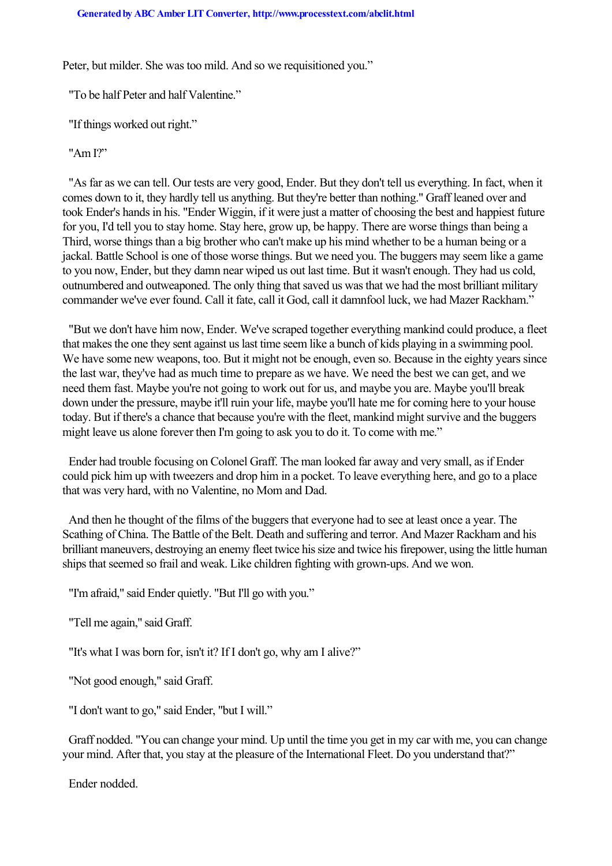#### **Generated by ABC Amber LIT Converter, <http://www.processtext.com/abclit.html>**

Peter, but milder. She was too mild. And so we requisitioned you."

"To be half Peter and half Valentine."

"If things worked out right."

# "Am I?"

 "As far as we can tell. Our tests are very good, Ender. But they don't tell us everything. In fact, when it comes down to it, they hardly tell us anything. But they're better than nothing." Graff leaned over and took Ender's hands in his. "Ender Wiggin, if it were just a matter of choosing the best and happiest future for you, I'd tell you to stay home. Stay here, grow up, be happy. There are worse things than being a Third, worse things than a big brother who can't make up his mind whether to be a human being or a jackal. Battle School is one of those worse things. But we need you. The buggers may seem like a game to you now, Ender, but they damn near wiped us out last time. But it wasn't enough. They had us cold, outnumbered and outweaponed. The only thing that saved us was that we had the most brilliant military commander we've ever found. Call it fate, call it God, call it damnfool luck, we had Mazer Rackham."

 "But we don't have him now, Ender. We've scraped together everything mankind could produce, a fleet that makes the one they sent against us last time seem like a bunch of kids playing in a swimming pool. We have some new weapons, too. But it might not be enough, even so. Because in the eighty years since the last war, they've had as much time to prepare as we have. We need the best we can get, and we need them fast. Maybe you're not going to work out for us, and maybe you are. Maybe you'll break down under the pressure, maybe it'll ruin your life, maybe you'll hate me for coming here to your house today. But if there's a chance that because you're with the fleet, mankind might survive and the buggers might leave us alone forever then I'm going to ask you to do it. To come with me."

 Ender had trouble focusing on Colonel Graff. The man looked far away and very small, as if Ender could pick him up with tweezers and drop him in a pocket. To leave everything here, and go to a place that was very hard, with no Valentine, no Mom and Dad.

 And then he thought of the films of the buggers that everyone had to see at least once a year. The Scathing of China. The Battle of the Belt. Death and suffering and terror. And Mazer Rackham and his brilliant maneuvers, destroying an enemy fleet twice his size and twice his firepower, using the little human ships that seemed so frail and weak. Like children fighting with grown-ups. And we won.

"I'm afraid," said Ender quietly. "But I'll go with you."

"Tell me again," said Graff.

"It's what I was born for, isn't it? If I don't go, why am I alive?"

"Not good enough," said Graff.

"I don't want to go," said Ender, "but I will."

 Graff nodded. "You can change your mind. Up until the time you get in my car with me, you can change your mind. After that, you stay at the pleasure of the International Fleet. Do you understand that?"

Ender nodded.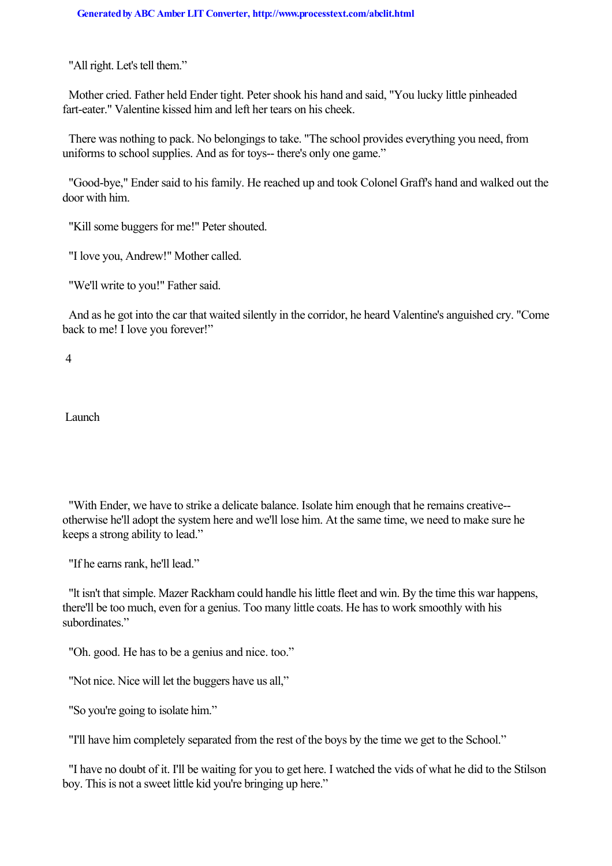"All right. Let's tell them."

 Mother cried. Father held Ender tight. Peter shook his hand and said, "You lucky little pinheaded fart-eater." Valentine kissed him and left her tears on his cheek.

 There was nothing to pack. No belongings to take. "The school provides everything you need, from uniforms to school supplies. And as for toys-- there's only one game."

 "Good-bye," Ender said to his family. He reached up and took Colonel Graff's hand and walked out the door with him.

"Kill some buggers for me!" Peter shouted.

"I love you, Andrew!" Mother called.

"We'll write to you!" Father said.

 And as he got into the car that waited silently in the corridor, he heard Valentine's anguished cry. "Come back to me! I love you forever!"

4

Launch

 "With Ender, we have to strike a delicate balance. Isolate him enough that he remains creative- otherwise he'll adopt the system here and we'll lose him. At the same time, we need to make sure he keeps a strong ability to lead."

"If he earns rank, he'll lead."

 "lt isn't that simple. Mazer Rackham could handle his little fleet and win. By the time this war happens, there'll be too much, even for a genius. Too many little coats. He has to work smoothly with his subordinates."

"Oh. good. He has to be a genius and nice. too."

"Not nice. Nice will let the buggers have us all,"

"So you're going to isolate him."

"I'll have him completely separated from the rest of the boys by the time we get to the School."

 "I have no doubt of it. I'll be waiting for you to get here. I watched the vids of what he did to the Stilson boy. This is not a sweet little kid you're bringing up here."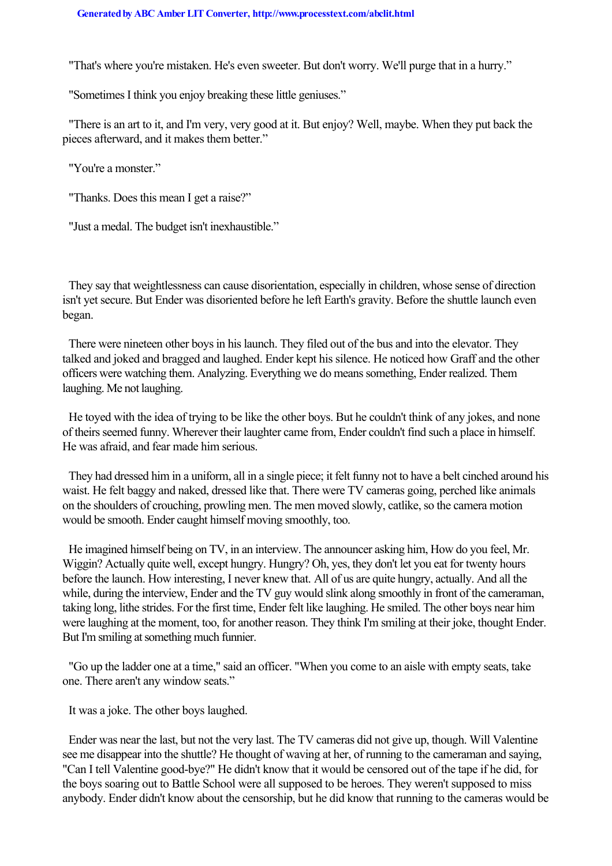#### **Generated by ABC Amber LIT Converter, <http://www.processtext.com/abclit.html>**

"That's where you're mistaken. He's even sweeter. But don't worry. We'll purge that in a hurry."

"Sometimes I think you enjoy breaking these little geniuses."

 "There is an art to it, and I'm very, very good at it. But enjoy? Well, maybe. When they put back the pieces afterward, and it makes them better."

"You're a monster."

"Thanks. Does this mean I get a raise?"

"Just a medal. The budget isn't inexhaustible."

 They say that weightlessness can cause disorientation, especially in children, whose sense of direction isn't yet secure. But Ender was disoriented before he left Earth's gravity. Before the shuttle launch even began.

 There were nineteen other boys in his launch. They filed out of the bus and into the elevator. They talked and joked and bragged and laughed. Ender kept his silence. He noticed how Graff and the other officers were watching them. Analyzing. Everything we do means something, Ender realized. Them laughing. Me not laughing.

 He toyed with the idea of trying to be like the other boys. But he couldn't think of any jokes, and none of theirs seemed funny. Wherever their laughter came from, Ender couldn't find such a place in himself. He was afraid, and fear made him serious.

 They had dressed him in a uniform, all in a single piece; it felt funny not to have a belt cinched around his waist. He felt baggy and naked, dressed like that. There were TV cameras going, perched like animals on the shoulders of crouching, prowling men. The men moved slowly, catlike, so the camera motion would be smooth. Ender caught himself moving smoothly, too.

 He imagined himself being on TV, in an interview. The announcer asking him, How do you feel, Mr. Wiggin? Actually quite well, except hungry. Hungry? Oh, yes, they don't let you eat for twenty hours before the launch. How interesting, I never knew that. All of us are quite hungry, actually. And all the while, during the interview. Ender and the TV guy would slink along smoothly in front of the cameraman, taking long, lithe strides. For the first time, Ender felt like laughing. He smiled. The other boys near him were laughing at the moment, too, for another reason. They think I'm smiling at their joke, thought Ender. But I'm smiling at something much funnier.

 "Go up the ladder one at a time," said an officer. "When you come to an aisle with empty seats, take one. There aren't any window seats."

It was a joke. The other boys laughed.

 Ender was near the last, but not the very last. The TV cameras did not give up, though. Will Valentine see me disappear into the shuttle? He thought of waving at her, of running to the cameraman and saying, "Can I tell Valentine good-bye?" He didn't know that it would be censored out of the tape if he did, for the boys soaring out to Battle School were all supposed to be heroes. They weren't supposed to miss anybody. Ender didn't know about the censorship, but he did know that running to the cameras would be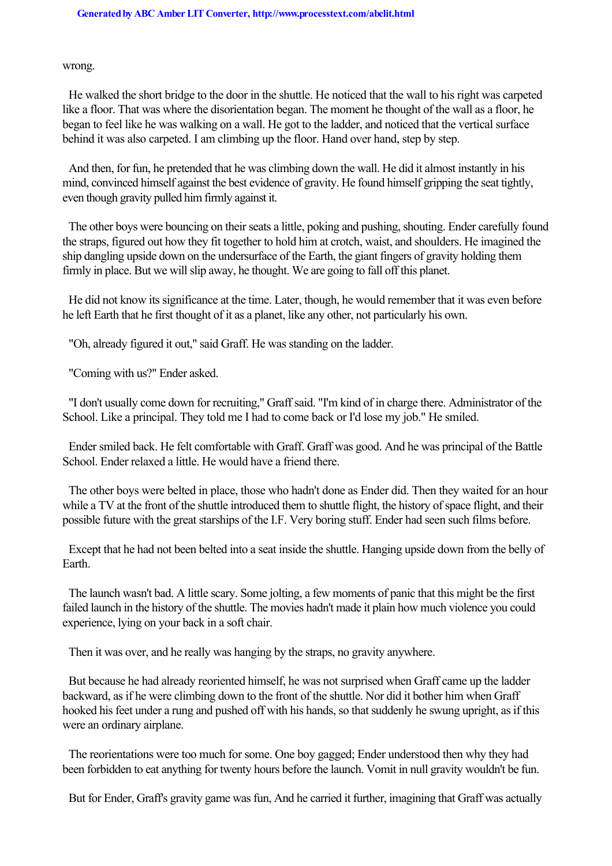wrong.

 He walked the short bridge to the door in the shuttle. He noticed that the wall to his right was carpeted like a floor. That was where the disorientation began. The moment he thought of the wall as a floor, he began to feel like he was walking on a wall. He got to the ladder, and noticed that the vertical surface behind it was also carpeted. I am climbing up the floor. Hand over hand, step by step.

 And then, for fun, he pretended that he was climbing down the wall. He did it almost instantly in his mind, convinced himself against the best evidence of gravity. He found himself gripping the seat tightly, even though gravity pulled him firmly against it.

 The other boys were bouncing on their seats a little, poking and pushing, shouting. Ender carefully found the straps, figured out how they fit together to hold him at crotch, waist, and shoulders. He imagined the ship dangling upside down on the undersurface of the Earth, the giant fingers of gravity holding them firmly in place. But we will slip away, he thought. We are going to fall off this planet.

 He did not know its significance at the time. Later, though, he would remember that it was even before he left Earth that he first thought of it as a planet, like any other, not particularly his own.

"Oh, already figured it out," said Graff. He was standing on the ladder.

"Coming with us?" Ender asked.

 "I don't usually come down for recruiting," Graff said. "I'm kind of in charge there. Administrator of the School. Like a principal. They told me I had to come back or I'd lose my job." He smiled.

 Ender smiled back. He felt comfortable with Graff. Graff was good. And he was principal of the Battle School. Ender relaxed a little. He would have a friend there.

 The other boys were belted in place, those who hadn't done as Ender did. Then they waited for an hour while a TV at the front of the shuttle introduced them to shuttle flight, the history of space flight, and their possible future with the great starships of the I.F. Very boring stuff. Ender had seen such films before.

 Except that he had not been belted into a seat inside the shuttle. Hanging upside down from the belly of **Earth** 

 The launch wasn't bad. A little scary. Some jolting, a few moments of panic that this might be the first failed launch in the history of the shuttle. The movies hadn't made it plain how much violence you could experience, lying on your back in a soft chair.

Then it was over, and he really was hanging by the straps, no gravity anywhere.

 But because he had already reoriented himself, he was not surprised when Graff came up the ladder backward, as if he were climbing down to the front of the shuttle. Nor did it bother him when Graff hooked his feet under a rung and pushed off with his hands, so that suddenly he swung upright, as if this were an ordinary airplane.

 The reorientations were too much for some. One boy gagged; Ender understood then why they had been forbidden to eat anything for twenty hours before the launch. Vomit in null gravity wouldn't be fun.

But for Ender, Graff's gravity game was fun, And he carried it further, imagining that Graff was actually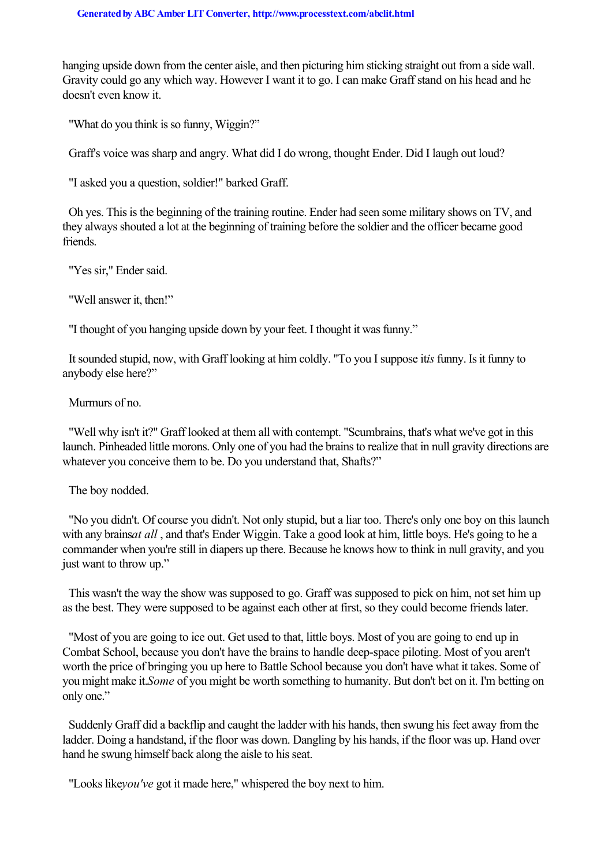#### **Generated by ABC Amber LIT Converter, <http://www.processtext.com/abclit.html>**

hanging upside down from the center aisle, and then picturing him sticking straight out from a side wall. Gravity could go any which way. However I want it to go. I can make Graff stand on his head and he doesn't even know it.

"What do you think is so funny, Wiggin?"

Graff's voice was sharp and angry. What did I do wrong, thought Ender. Did I laugh out loud?

"I asked you a question, soldier!" barked Graff.

 Oh yes. This is the beginning of the training routine. Ender had seen some military shows on TV, and they always shouted a lot at the beginning of training before the soldier and the officer became good **friends** 

"Yes sir," Ender said.

"Well answer it, then!"

"I thought of you hanging upside down by your feet. I thought it was funny."

 It sounded stupid, now, with Graff looking at him coldly. "To you I suppose it*is* funny. Is it funny to anybody else here?"

# Murmurs of no.

 "Well why isn't it?" Graff looked at them all with contempt. "Scumbrains, that's what we've got in this launch. Pinheaded little morons. Only one of you had the brains to realize that in null gravity directions are whatever you conceive them to be. Do you understand that, Shafts?"

# The boy nodded.

 "No you didn't. Of course you didn't. Not only stupid, but a liar too. There's only one boy on this launch with any brains*at all*, and that's Ender Wiggin. Take a good look at him, little boys. He's going to he a commander when you're still in diapers up there. Because he knows how to think in null gravity, and you just want to throw up."

 This wasn't the way the show was supposed to go. Graff was supposed to pick on him, not set him up as the best. They were supposed to be against each other at first, so they could become friends later.

 "Most of you are going to ice out. Get used to that, little boys. Most of you are going to end up in Combat School, because you don't have the brains to handle deep-space piloting. Most of you aren't worth the price of bringing you up here to Battle School because you don't have what it takes. Some of you might make it.*Some* of you might be worth something to humanity. But don't bet on it. I'm betting on only one."

 Suddenly Graff did a backflip and caught the ladder with his hands, then swung his feet away from the ladder. Doing a handstand, if the floor was down. Dangling by his hands, if the floor was up. Hand over hand he swung himself back along the aisle to his seat.

"Looks like*you've* got it made here," whispered the boy next to him.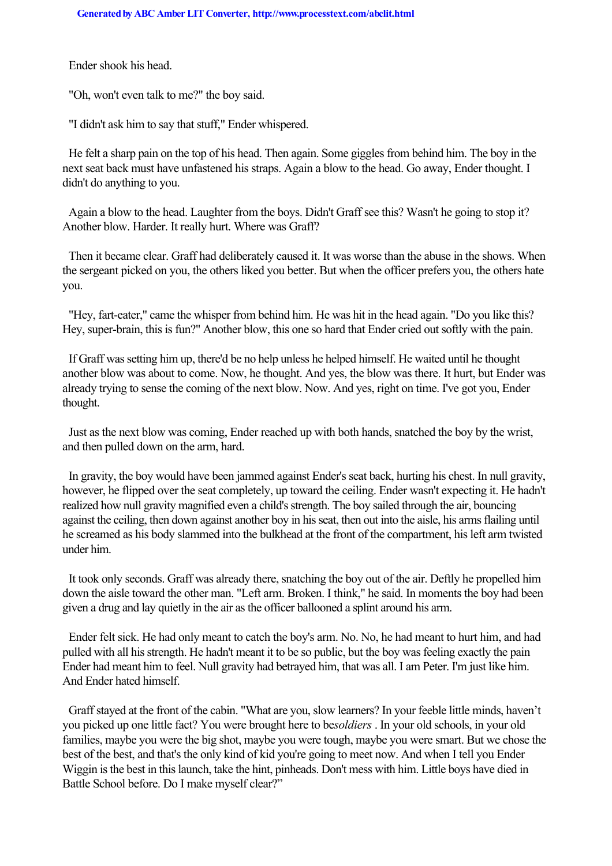Ender shook his head.

"Oh, won't even talk to me?" the boy said.

"I didn't ask him to say that stuff," Ender whispered.

 He felt a sharp pain on the top of his head. Then again. Some giggles from behind him. The boy in the next seat back must have unfastened his straps. Again a blow to the head. Go away, Ender thought. I didn't do anything to you.

 Again a blow to the head. Laughter from the boys. Didn't Graff see this? Wasn't he going to stop it? Another blow. Harder. It really hurt. Where was Graff?

 Then it became clear. Graff had deliberately caused it. It was worse than the abuse in the shows. When the sergeant picked on you, the others liked you better. But when the officer prefers you, the others hate you.

 "Hey, fart-eater," came the whisper from behind him. He was hit in the head again. "Do you like this? Hey, super-brain, this is fun?" Another blow, this one so hard that Ender cried out softly with the pain.

 If Graff was setting him up, there'd be no help unless he helped himself. He waited until he thought another blow was about to come. Now, he thought. And yes, the blow was there. It hurt, but Ender was already trying to sense the coming of the next blow. Now. And yes, right on time. I've got you, Ender thought.

 Just as the next blow was coming, Ender reached up with both hands, snatched the boy by the wrist, and then pulled down on the arm, hard.

 In gravity, the boy would have been jammed against Ender's seat back, hurting his chest. In null gravity, however, he flipped over the seat completely, up toward the ceiling. Ender wasn't expecting it. He hadn't realized how null gravity magnified even a child's strength. The boy sailed through the air, bouncing against the ceiling, then down against another boy in his seat, then out into the aisle, his arms flailing until he screamed as his body slammed into the bulkhead at the front of the compartment, his left arm twisted under him.

 It took only seconds. Graff was already there, snatching the boy out of the air. Deftly he propelled him down the aisle toward the other man. "Left arm. Broken. I think," he said. In moments the boy had been given a drug and lay quietly in the air as the officer ballooned a splint around his arm.

 Ender felt sick. He had only meant to catch the boy's arm. No. No, he had meant to hurt him, and had pulled with all his strength. He hadn't meant it to be so public, but the boy was feeling exactly the pain Ender had meant him to feel. Null gravity had betrayed him, that was all. I am Peter. I'm just like him. And Ender hated himself.

 Graff stayed at the front of the cabin. "What are you, slow learners? In your feeble little minds, haven't you picked up one little fact? You were brought here to be*soldiers* . In your old schools, in your old families, maybe you were the big shot, maybe you were tough, maybe you were smart. But we chose the best of the best, and that's the only kind of kid you're going to meet now. And when I tell you Ender Wiggin is the best in this launch, take the hint, pinheads. Don't mess with him. Little boys have died in Battle School before. Do I make myself clear?"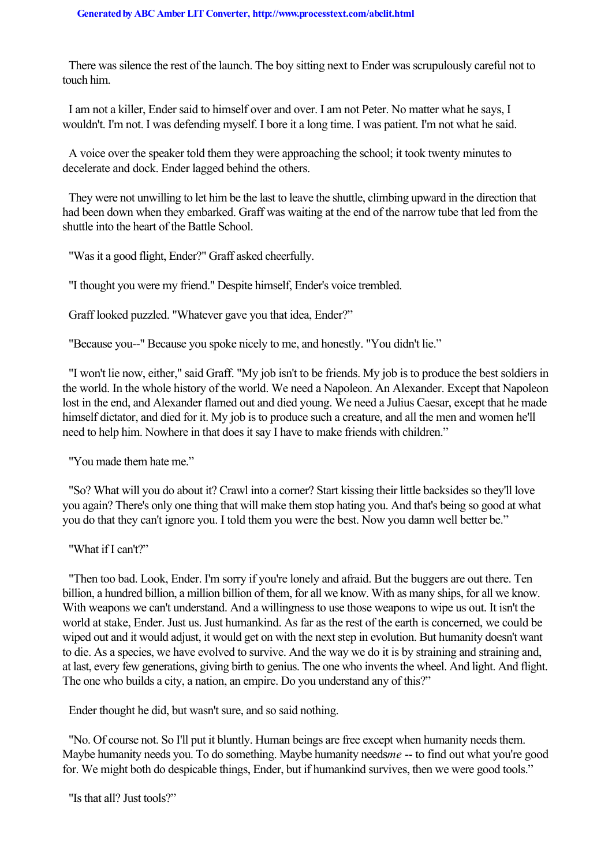There was silence the rest of the launch. The boy sitting next to Ender was scrupulously careful not to touch him.

 I am not a killer, Ender said to himself over and over. I am not Peter. No matter what he says, I wouldn't. I'm not. I was defending myself. I bore it a long time. I was patient. I'm not what he said.

 A voice over the speaker told them they were approaching the school; it took twenty minutes to decelerate and dock. Ender lagged behind the others.

 They were not unwilling to let him be the last to leave the shuttle, climbing upward in the direction that had been down when they embarked. Graff was waiting at the end of the narrow tube that led from the shuttle into the heart of the Battle School.

"Was it a good flight, Ender?" Graff asked cheerfully.

"I thought you were my friend." Despite himself, Ender's voice trembled.

Graff looked puzzled. "Whatever gave you that idea, Ender?"

"Because you--" Because you spoke nicely to me, and honestly. "You didn't lie."

 "I won't lie now, either," said Graff. "My job isn't to be friends. My job is to produce the best soldiers in the world. In the whole history of the world. We need a Napoleon. An Alexander. Except that Napoleon lost in the end, and Alexander flamed out and died young. We need a Julius Caesar, except that he made himself dictator, and died for it. My job is to produce such a creature, and all the men and women he'll need to help him. Nowhere in that does it say I have to make friends with children."

"You made them hate me."

 "So? What will you do about it? Crawl into a corner? Start kissing their little backsides so they'll love you again? There's only one thing that will make them stop hating you. And that's being so good at what you do that they can't ignore you. I told them you were the best. Now you damn well better be."

"What if I can't?"

 "Then too bad. Look, Ender. I'm sorry if you're lonely and afraid. But the buggers are out there. Ten billion, a hundred billion, a million billion of them, for all we know. With as many ships, for all we know. With weapons we can't understand. And a willingness to use those weapons to wipe us out. It isn't the world at stake, Ender. Just us. Just humankind. As far as the rest of the earth is concerned, we could be wiped out and it would adjust, it would get on with the next step in evolution. But humanity doesn't want to die. As a species, we have evolved to survive. And the way we do it is by straining and straining and, at last, every few generations, giving birth to genius. The one who invents the wheel. And light. And flight. The one who builds a city, a nation, an empire. Do you understand any of this?"

Ender thought he did, but wasn't sure, and so said nothing.

 "No. Of course not. So I'll put it bluntly. Human beings are free except when humanity needs them. Maybe humanity needs you. To do something. Maybe humanity needs*me* -- to find out what you're good for. We might both do despicable things, Ender, but if humankind survives, then we were good tools."

"Is that all? Just tools?"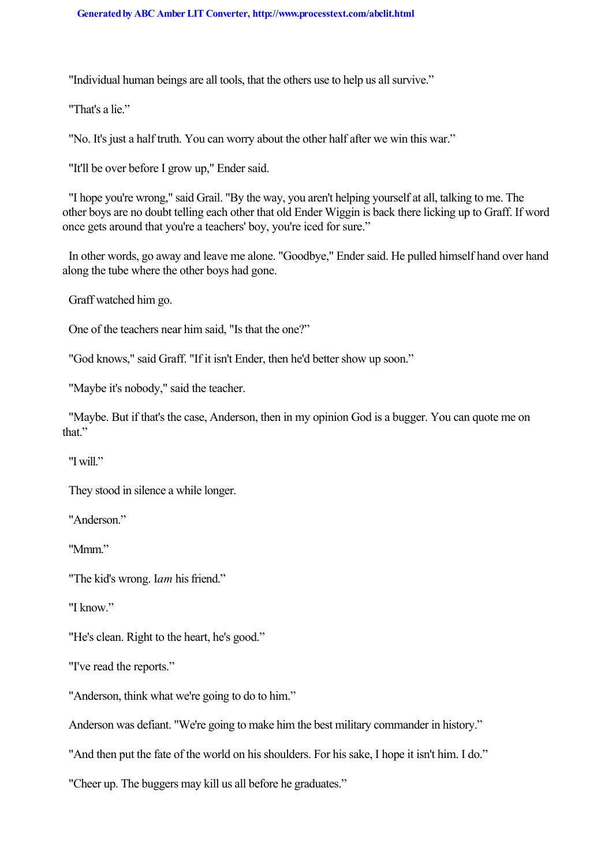"Individual human beings are all tools, that the others use to help us all survive."

"That's a lie."

"No. It's just a half truth. You can worry about the other half after we win this war."

"It'll be over before I grow up," Ender said.

 "I hope you're wrong," said Grail. "By the way, you aren't helping yourself at all, talking to me. The other boys are no doubt telling each other that old Ender Wiggin is back there licking up to Graff. If word once gets around that you're a teachers' boy, you're iced for sure."

 In other words, go away and leave me alone. "Goodbye," Ender said. He pulled himself hand over hand along the tube where the other boys had gone.

Graff watched him go.

One of the teachers near him said, "Is that the one?"

"God knows," said Graff. "If it isn't Ender, then he'd better show up soon."

"Maybe it's nobody," said the teacher.

 "Maybe. But if that's the case, Anderson, then in my opinion God is a bugger. You can quote me on that"

"I will."

They stood in silence a while longer.

"Anderson"

"Mmm"

"The kid's wrong. I*am* his friend."

"I know"

"He's clean. Right to the heart, he's good."

"I've read the reports."

"Anderson, think what we're going to do to him."

Anderson was defiant. "We're going to make him the best military commander in history."

"And then put the fate of the world on his shoulders. For his sake, I hope it isn't him. I do."

"Cheer up. The buggers may kill us all before he graduates."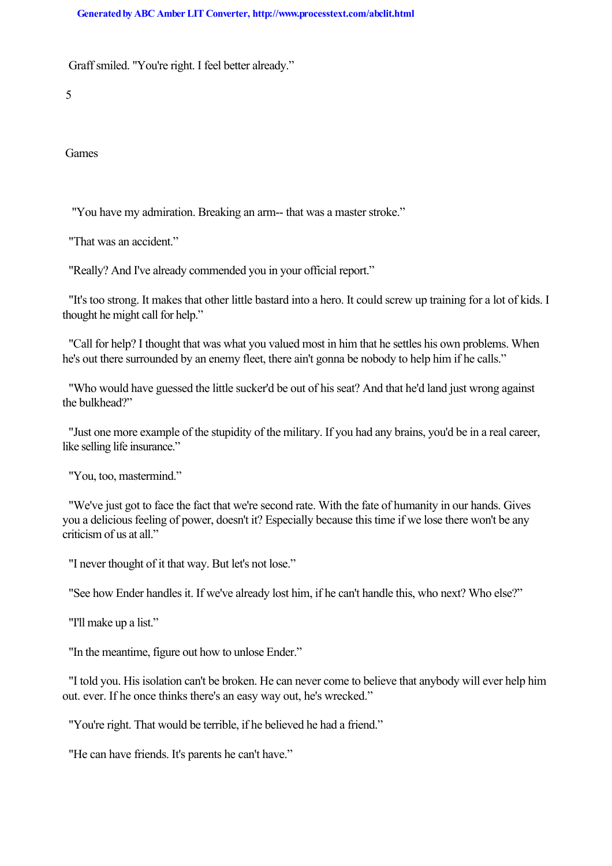Graff smiled. "You're right. I feel better already."

5

Games

"You have my admiration. Breaking an arm-- that was a master stroke."

"That was an accident."

"Really? And I've already commended you in your official report."

 "It's too strong. It makes that other little bastard into a hero. It could screw up training for a lot of kids. I thought he might call for help."

 "Call for help? I thought that was what you valued most in him that he settles his own problems. When he's out there surrounded by an enemy fleet, there ain't gonna be nobody to help him if he calls."

 "Who would have guessed the little sucker'd be out of his seat? And that he'd land just wrong against the bulkhead?"

 "Just one more example of the stupidity of the military. If you had any brains, you'd be in a real career, like selling life insurance."

"You, too, mastermind."

 "We've just got to face the fact that we're second rate. With the fate of humanity in our hands. Gives you a delicious feeling of power, doesn't it? Especially because this time if we lose there won't be any criticism of us at all."

"I never thought of it that way. But let's not lose."

"See how Ender handles it. If we've already lost him, if he can't handle this, who next? Who else?"

"I'll make up a list."

"In the meantime, figure out how to unlose Ender."

 "I told you. His isolation can't be broken. He can never come to believe that anybody will ever help him out. ever. If he once thinks there's an easy way out, he's wrecked."

"You're right. That would be terrible, if he believed he had a friend."

"He can have friends. It's parents he can't have."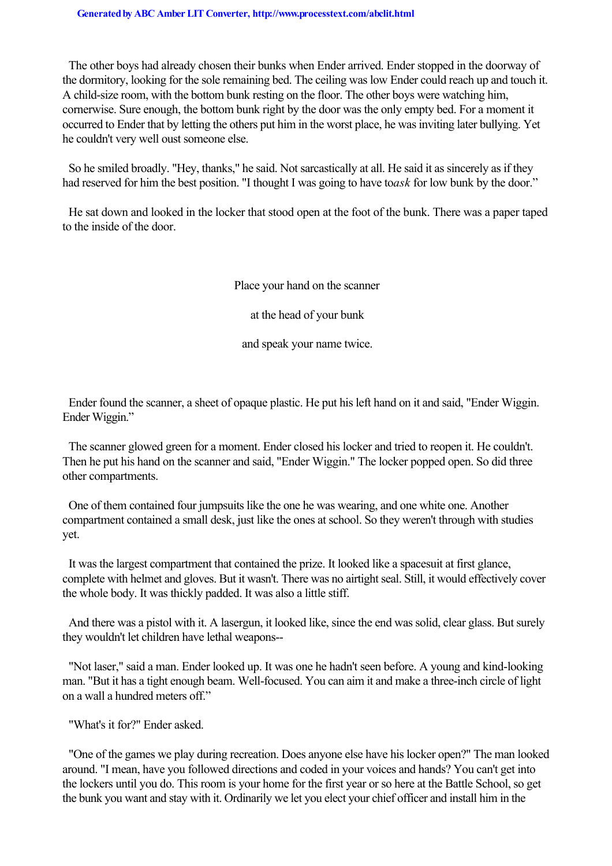The other boys had already chosen their bunks when Ender arrived. Ender stopped in the doorway of the dormitory, looking for the sole remaining bed. The ceiling was low Ender could reach up and touch it. A child-size room, with the bottom bunk resting on the floor. The other boys were watching him, cornerwise. Sure enough, the bottom bunk right by the door was the only empty bed. For a moment it occurred to Ender that by letting the others put him in the worst place, he was inviting later bullying. Yet he couldn't very well oust someone else.

 So he smiled broadly. "Hey, thanks," he said. Not sarcastically at all. He said it as sincerely as if they had reserved for him the best position. "I thought I was going to have to*ask* for low bunk by the door."

 He sat down and looked in the locker that stood open at the foot of the bunk. There was a paper taped to the inside of the door.

Place your hand on the scanner

at the head of your bunk

and speak your name twice.

 Ender found the scanner, a sheet of opaque plastic. He put his left hand on it and said, "Ender Wiggin. Ender Wiggin."

 The scanner glowed green for a moment. Ender closed his locker and tried to reopen it. He couldn't. Then he put his hand on the scanner and said, "Ender Wiggin." The locker popped open. So did three other compartments.

 One of them contained four jumpsuits like the one he was wearing, and one white one. Another compartment contained a small desk, just like the ones at school. So they weren't through with studies yet.

 It was the largest compartment that contained the prize. It looked like a spacesuit at first glance, complete with helmet and gloves. But it wasn't. There was no airtight seal. Still, it would effectively cover the whole body. It was thickly padded. It was also a little stiff.

 And there was a pistol with it. A lasergun, it looked like, since the end was solid, clear glass. But surely they wouldn't let children have lethal weapons--

 "Not laser," said a man. Ender looked up. It was one he hadn't seen before. A young and kind-looking man. "But it has a tight enough beam. Well-focused. You can aim it and make a three-inch circle of light on a wall a hundred meters off"

"What's it for?" Ender asked.

 "One of the games we play during recreation. Does anyone else have his locker open?" The man looked around. "I mean, have you followed directions and coded in your voices and hands? You can't get into the lockers until you do. This room is your home for the first year or so here at the Battle School, so get the bunk you want and stay with it. Ordinarily we let you elect your chief officer and install him in the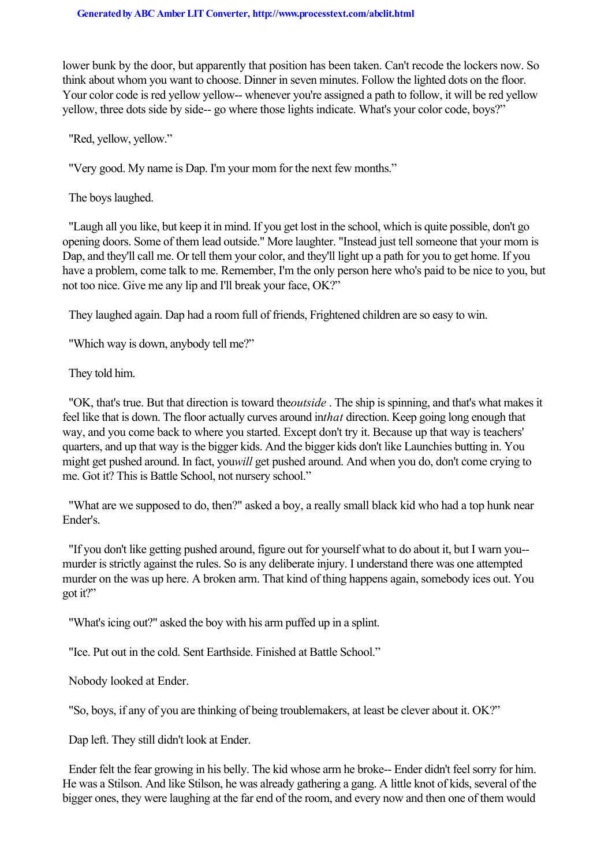lower bunk by the door, but apparently that position has been taken. Can't recode the lockers now. So think about whom you want to choose. Dinner in seven minutes. Follow the lighted dots on the floor. Your color code is red yellow yellow-- whenever you're assigned a path to follow, it will be red yellow yellow, three dots side by side-- go where those lights indicate. What's your color code, boys?"

"Red, yellow, yellow."

"Very good. My name is Dap. I'm your mom for the next few months."

The boys laughed.

 "Laugh all you like, but keep it in mind. If you get lost in the school, which is quite possible, don't go opening doors. Some of them lead outside." More laughter. "Instead just tell someone that your mom is Dap, and they'll call me. Or tell them your color, and they'll light up a path for you to get home. If you have a problem, come talk to me. Remember, I'm the only person here who's paid to be nice to you, but not too nice. Give me any lip and I'll break your face, OK?"

They laughed again. Dap had a room full of friends, Frightened children are so easy to win.

"Which way is down, anybody tell me?"

They told him.

 "OK, that's true. But that direction is toward the*outside* . The ship is spinning, and that's what makes it feel like that is down. The floor actually curves around in*that* direction. Keep going long enough that way, and you come back to where you started. Except don't try it. Because up that way is teachers' quarters, and up that way is the bigger kids. And the bigger kids don't like Launchies butting in. You might get pushed around. In fact, you*will* get pushed around. And when you do, don't come crying to me. Got it? This is Battle School, not nursery school."

 "What are we supposed to do, then?" asked a boy, a really small black kid who had a top hunk near Ender's.

 "If you don't like getting pushed around, figure out for yourself what to do about it, but I warn you- murder is strictly against the rules. So is any deliberate injury. I understand there was one attempted murder on the was up here. A broken arm. That kind of thing happens again, somebody ices out. You got it?"

"What's icing out?" asked the boy with his arm puffed up in a splint.

"Ice. Put out in the cold. Sent Earthside. Finished at Battle School."

Nobody looked at Ender.

"So, boys, if any of you are thinking of being troublemakers, at least be clever about it. OK?"

Dap left. They still didn't look at Ender.

 Ender felt the fear growing in his belly. The kid whose arm he broke-- Ender didn't feel sorry for him. He was a Stilson. And like Stilson, he was already gathering a gang. A little knot of kids, several of the bigger ones, they were laughing at the far end of the room, and every now and then one of them would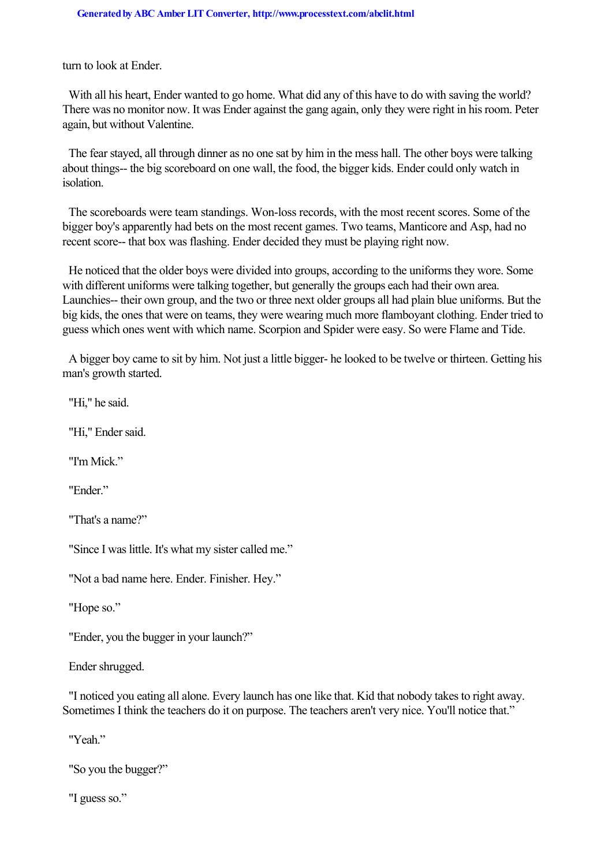turn to look at Ender.

 With all his heart, Ender wanted to go home. What did any of this have to do with saving the world? There was no monitor now. It was Ender against the gang again, only they were right in his room. Peter again, but without Valentine.

 The fear stayed, all through dinner as no one sat by him in the mess hall. The other boys were talking about things-- the big scoreboard on one wall, the food, the bigger kids. Ender could only watch in isolation.

 The scoreboards were team standings. Won-loss records, with the most recent scores. Some of the bigger boy's apparently had bets on the most recent games. Two teams, Manticore and Asp, had no recent score-- that box was flashing. Ender decided they must be playing right now.

 He noticed that the older boys were divided into groups, according to the uniforms they wore. Some with different uniforms were talking together, but generally the groups each had their own area. Launchies-- their own group, and the two or three next older groups all had plain blue uniforms. But the big kids, the ones that were on teams, they were wearing much more flamboyant clothing. Ender tried to guess which ones went with which name. Scorpion and Spider were easy. So were Flame and Tide.

 A bigger boy came to sit by him. Not just a little bigger- he looked to be twelve or thirteen. Getting his man's growth started.

"Hi," he said.

"Hi." Ender said.

"I'm Mick."

"Ender"

"That's a name?"

"Since I was little. It's what my sister called me."

"Not a bad name here. Ender. Finisher. Hey."

"Hope so."

"Ender, you the bugger in your launch?"

Ender shrugged.

 "I noticed you eating all alone. Every launch has one like that. Kid that nobody takes to right away. Sometimes I think the teachers do it on purpose. The teachers aren't very nice. You'll notice that."

"Yeah"

"So you the bugger?"

"I guess so."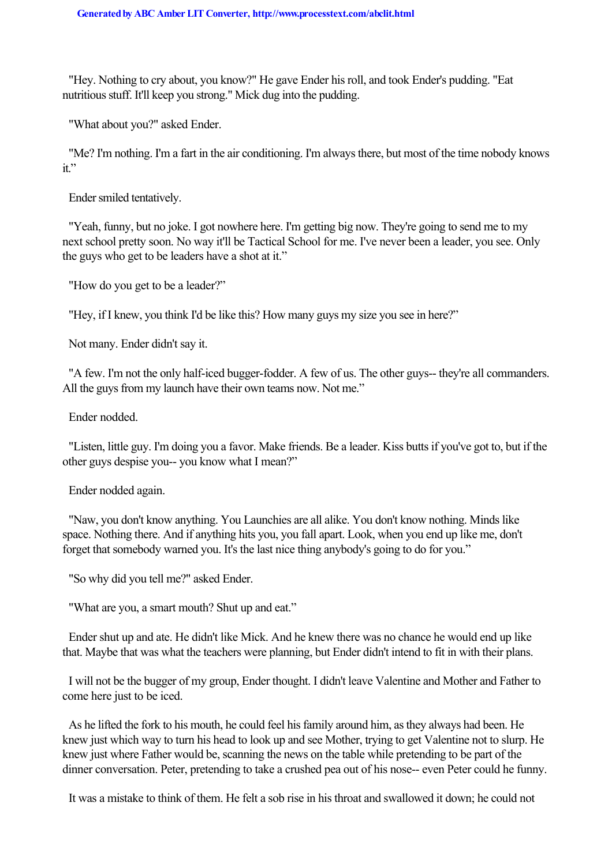"Hey. Nothing to cry about, you know?" He gave Ender his roll, and took Ender's pudding. "Eat nutritious stuff. It'll keep you strong." Mick dug into the pudding.

"What about you?" asked Ender.

 "Me? I'm nothing. I'm a fart in the air conditioning. I'm always there, but most of the time nobody knows it."

Ender smiled tentatively.

 "Yeah, funny, but no joke. I got nowhere here. I'm getting big now. They're going to send me to my next school pretty soon. No way it'll be Tactical School for me. I've never been a leader, you see. Only the guys who get to be leaders have a shot at it."

"How do you get to be a leader?"

"Hey, if I knew, you think I'd be like this? How many guys my size you see in here?"

Not many. Ender didn't say it.

 "A few. I'm not the only half-iced bugger-fodder. A few of us. The other guys-- they're all commanders. All the guys from my launch have their own teams now. Not me."

Ender nodded.

 "Listen, little guy. I'm doing you a favor. Make friends. Be a leader. Kiss butts if you've got to, but if the other guys despise you-- you know what I mean?"

Ender nodded again.

 "Naw, you don't know anything. You Launchies are all alike. You don't know nothing. Minds like space. Nothing there. And if anything hits you, you fall apart. Look, when you end up like me, don't forget that somebody warned you. It's the last nice thing anybody's going to do for you."

"So why did you tell me?" asked Ender.

"What are you, a smart mouth? Shut up and eat."

 Ender shut up and ate. He didn't like Mick. And he knew there was no chance he would end up like that. Maybe that was what the teachers were planning, but Ender didn't intend to fit in with their plans.

 I will not be the bugger of my group, Ender thought. I didn't leave Valentine and Mother and Father to come here just to be iced.

 As he lifted the fork to his mouth, he could feel his family around him, as they always had been. He knew just which way to turn his head to look up and see Mother, trying to get Valentine not to slurp. He knew just where Father would be, scanning the news on the table while pretending to be part of the dinner conversation. Peter, pretending to take a crushed pea out of his nose-- even Peter could he funny.

It was a mistake to think of them. He felt a sob rise in his throat and swallowed it down; he could not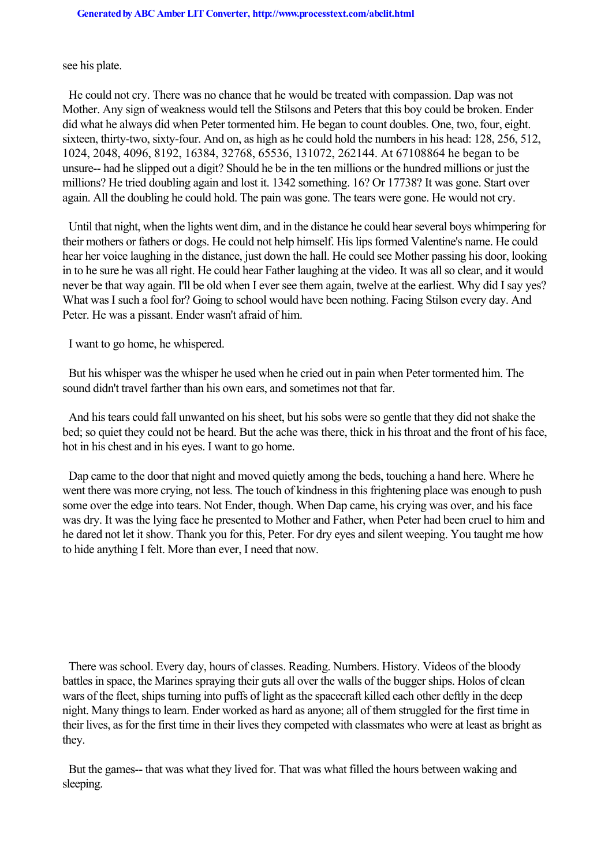see his plate.

 He could not cry. There was no chance that he would be treated with compassion. Dap was not Mother. Any sign of weakness would tell the Stilsons and Peters that this boy could be broken. Ender did what he always did when Peter tormented him. He began to count doubles. One, two, four, eight. sixteen, thirty-two, sixty-four. And on, as high as he could hold the numbers in his head: 128, 256, 512, 1024, 2048, 4096, 8192, 16384, 32768, 65536, 131072, 262144. At 67108864 he began to be unsure-- had he slipped out a digit? Should he be in the ten millions or the hundred millions or just the millions? He tried doubling again and lost it. 1342 something. 16? Or 17738? It was gone. Start over again. All the doubling he could hold. The pain was gone. The tears were gone. He would not cry.

 Until that night, when the lights went dim, and in the distance he could hear several boys whimpering for their mothers or fathers or dogs. He could not help himself. His lips formed Valentine's name. He could hear her voice laughing in the distance, just down the hall. He could see Mother passing his door, looking in to he sure he was all right. He could hear Father laughing at the video. It was all so clear, and it would never be that way again. I'll be old when I ever see them again, twelve at the earliest. Why did I say yes? What was I such a fool for? Going to school would have been nothing. Facing Stilson every day. And Peter. He was a pissant. Ender wasn't afraid of him.

I want to go home, he whispered.

 But his whisper was the whisper he used when he cried out in pain when Peter tormented him. The sound didn't travel farther than his own ears, and sometimes not that far.

 And his tears could fall unwanted on his sheet, but his sobs were so gentle that they did not shake the bed; so quiet they could not be heard. But the ache was there, thick in his throat and the front of his face, hot in his chest and in his eyes. I want to go home.

 Dap came to the door that night and moved quietly among the beds, touching a hand here. Where he went there was more crying, not less. The touch of kindness in this frightening place was enough to push some over the edge into tears. Not Ender, though. When Dap came, his crying was over, and his face was dry. It was the lying face he presented to Mother and Father, when Peter had been cruel to him and he dared not let it show. Thank you for this, Peter. For dry eyes and silent weeping. You taught me how to hide anything I felt. More than ever, I need that now.

 There was school. Every day, hours of classes. Reading. Numbers. History. Videos of the bloody battles in space, the Marines spraying their guts all over the walls of the bugger ships. Holos of clean wars of the fleet, ships turning into puffs of light as the spacecraft killed each other deftly in the deep night. Many things to learn. Ender worked as hard as anyone; all of them struggled for the first time in their lives, as for the first time in their lives they competed with classmates who were at least as bright as they.

 But the games-- that was what they lived for. That was what filled the hours between waking and sleeping.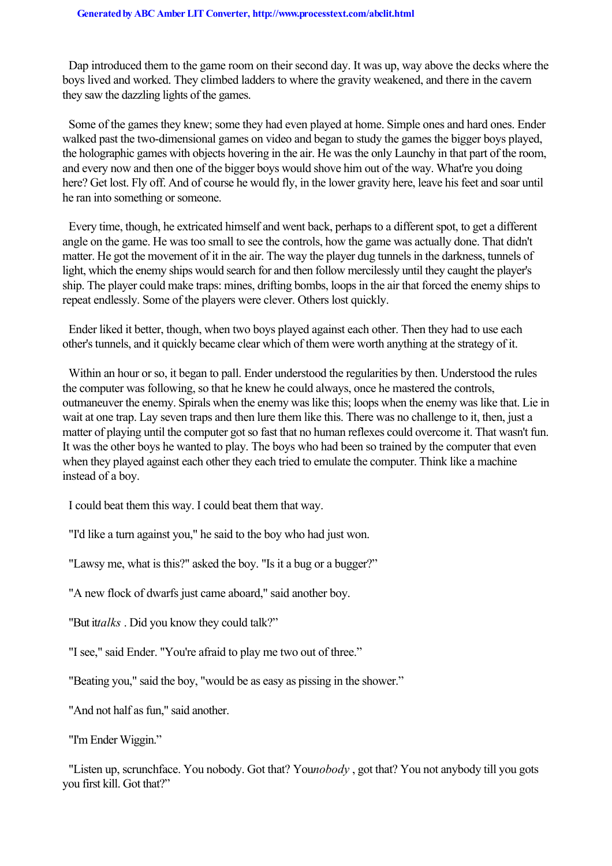Dap introduced them to the game room on their second day. It was up, way above the decks where the boys lived and worked. They climbed ladders to where the gravity weakened, and there in the cavern they saw the dazzling lights of the games.

 Some of the games they knew; some they had even played at home. Simple ones and hard ones. Ender walked past the two-dimensional games on video and began to study the games the bigger boys played, the holographic games with objects hovering in the air. He was the only Launchy in that part of the room, and every now and then one of the bigger boys would shove him out of the way. What're you doing here? Get lost. Fly off. And of course he would fly, in the lower gravity here, leave his feet and soar until he ran into something or someone.

 Every time, though, he extricated himself and went back, perhaps to a different spot, to get a different angle on the game. He was too small to see the controls, how the game was actually done. That didn't matter. He got the movement of it in the air. The way the player dug tunnels in the darkness, tunnels of light, which the enemy ships would search for and then follow mercilessly until they caught the player's ship. The player could make traps: mines, drifting bombs, loops in the air that forced the enemy ships to repeat endlessly. Some of the players were clever. Others lost quickly.

 Ender liked it better, though, when two boys played against each other. Then they had to use each other's tunnels, and it quickly became clear which of them were worth anything at the strategy of it.

 Within an hour or so, it began to pall. Ender understood the regularities by then. Understood the rules the computer was following, so that he knew he could always, once he mastered the controls, outmaneuver the enemy. Spirals when the enemy was like this; loops when the enemy was like that. Lie in wait at one trap. Lay seven traps and then lure them like this. There was no challenge to it, then, just a matter of playing until the computer got so fast that no human reflexes could overcome it. That wasn't fun. It was the other boys he wanted to play. The boys who had been so trained by the computer that even when they played against each other they each tried to emulate the computer. Think like a machine instead of a boy.

I could beat them this way. I could beat them that way.

"I'd like a turn against you," he said to the boy who had just won.

"Lawsy me, what is this?" asked the boy. "Is it a bug or a bugger?"

"A new flock of dwarfs just came aboard," said another boy.

"But it*talks* . Did you know they could talk?"

"I see," said Ender. "You're afraid to play me two out of three."

"Beating you," said the boy, "would be as easy as pissing in the shower."

"And not half as fun," said another.

"I'm Ender Wiggin."

 "Listen up, scrunchface. You nobody. Got that? You*nobody* , got that? You not anybody till you gots you first kill. Got that?"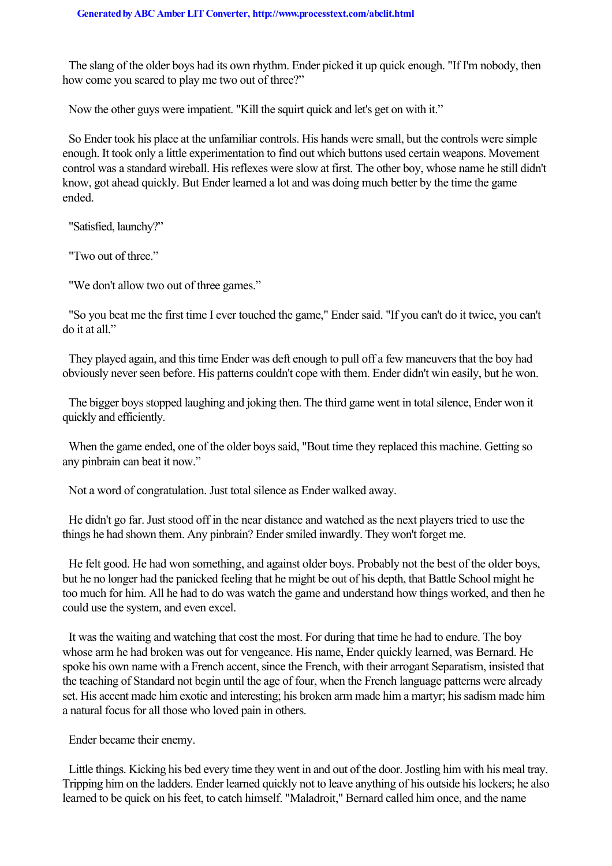The slang of the older boys had its own rhythm. Ender picked it up quick enough. "If I'm nobody, then how come you scared to play me two out of three?"

Now the other guys were impatient. "Kill the squirt quick and let's get on with it."

 So Ender took his place at the unfamiliar controls. His hands were small, but the controls were simple enough. It took only a little experimentation to find out which buttons used certain weapons. Movement control was a standard wireball. His reflexes were slow at first. The other boy, whose name he still didn't know, got ahead quickly. But Ender learned a lot and was doing much better by the time the game ended.

"Satisfied, launchy?"

"Two out of three."

"We don't allow two out of three games."

 "So you beat me the first time I ever touched the game," Ender said. "If you can't do it twice, you can't do it at all."

 They played again, and this time Ender was deft enough to pull off a few maneuvers that the boy had obviously never seen before. His patterns couldn't cope with them. Ender didn't win easily, but he won.

 The bigger boys stopped laughing and joking then. The third game went in total silence, Ender won it quickly and efficiently.

When the game ended, one of the older boys said. "Bout time they replaced this machine. Getting so any pinbrain can beat it now."

Not a word of congratulation. Just total silence as Ender walked away.

 He didn't go far. Just stood off in the near distance and watched as the next players tried to use the things he had shown them. Any pinbrain? Ender smiled inwardly. They won't forget me.

 He felt good. He had won something, and against older boys. Probably not the best of the older boys, but he no longer had the panicked feeling that he might be out of his depth, that Battle School might he too much for him. All he had to do was watch the game and understand how things worked, and then he could use the system, and even excel.

 It was the waiting and watching that cost the most. For during that time he had to endure. The boy whose arm he had broken was out for vengeance. His name, Ender quickly learned, was Bernard. He spoke his own name with a French accent, since the French, with their arrogant Separatism, insisted that the teaching of Standard not begin until the age of four, when the French language patterns were already set. His accent made him exotic and interesting; his broken arm made him a martyr; his sadism made him a natural focus for all those who loved pain in others.

Ender became their enemy.

 Little things. Kicking his bed every time they went in and out of the door. Jostling him with his meal tray. Tripping him on the ladders. Ender learned quickly not to leave anything of his outside his lockers; he also learned to be quick on his feet, to catch himself. "Maladroit," Bernard called him once, and the name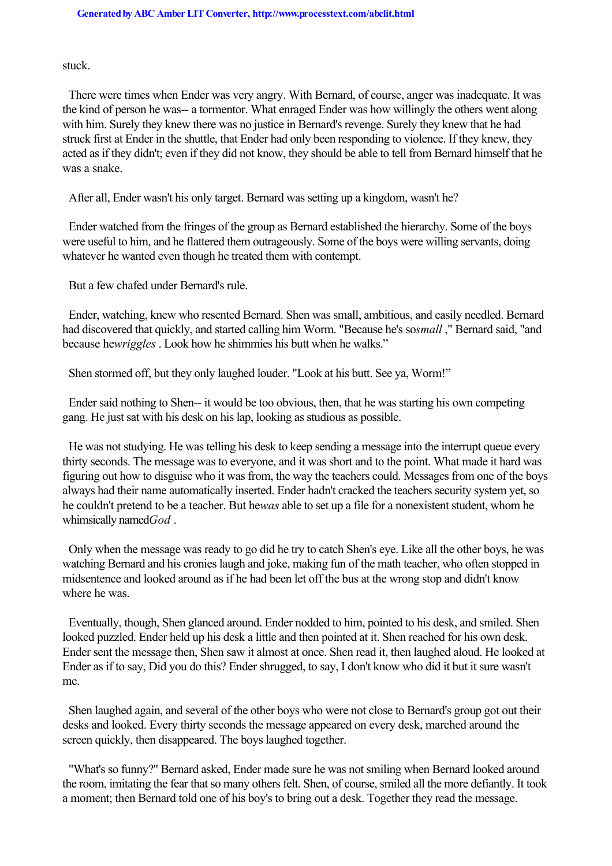stuck.

 There were times when Ender was very angry. With Bernard, of course, anger was inadequate. It was the kind of person he was-- a tormentor. What enraged Ender was how willingly the others went along with him. Surely they knew there was no justice in Bernard's revenge. Surely they knew that he had struck first at Ender in the shuttle, that Ender had only been responding to violence. If they knew, they acted as if they didn't; even if they did not know, they should be able to tell from Bernard himself that he was a snake.

After all, Ender wasn't his only target. Bernard was setting up a kingdom, wasn't he?

 Ender watched from the fringes of the group as Bernard established the hierarchy. Some of the boys were useful to him, and he flattered them outrageously. Some of the boys were willing servants, doing whatever he wanted even though he treated them with contempt.

But a few chafed under Bernard's rule.

 Ender, watching, knew who resented Bernard. Shen was small, ambitious, and easily needled. Bernard had discovered that quickly, and started calling him Worm. "Because he's so*small* ," Bernard said, "and because he*wriggles* . Look how he shimmies his butt when he walks."

Shen stormed off, but they only laughed louder. "Look at his butt. See ya, Worm!"

 Ender said nothing to Shen-- it would be too obvious, then, that he was starting his own competing gang. He just sat with his desk on his lap, looking as studious as possible.

 He was not studying. He was telling his desk to keep sending a message into the interrupt queue every thirty seconds. The message was to everyone, and it was short and to the point. What made it hard was figuring out how to disguise who it was from, the way the teachers could. Messages from one of the boys always had their name automatically inserted. Ender hadn't cracked the teachers security system yet, so he couldn't pretend to be a teacher. But he*was* able to set up a file for a nonexistent student, whom he whimsically named*God* .

 Only when the message was ready to go did he try to catch Shen's eye. Like all the other boys, he was watching Bernard and his cronies laugh and joke, making fun of the math teacher, who often stopped in midsentence and looked around as if he had been let off the bus at the wrong stop and didn't know where he was.

 Eventually, though, Shen glanced around. Ender nodded to him, pointed to his desk, and smiled. Shen looked puzzled. Ender held up his desk a little and then pointed at it. Shen reached for his own desk. Ender sent the message then, Shen saw it almost at once. Shen read it, then laughed aloud. He looked at Ender as if to say, Did you do this? Ender shrugged, to say, I don't know who did it but it sure wasn't me.

 Shen laughed again, and several of the other boys who were not close to Bernard's group got out their desks and looked. Every thirty seconds the message appeared on every desk, marched around the screen quickly, then disappeared. The boys laughed together.

 "What's so funny?" Bernard asked, Ender made sure he was not smiling when Bernard looked around the room, imitating the fear that so many others felt. Shen, of course, smiled all the more defiantly. It took a moment; then Bernard told one of his boy's to bring out a desk. Together they read the message.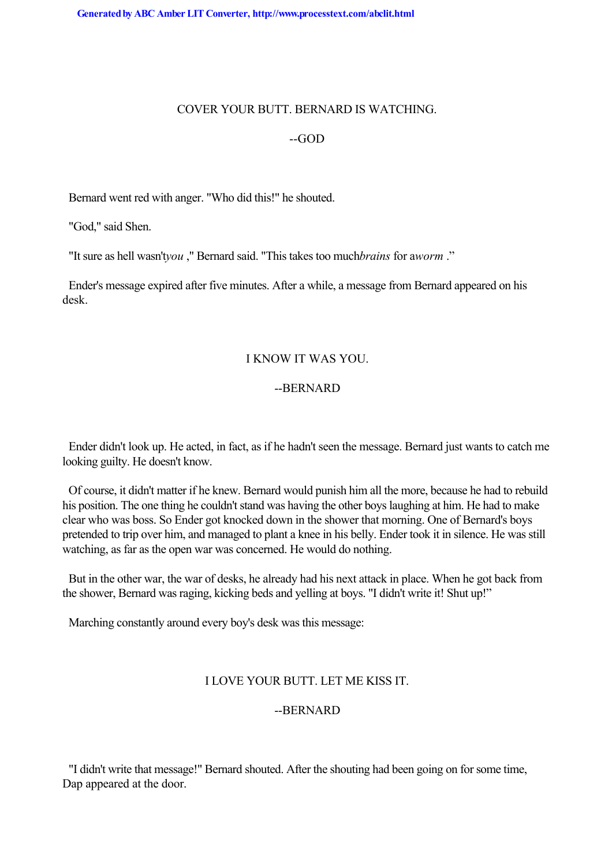## COVER YOUR BUTT. BERNARD IS WATCHING.

### --GOD

Bernard went red with anger. "Who did this!" he shouted.

"God," said Shen.

"It sure as hell wasn't*you* ," Bernard said. "This takes too much*brains* for a*worm* ."

 Ender's message expired after five minutes. After a while, a message from Bernard appeared on his desk.

### I KNOW IT WAS YOU.

## --BERNARD

 Ender didn't look up. He acted, in fact, as if he hadn't seen the message. Bernard just wants to catch me looking guilty. He doesn't know.

 Of course, it didn't matter if he knew. Bernard would punish him all the more, because he had to rebuild his position. The one thing he couldn't stand was having the other boys laughing at him. He had to make clear who was boss. So Ender got knocked down in the shower that morning. One of Bernard's boys pretended to trip over him, and managed to plant a knee in his belly. Ender took it in silence. He was still watching, as far as the open war was concerned. He would do nothing.

 But in the other war, the war of desks, he already had his next attack in place. When he got back from the shower, Bernard was raging, kicking beds and yelling at boys. "I didn't write it! Shut up!"

Marching constantly around every boy's desk was this message:

## I LOVE YOUR BUTT. LET ME KISS IT.

## --BERNARD

 "I didn't write that message!" Bernard shouted. After the shouting had been going on for some time, Dap appeared at the door.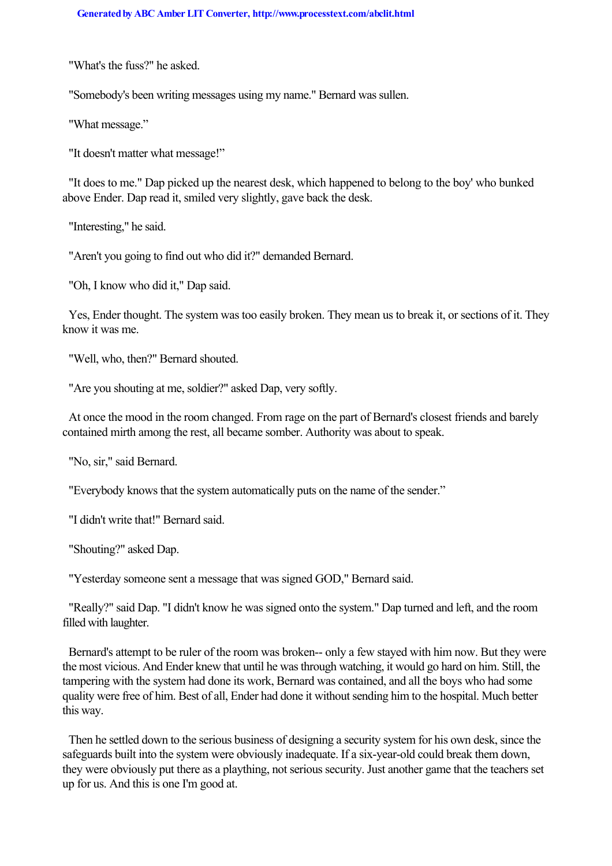"What's the fuss?" he asked.

"Somebody's been writing messages using my name." Bernard was sullen.

"What message."

"It doesn't matter what message!"

 "It does to me." Dap picked up the nearest desk, which happened to belong to the boy' who bunked above Ender. Dap read it, smiled very slightly, gave back the desk.

"Interesting," he said.

"Aren't you going to find out who did it?" demanded Bernard.

"Oh, I know who did it," Dap said.

 Yes, Ender thought. The system was too easily broken. They mean us to break it, or sections of it. They know it was me.

"Well, who, then?" Bernard shouted.

"Are you shouting at me, soldier?" asked Dap, very softly.

 At once the mood in the room changed. From rage on the part of Bernard's closest friends and barely contained mirth among the rest, all became somber. Authority was about to speak.

"No, sir," said Bernard.

"Everybody knows that the system automatically puts on the name of the sender."

"I didn't write that!" Bernard said.

"Shouting?" asked Dap.

"Yesterday someone sent a message that was signed GOD," Bernard said.

 "Really?" said Dap. "I didn't know he was signed onto the system." Dap turned and left, and the room filled with laughter.

 Bernard's attempt to be ruler of the room was broken-- only a few stayed with him now. But they were the most vicious. And Ender knew that until he was through watching, it would go hard on him. Still, the tampering with the system had done its work, Bernard was contained, and all the boys who had some quality were free of him. Best of all, Ender had done it without sending him to the hospital. Much better this way.

 Then he settled down to the serious business of designing a security system for his own desk, since the safeguards built into the system were obviously inadequate. If a six-year-old could break them down, they were obviously put there as a plaything, not serious security. Just another game that the teachers set up for us. And this is one I'm good at.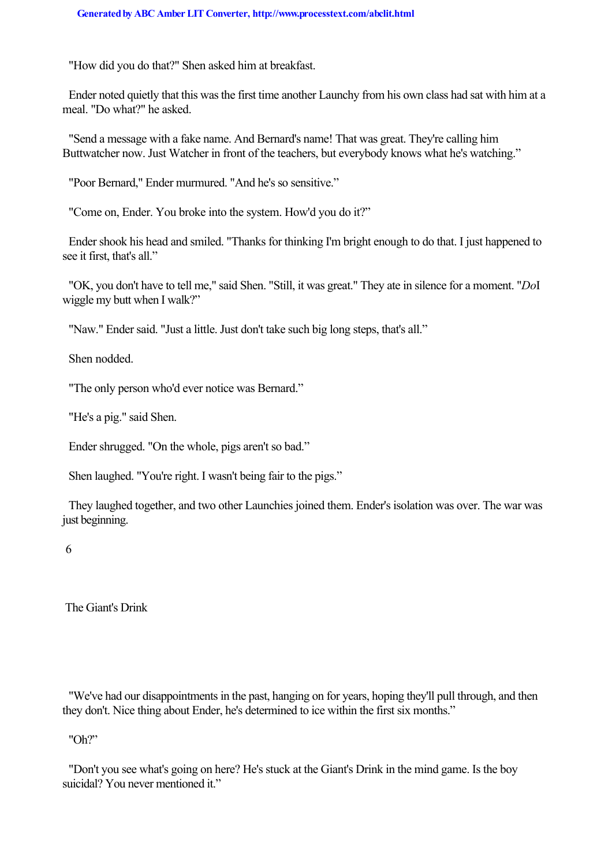"How did you do that?" Shen asked him at breakfast.

 Ender noted quietly that this was the first time another Launchy from his own class had sat with him at a meal. "Do what?" he asked.

 "Send a message with a fake name. And Bernard's name! That was great. They're calling him Buttwatcher now. Just Watcher in front of the teachers, but everybody knows what he's watching."

"Poor Bernard," Ender murmured. "And he's so sensitive."

"Come on, Ender. You broke into the system. How'd you do it?"

 Ender shook his head and smiled. "Thanks for thinking I'm bright enough to do that. I just happened to see it first, that's all."

 "OK, you don't have to tell me," said Shen. "Still, it was great." They ate in silence for a moment. "*Do*I wiggle my butt when I walk?"

"Naw." Ender said. "Just a little. Just don't take such big long steps, that's all."

Shen nodded.

"The only person who'd ever notice was Bernard."

"He's a pig." said Shen.

Ender shrugged. "On the whole, pigs aren't so bad."

Shen laughed. "You're right. I wasn't being fair to the pigs."

 They laughed together, and two other Launchies joined them. Ender's isolation was over. The war was just beginning.

# 6

The Giant's Drink

 "We've had our disappointments in the past, hanging on for years, hoping they'll pull through, and then they don't. Nice thing about Ender, he's determined to ice within the first six months."

"Oh?"

 "Don't you see what's going on here? He's stuck at the Giant's Drink in the mind game. Is the boy suicidal? You never mentioned it."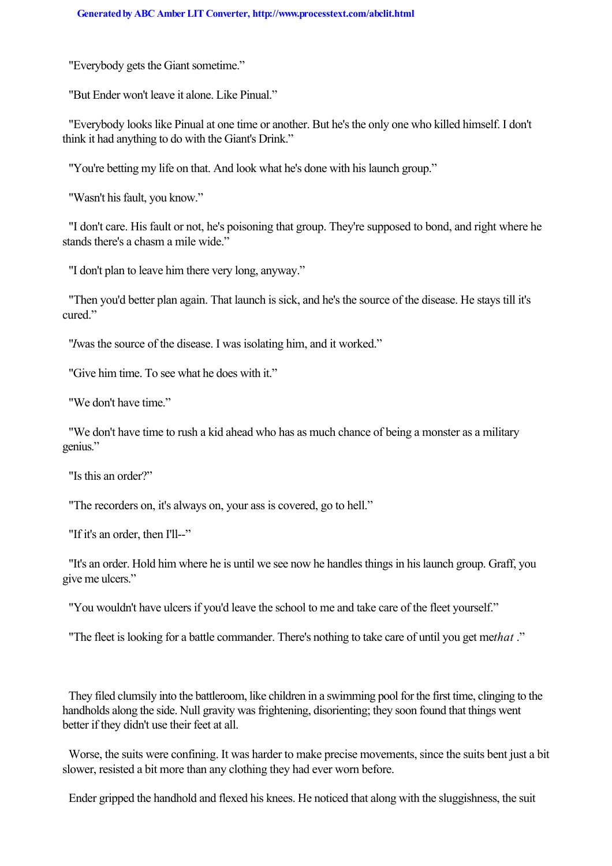"Everybody gets the Giant sometime."

"But Ender won't leave it alone. Like Pinual."

 "Everybody looks like Pinual at one time or another. But he's the only one who killed himself. I don't think it had anything to do with the Giant's Drink."

"You're betting my life on that. And look what he's done with his launch group."

"Wasn't his fault, you know."

 "I don't care. His fault or not, he's poisoning that group. They're supposed to bond, and right where he stands there's a chasm a mile wide."

"I don't plan to leave him there very long, anyway."

 "Then you'd better plan again. That launch is sick, and he's the source of the disease. He stays till it's cured."

"*I*was the source of the disease. I was isolating him, and it worked."

"Give him time. To see what he does with it."

"We don't have time."

 "We don't have time to rush a kid ahead who has as much chance of being a monster as a military genius"

"Is this an order?"

"The recorders on, it's always on, your ass is covered, go to hell."

"If it's an order, then I'll--"

 "It's an order. Hold him where he is until we see now he handles things in his launch group. Graff, you give me ulcers."

"You wouldn't have ulcers if you'd leave the school to me and take care of the fleet yourself."

"The fleet is looking for a battle commander. There's nothing to take care of until you get me*that* ."

 They filed clumsily into the battleroom, like children in a swimming pool for the first time, clinging to the handholds along the side. Null gravity was frightening, disorienting; they soon found that things went better if they didn't use their feet at all.

 Worse, the suits were confining. It was harder to make precise movements, since the suits bent just a bit slower, resisted a bit more than any clothing they had ever worn before.

Ender gripped the handhold and flexed his knees. He noticed that along with the sluggishness, the suit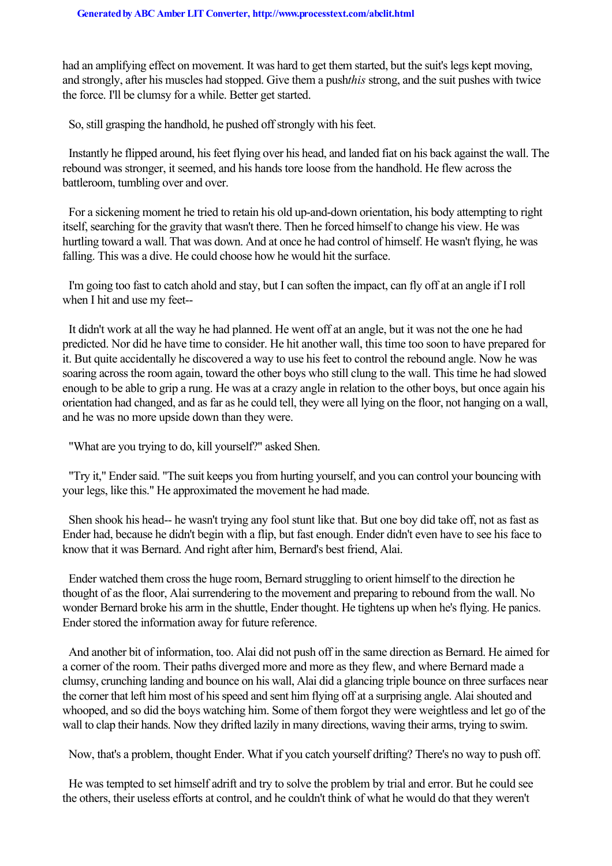had an amplifying effect on movement. It was hard to get them started, but the suit's legs kept moving, and strongly, after his muscles had stopped. Give them a push*this* strong, and the suit pushes with twice the force. I'll be clumsy for a while. Better get started.

So, still grasping the handhold, he pushed off strongly with his feet.

 Instantly he flipped around, his feet flying over his head, and landed fiat on his back against the wall. The rebound was stronger, it seemed, and his hands tore loose from the handhold. He flew across the battleroom, tumbling over and over.

 For a sickening moment he tried to retain his old up-and-down orientation, his body attempting to right itself, searching for the gravity that wasn't there. Then he forced himself to change his view. He was hurtling toward a wall. That was down. And at once he had control of himself. He wasn't flying, he was falling. This was a dive. He could choose how he would hit the surface.

 I'm going too fast to catch ahold and stay, but I can soften the impact, can fly off at an angle if I roll when I hit and use my feet--

 It didn't work at all the way he had planned. He went off at an angle, but it was not the one he had predicted. Nor did he have time to consider. He hit another wall, this time too soon to have prepared for it. But quite accidentally he discovered a way to use his feet to control the rebound angle. Now he was soaring across the room again, toward the other boys who still clung to the wall. This time he had slowed enough to be able to grip a rung. He was at a crazy angle in relation to the other boys, but once again his orientation had changed, and as far as he could tell, they were all lying on the floor, not hanging on a wall, and he was no more upside down than they were.

"What are you trying to do, kill yourself?" asked Shen.

 "Try it," Ender said. "The suit keeps you from hurting yourself, and you can control your bouncing with your legs, like this." He approximated the movement he had made.

 Shen shook his head-- he wasn't trying any fool stunt like that. But one boy did take off, not as fast as Ender had, because he didn't begin with a flip, but fast enough. Ender didn't even have to see his face to know that it was Bernard. And right after him, Bernard's best friend, Alai.

 Ender watched them cross the huge room, Bernard struggling to orient himself to the direction he thought of as the floor, Alai surrendering to the movement and preparing to rebound from the wall. No wonder Bernard broke his arm in the shuttle, Ender thought. He tightens up when he's flying. He panics. Ender stored the information away for future reference.

 And another bit of information, too. Alai did not push off in the same direction as Bernard. He aimed for a corner of the room. Their paths diverged more and more as they flew, and where Bernard made a clumsy, crunching landing and bounce on his wall, Alai did a glancing triple bounce on three surfaces near the corner that left him most of his speed and sent him flying off at a surprising angle. Alai shouted and whooped, and so did the boys watching him. Some of them forgot they were weightless and let go of the wall to clap their hands. Now they drifted lazily in many directions, waving their arms, trying to swim.

Now, that's a problem, thought Ender. What if you catch yourself drifting? There's no way to push off.

 He was tempted to set himself adrift and try to solve the problem by trial and error. But he could see the others, their useless efforts at control, and he couldn't think of what he would do that they weren't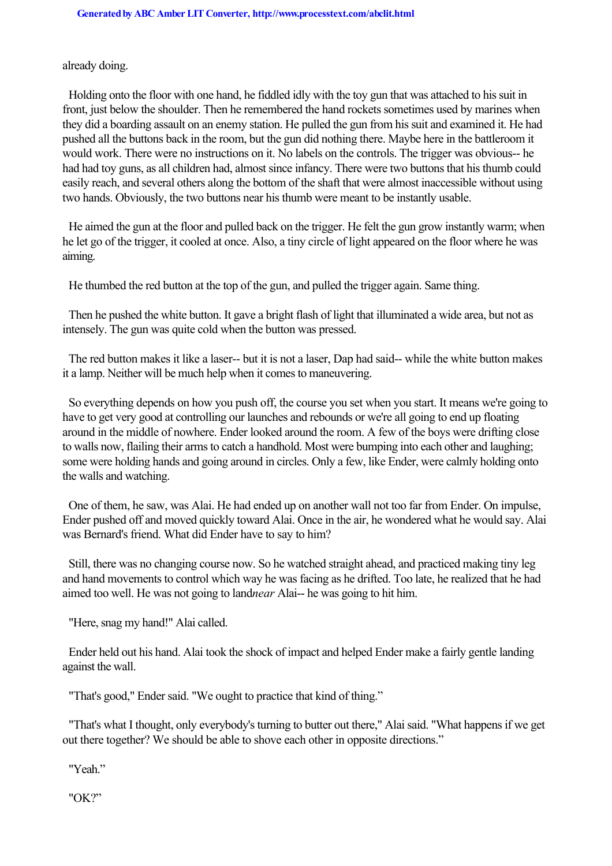already doing.

 Holding onto the floor with one hand, he fiddled idly with the toy gun that was attached to his suit in front, just below the shoulder. Then he remembered the hand rockets sometimes used by marines when they did a boarding assault on an enemy station. He pulled the gun from his suit and examined it. He had pushed all the buttons back in the room, but the gun did nothing there. Maybe here in the battleroom it would work. There were no instructions on it. No labels on the controls. The trigger was obvious-- he had had toy guns, as all children had, almost since infancy. There were two buttons that his thumb could easily reach, and several others along the bottom of the shaft that were almost inaccessible without using two hands. Obviously, the two buttons near his thumb were meant to be instantly usable.

 He aimed the gun at the floor and pulled back on the trigger. He felt the gun grow instantly warm; when he let go of the trigger, it cooled at once. Also, a tiny circle of light appeared on the floor where he was aiming.

He thumbed the red button at the top of the gun, and pulled the trigger again. Same thing.

 Then he pushed the white button. It gave a bright flash of light that illuminated a wide area, but not as intensely. The gun was quite cold when the button was pressed.

 The red button makes it like a laser-- but it is not a laser, Dap had said-- while the white button makes it a lamp. Neither will be much help when it comes to maneuvering.

 So everything depends on how you push off, the course you set when you start. It means we're going to have to get very good at controlling our launches and rebounds or we're all going to end up floating around in the middle of nowhere. Ender looked around the room. A few of the boys were drifting close to walls now, flailing their arms to catch a handhold. Most were bumping into each other and laughing; some were holding hands and going around in circles. Only a few, like Ender, were calmly holding onto the walls and watching.

 One of them, he saw, was Alai. He had ended up on another wall not too far from Ender. On impulse, Ender pushed off and moved quickly toward Alai. Once in the air, he wondered what he would say. Alai was Bernard's friend. What did Ender have to say to him?

 Still, there was no changing course now. So he watched straight ahead, and practiced making tiny leg and hand movements to control which way he was facing as he drifted. Too late, he realized that he had aimed too well. He was not going to land*near* Alai-- he was going to hit him.

"Here, snag my hand!" Alai called.

 Ender held out his hand. Alai took the shock of impact and helped Ender make a fairly gentle landing against the wall.

"That's good," Ender said. "We ought to practice that kind of thing."

 "That's what I thought, only everybody's turning to butter out there," Alai said. "What happens if we get out there together? We should be able to shove each other in opposite directions."

"Yeah."

"OK?"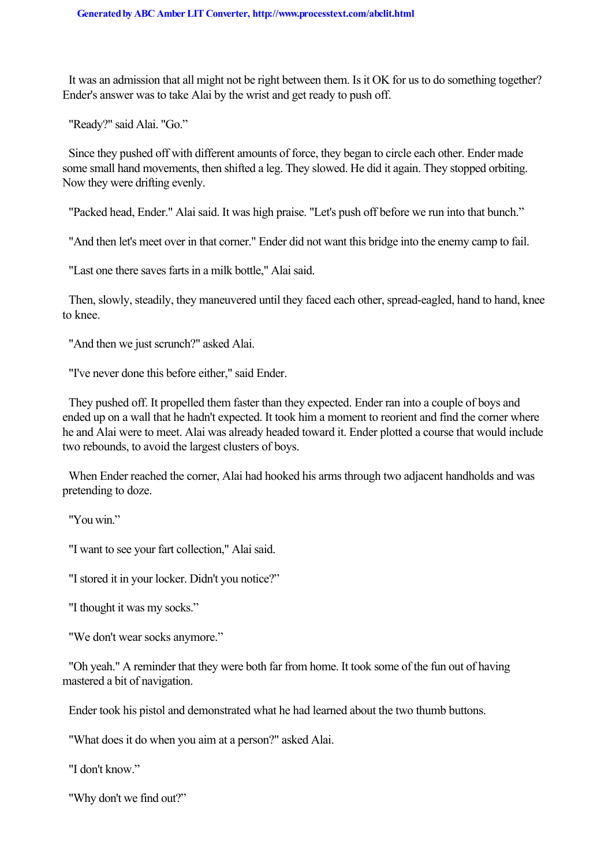It was an admission that all might not be right between them. Is it OK for us to do something together? Ender's answer was to take Alai by the wrist and get ready to push off.

"Ready?" said Alai. "Go."

 Since they pushed off with different amounts of force, they began to circle each other. Ender made some small hand movements, then shifted a leg. They slowed. He did it again. They stopped orbiting. Now they were drifting evenly.

"Packed head, Ender." Alai said. It was high praise. "Let's push off before we run into that bunch."

"And then let's meet over in that corner." Ender did not want this bridge into the enemy camp to fail.

"Last one there saves farts in a milk bottle," Alai said.

 Then, slowly, steadily, they maneuvered until they faced each other, spread-eagled, hand to hand, knee to knee.

"And then we just scrunch?" asked Alai.

"I've never done this before either," said Ender.

 They pushed off. It propelled them faster than they expected. Ender ran into a couple of boys and ended up on a wall that he hadn't expected. It took him a moment to reorient and find the corner where he and Alai were to meet. Alai was already headed toward it. Ender plotted a course that would include two rebounds, to avoid the largest clusters of boys.

 When Ender reached the corner, Alai had hooked his arms through two adjacent handholds and was pretending to doze.

"You win"

"I want to see your fart collection," Alai said.

"I stored it in your locker. Didn't you notice?"

"I thought it was my socks."

"We don't wear socks anymore."

 "Oh yeah." A reminder that they were both far from home. It took some of the fun out of having mastered a bit of navigation.

Ender took his pistol and demonstrated what he had learned about the two thumb buttons.

"What does it do when you aim at a person?" asked Alai.

"I don't know."

"Why don't we find out?"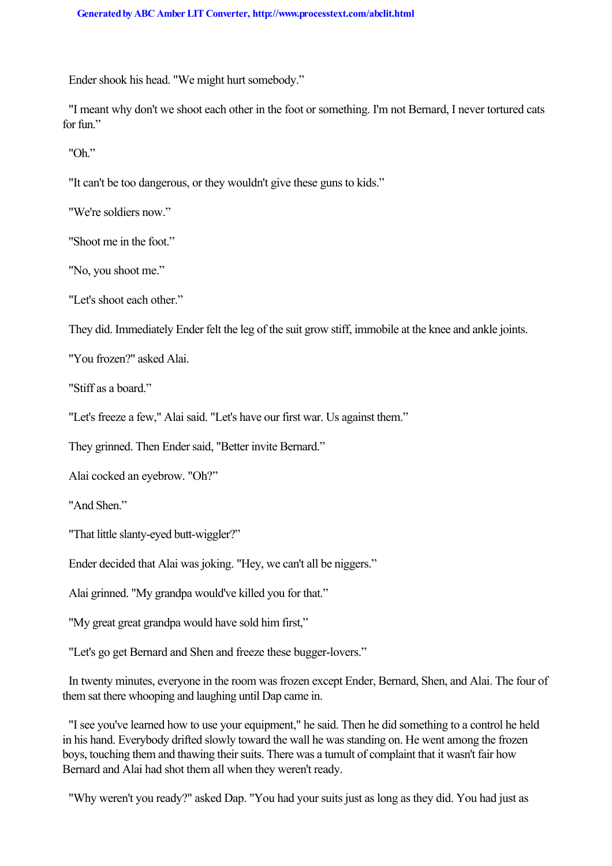Ender shook his head. "We might hurt somebody."

 "I meant why don't we shoot each other in the foot or something. I'm not Bernard, I never tortured cats for fun<sup>"</sup>

"Oh"

"It can't be too dangerous, or they wouldn't give these guns to kids."

"We're soldiers now."

"Shoot me in the foot."

"No, you shoot me."

"Let's shoot each other."

They did. Immediately Ender felt the leg of the suit grow stiff, immobile at the knee and ankle joints.

"You frozen?" asked Alai.

"Stiff as a board."

"Let's freeze a few," Alai said. "Let's have our first war. Us against them."

They grinned. Then Ender said, "Better invite Bernard."

Alai cocked an eyebrow. "Oh?"

"And Shen"

"That little slanty-eyed butt-wiggler?"

Ender decided that Alai was joking. "Hey, we can't all be niggers."

Alai grinned. "My grandpa would've killed you for that."

"My great great grandpa would have sold him first,"

"Let's go get Bernard and Shen and freeze these bugger-lovers."

 In twenty minutes, everyone in the room was frozen except Ender, Bernard, Shen, and Alai. The four of them sat there whooping and laughing until Dap came in.

 "I see you've learned how to use your equipment," he said. Then he did something to a control he held in his hand. Everybody drifted slowly toward the wall he was standing on. He went among the frozen boys, touching them and thawing their suits. There was a tumult of complaint that it wasn't fair how Bernard and Alai had shot them all when they weren't ready.

"Why weren't you ready?" asked Dap. "You had your suits just as long as they did. You had just as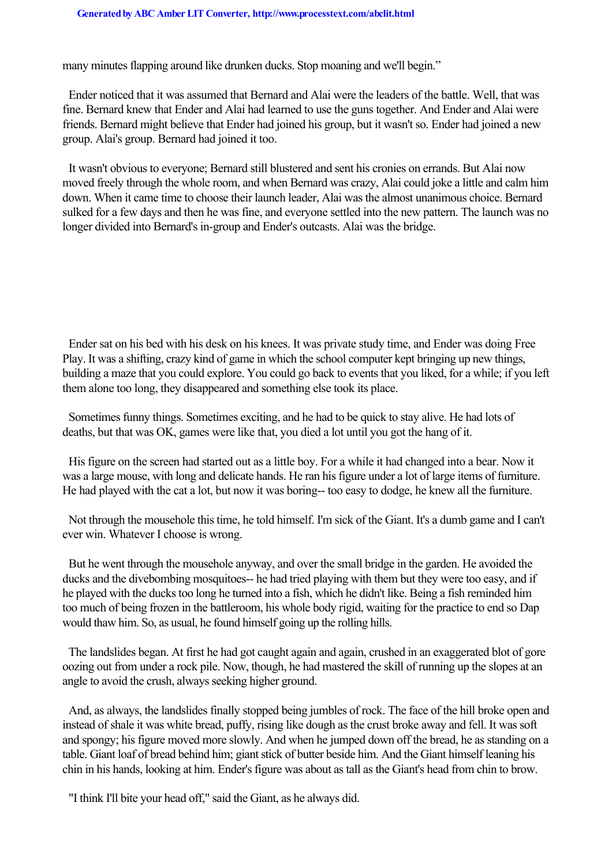many minutes flapping around like drunken ducks. Stop moaning and we'll begin."

 Ender noticed that it was assumed that Bernard and Alai were the leaders of the battle. Well, that was fine. Bernard knew that Ender and Alai had learned to use the guns together. And Ender and Alai were friends. Bernard might believe that Ender had joined his group, but it wasn't so. Ender had joined a new group. Alai's group. Bernard had joined it too.

 It wasn't obvious to everyone; Bernard still blustered and sent his cronies on errands. But Alai now moved freely through the whole room, and when Bernard was crazy, Alai could joke a little and calm him down. When it came time to choose their launch leader, Alai was the almost unanimous choice. Bernard sulked for a few days and then he was fine, and everyone settled into the new pattern. The launch was no longer divided into Bernard's in-group and Ender's outcasts. Alai was the bridge.

 Ender sat on his bed with his desk on his knees. It was private study time, and Ender was doing Free Play. It was a shifting, crazy kind of game in which the school computer kept bringing up new things, building a maze that you could explore. You could go back to events that you liked, for a while; if you left them alone too long, they disappeared and something else took its place.

 Sometimes funny things. Sometimes exciting, and he had to be quick to stay alive. He had lots of deaths, but that was OK, games were like that, you died a lot until you got the hang of it.

 His figure on the screen had started out as a little boy. For a while it had changed into a bear. Now it was a large mouse, with long and delicate hands. He ran his figure under a lot of large items of furniture. He had played with the cat a lot, but now it was boring-- too easy to dodge, he knew all the furniture.

 Not through the mousehole this time, he told himself. I'm sick of the Giant. It's a dumb game and I can't ever win. Whatever I choose is wrong.

 But he went through the mousehole anyway, and over the small bridge in the garden. He avoided the ducks and the divebombing mosquitoes-- he had tried playing with them but they were too easy, and if he played with the ducks too long he turned into a fish, which he didn't like. Being a fish reminded him too much of being frozen in the battleroom, his whole body rigid, waiting for the practice to end so Dap would thaw him. So, as usual, he found himself going up the rolling hills.

 The landslides began. At first he had got caught again and again, crushed in an exaggerated blot of gore oozing out from under a rock pile. Now, though, he had mastered the skill of running up the slopes at an angle to avoid the crush, always seeking higher ground.

 And, as always, the landslides finally stopped being jumbles of rock. The face of the hill broke open and instead of shale it was white bread, puffy, rising like dough as the crust broke away and fell. It was soft and spongy; his figure moved more slowly. And when he jumped down off the bread, he as standing on a table. Giant loaf of bread behind him; giant stick of butter beside him. And the Giant himself leaning his chin in his hands, looking at him. Ender's figure was about as tall as the Giant's head from chin to brow.

"I think I'll bite your head off," said the Giant, as he always did.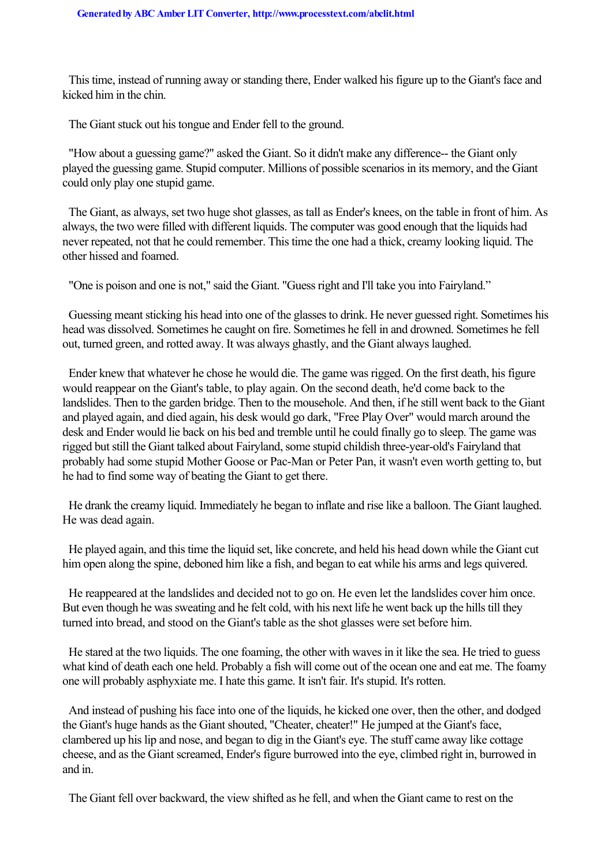This time, instead of running away or standing there, Ender walked his figure up to the Giant's face and kicked him in the chin.

The Giant stuck out his tongue and Ender fell to the ground.

 "How about a guessing game?" asked the Giant. So it didn't make any difference-- the Giant only played the guessing game. Stupid computer. Millions of possible scenarios in its memory, and the Giant could only play one stupid game.

 The Giant, as always, set two huge shot glasses, as tall as Ender's knees, on the table in front of him. As always, the two were filled with different liquids. The computer was good enough that the liquids had never repeated, not that he could remember. This time the one had a thick, creamy looking liquid. The other hissed and foamed.

"One is poison and one is not," said the Giant. "Guess right and I'll take you into Fairyland."

 Guessing meant sticking his head into one of the glasses to drink. He never guessed right. Sometimes his head was dissolved. Sometimes he caught on fire. Sometimes he fell in and drowned. Sometimes he fell out, turned green, and rotted away. It was always ghastly, and the Giant always laughed.

 Ender knew that whatever he chose he would die. The game was rigged. On the first death, his figure would reappear on the Giant's table, to play again. On the second death, he'd come back to the landslides. Then to the garden bridge. Then to the mousehole. And then, if he still went back to the Giant and played again, and died again, his desk would go dark, "Free Play Over" would march around the desk and Ender would lie back on his bed and tremble until he could finally go to sleep. The game was rigged but still the Giant talked about Fairyland, some stupid childish three-year-old's Fairyland that probably had some stupid Mother Goose or Pac-Man or Peter Pan, it wasn't even worth getting to, but he had to find some way of beating the Giant to get there.

 He drank the creamy liquid. Immediately he began to inflate and rise like a balloon. The Giant laughed. He was dead again.

 He played again, and this time the liquid set, like concrete, and held his head down while the Giant cut him open along the spine, deboned him like a fish, and began to eat while his arms and legs quivered.

 He reappeared at the landslides and decided not to go on. He even let the landslides cover him once. But even though he was sweating and he felt cold, with his next life he went back up the hills till they turned into bread, and stood on the Giant's table as the shot glasses were set before him.

 He stared at the two liquids. The one foaming, the other with waves in it like the sea. He tried to guess what kind of death each one held. Probably a fish will come out of the ocean one and eat me. The foamy one will probably asphyxiate me. I hate this game. It isn't fair. It's stupid. It's rotten.

 And instead of pushing his face into one of the liquids, he kicked one over, then the other, and dodged the Giant's huge hands as the Giant shouted, "Cheater, cheater!" He jumped at the Giant's face, clambered up his lip and nose, and began to dig in the Giant's eye. The stuff came away like cottage cheese, and as the Giant screamed, Ender's figure burrowed into the eye, climbed right in, burrowed in and in.

The Giant fell over backward, the view shifted as he fell, and when the Giant came to rest on the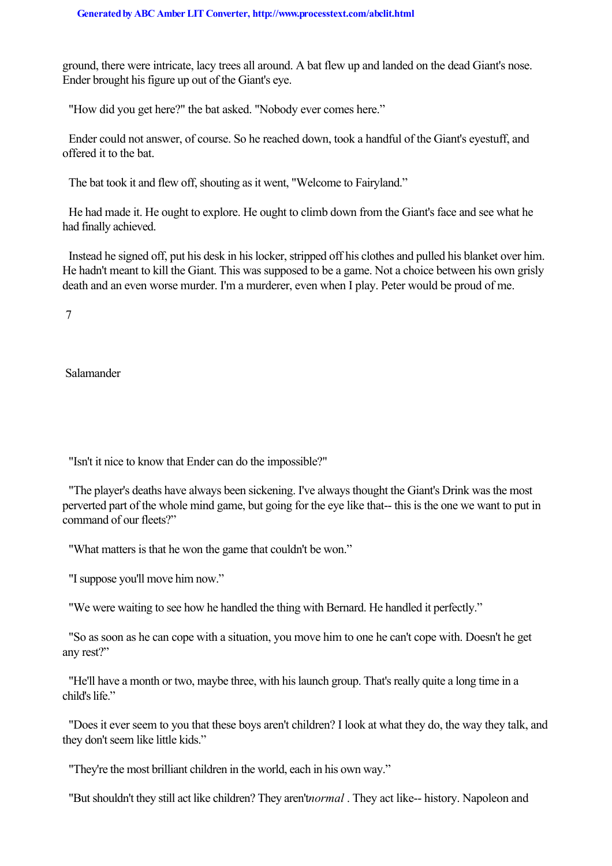ground, there were intricate, lacy trees all around. A bat flew up and landed on the dead Giant's nose. Ender brought his figure up out of the Giant's eye.

"How did you get here?" the bat asked. "Nobody ever comes here."

 Ender could not answer, of course. So he reached down, took a handful of the Giant's eyestuff, and offered it to the bat.

The bat took it and flew off, shouting as it went, "Welcome to Fairyland."

 He had made it. He ought to explore. He ought to climb down from the Giant's face and see what he had finally achieved.

 Instead he signed off, put his desk in his locker, stripped off his clothes and pulled his blanket over him. He hadn't meant to kill the Giant. This was supposed to be a game. Not a choice between his own grisly death and an even worse murder. I'm a murderer, even when I play. Peter would be proud of me.

7

Salamander

"Isn't it nice to know that Ender can do the impossible?"

 "The player's deaths have always been sickening. I've always thought the Giant's Drink was the most perverted part of the whole mind game, but going for the eye like that-- this is the one we want to put in command of our fleets?"

"What matters is that he won the game that couldn't be won."

"I suppose you'll move him now."

"We were waiting to see how he handled the thing with Bernard. He handled it perfectly."

 "So as soon as he can cope with a situation, you move him to one he can't cope with. Doesn't he get any rest?"

 "He'll have a month or two, maybe three, with his launch group. That's really quite a long time in a child's life."

 "Does it ever seem to you that these boys aren't children? I look at what they do, the way they talk, and they don't seem like little kids."

"They're the most brilliant children in the world, each in his own way."

"But shouldn't they still act like children? They aren't*normal* . They act like-- history. Napoleon and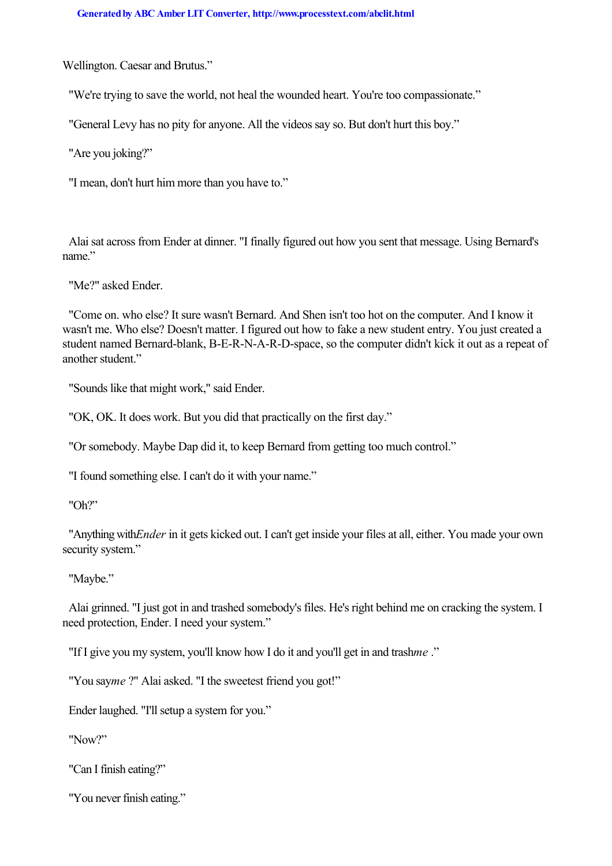Wellington. Caesar and Brutus."

"We're trying to save the world, not heal the wounded heart. You're too compassionate."

"General Levy has no pity for anyone. All the videos say so. But don't hurt this boy."

"Are you joking?"

"I mean, don't hurt him more than you have to."

 Alai sat across from Ender at dinner. "I finally figured out how you sent that message. Using Bernard's name"

"Me?" asked Ender.

 "Come on. who else? It sure wasn't Bernard. And Shen isn't too hot on the computer. And I know it wasn't me. Who else? Doesn't matter. I figured out how to fake a new student entry. You just created a student named Bernard-blank, B-E-R-N-A-R-D-space, so the computer didn't kick it out as a repeat of another student."

"Sounds like that might work," said Ender.

"OK, OK. It does work. But you did that practically on the first day."

"Or somebody. Maybe Dap did it, to keep Bernard from getting too much control."

"I found something else. I can't do it with your name."

"Oh?"

 "Anything with*Ender* in it gets kicked out. I can't get inside your files at all, either. You made your own security system."

"Maybe."

 Alai grinned. "I just got in and trashed somebody's files. He's right behind me on cracking the system. I need protection, Ender. I need your system."

"If I give you my system, you'll know how I do it and you'll get in and trash*me* ."

"You say*me* ?" Alai asked. "I the sweetest friend you got!"

Ender laughed. "I'll setup a system for you."

"Now?"

"Can I finish eating?"

"You never finish eating."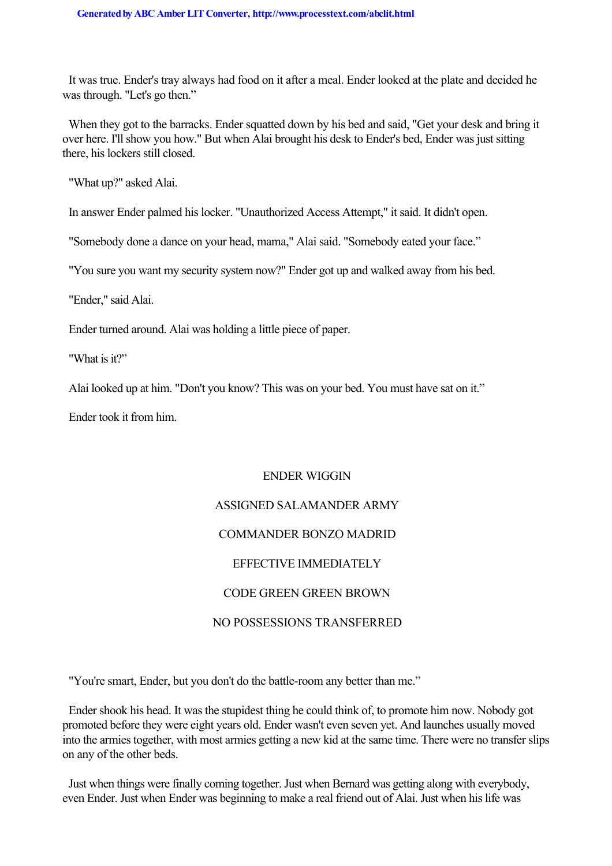It was true. Ender's tray always had food on it after a meal. Ender looked at the plate and decided he was through. "Let's go then."

 When they got to the barracks. Ender squatted down by his bed and said, "Get your desk and bring it over here. I'll show you how." But when Alai brought his desk to Ender's bed, Ender was just sitting there, his lockers still closed.

"What up?" asked Alai.

In answer Ender palmed his locker. "Unauthorized Access Attempt," it said. It didn't open.

"Somebody done a dance on your head, mama," Alai said. "Somebody eated your face."

"You sure you want my security system now?" Ender got up and walked away from his bed.

"Ender," said Alai.

Ender turned around. Alai was holding a little piece of paper.

"What is it?"

Alai looked up at him. "Don't you know? This was on your bed. You must have sat on it."

Ender took it from him.

## ENDER WIGGIN

# ASSIGNED SALAMANDER ARMY

## COMMANDER BONZO MADRID

## EFFECTIVE IMMEDIATELY

## CODE GREEN GREEN BROWN

## NO POSSESSIONS TRANSFERRED

"You're smart, Ender, but you don't do the battle-room any better than me."

 Ender shook his head. It was the stupidest thing he could think of, to promote him now. Nobody got promoted before they were eight years old. Ender wasn't even seven yet. And launches usually moved into the armies together, with most armies getting a new kid at the same time. There were no transfer slips on any of the other beds.

 Just when things were finally coming together. Just when Bernard was getting along with everybody, even Ender. Just when Ender was beginning to make a real friend out of Alai. Just when his life was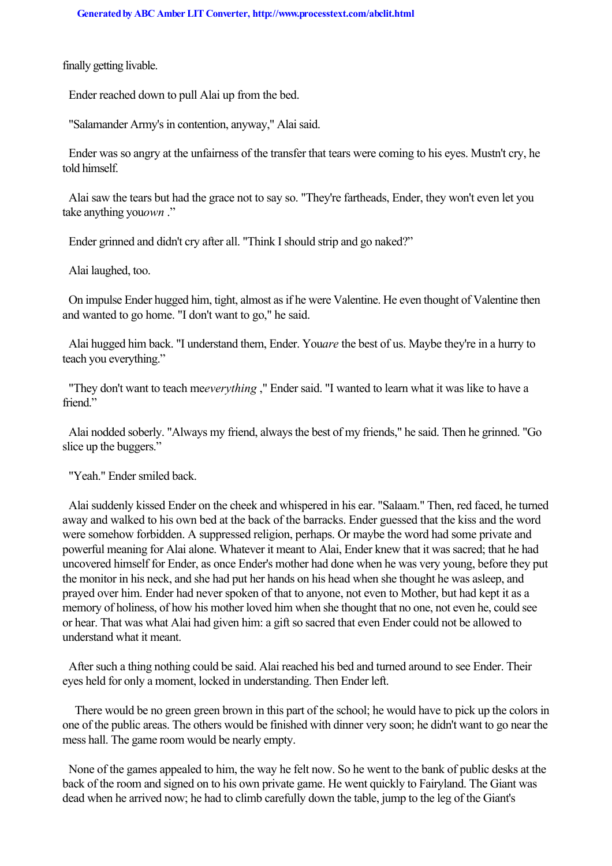finally getting livable.

Ender reached down to pull Alai up from the bed.

"Salamander Army's in contention, anyway," Alai said.

 Ender was so angry at the unfairness of the transfer that tears were coming to his eyes. Mustn't cry, he told himself.

 Alai saw the tears but had the grace not to say so. "They're fartheads, Ender, they won't even let you take anything you*own* ."

Ender grinned and didn't cry after all. "Think I should strip and go naked?"

Alai laughed, too.

 On impulse Ender hugged him, tight, almost as if he were Valentine. He even thought of Valentine then and wanted to go home. "I don't want to go," he said.

 Alai hugged him back. "I understand them, Ender. You*are* the best of us. Maybe they're in a hurry to teach you everything."

 "They don't want to teach me*everything* ," Ender said. "I wanted to learn what it was like to have a friend"

 Alai nodded soberly. "Always my friend, always the best of my friends," he said. Then he grinned. "Go slice up the buggers."

"Yeah." Ender smiled back.

 Alai suddenly kissed Ender on the cheek and whispered in his ear. "Salaam." Then, red faced, he turned away and walked to his own bed at the back of the barracks. Ender guessed that the kiss and the word were somehow forbidden. A suppressed religion, perhaps. Or maybe the word had some private and powerful meaning for Alai alone. Whatever it meant to Alai, Ender knew that it was sacred; that he had uncovered himself for Ender, as once Ender's mother had done when he was very young, before they put the monitor in his neck, and she had put her hands on his head when she thought he was asleep, and prayed over him. Ender had never spoken of that to anyone, not even to Mother, but had kept it as a memory of holiness, of how his mother loved him when she thought that no one, not even he, could see or hear. That was what Alai had given him: a gift so sacred that even Ender could not be allowed to understand what it meant.

 After such a thing nothing could be said. Alai reached his bed and turned around to see Ender. Their eyes held for only a moment, locked in understanding. Then Ender left.

 There would be no green green brown in this part of the school; he would have to pick up the colors in one of the public areas. The others would be finished with dinner very soon; he didn't want to go near the mess hall. The game room would be nearly empty.

 None of the games appealed to him, the way he felt now. So he went to the bank of public desks at the back of the room and signed on to his own private game. He went quickly to Fairyland. The Giant was dead when he arrived now; he had to climb carefully down the table, jump to the leg of the Giant's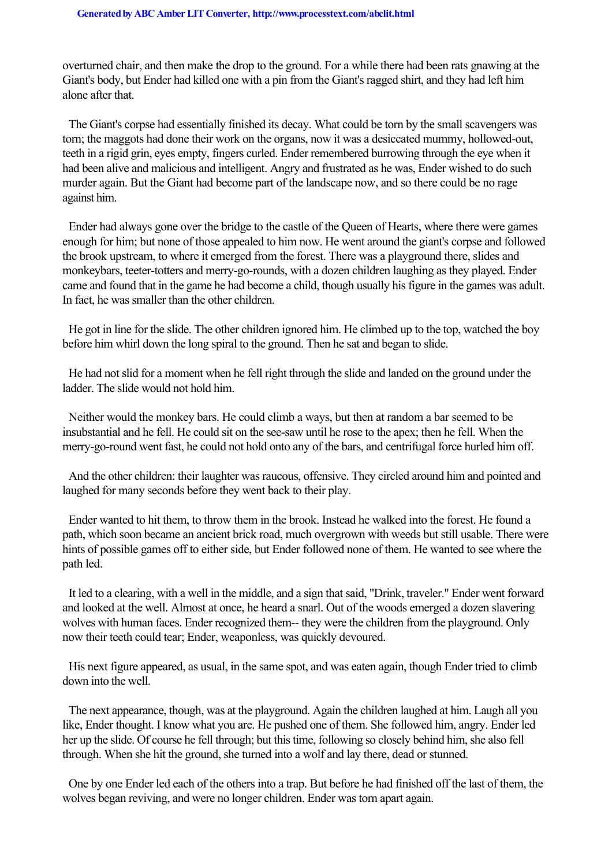overturned chair, and then make the drop to the ground. For a while there had been rats gnawing at the Giant's body, but Ender had killed one with a pin from the Giant's ragged shirt, and they had left him alone after that.

 The Giant's corpse had essentially finished its decay. What could be torn by the small scavengers was torn; the maggots had done their work on the organs, now it was a desiccated mummy, hollowed-out, teeth in a rigid grin, eyes empty, fingers curled. Ender remembered burrowing through the eye when it had been alive and malicious and intelligent. Angry and frustrated as he was, Ender wished to do such murder again. But the Giant had become part of the landscape now, and so there could be no rage against him.

 Ender had always gone over the bridge to the castle of the Queen of Hearts, where there were games enough for him; but none of those appealed to him now. He went around the giant's corpse and followed the brook upstream, to where it emerged from the forest. There was a playground there, slides and monkeybars, teeter-totters and merry-go-rounds, with a dozen children laughing as they played. Ender came and found that in the game he had become a child, though usually his figure in the games was adult. In fact, he was smaller than the other children.

 He got in line for the slide. The other children ignored him. He climbed up to the top, watched the boy before him whirl down the long spiral to the ground. Then he sat and began to slide.

 He had not slid for a moment when he fell right through the slide and landed on the ground under the ladder. The slide would not hold him.

 Neither would the monkey bars. He could climb a ways, but then at random a bar seemed to be insubstantial and he fell. He could sit on the see-saw until he rose to the apex; then he fell. When the merry-go-round went fast, he could not hold onto any of the bars, and centrifugal force hurled him off.

 And the other children: their laughter was raucous, offensive. They circled around him and pointed and laughed for many seconds before they went back to their play.

 Ender wanted to hit them, to throw them in the brook. Instead he walked into the forest. He found a path, which soon became an ancient brick road, much overgrown with weeds but still usable. There were hints of possible games off to either side, but Ender followed none of them. He wanted to see where the path led.

 It led to a clearing, with a well in the middle, and a sign that said, "Drink, traveler." Ender went forward and looked at the well. Almost at once, he heard a snarl. Out of the woods emerged a dozen slavering wolves with human faces. Ender recognized them-- they were the children from the playground. Only now their teeth could tear; Ender, weaponless, was quickly devoured.

 His next figure appeared, as usual, in the same spot, and was eaten again, though Ender tried to climb down into the well.

 The next appearance, though, was at the playground. Again the children laughed at him. Laugh all you like, Ender thought. I know what you are. He pushed one of them. She followed him, angry. Ender led her up the slide. Of course he fell through; but this time, following so closely behind him, she also fell through. When she hit the ground, she turned into a wolf and lay there, dead or stunned.

 One by one Ender led each of the others into a trap. But before he had finished off the last of them, the wolves began reviving, and were no longer children. Ender was torn apart again.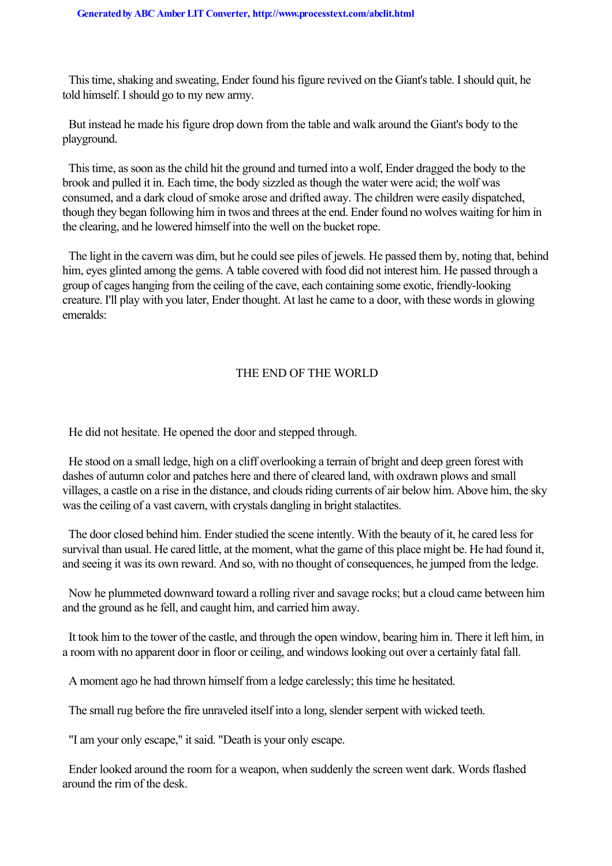This time, shaking and sweating, Ender found his figure revived on the Giant's table. I should quit, he told himself. I should go to my new army.

 But instead he made his figure drop down from the table and walk around the Giant's body to the playground.

 This time, as soon as the child hit the ground and turned into a wolf, Ender dragged the body to the brook and pulled it in. Each time, the body sizzled as though the water were acid; the wolf was consumed, and a dark cloud of smoke arose and drifted away. The children were easily dispatched, though they began following him in twos and threes at the end. Ender found no wolves waiting for him in the clearing, and he lowered himself into the well on the bucket rope.

 The light in the cavern was dim, but he could see piles of jewels. He passed them by, noting that, behind him, eyes glinted among the gems. A table covered with food did not interest him. He passed through a group of cages hanging from the ceiling of the cave, each containing some exotic, friendly-looking creature. I'll play with you later, Ender thought. At last he came to a door, with these words in glowing emeralds:

### THE END OF THE WORLD

He did not hesitate. He opened the door and stepped through.

 He stood on a small ledge, high on a cliff overlooking a terrain of bright and deep green forest with dashes of autumn color and patches here and there of cleared land, with oxdrawn plows and small villages, a castle on a rise in the distance, and clouds riding currents of air below him. Above him, the sky was the ceiling of a vast cavern, with crystals dangling in bright stalactites.

 The door closed behind him. Ender studied the scene intently. With the beauty of it, he cared less for survival than usual. He cared little, at the moment, what the game of this place might be. He had found it, and seeing it was its own reward. And so, with no thought of consequences, he jumped from the ledge.

 Now he plummeted downward toward a rolling river and savage rocks; but a cloud came between him and the ground as he fell, and caught him, and carried him away.

 It took him to the tower of the castle, and through the open window, bearing him in. There it left him, in a room with no apparent door in floor or ceiling, and windows looking out over a certainly fatal fall.

A moment ago he had thrown himself from a ledge carelessly; this time he hesitated.

The small rug before the fire unraveled itself into a long, slender serpent with wicked teeth.

"I am your only escape," it said. "Death is your only escape.

 Ender looked around the room for a weapon, when suddenly the screen went dark. Words flashed around the rim of the desk.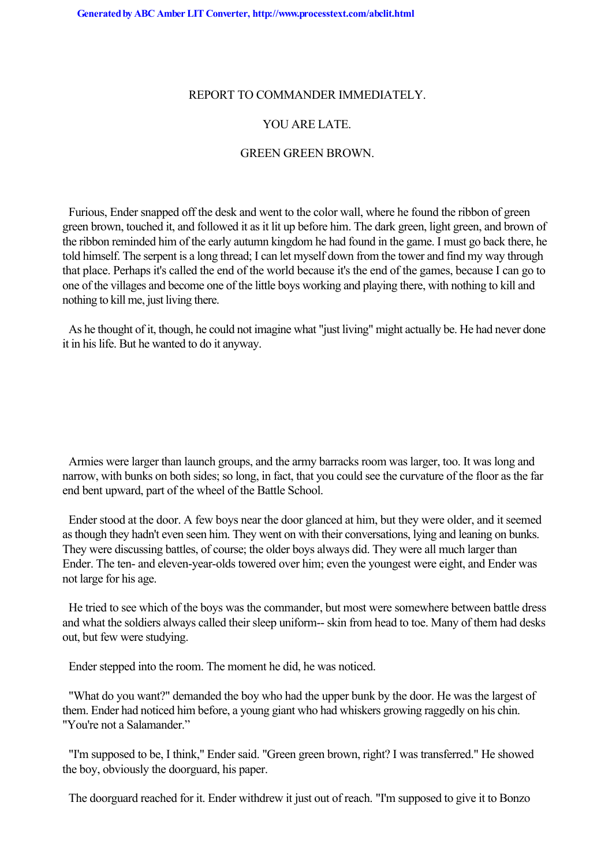#### REPORT TO COMMANDER IMMEDIATELY.

## YOU ARE LATE.

#### GREEN GREEN BROWN.

 Furious, Ender snapped off the desk and went to the color wall, where he found the ribbon of green green brown, touched it, and followed it as it lit up before him. The dark green, light green, and brown of the ribbon reminded him of the early autumn kingdom he had found in the game. I must go back there, he told himself. The serpent is a long thread; I can let myself down from the tower and find my way through that place. Perhaps it's called the end of the world because it's the end of the games, because I can go to one of the villages and become one of the little boys working and playing there, with nothing to kill and nothing to kill me, just living there.

 As he thought of it, though, he could not imagine what "just living" might actually be. He had never done it in his life. But he wanted to do it anyway.

 Armies were larger than launch groups, and the army barracks room was larger, too. It was long and narrow, with bunks on both sides; so long, in fact, that you could see the curvature of the floor as the far end bent upward, part of the wheel of the Battle School.

 Ender stood at the door. A few boys near the door glanced at him, but they were older, and it seemed as though they hadn't even seen him. They went on with their conversations, lying and leaning on bunks. They were discussing battles, of course; the older boys always did. They were all much larger than Ender. The ten- and eleven-year-olds towered over him; even the youngest were eight, and Ender was not large for his age.

 He tried to see which of the boys was the commander, but most were somewhere between battle dress and what the soldiers always called their sleep uniform-- skin from head to toe. Many of them had desks out, but few were studying.

Ender stepped into the room. The moment he did, he was noticed.

 "What do you want?" demanded the boy who had the upper bunk by the door. He was the largest of them. Ender had noticed him before, a young giant who had whiskers growing raggedly on his chin. "You're not a Salamander."

 "I'm supposed to be, I think," Ender said. "Green green brown, right? I was transferred." He showed the boy, obviously the doorguard, his paper.

The doorguard reached for it. Ender withdrew it just out of reach. "I'm supposed to give it to Bonzo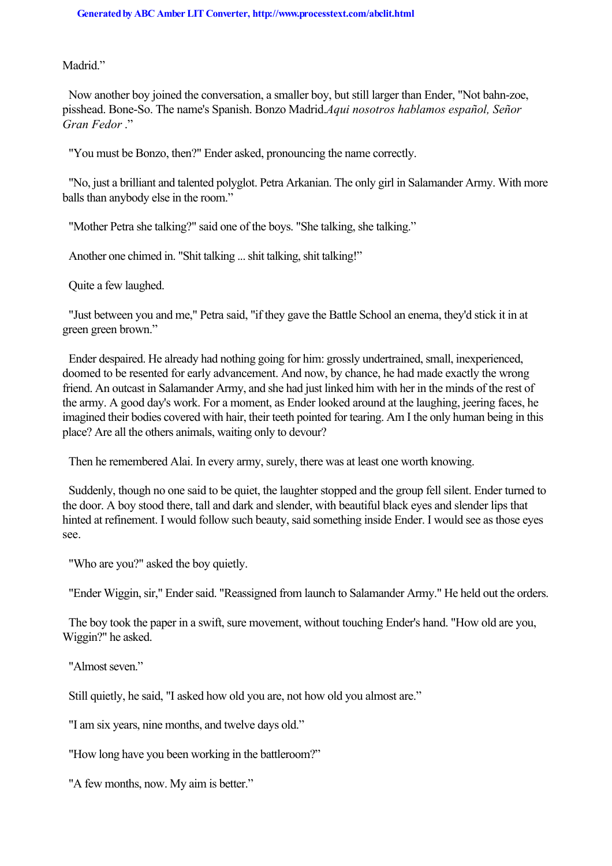Madrid<sup>"</sup>

 Now another boy joined the conversation, a smaller boy, but still larger than Ender, "Not bahn-zoe, pisshead. Bone-So. The name's Spanish. Bonzo Madrid.*Aqui nosotros hablamos español, Señor Gran Fedor* ."

"You must be Bonzo, then?" Ender asked, pronouncing the name correctly.

 "No, just a brilliant and talented polyglot. Petra Arkanian. The only girl in Salamander Army. With more balls than anybody else in the room."

"Mother Petra she talking?" said one of the boys. "She talking, she talking."

Another one chimed in. "Shit talking ... shit talking, shit talking!"

Quite a few laughed.

 "Just between you and me," Petra said, "if they gave the Battle School an enema, they'd stick it in at green green brown."

 Ender despaired. He already had nothing going for him: grossly undertrained, small, inexperienced, doomed to be resented for early advancement. And now, by chance, he had made exactly the wrong friend. An outcast in Salamander Army, and she had just linked him with her in the minds of the rest of the army. A good day's work. For a moment, as Ender looked around at the laughing, jeering faces, he imagined their bodies covered with hair, their teeth pointed for tearing. Am I the only human being in this place? Are all the others animals, waiting only to devour?

Then he remembered Alai. In every army, surely, there was at least one worth knowing.

 Suddenly, though no one said to be quiet, the laughter stopped and the group fell silent. Ender turned to the door. A boy stood there, tall and dark and slender, with beautiful black eyes and slender lips that hinted at refinement. I would follow such beauty, said something inside Ender. I would see as those eyes see.

"Who are you?" asked the boy quietly.

"Ender Wiggin, sir," Ender said. "Reassigned from launch to Salamander Army." He held out the orders.

 The boy took the paper in a swift, sure movement, without touching Ender's hand. "How old are you, Wiggin?" he asked.

"Almost seven."

Still quietly, he said, "I asked how old you are, not how old you almost are."

"I am six years, nine months, and twelve days old."

"How long have you been working in the battleroom?"

"A few months, now. My aim is better."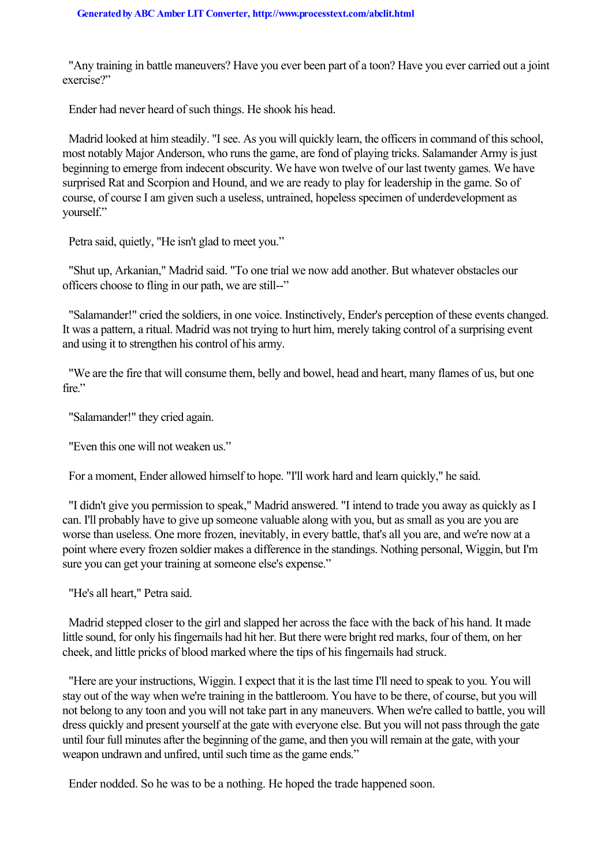"Any training in battle maneuvers? Have you ever been part of a toon? Have you ever carried out a joint exercise?"

Ender had never heard of such things. He shook his head.

 Madrid looked at him steadily. "I see. As you will quickly learn, the officers in command of this school, most notably Major Anderson, who runs the game, are fond of playing tricks. Salamander Army is just beginning to emerge from indecent obscurity. We have won twelve of our last twenty games. We have surprised Rat and Scorpion and Hound, and we are ready to play for leadership in the game. So of course, of course I am given such a useless, untrained, hopeless specimen of underdevelopment as yourself."

Petra said, quietly, "He isn't glad to meet you."

 "Shut up, Arkanian," Madrid said. "To one trial we now add another. But whatever obstacles our officers choose to fling in our path, we are still--"

 "Salamander!" cried the soldiers, in one voice. Instinctively, Ender's perception of these events changed. It was a pattern, a ritual. Madrid was not trying to hurt him, merely taking control of a surprising event and using it to strengthen his control of his army.

 "We are the fire that will consume them, belly and bowel, head and heart, many flames of us, but one fire"

"Salamander!" they cried again.

"Even this one will not weaken us."

For a moment, Ender allowed himself to hope. "I'll work hard and learn quickly," he said.

 "I didn't give you permission to speak," Madrid answered. "I intend to trade you away as quickly as I can. I'll probably have to give up someone valuable along with you, but as small as you are you are worse than useless. One more frozen, inevitably, in every battle, that's all you are, and we're now at a point where every frozen soldier makes a difference in the standings. Nothing personal, Wiggin, but I'm sure you can get your training at someone else's expense."

"He's all heart," Petra said.

 Madrid stepped closer to the girl and slapped her across the face with the back of his hand. It made little sound, for only his fingernails had hit her. But there were bright red marks, four of them, on her cheek, and little pricks of blood marked where the tips of his fingernails had struck.

 "Here are your instructions, Wiggin. I expect that it is the last time I'll need to speak to you. You will stay out of the way when we're training in the battleroom. You have to be there, of course, but you will not belong to any toon and you will not take part in any maneuvers. When we're called to battle, you will dress quickly and present yourself at the gate with everyone else. But you will not pass through the gate until four full minutes after the beginning of the game, and then you will remain at the gate, with your weapon undrawn and unfired, until such time as the game ends."

Ender nodded. So he was to be a nothing. He hoped the trade happened soon.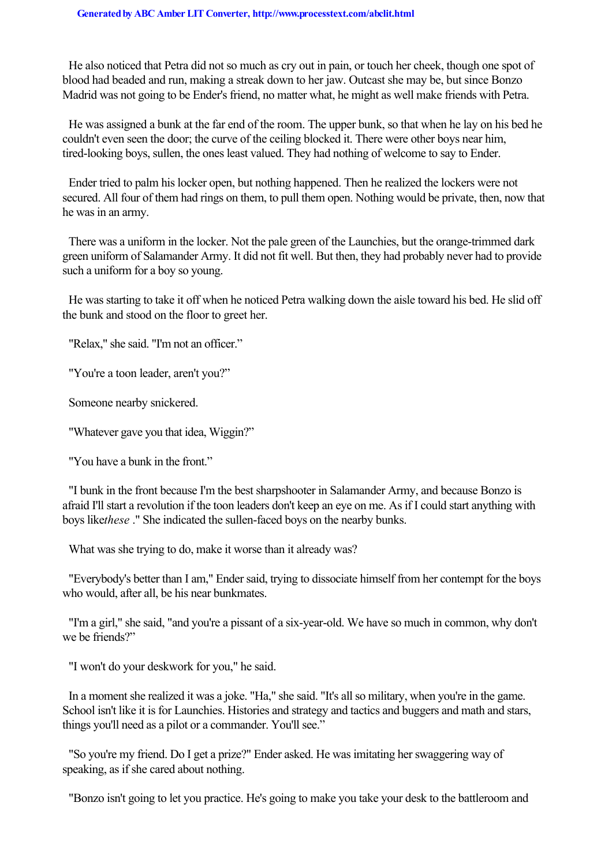He also noticed that Petra did not so much as cry out in pain, or touch her cheek, though one spot of blood had beaded and run, making a streak down to her jaw. Outcast she may be, but since Bonzo Madrid was not going to be Ender's friend, no matter what, he might as well make friends with Petra.

 He was assigned a bunk at the far end of the room. The upper bunk, so that when he lay on his bed he couldn't even seen the door; the curve of the ceiling blocked it. There were other boys near him, tired-looking boys, sullen, the ones least valued. They had nothing of welcome to say to Ender.

 Ender tried to palm his locker open, but nothing happened. Then he realized the lockers were not secured. All four of them had rings on them, to pull them open. Nothing would be private, then, now that he was in an army.

 There was a uniform in the locker. Not the pale green of the Launchies, but the orange-trimmed dark green uniform of Salamander Army. It did not fit well. But then, they had probably never had to provide such a uniform for a boy so young.

 He was starting to take it off when he noticed Petra walking down the aisle toward his bed. He slid off the bunk and stood on the floor to greet her.

"Relax," she said. "I'm not an officer."

"You're a toon leader, aren't you?"

Someone nearby snickered.

"Whatever gave you that idea, Wiggin?"

"You have a bunk in the front."

 "I bunk in the front because I'm the best sharpshooter in Salamander Army, and because Bonzo is afraid I'll start a revolution if the toon leaders don't keep an eye on me. As if I could start anything with boys like*these* ." She indicated the sullen-faced boys on the nearby bunks.

What was she trying to do, make it worse than it already was?

 "Everybody's better than I am," Ender said, trying to dissociate himself from her contempt for the boys who would, after all, be his near bunkmates.

 "I'm a girl," she said, "and you're a pissant of a six-year-old. We have so much in common, why don't we be friends?"

"I won't do your deskwork for you," he said.

 In a moment she realized it was a joke. "Ha," she said. "It's all so military, when you're in the game. School isn't like it is for Launchies. Histories and strategy and tactics and buggers and math and stars, things you'll need as a pilot or a commander. You'll see."

 "So you're my friend. Do I get a prize?" Ender asked. He was imitating her swaggering way of speaking, as if she cared about nothing.

"Bonzo isn't going to let you practice. He's going to make you take your desk to the battleroom and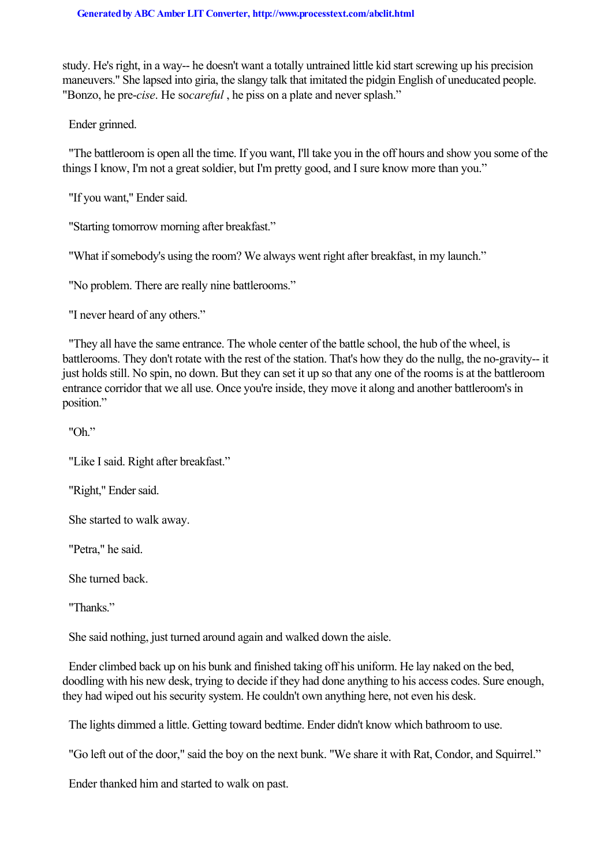study. He's right, in a way-- he doesn't want a totally untrained little kid start screwing up his precision maneuvers." She lapsed into giria, the slangy talk that imitated the pidgin English of uneducated people. "Bonzo, he pre-*cise*. He so*careful* , he piss on a plate and never splash."

Ender grinned.

 "The battleroom is open all the time. If you want, I'll take you in the off hours and show you some of the things I know, I'm not a great soldier, but I'm pretty good, and I sure know more than you."

"If you want," Ender said.

"Starting tomorrow morning after breakfast."

"What if somebody's using the room? We always went right after breakfast, in my launch."

"No problem. There are really nine battlerooms."

"I never heard of any others."

 "They all have the same entrance. The whole center of the battle school, the hub of the wheel, is battlerooms. They don't rotate with the rest of the station. That's how they do the nullg, the no-gravity-- it just holds still. No spin, no down. But they can set it up so that any one of the rooms is at the battleroom entrance corridor that we all use. Once you're inside, they move it along and another battleroom's in position."

"Oh."

"Like I said. Right after breakfast."

"Right," Ender said.

She started to walk away.

"Petra," he said.

She turned back.

"Thanks."

She said nothing, just turned around again and walked down the aisle.

 Ender climbed back up on his bunk and finished taking off his uniform. He lay naked on the bed, doodling with his new desk, trying to decide if they had done anything to his access codes. Sure enough, they had wiped out his security system. He couldn't own anything here, not even his desk.

The lights dimmed a little. Getting toward bedtime. Ender didn't know which bathroom to use.

"Go left out of the door," said the boy on the next bunk. "We share it with Rat, Condor, and Squirrel."

Ender thanked him and started to walk on past.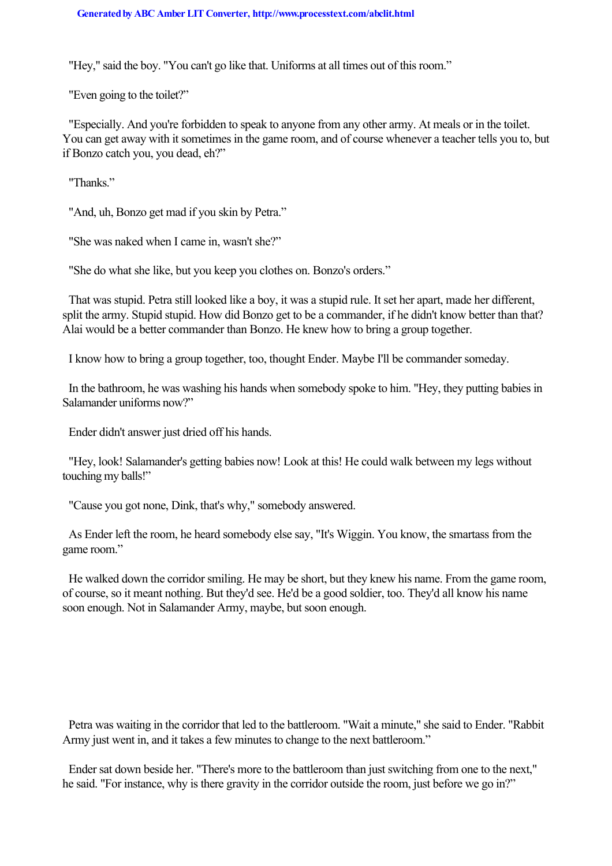"Hey," said the boy. "You can't go like that. Uniforms at all times out of this room."

"Even going to the toilet?"

 "Especially. And you're forbidden to speak to anyone from any other army. At meals or in the toilet. You can get away with it sometimes in the game room, and of course whenever a teacher tells you to, but if Bonzo catch you, you dead, eh?"

"Thanks."

"And, uh, Bonzo get mad if you skin by Petra."

"She was naked when I came in, wasn't she?"

"She do what she like, but you keep you clothes on. Bonzo's orders."

 That was stupid. Petra still looked like a boy, it was a stupid rule. It set her apart, made her different, split the army. Stupid stupid. How did Bonzo get to be a commander, if he didn't know better than that? Alai would be a better commander than Bonzo. He knew how to bring a group together.

I know how to bring a group together, too, thought Ender. Maybe I'll be commander someday.

 In the bathroom, he was washing his hands when somebody spoke to him. "Hey, they putting babies in Salamander uniforms now?"

Ender didn't answer just dried off his hands.

 "Hey, look! Salamander's getting babies now! Look at this! He could walk between my legs without touching my balls!"

"Cause you got none, Dink, that's why," somebody answered.

 As Ender left the room, he heard somebody else say, "It's Wiggin. You know, the smartass from the game room."

 He walked down the corridor smiling. He may be short, but they knew his name. From the game room, of course, so it meant nothing. But they'd see. He'd be a good soldier, too. They'd all know his name soon enough. Not in Salamander Army, maybe, but soon enough.

 Petra was waiting in the corridor that led to the battleroom. "Wait a minute," she said to Ender. "Rabbit Army just went in, and it takes a few minutes to change to the next battleroom."

 Ender sat down beside her. "There's more to the battleroom than just switching from one to the next," he said. "For instance, why is there gravity in the corridor outside the room, just before we go in?"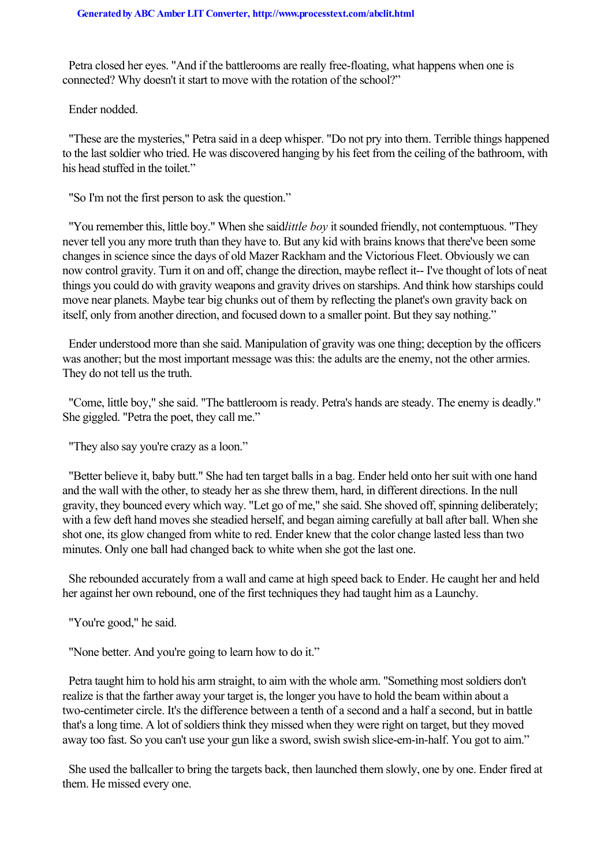Petra closed her eyes. "And if the battlerooms are really free-floating, what happens when one is connected? Why doesn't it start to move with the rotation of the school?"

Ender nodded.

 "These are the mysteries," Petra said in a deep whisper. "Do not pry into them. Terrible things happened to the last soldier who tried. He was discovered hanging by his feet from the ceiling of the bathroom, with his head stuffed in the toilet."

"So I'm not the first person to ask the question."

 "You remember this, little boy." When she said*little boy* it sounded friendly, not contemptuous. "They never tell you any more truth than they have to. But any kid with brains knows that there've been some changes in science since the days of old Mazer Rackham and the Victorious Fleet. Obviously we can now control gravity. Turn it on and off, change the direction, maybe reflect it-- I've thought of lots of neat things you could do with gravity weapons and gravity drives on starships. And think how starships could move near planets. Maybe tear big chunks out of them by reflecting the planet's own gravity back on itself, only from another direction, and focused down to a smaller point. But they say nothing."

 Ender understood more than she said. Manipulation of gravity was one thing; deception by the officers was another; but the most important message was this: the adults are the enemy, not the other armies. They do not tell us the truth.

 "Come, little boy," she said. "The battleroom is ready. Petra's hands are steady. The enemy is deadly." She giggled. "Petra the poet, they call me."

"They also say you're crazy as a loon."

 "Better believe it, baby butt." She had ten target balls in a bag. Ender held onto her suit with one hand and the wall with the other, to steady her as she threw them, hard, in different directions. In the null gravity, they bounced every which way. "Let go of me," she said. She shoved off, spinning deliberately; with a few deft hand moves she steadied herself, and began aiming carefully at ball after ball. When she shot one, its glow changed from white to red. Ender knew that the color change lasted less than two minutes. Only one ball had changed back to white when she got the last one.

 She rebounded accurately from a wall and came at high speed back to Ender. He caught her and held her against her own rebound, one of the first techniques they had taught him as a Launchy.

"You're good," he said.

"None better. And you're going to learn how to do it."

 Petra taught him to hold his arm straight, to aim with the whole arm. "Something most soldiers don't realize is that the farther away your target is, the longer you have to hold the beam within about a two-centimeter circle. It's the difference between a tenth of a second and a half a second, but in battle that's a long time. A lot of soldiers think they missed when they were right on target, but they moved away too fast. So you can't use your gun like a sword, swish swish slice-em-in-half. You got to aim."

 She used the ballcaller to bring the targets back, then launched them slowly, one by one. Ender fired at them. He missed every one.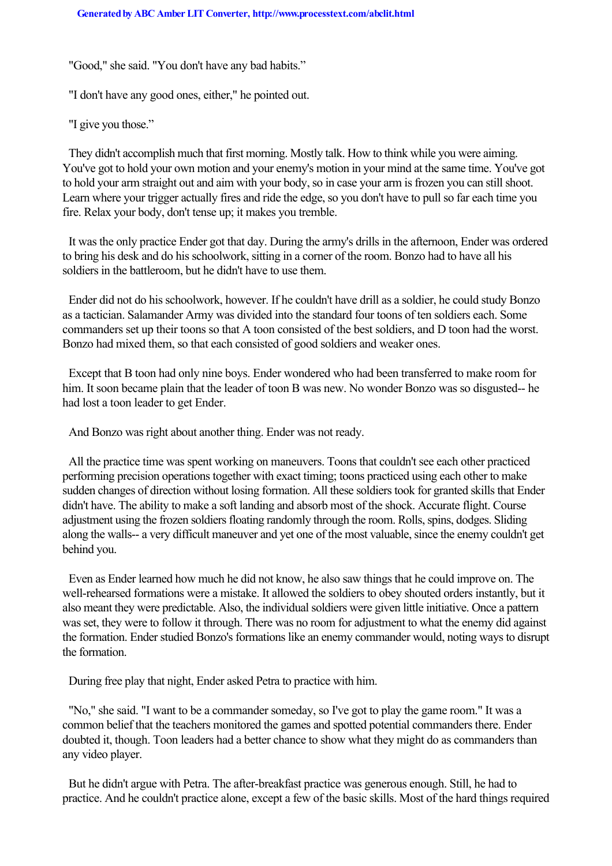"Good," she said. "You don't have any bad habits."

"I don't have any good ones, either," he pointed out.

"I give you those."

 They didn't accomplish much that first morning. Mostly talk. How to think while you were aiming. You've got to hold your own motion and your enemy's motion in your mind at the same time. You've got to hold your arm straight out and aim with your body, so in case your arm is frozen you can still shoot. Learn where your trigger actually fires and ride the edge, so you don't have to pull so far each time you fire. Relax your body, don't tense up; it makes you tremble.

 It was the only practice Ender got that day. During the army's drills in the afternoon, Ender was ordered to bring his desk and do his schoolwork, sitting in a corner of the room. Bonzo had to have all his soldiers in the battleroom, but he didn't have to use them.

 Ender did not do his schoolwork, however. If he couldn't have drill as a soldier, he could study Bonzo as a tactician. Salamander Army was divided into the standard four toons of ten soldiers each. Some commanders set up their toons so that A toon consisted of the best soldiers, and D toon had the worst. Bonzo had mixed them, so that each consisted of good soldiers and weaker ones.

 Except that B toon had only nine boys. Ender wondered who had been transferred to make room for him. It soon became plain that the leader of toon B was new. No wonder Bonzo was so disgusted-- he had lost a toon leader to get Ender.

And Bonzo was right about another thing. Ender was not ready.

 All the practice time was spent working on maneuvers. Toons that couldn't see each other practiced performing precision operations together with exact timing; toons practiced using each other to make sudden changes of direction without losing formation. All these soldiers took for granted skills that Ender didn't have. The ability to make a soft landing and absorb most of the shock. Accurate flight. Course adjustment using the frozen soldiers floating randomly through the room. Rolls, spins, dodges. Sliding along the walls-- a very difficult maneuver and yet one of the most valuable, since the enemy couldn't get behind you.

 Even as Ender learned how much he did not know, he also saw things that he could improve on. The well-rehearsed formations were a mistake. It allowed the soldiers to obey shouted orders instantly, but it also meant they were predictable. Also, the individual soldiers were given little initiative. Once a pattern was set, they were to follow it through. There was no room for adjustment to what the enemy did against the formation. Ender studied Bonzo's formations like an enemy commander would, noting ways to disrupt the formation.

During free play that night, Ender asked Petra to practice with him.

 "No," she said. "I want to be a commander someday, so I've got to play the game room." It was a common belief that the teachers monitored the games and spotted potential commanders there. Ender doubted it, though. Toon leaders had a better chance to show what they might do as commanders than any video player.

 But he didn't argue with Petra. The after-breakfast practice was generous enough. Still, he had to practice. And he couldn't practice alone, except a few of the basic skills. Most of the hard things required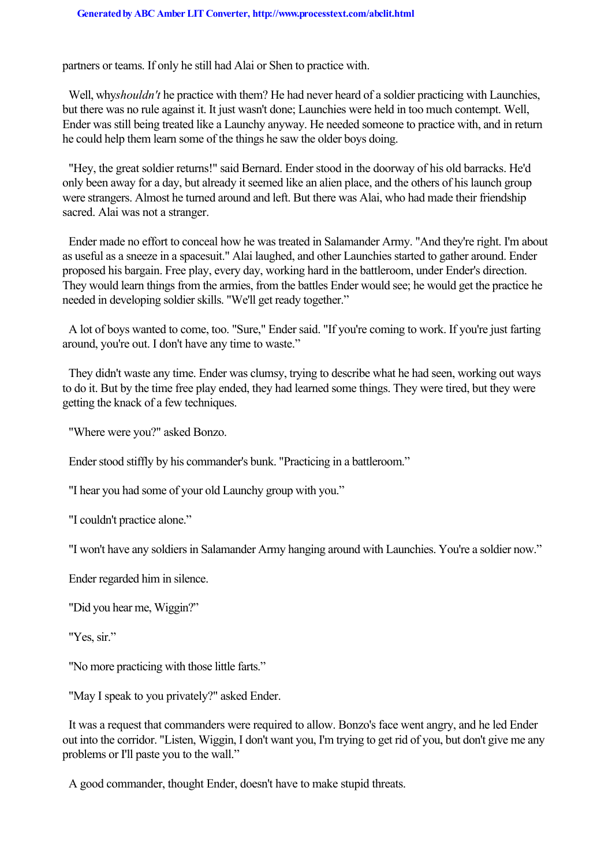partners or teams. If only he still had Alai or Shen to practice with.

Well, why*shouldn't* he practice with them? He had never heard of a soldier practicing with Launchies, but there was no rule against it. It just wasn't done; Launchies were held in too much contempt. Well, Ender was still being treated like a Launchy anyway. He needed someone to practice with, and in return he could help them learn some of the things he saw the older boys doing.

 "Hey, the great soldier returns!" said Bernard. Ender stood in the doorway of his old barracks. He'd only been away for a day, but already it seemed like an alien place, and the others of his launch group were strangers. Almost he turned around and left. But there was Alai, who had made their friendship sacred. Alai was not a stranger.

 Ender made no effort to conceal how he was treated in Salamander Army. "And they're right. I'm about as useful as a sneeze in a spacesuit." Alai laughed, and other Launchies started to gather around. Ender proposed his bargain. Free play, every day, working hard in the battleroom, under Ender's direction. They would learn things from the armies, from the battles Ender would see; he would get the practice he needed in developing soldier skills. "We'll get ready together."

 A lot of boys wanted to come, too. "Sure," Ender said. "If you're coming to work. If you're just farting around, you're out. I don't have any time to waste."

 They didn't waste any time. Ender was clumsy, trying to describe what he had seen, working out ways to do it. But by the time free play ended, they had learned some things. They were tired, but they were getting the knack of a few techniques.

"Where were you?" asked Bonzo.

Ender stood stiffly by his commander's bunk. "Practicing in a battleroom."

"I hear you had some of your old Launchy group with you."

"I couldn't practice alone."

"I won't have any soldiers in Salamander Army hanging around with Launchies. You're a soldier now."

Ender regarded him in silence.

"Did you hear me, Wiggin?"

"Yes, sir."

"No more practicing with those little farts."

"May I speak to you privately?" asked Ender.

 It was a request that commanders were required to allow. Bonzo's face went angry, and he led Ender out into the corridor. "Listen, Wiggin, I don't want you, I'm trying to get rid of you, but don't give me any problems or I'll paste you to the wall."

A good commander, thought Ender, doesn't have to make stupid threats.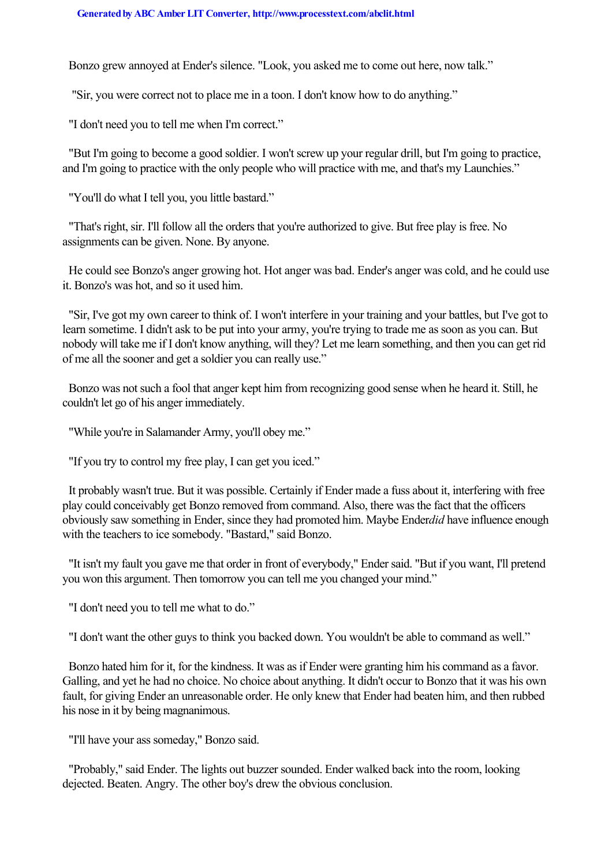Bonzo grew annoyed at Ender's silence. "Look, you asked me to come out here, now talk."

"Sir, you were correct not to place me in a toon. I don't know how to do anything."

"I don't need you to tell me when I'm correct."

 "But I'm going to become a good soldier. I won't screw up your regular drill, but I'm going to practice, and I'm going to practice with the only people who will practice with me, and that's my Launchies."

"You'll do what I tell you, you little bastard."

 "That's right, sir. I'll follow all the orders that you're authorized to give. But free play is free. No assignments can be given. None. By anyone.

 He could see Bonzo's anger growing hot. Hot anger was bad. Ender's anger was cold, and he could use it. Bonzo's was hot, and so it used him.

 "Sir, I've got my own career to think of. I won't interfere in your training and your battles, but I've got to learn sometime. I didn't ask to be put into your army, you're trying to trade me as soon as you can. But nobody will take me if I don't know anything, will they? Let me learn something, and then you can get rid of me all the sooner and get a soldier you can really use."

 Bonzo was not such a fool that anger kept him from recognizing good sense when he heard it. Still, he couldn't let go of his anger immediately.

"While you're in Salamander Army, you'll obey me."

"If you try to control my free play, I can get you iced."

 It probably wasn't true. But it was possible. Certainly if Ender made a fuss about it, interfering with free play could conceivably get Bonzo removed from command. Also, there was the fact that the officers obviously saw something in Ender, since they had promoted him. Maybe Ender*did* have influence enough with the teachers to ice somebody. "Bastard," said Bonzo.

 "It isn't my fault you gave me that order in front of everybody," Ender said. "But if you want, I'll pretend you won this argument. Then tomorrow you can tell me you changed your mind."

"I don't need you to tell me what to do."

"I don't want the other guys to think you backed down. You wouldn't be able to command as well."

 Bonzo hated him for it, for the kindness. It was as if Ender were granting him his command as a favor. Galling, and yet he had no choice. No choice about anything. It didn't occur to Bonzo that it was his own fault, for giving Ender an unreasonable order. He only knew that Ender had beaten him, and then rubbed his nose in it by being magnanimous.

"I'll have your ass someday," Bonzo said.

 "Probably," said Ender. The lights out buzzer sounded. Ender walked back into the room, looking dejected. Beaten. Angry. The other boy's drew the obvious conclusion.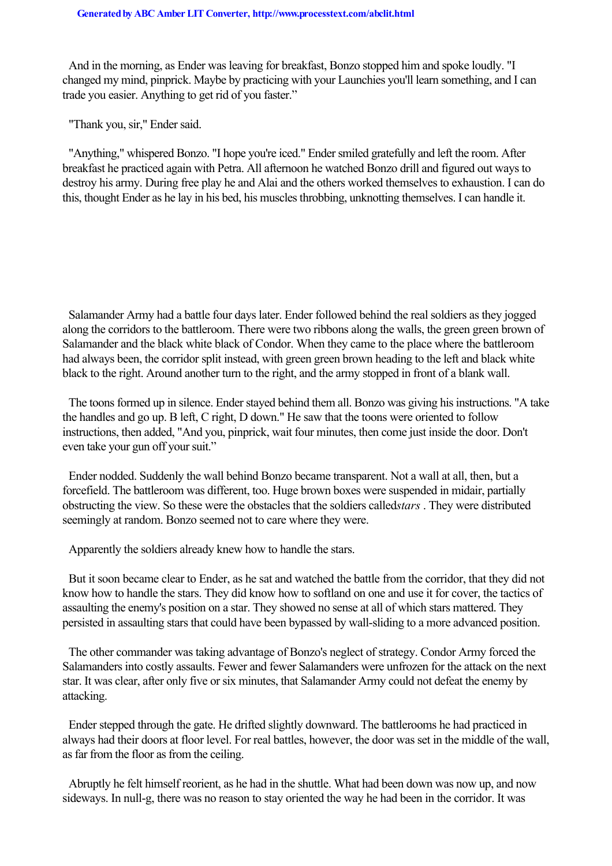And in the morning, as Ender was leaving for breakfast, Bonzo stopped him and spoke loudly. "I changed my mind, pinprick. Maybe by practicing with your Launchies you'll learn something, and I can trade you easier. Anything to get rid of you faster."

"Thank you, sir," Ender said.

 "Anything," whispered Bonzo. "I hope you're iced." Ender smiled gratefully and left the room. After breakfast he practiced again with Petra. All afternoon he watched Bonzo drill and figured out ways to destroy his army. During free play he and Alai and the others worked themselves to exhaustion. I can do this, thought Ender as he lay in his bed, his muscles throbbing, unknotting themselves. I can handle it.

 Salamander Army had a battle four days later. Ender followed behind the real soldiers as they jogged along the corridors to the battleroom. There were two ribbons along the walls, the green green brown of Salamander and the black white black of Condor. When they came to the place where the battleroom had always been, the corridor split instead, with green green brown heading to the left and black white black to the right. Around another turn to the right, and the army stopped in front of a blank wall.

 The toons formed up in silence. Ender stayed behind them all. Bonzo was giving his instructions. "A take the handles and go up. B left, C right, D down." He saw that the toons were oriented to follow instructions, then added, "And you, pinprick, wait four minutes, then come just inside the door. Don't even take your gun off your suit."

 Ender nodded. Suddenly the wall behind Bonzo became transparent. Not a wall at all, then, but a forcefield. The battleroom was different, too. Huge brown boxes were suspended in midair, partially obstructing the view. So these were the obstacles that the soldiers called*stars* . They were distributed seemingly at random. Bonzo seemed not to care where they were.

Apparently the soldiers already knew how to handle the stars.

 But it soon became clear to Ender, as he sat and watched the battle from the corridor, that they did not know how to handle the stars. They did know how to softland on one and use it for cover, the tactics of assaulting the enemy's position on a star. They showed no sense at all of which stars mattered. They persisted in assaulting stars that could have been bypassed by wall-sliding to a more advanced position.

 The other commander was taking advantage of Bonzo's neglect of strategy. Condor Army forced the Salamanders into costly assaults. Fewer and fewer Salamanders were unfrozen for the attack on the next star. It was clear, after only five or six minutes, that Salamander Army could not defeat the enemy by attacking.

 Ender stepped through the gate. He drifted slightly downward. The battlerooms he had practiced in always had their doors at floor level. For real battles, however, the door was set in the middle of the wall, as far from the floor as from the ceiling.

 Abruptly he felt himself reorient, as he had in the shuttle. What had been down was now up, and now sideways. In null-g, there was no reason to stay oriented the way he had been in the corridor. It was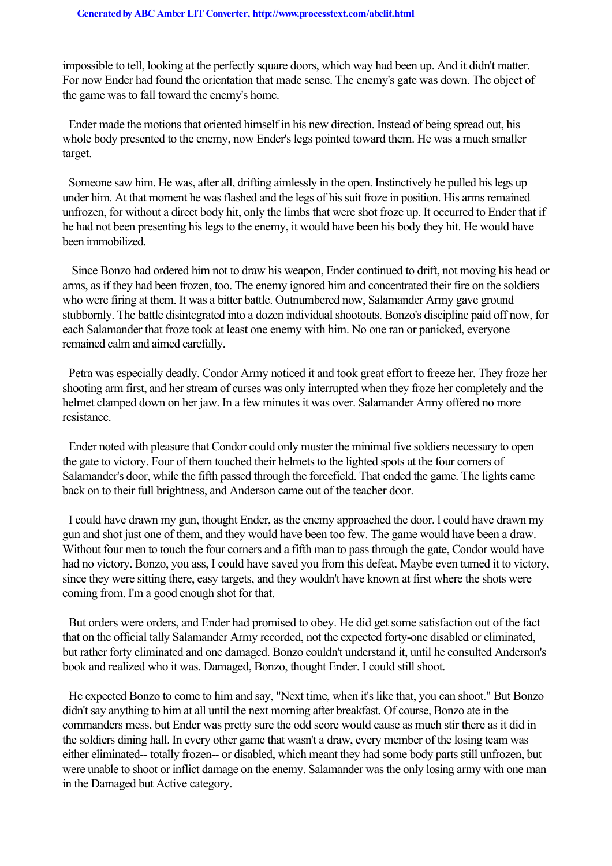impossible to tell, looking at the perfectly square doors, which way had been up. And it didn't matter. For now Ender had found the orientation that made sense. The enemy's gate was down. The object of the game was to fall toward the enemy's home.

 Ender made the motions that oriented himself in his new direction. Instead of being spread out, his whole body presented to the enemy, now Ender's legs pointed toward them. He was a much smaller target.

 Someone saw him. He was, after all, drifting aimlessly in the open. Instinctively he pulled his legs up under him. At that moment he was flashed and the legs of his suit froze in position. His arms remained unfrozen, for without a direct body hit, only the limbs that were shot froze up. It occurred to Ender that if he had not been presenting his legs to the enemy, it would have been his body they hit. He would have been immobilized.

 Since Bonzo had ordered him not to draw his weapon, Ender continued to drift, not moving his head or arms, as if they had been frozen, too. The enemy ignored him and concentrated their fire on the soldiers who were firing at them. It was a bitter battle. Outnumbered now, Salamander Army gave ground stubbornly. The battle disintegrated into a dozen individual shootouts. Bonzo's discipline paid off now, for each Salamander that froze took at least one enemy with him. No one ran or panicked, everyone remained calm and aimed carefully.

 Petra was especially deadly. Condor Army noticed it and took great effort to freeze her. They froze her shooting arm first, and her stream of curses was only interrupted when they froze her completely and the helmet clamped down on her jaw. In a few minutes it was over. Salamander Army offered no more resistance.

 Ender noted with pleasure that Condor could only muster the minimal five soldiers necessary to open the gate to victory. Four of them touched their helmets to the lighted spots at the four corners of Salamander's door, while the fifth passed through the forcefield. That ended the game. The lights came back on to their full brightness, and Anderson came out of the teacher door.

 I could have drawn my gun, thought Ender, as the enemy approached the door. l could have drawn my gun and shot just one of them, and they would have been too few. The game would have been a draw. Without four men to touch the four corners and a fifth man to pass through the gate, Condor would have had no victory. Bonzo, you ass, I could have saved you from this defeat. Maybe even turned it to victory, since they were sitting there, easy targets, and they wouldn't have known at first where the shots were coming from. I'm a good enough shot for that.

 But orders were orders, and Ender had promised to obey. He did get some satisfaction out of the fact that on the official tally Salamander Army recorded, not the expected forty-one disabled or eliminated, but rather forty eliminated and one damaged. Bonzo couldn't understand it, until he consulted Anderson's book and realized who it was. Damaged, Bonzo, thought Ender. I could still shoot.

 He expected Bonzo to come to him and say, "Next time, when it's like that, you can shoot." But Bonzo didn't say anything to him at all until the next morning after breakfast. Of course, Bonzo ate in the commanders mess, but Ender was pretty sure the odd score would cause as much stir there as it did in the soldiers dining hall. In every other game that wasn't a draw, every member of the losing team was either eliminated-- totally frozen-- or disabled, which meant they had some body parts still unfrozen, but were unable to shoot or inflict damage on the enemy. Salamander was the only losing army with one man in the Damaged but Active category.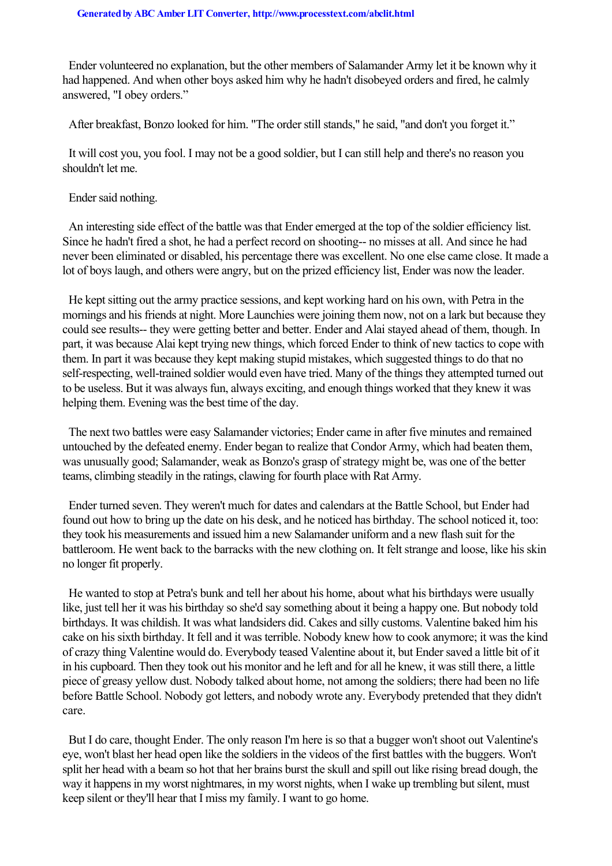Ender volunteered no explanation, but the other members of Salamander Army let it be known why it had happened. And when other boys asked him why he hadn't disobeyed orders and fired, he calmly answered, "I obey orders."

After breakfast, Bonzo looked for him. "The order still stands," he said, "and don't you forget it."

 It will cost you, you fool. I may not be a good soldier, but I can still help and there's no reason you shouldn't let me.

Ender said nothing.

 An interesting side effect of the battle was that Ender emerged at the top of the soldier efficiency list. Since he hadn't fired a shot, he had a perfect record on shooting-- no misses at all. And since he had never been eliminated or disabled, his percentage there was excellent. No one else came close. It made a lot of boys laugh, and others were angry, but on the prized efficiency list, Ender was now the leader.

 He kept sitting out the army practice sessions, and kept working hard on his own, with Petra in the mornings and his friends at night. More Launchies were joining them now, not on a lark but because they could see results-- they were getting better and better. Ender and Alai stayed ahead of them, though. In part, it was because Alai kept trying new things, which forced Ender to think of new tactics to cope with them. In part it was because they kept making stupid mistakes, which suggested things to do that no self-respecting, well-trained soldier would even have tried. Many of the things they attempted turned out to be useless. But it was always fun, always exciting, and enough things worked that they knew it was helping them. Evening was the best time of the day.

 The next two battles were easy Salamander victories; Ender came in after five minutes and remained untouched by the defeated enemy. Ender began to realize that Condor Army, which had beaten them, was unusually good; Salamander, weak as Bonzo's grasp of strategy might be, was one of the better teams, climbing steadily in the ratings, clawing for fourth place with Rat Army.

 Ender turned seven. They weren't much for dates and calendars at the Battle School, but Ender had found out how to bring up the date on his desk, and he noticed has birthday. The school noticed it, too: they took his measurements and issued him a new Salamander uniform and a new flash suit for the battleroom. He went back to the barracks with the new clothing on. It felt strange and loose, like his skin no longer fit properly.

 He wanted to stop at Petra's bunk and tell her about his home, about what his birthdays were usually like, just tell her it was his birthday so she'd say something about it being a happy one. But nobody told birthdays. It was childish. It was what landsiders did. Cakes and silly customs. Valentine baked him his cake on his sixth birthday. It fell and it was terrible. Nobody knew how to cook anymore; it was the kind of crazy thing Valentine would do. Everybody teased Valentine about it, but Ender saved a little bit of it in his cupboard. Then they took out his monitor and he left and for all he knew, it was still there, a little piece of greasy yellow dust. Nobody talked about home, not among the soldiers; there had been no life before Battle School. Nobody got letters, and nobody wrote any. Everybody pretended that they didn't care.

 But I do care, thought Ender. The only reason I'm here is so that a bugger won't shoot out Valentine's eye, won't blast her head open like the soldiers in the videos of the first battles with the buggers. Won't split her head with a beam so hot that her brains burst the skull and spill out like rising bread dough, the way it happens in my worst nightmares, in my worst nights, when I wake up trembling but silent, must keep silent or they'll hear that I miss my family. I want to go home.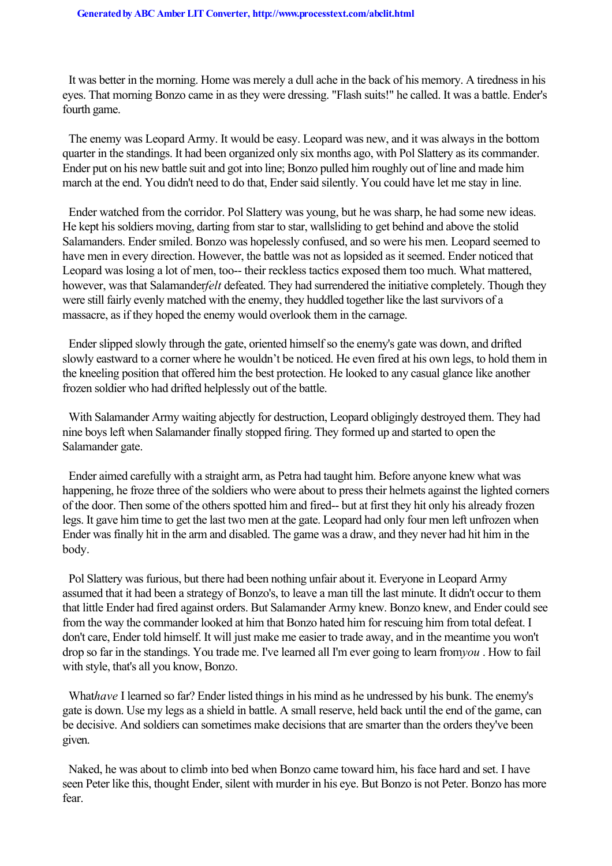It was better in the morning. Home was merely a dull ache in the back of his memory. A tiredness in his eyes. That morning Bonzo came in as they were dressing. "Flash suits!" he called. It was a battle. Ender's fourth game.

 The enemy was Leopard Army. It would be easy. Leopard was new, and it was always in the bottom quarter in the standings. It had been organized only six months ago, with Pol Slattery as its commander. Ender put on his new battle suit and got into line; Bonzo pulled him roughly out of line and made him march at the end. You didn't need to do that, Ender said silently. You could have let me stay in line.

 Ender watched from the corridor. Pol Slattery was young, but he was sharp, he had some new ideas. He kept his soldiers moving, darting from star to star, wallsliding to get behind and above the stolid Salamanders. Ender smiled. Bonzo was hopelessly confused, and so were his men. Leopard seemed to have men in every direction. However, the battle was not as lopsided as it seemed. Ender noticed that Leopard was losing a lot of men, too-- their reckless tactics exposed them too much. What mattered, however, was that Salamander*felt* defeated. They had surrendered the initiative completely. Though they were still fairly evenly matched with the enemy, they huddled together like the last survivors of a massacre, as if they hoped the enemy would overlook them in the carnage.

 Ender slipped slowly through the gate, oriented himself so the enemy's gate was down, and drifted slowly eastward to a corner where he wouldn't be noticed. He even fired at his own legs, to hold them in the kneeling position that offered him the best protection. He looked to any casual glance like another frozen soldier who had drifted helplessly out of the battle.

 With Salamander Army waiting abjectly for destruction, Leopard obligingly destroyed them. They had nine boys left when Salamander finally stopped firing. They formed up and started to open the Salamander gate.

 Ender aimed carefully with a straight arm, as Petra had taught him. Before anyone knew what was happening, he froze three of the soldiers who were about to press their helmets against the lighted corners of the door. Then some of the others spotted him and fired-- but at first they hit only his already frozen legs. It gave him time to get the last two men at the gate. Leopard had only four men left unfrozen when Ender was finally hit in the arm and disabled. The game was a draw, and they never had hit him in the body.

 Pol Slattery was furious, but there had been nothing unfair about it. Everyone in Leopard Army assumed that it had been a strategy of Bonzo's, to leave a man till the last minute. It didn't occur to them that little Ender had fired against orders. But Salamander Army knew. Bonzo knew, and Ender could see from the way the commander looked at him that Bonzo hated him for rescuing him from total defeat. I don't care, Ender told himself. It will just make me easier to trade away, and in the meantime you won't drop so far in the standings. You trade me. I've learned all I'm ever going to learn from*you* . How to fail with style, that's all you know, Bonzo.

 What*have* I learned so far? Ender listed things in his mind as he undressed by his bunk. The enemy's gate is down. Use my legs as a shield in battle. A small reserve, held back until the end of the game, can be decisive. And soldiers can sometimes make decisions that are smarter than the orders they've been given.

 Naked, he was about to climb into bed when Bonzo came toward him, his face hard and set. I have seen Peter like this, thought Ender, silent with murder in his eye. But Bonzo is not Peter. Bonzo has more fear.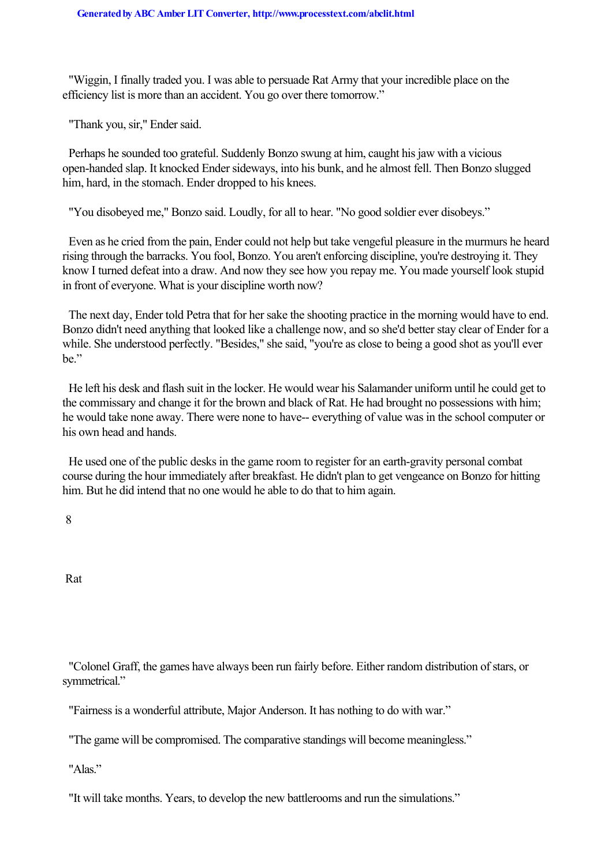"Wiggin, I finally traded you. I was able to persuade Rat Army that your incredible place on the efficiency list is more than an accident. You go over there tomorrow."

"Thank you, sir," Ender said.

 Perhaps he sounded too grateful. Suddenly Bonzo swung at him, caught his jaw with a vicious open-handed slap. It knocked Ender sideways, into his bunk, and he almost fell. Then Bonzo slugged him, hard, in the stomach. Ender dropped to his knees.

"You disobeyed me," Bonzo said. Loudly, for all to hear. "No good soldier ever disobeys."

 Even as he cried from the pain, Ender could not help but take vengeful pleasure in the murmurs he heard rising through the barracks. You fool, Bonzo. You aren't enforcing discipline, you're destroying it. They know I turned defeat into a draw. And now they see how you repay me. You made yourself look stupid in front of everyone. What is your discipline worth now?

 The next day, Ender told Petra that for her sake the shooting practice in the morning would have to end. Bonzo didn't need anything that looked like a challenge now, and so she'd better stay clear of Ender for a while. She understood perfectly. "Besides," she said, "you're as close to being a good shot as you'll ever he"

 He left his desk and flash suit in the locker. He would wear his Salamander uniform until he could get to the commissary and change it for the brown and black of Rat. He had brought no possessions with him; he would take none away. There were none to have-- everything of value was in the school computer or his own head and hands.

 He used one of the public desks in the game room to register for an earth-gravity personal combat course during the hour immediately after breakfast. He didn't plan to get vengeance on Bonzo for hitting him. But he did intend that no one would he able to do that to him again.

8

Rat

 "Colonel Graff, the games have always been run fairly before. Either random distribution of stars, or symmetrical."

"Fairness is a wonderful attribute, Major Anderson. It has nothing to do with war."

"The game will be compromised. The comparative standings will become meaningless."

"Alas."

"It will take months. Years, to develop the new battlerooms and run the simulations."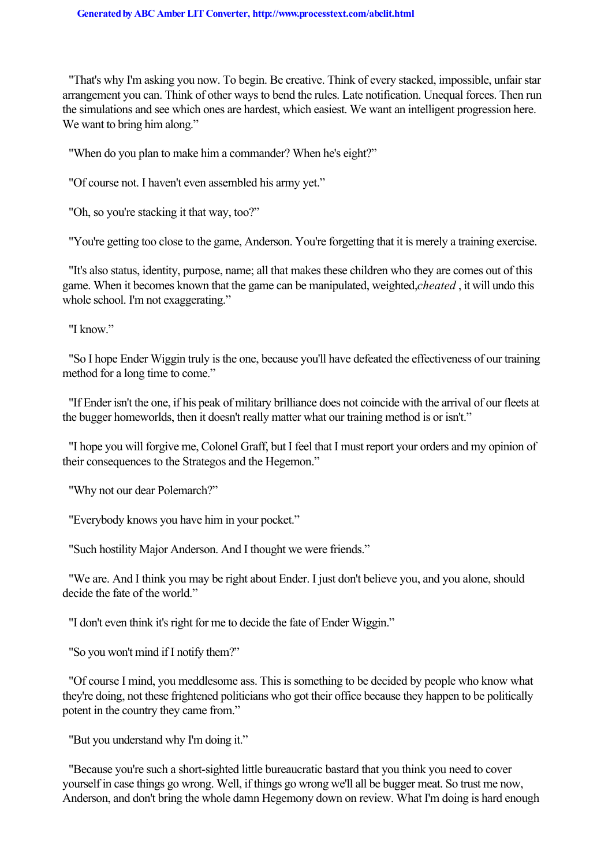"That's why I'm asking you now. To begin. Be creative. Think of every stacked, impossible, unfair star arrangement you can. Think of other ways to bend the rules. Late notification. Unequal forces. Then run the simulations and see which ones are hardest, which easiest. We want an intelligent progression here. We want to bring him along."

"When do you plan to make him a commander? When he's eight?"

"Of course not. I haven't even assembled his army yet."

"Oh, so you're stacking it that way, too?"

"You're getting too close to the game, Anderson. You're forgetting that it is merely a training exercise.

 "It's also status, identity, purpose, name; all that makes these children who they are comes out of this game. When it becomes known that the game can be manipulated, weighted,*cheated* , it will undo this whole school. I'm not exaggerating."

"I know"

 "So I hope Ender Wiggin truly is the one, because you'll have defeated the effectiveness of our training method for a long time to come."

 "If Ender isn't the one, if his peak of military brilliance does not coincide with the arrival of our fleets at the bugger homeworlds, then it doesn't really matter what our training method is or isn't."

 "I hope you will forgive me, Colonel Graff, but I feel that I must report your orders and my opinion of their consequences to the Strategos and the Hegemon."

"Why not our dear Polemarch?"

"Everybody knows you have him in your pocket."

"Such hostility Major Anderson. And I thought we were friends."

 "We are. And I think you may be right about Ender. I just don't believe you, and you alone, should decide the fate of the world."

"I don't even think it's right for me to decide the fate of Ender Wiggin."

"So you won't mind if I notify them?"

 "Of course I mind, you meddlesome ass. This is something to be decided by people who know what they're doing, not these frightened politicians who got their office because they happen to be politically potent in the country they came from."

"But you understand why I'm doing it."

 "Because you're such a short-sighted little bureaucratic bastard that you think you need to cover yourself in case things go wrong. Well, if things go wrong we'll all be bugger meat. So trust me now, Anderson, and don't bring the whole damn Hegemony down on review. What I'm doing is hard enough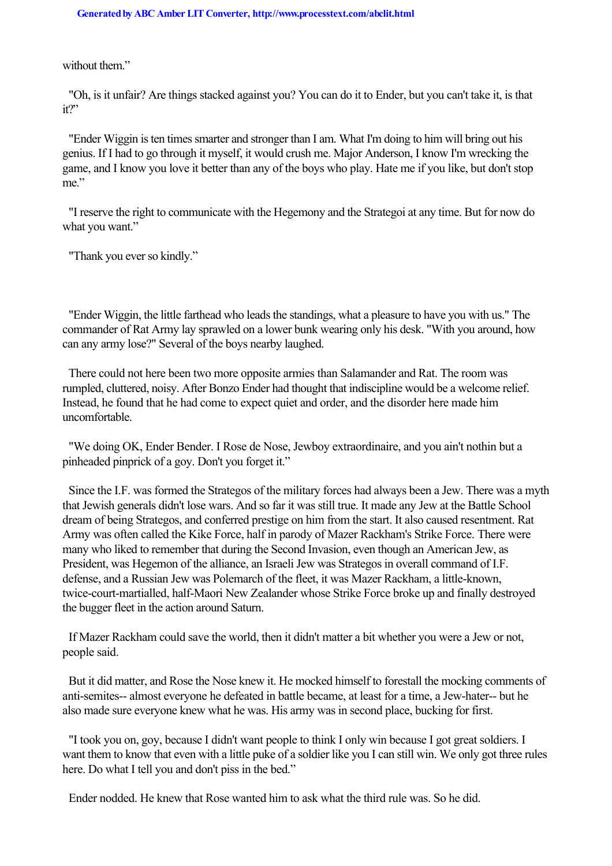without them."

 "Oh, is it unfair? Are things stacked against you? You can do it to Ender, but you can't take it, is that it?"

 "Ender Wiggin is ten times smarter and stronger than I am. What I'm doing to him will bring out his genius. If I had to go through it myself, it would crush me. Major Anderson, I know I'm wrecking the game, and I know you love it better than any of the boys who play. Hate me if you like, but don't stop me."

 "I reserve the right to communicate with the Hegemony and the Strategoi at any time. But for now do what you want."

"Thank you ever so kindly."

 "Ender Wiggin, the little farthead who leads the standings, what a pleasure to have you with us." The commander of Rat Army lay sprawled on a lower bunk wearing only his desk. "With you around, how can any army lose?" Several of the boys nearby laughed.

 There could not here been two more opposite armies than Salamander and Rat. The room was rumpled, cluttered, noisy. After Bonzo Ender had thought that indiscipline would be a welcome relief. Instead, he found that he had come to expect quiet and order, and the disorder here made him uncomfortable.

 "We doing OK, Ender Bender. I Rose de Nose, Jewboy extraordinaire, and you ain't nothin but a pinheaded pinprick of a goy. Don't you forget it."

 Since the I.F. was formed the Strategos of the military forces had always been a Jew. There was a myth that Jewish generals didn't lose wars. And so far it was still true. It made any Jew at the Battle School dream of being Strategos, and conferred prestige on him from the start. It also caused resentment. Rat Army was often called the Kike Force, half in parody of Mazer Rackham's Strike Force. There were many who liked to remember that during the Second Invasion, even though an American Jew, as President, was Hegemon of the alliance, an Israeli Jew was Strategos in overall command of I.F. defense, and a Russian Jew was Polemarch of the fleet, it was Mazer Rackham, a little-known, twice-court-martialled, half-Maori New Zealander whose Strike Force broke up and finally destroyed the bugger fleet in the action around Saturn.

 If Mazer Rackham could save the world, then it didn't matter a bit whether you were a Jew or not, people said.

 But it did matter, and Rose the Nose knew it. He mocked himself to forestall the mocking comments of anti-semites-- almost everyone he defeated in battle became, at least for a time, a Jew-hater-- but he also made sure everyone knew what he was. His army was in second place, bucking for first.

 "I took you on, goy, because I didn't want people to think I only win because I got great soldiers. I want them to know that even with a little puke of a soldier like you I can still win. We only got three rules here. Do what I tell you and don't piss in the bed."

Ender nodded. He knew that Rose wanted him to ask what the third rule was. So he did.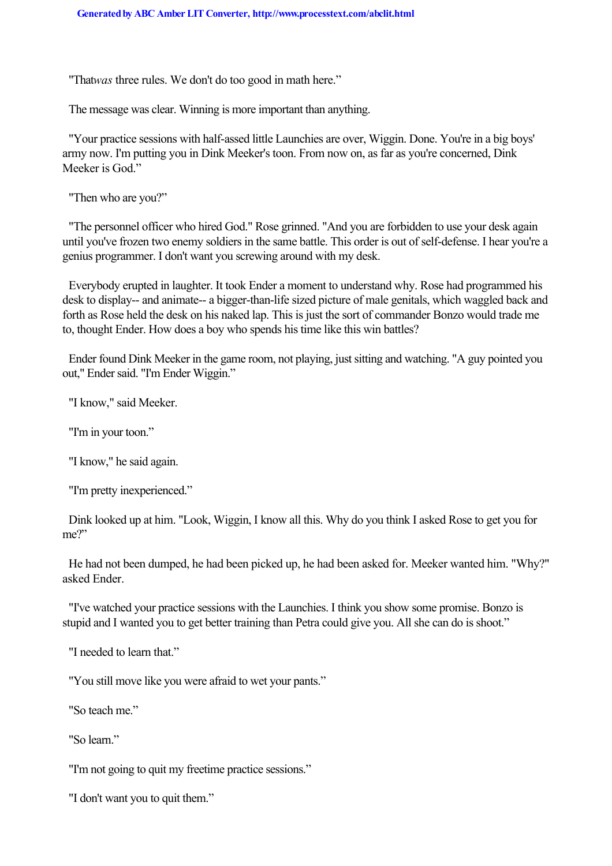"That*was* three rules. We don't do too good in math here."

The message was clear. Winning is more important than anything.

 "Your practice sessions with half-assed little Launchies are over, Wiggin. Done. You're in a big boys' army now. I'm putting you in Dink Meeker's toon. From now on, as far as you're concerned, Dink Meeker is God."

"Then who are you?"

 "The personnel officer who hired God." Rose grinned. "And you are forbidden to use your desk again until you've frozen two enemy soldiers in the same battle. This order is out of self-defense. I hear you're a genius programmer. I don't want you screwing around with my desk.

 Everybody erupted in laughter. It took Ender a moment to understand why. Rose had programmed his desk to display-- and animate-- a bigger-than-life sized picture of male genitals, which waggled back and forth as Rose held the desk on his naked lap. This is just the sort of commander Bonzo would trade me to, thought Ender. How does a boy who spends his time like this win battles?

 Ender found Dink Meeker in the game room, not playing, just sitting and watching. "A guy pointed you out," Ender said. "I'm Ender Wiggin."

"I know," said Meeker.

"I'm in your toon."

"I know," he said again.

"I'm pretty inexperienced."

 Dink looked up at him. "Look, Wiggin, I know all this. Why do you think I asked Rose to get you for me?"

 He had not been dumped, he had been picked up, he had been asked for. Meeker wanted him. "Why?" asked Ender.

 "I've watched your practice sessions with the Launchies. I think you show some promise. Bonzo is stupid and I wanted you to get better training than Petra could give you. All she can do is shoot."

"I needed to learn that."

"You still move like you were afraid to wet your pants."

"So teach me."

"So learn."

"I'm not going to quit my freetime practice sessions."

"I don't want you to quit them."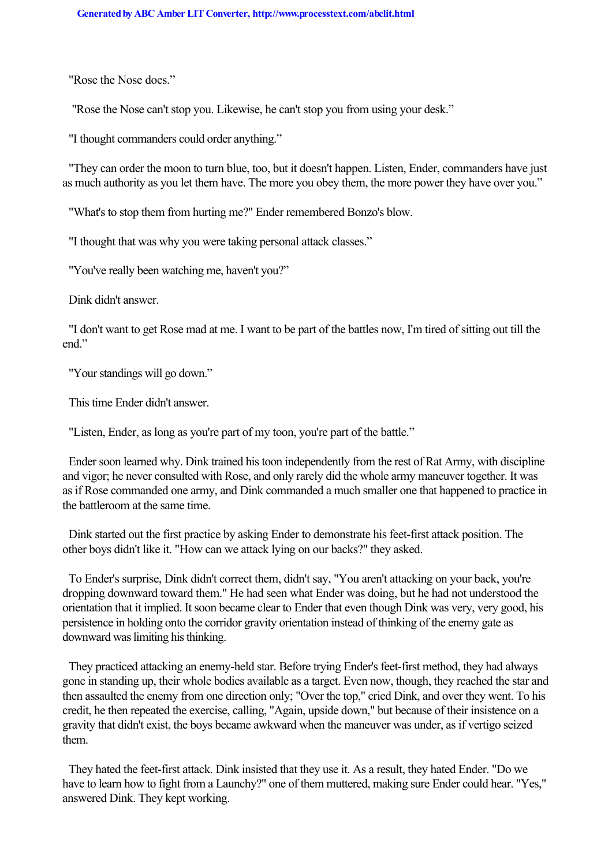"Rose the Nose does."

"Rose the Nose can't stop you. Likewise, he can't stop you from using your desk."

"I thought commanders could order anything."

 "They can order the moon to turn blue, too, but it doesn't happen. Listen, Ender, commanders have just as much authority as you let them have. The more you obey them, the more power they have over you."

"What's to stop them from hurting me?" Ender remembered Bonzo's blow.

"I thought that was why you were taking personal attack classes."

"You've really been watching me, haven't you?"

Dink didn't answer.

 "I don't want to get Rose mad at me. I want to be part of the battles now, I'm tired of sitting out till the end"

"Your standings will go down."

This time Ender didn't answer.

"Listen, Ender, as long as you're part of my toon, you're part of the battle."

 Ender soon learned why. Dink trained his toon independently from the rest of Rat Army, with discipline and vigor; he never consulted with Rose, and only rarely did the whole army maneuver together. It was as if Rose commanded one army, and Dink commanded a much smaller one that happened to practice in the battleroom at the same time.

 Dink started out the first practice by asking Ender to demonstrate his feet-first attack position. The other boys didn't like it. "How can we attack lying on our backs?" they asked.

 To Ender's surprise, Dink didn't correct them, didn't say, "You aren't attacking on your back, you're dropping downward toward them." He had seen what Ender was doing, but he had not understood the orientation that it implied. It soon became clear to Ender that even though Dink was very, very good, his persistence in holding onto the corridor gravity orientation instead of thinking of the enemy gate as downward was limiting his thinking.

 They practiced attacking an enemy-held star. Before trying Ender's feet-first method, they had always gone in standing up, their whole bodies available as a target. Even now, though, they reached the star and then assaulted the enemy from one direction only; "Over the top," cried Dink, and over they went. To his credit, he then repeated the exercise, calling, "Again, upside down," but because of their insistence on a gravity that didn't exist, the boys became awkward when the maneuver was under, as if vertigo seized them.

 They hated the feet-first attack. Dink insisted that they use it. As a result, they hated Ender. "Do we have to learn how to fight from a Launchy?" one of them muttered, making sure Ender could hear. "Yes," answered Dink. They kept working.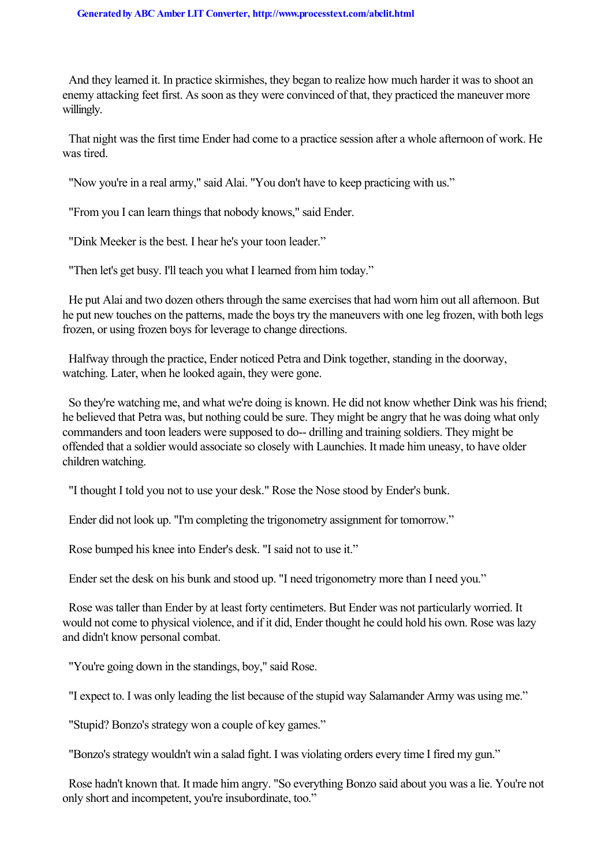And they learned it. In practice skirmishes, they began to realize how much harder it was to shoot an enemy attacking feet first. As soon as they were convinced of that, they practiced the maneuver more willingly.

 That night was the first time Ender had come to a practice session after a whole afternoon of work. He was tired.

"Now you're in a real army," said Alai. "You don't have to keep practicing with us."

"From you I can learn things that nobody knows," said Ender.

"Dink Meeker is the best. I hear he's your toon leader."

"Then let's get busy. I'll teach you what I learned from him today."

 He put Alai and two dozen others through the same exercises that had worn him out all afternoon. But he put new touches on the patterns, made the boys try the maneuvers with one leg frozen, with both legs frozen, or using frozen boys for leverage to change directions.

 Halfway through the practice, Ender noticed Petra and Dink together, standing in the doorway, watching. Later, when he looked again, they were gone.

 So they're watching me, and what we're doing is known. He did not know whether Dink was his friend; he believed that Petra was, but nothing could be sure. They might be angry that he was doing what only commanders and toon leaders were supposed to do-- drilling and training soldiers. They might be offended that a soldier would associate so closely with Launchies. It made him uneasy, to have older children watching.

"I thought I told you not to use your desk." Rose the Nose stood by Ender's bunk.

Ender did not look up. "I'm completing the trigonometry assignment for tomorrow."

Rose bumped his knee into Ender's desk. "I said not to use it."

Ender set the desk on his bunk and stood up. "I need trigonometry more than I need you."

 Rose was taller than Ender by at least forty centimeters. But Ender was not particularly worried. It would not come to physical violence, and if it did, Ender thought he could hold his own. Rose was lazy and didn't know personal combat.

"You're going down in the standings, boy," said Rose.

"I expect to. I was only leading the list because of the stupid way Salamander Army was using me."

"Stupid? Bonzo's strategy won a couple of key games."

"Bonzo's strategy wouldn't win a salad fight. I was violating orders every time I fired my gun."

 Rose hadn't known that. It made him angry. "So everything Bonzo said about you was a lie. You're not only short and incompetent, you're insubordinate, too."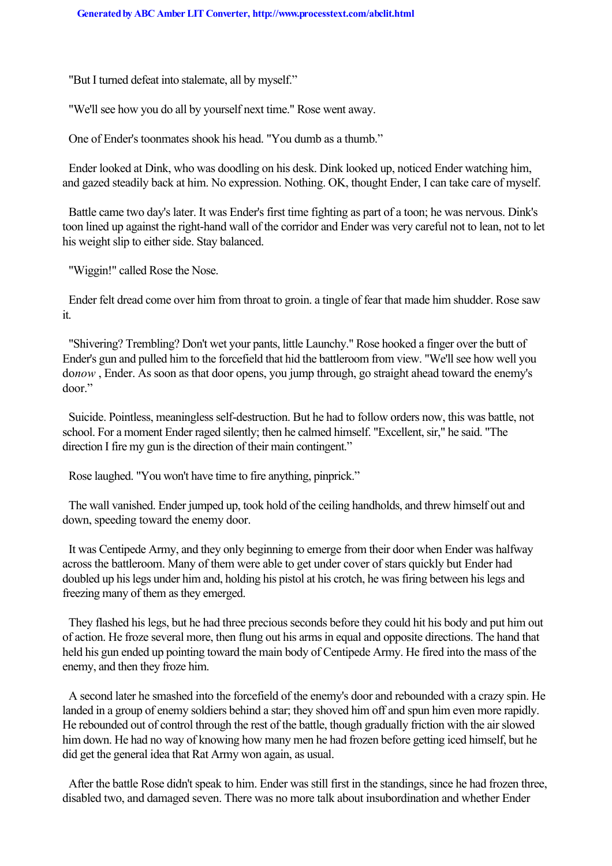"But I turned defeat into stalemate, all by myself."

"We'll see how you do all by yourself next time." Rose went away.

One of Ender's toonmates shook his head. "You dumb as a thumb."

 Ender looked at Dink, who was doodling on his desk. Dink looked up, noticed Ender watching him, and gazed steadily back at him. No expression. Nothing. OK, thought Ender, I can take care of myself.

 Battle came two day's later. It was Ender's first time fighting as part of a toon; he was nervous. Dink's toon lined up against the right-hand wall of the corridor and Ender was very careful not to lean, not to let his weight slip to either side. Stay balanced.

"Wiggin!" called Rose the Nose.

 Ender felt dread come over him from throat to groin. a tingle of fear that made him shudder. Rose saw it.

 "Shivering? Trembling? Don't wet your pants, little Launchy." Rose hooked a finger over the butt of Ender's gun and pulled him to the forcefield that hid the battleroom from view. "We'll see how well you do*now* , Ender. As soon as that door opens, you jump through, go straight ahead toward the enemy's door."

 Suicide. Pointless, meaningless self-destruction. But he had to follow orders now, this was battle, not school. For a moment Ender raged silently; then he calmed himself. "Excellent, sir," he said. "The direction I fire my gun is the direction of their main contingent."

Rose laughed. "You won't have time to fire anything, pinprick."

 The wall vanished. Ender jumped up, took hold of the ceiling handholds, and threw himself out and down, speeding toward the enemy door.

 It was Centipede Army, and they only beginning to emerge from their door when Ender was halfway across the battleroom. Many of them were able to get under cover of stars quickly but Ender had doubled up his legs under him and, holding his pistol at his crotch, he was firing between his legs and freezing many of them as they emerged.

 They flashed his legs, but he had three precious seconds before they could hit his body and put him out of action. He froze several more, then flung out his arms in equal and opposite directions. The hand that held his gun ended up pointing toward the main body of Centipede Army. He fired into the mass of the enemy, and then they froze him.

 A second later he smashed into the forcefield of the enemy's door and rebounded with a crazy spin. He landed in a group of enemy soldiers behind a star; they shoved him off and spun him even more rapidly. He rebounded out of control through the rest of the battle, though gradually friction with the air slowed him down. He had no way of knowing how many men he had frozen before getting iced himself, but he did get the general idea that Rat Army won again, as usual.

 After the battle Rose didn't speak to him. Ender was still first in the standings, since he had frozen three, disabled two, and damaged seven. There was no more talk about insubordination and whether Ender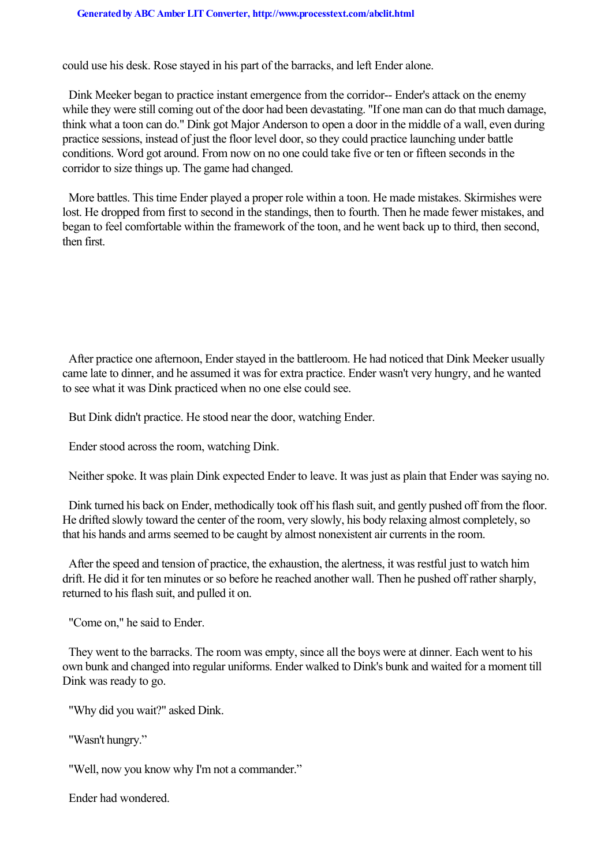could use his desk. Rose stayed in his part of the barracks, and left Ender alone.

 Dink Meeker began to practice instant emergence from the corridor-- Ender's attack on the enemy while they were still coming out of the door had been devastating. "If one man can do that much damage, think what a toon can do." Dink got Major Anderson to open a door in the middle of a wall, even during practice sessions, instead of just the floor level door, so they could practice launching under battle conditions. Word got around. From now on no one could take five or ten or fifteen seconds in the corridor to size things up. The game had changed.

 More battles. This time Ender played a proper role within a toon. He made mistakes. Skirmishes were lost. He dropped from first to second in the standings, then to fourth. Then he made fewer mistakes, and began to feel comfortable within the framework of the toon, and he went back up to third, then second, then first.

 After practice one afternoon, Ender stayed in the battleroom. He had noticed that Dink Meeker usually came late to dinner, and he assumed it was for extra practice. Ender wasn't very hungry, and he wanted to see what it was Dink practiced when no one else could see.

But Dink didn't practice. He stood near the door, watching Ender.

Ender stood across the room, watching Dink.

Neither spoke. It was plain Dink expected Ender to leave. It was just as plain that Ender was saying no.

 Dink turned his back on Ender, methodically took off his flash suit, and gently pushed off from the floor. He drifted slowly toward the center of the room, very slowly, his body relaxing almost completely, so that his hands and arms seemed to be caught by almost nonexistent air currents in the room.

 After the speed and tension of practice, the exhaustion, the alertness, it was restful just to watch him drift. He did it for ten minutes or so before he reached another wall. Then he pushed off rather sharply, returned to his flash suit, and pulled it on.

"Come on," he said to Ender.

 They went to the barracks. The room was empty, since all the boys were at dinner. Each went to his own bunk and changed into regular uniforms. Ender walked to Dink's bunk and waited for a moment till Dink was ready to go.

"Why did you wait?" asked Dink.

"Wasn't hungry."

"Well, now you know why I'm not a commander."

Ender had wondered.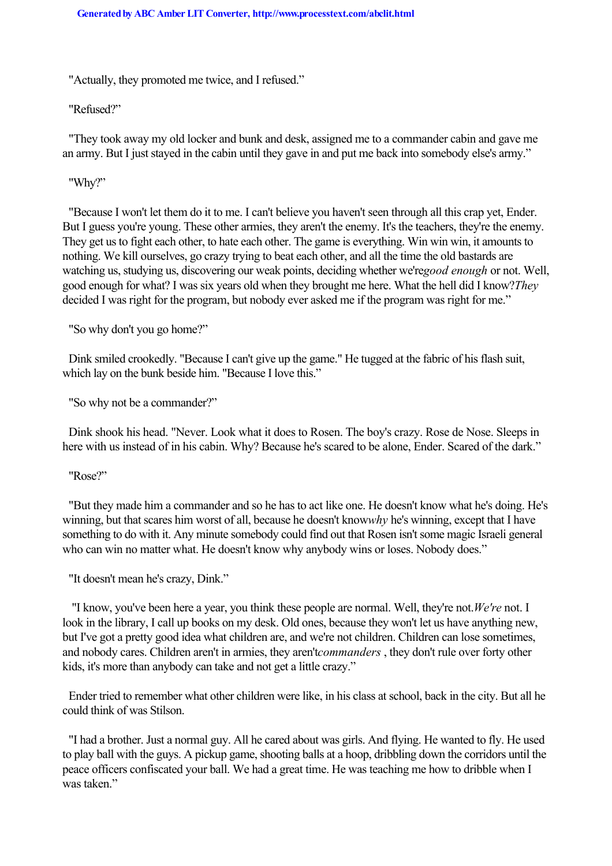"Actually, they promoted me twice, and I refused."

## "Refused?"

 "They took away my old locker and bunk and desk, assigned me to a commander cabin and gave me an army. But I just stayed in the cabin until they gave in and put me back into somebody else's army."

## "Why?"

 "Because I won't let them do it to me. I can't believe you haven't seen through all this crap yet, Ender. But I guess you're young. These other armies, they aren't the enemy. It's the teachers, they're the enemy. They get us to fight each other, to hate each other. The game is everything. Win win win, it amounts to nothing. We kill ourselves, go crazy trying to beat each other, and all the time the old bastards are watching us, studying us, discovering our weak points, deciding whether we're*good enough* or not. Well, good enough for what? I was six years old when they brought me here. What the hell did I know?*They* decided I was right for the program, but nobody ever asked me if the program was right for me."

"So why don't you go home?"

 Dink smiled crookedly. "Because I can't give up the game." He tugged at the fabric of his flash suit, which lay on the bunk beside him. "Because I love this."

"So why not be a commander?"

 Dink shook his head. "Never. Look what it does to Rosen. The boy's crazy. Rose de Nose. Sleeps in here with us instead of in his cabin. Why? Because he's scared to be alone. Ender. Scared of the dark."

## "Rose?"

 "But they made him a commander and so he has to act like one. He doesn't know what he's doing. He's winning, but that scares him worst of all, because he doesn't know*why* he's winning, except that I have something to do with it. Any minute somebody could find out that Rosen isn't some magic Israeli general who can win no matter what. He doesn't know why anybody wins or loses. Nobody does."

"It doesn't mean he's crazy, Dink."

 "I know, you've been here a year, you think these people are normal. Well, they're not.*We're* not. I look in the library, I call up books on my desk. Old ones, because they won't let us have anything new, but I've got a pretty good idea what children are, and we're not children. Children can lose sometimes, and nobody cares. Children aren't in armies, they aren't*commanders* , they don't rule over forty other kids, it's more than anybody can take and not get a little crazy."

 Ender tried to remember what other children were like, in his class at school, back in the city. But all he could think of was Stilson.

 "I had a brother. Just a normal guy. All he cared about was girls. And flying. He wanted to fly. He used to play ball with the guys. A pickup game, shooting balls at a hoop, dribbling down the corridors until the peace officers confiscated your ball. We had a great time. He was teaching me how to dribble when I was taken."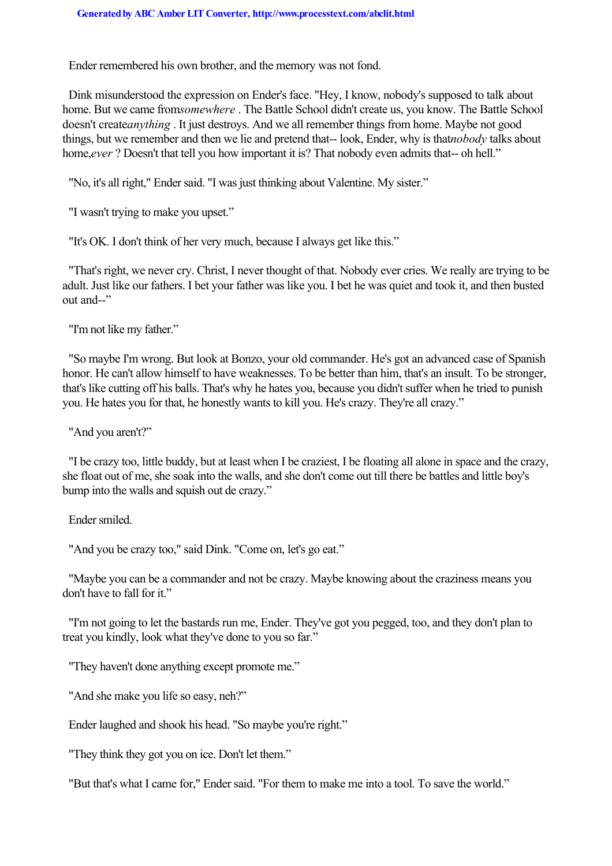Ender remembered his own brother, and the memory was not fond.

 Dink misunderstood the expression on Ender's face. "Hey, I know, nobody's supposed to talk about home. But we came from*somewhere* . The Battle School didn't create us, you know. The Battle School doesn't create*anything* . It just destroys. And we all remember things from home. Maybe not good things, but we remember and then we lie and pretend that-- look, Ender, why is that*nobody* talks about home.*ever* ? Doesn't that tell you how important it is? That nobody even admits that-- oh hell."

"No, it's all right," Ender said. "I was just thinking about Valentine. My sister."

"I wasn't trying to make you upset."

"It's OK. I don't think of her very much, because I always get like this."

 "That's right, we never cry. Christ, I never thought of that. Nobody ever cries. We really are trying to be adult. Just like our fathers. I bet your father was like you. I bet he was quiet and took it, and then busted out and--"

"I'm not like my father."

 "So maybe I'm wrong. But look at Bonzo, your old commander. He's got an advanced case of Spanish honor. He can't allow himself to have weaknesses. To be better than him, that's an insult. To be stronger, that's like cutting off his balls. That's why he hates you, because you didn't suffer when he tried to punish you. He hates you for that, he honestly wants to kill you. He's crazy. They're all crazy."

"And you aren't?"

 "I be crazy too, little buddy, but at least when I be craziest, I be floating all alone in space and the crazy, she float out of me, she soak into the walls, and she don't come out till there be battles and little boy's bump into the walls and squish out de crazy."

Ender smiled.

"And you be crazy too," said Dink. "Come on, let's go eat."

 "Maybe you can be a commander and not be crazy. Maybe knowing about the craziness means you don't have to fall for it."

 "I'm not going to let the bastards run me, Ender. They've got you pegged, too, and they don't plan to treat you kindly, look what they've done to you so far."

"They haven't done anything except promote me."

"And she make you life so easy, neh?"

Ender laughed and shook his head. "So maybe you're right."

"They think they got you on ice. Don't let them."

"But that's what I came for," Ender said. "For them to make me into a tool. To save the world."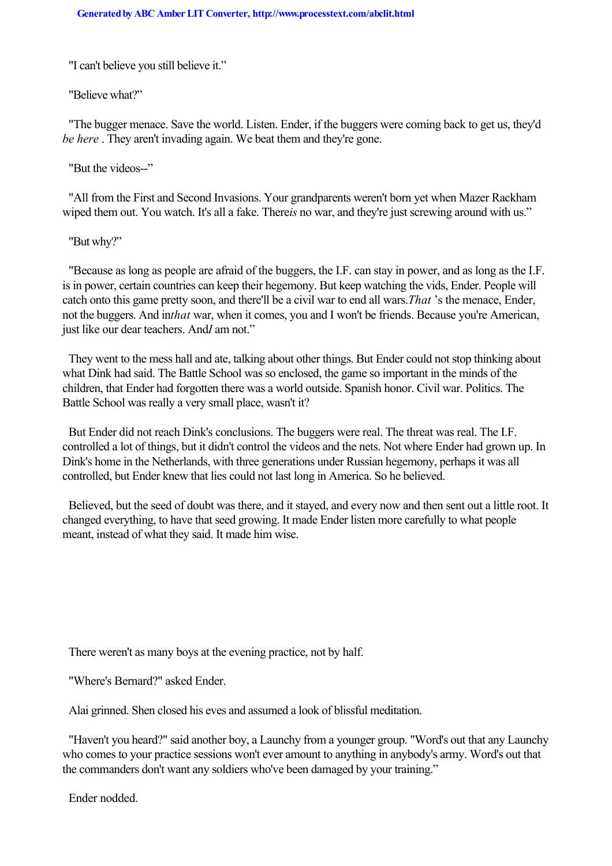"I can't believe you still believe it."

"Believe what?"

 "The bugger menace. Save the world. Listen. Ender, if the buggers were coming back to get us, they'd *be here* . They aren't invading again. We beat them and they're gone.

"But the videos-"

 "All from the First and Second Invasions. Your grandparents weren't born yet when Mazer Rackham wiped them out. You watch. It's all a fake. There*is* no war, and they're just screwing around with us."

"But why?"

 "Because as long as people are afraid of the buggers, the I.F. can stay in power, and as long as the I.F. is in power, certain countries can keep their hegemony. But keep watching the vids, Ender. People will catch onto this game pretty soon, and there'll be a civil war to end all wars.*That* 's the menace, Ender, not the buggers. And in*that* war, when it comes, you and I won't be friends. Because you're American, just like our dear teachers. And*I* am not."

 They went to the mess hall and ate, talking about other things. But Ender could not stop thinking about what Dink had said. The Battle School was so enclosed, the game so important in the minds of the children, that Ender had forgotten there was a world outside. Spanish honor. Civil war. Politics. The Battle School was really a very small place, wasn't it?

 But Ender did not reach Dink's conclusions. The buggers were real. The threat was real. The I.F. controlled a lot of things, but it didn't control the videos and the nets. Not where Ender had grown up. In Dink's home in the Netherlands, with three generations under Russian hegemony, perhaps it was all controlled, but Ender knew that lies could not last long in America. So he believed.

 Believed, but the seed of doubt was there, and it stayed, and every now and then sent out a little root. It changed everything, to have that seed growing. It made Ender listen more carefully to what people meant, instead of what they said. It made him wise.

There weren't as many boys at the evening practice, not by half.

"Where's Bernard?" asked Ender.

Alai grinned. Shen closed his eves and assumed a look of blissful meditation.

 "Haven't you heard?" said another boy, a Launchy from a younger group. "Word's out that any Launchy who comes to your practice sessions won't ever amount to anything in anybody's army. Word's out that the commanders don't want any soldiers who've been damaged by your training."

Ender nodded.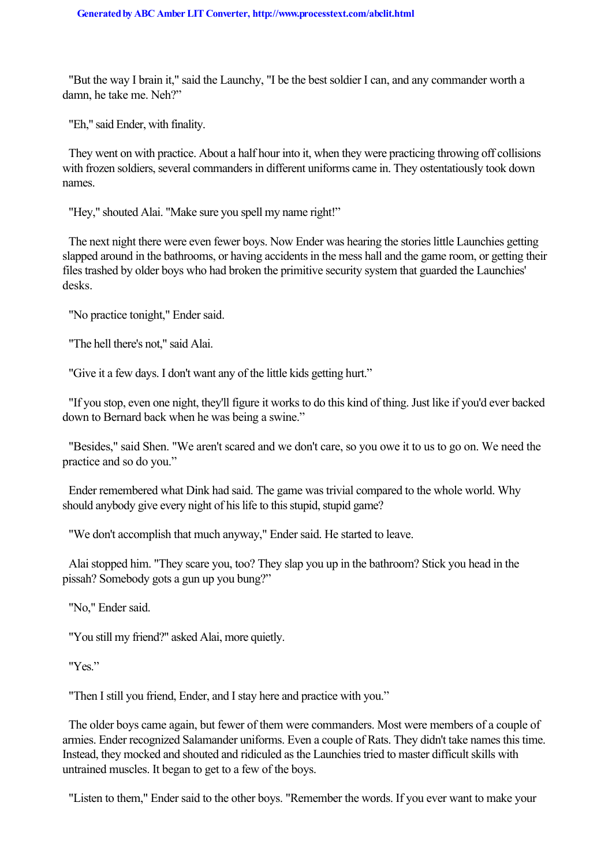"But the way I brain it," said the Launchy, "I be the best soldier I can, and any commander worth a damn, he take me. Neh?"

"Eh," said Ender, with finality.

 They went on with practice. About a half hour into it, when they were practicing throwing off collisions with frozen soldiers, several commanders in different uniforms came in. They ostentatiously took down names.

"Hey," shouted Alai. "Make sure you spell my name right!"

 The next night there were even fewer boys. Now Ender was hearing the stories little Launchies getting slapped around in the bathrooms, or having accidents in the mess hall and the game room, or getting their files trashed by older boys who had broken the primitive security system that guarded the Launchies' desks.

"No practice tonight," Ender said.

"The hell there's not," said Alai.

"Give it a few days. I don't want any of the little kids getting hurt."

 "If you stop, even one night, they'll figure it works to do this kind of thing. Just like if you'd ever backed down to Bernard back when he was being a swine."

 "Besides," said Shen. "We aren't scared and we don't care, so you owe it to us to go on. We need the practice and so do you."

 Ender remembered what Dink had said. The game was trivial compared to the whole world. Why should anybody give every night of his life to this stupid, stupid game?

"We don't accomplish that much anyway," Ender said. He started to leave.

 Alai stopped him. "They scare you, too? They slap you up in the bathroom? Stick you head in the pissah? Somebody gots a gun up you bung?"

"No," Ender said.

"You still my friend?" asked Alai, more quietly.

"Yes."

"Then I still you friend, Ender, and I stay here and practice with you."

 The older boys came again, but fewer of them were commanders. Most were members of a couple of armies. Ender recognized Salamander uniforms. Even a couple of Rats. They didn't take names this time. Instead, they mocked and shouted and ridiculed as the Launchies tried to master difficult skills with untrained muscles. It began to get to a few of the boys.

"Listen to them," Ender said to the other boys. "Remember the words. If you ever want to make your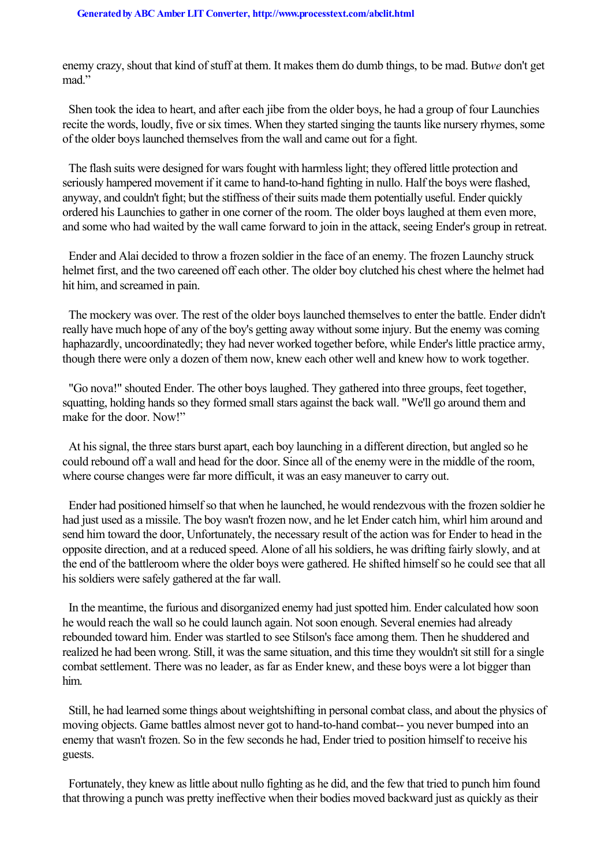enemy crazy, shout that kind of stuff at them. It makes them do dumb things, to be mad. But*we* don't get mad."

 Shen took the idea to heart, and after each jibe from the older boys, he had a group of four Launchies recite the words, loudly, five or six times. When they started singing the taunts like nursery rhymes, some of the older boys launched themselves from the wall and came out for a fight.

 The flash suits were designed for wars fought with harmless light; they offered little protection and seriously hampered movement if it came to hand-to-hand fighting in nullo. Half the boys were flashed, anyway, and couldn't fight; but the stiffness of their suits made them potentially useful. Ender quickly ordered his Launchies to gather in one corner of the room. The older boys laughed at them even more, and some who had waited by the wall came forward to join in the attack, seeing Ender's group in retreat.

 Ender and Alai decided to throw a frozen soldier in the face of an enemy. The frozen Launchy struck helmet first, and the two careened off each other. The older boy clutched his chest where the helmet had hit him, and screamed in pain.

 The mockery was over. The rest of the older boys launched themselves to enter the battle. Ender didn't really have much hope of any of the boy's getting away without some injury. But the enemy was coming haphazardly, uncoordinatedly; they had never worked together before, while Ender's little practice army, though there were only a dozen of them now, knew each other well and knew how to work together.

 "Go nova!" shouted Ender. The other boys laughed. They gathered into three groups, feet together, squatting, holding hands so they formed small stars against the back wall. "We'll go around them and make for the door. Now!"

 At his signal, the three stars burst apart, each boy launching in a different direction, but angled so he could rebound off a wall and head for the door. Since all of the enemy were in the middle of the room, where course changes were far more difficult, it was an easy maneuver to carry out.

 Ender had positioned himself so that when he launched, he would rendezvous with the frozen soldier he had just used as a missile. The boy wasn't frozen now, and he let Ender catch him, whirl him around and send him toward the door, Unfortunately, the necessary result of the action was for Ender to head in the opposite direction, and at a reduced speed. Alone of all his soldiers, he was drifting fairly slowly, and at the end of the battleroom where the older boys were gathered. He shifted himself so he could see that all his soldiers were safely gathered at the far wall.

 In the meantime, the furious and disorganized enemy had just spotted him. Ender calculated how soon he would reach the wall so he could launch again. Not soon enough. Several enemies had already rebounded toward him. Ender was startled to see Stilson's face among them. Then he shuddered and realized he had been wrong. Still, it was the same situation, and this time they wouldn't sit still for a single combat settlement. There was no leader, as far as Ender knew, and these boys were a lot bigger than him.

 Still, he had learned some things about weightshifting in personal combat class, and about the physics of moving objects. Game battles almost never got to hand-to-hand combat-- you never bumped into an enemy that wasn't frozen. So in the few seconds he had, Ender tried to position himself to receive his guests.

 Fortunately, they knew as little about nullo fighting as he did, and the few that tried to punch him found that throwing a punch was pretty ineffective when their bodies moved backward just as quickly as their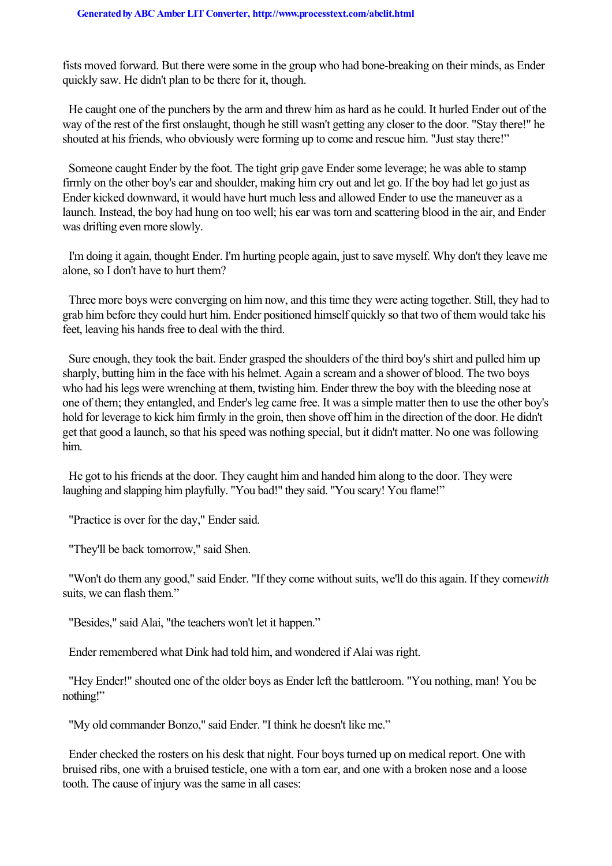fists moved forward. But there were some in the group who had bone-breaking on their minds, as Ender quickly saw. He didn't plan to be there for it, though.

 He caught one of the punchers by the arm and threw him as hard as he could. It hurled Ender out of the way of the rest of the first onslaught, though he still wasn't getting any closer to the door. "Stay there!" he shouted at his friends, who obviously were forming up to come and rescue him. "Just stay there!"

 Someone caught Ender by the foot. The tight grip gave Ender some leverage; he was able to stamp firmly on the other boy's ear and shoulder, making him cry out and let go. If the boy had let go just as Ender kicked downward, it would have hurt much less and allowed Ender to use the maneuver as a launch. Instead, the boy had hung on too well; his ear was torn and scattering blood in the air, and Ender was drifting even more slowly.

 I'm doing it again, thought Ender. I'm hurting people again, just to save myself. Why don't they leave me alone, so I don't have to hurt them?

 Three more boys were converging on him now, and this time they were acting together. Still, they had to grab him before they could hurt him. Ender positioned himself quickly so that two of them would take his feet, leaving his hands free to deal with the third.

 Sure enough, they took the bait. Ender grasped the shoulders of the third boy's shirt and pulled him up sharply, butting him in the face with his helmet. Again a scream and a shower of blood. The two boys who had his legs were wrenching at them, twisting him. Ender threw the boy with the bleeding nose at one of them; they entangled, and Ender's leg came free. It was a simple matter then to use the other boy's hold for leverage to kick him firmly in the groin, then shove off him in the direction of the door. He didn't get that good a launch, so that his speed was nothing special, but it didn't matter. No one was following him.

 He got to his friends at the door. They caught him and handed him along to the door. They were laughing and slapping him playfully. "You bad!" they said. "You scary! You flame!"

"Practice is over for the day," Ender said.

"They'll be back tomorrow," said Shen.

 "Won't do them any good," said Ender. "If they come without suits, we'll do this again. If they come*with* suits, we can flash them."

"Besides," said Alai, "the teachers won't let it happen."

Ender remembered what Dink had told him, and wondered if Alai was right.

 "Hey Ender!" shouted one of the older boys as Ender left the battleroom. "You nothing, man! You be nothing!"

"My old commander Bonzo," said Ender. "I think he doesn't like me."

 Ender checked the rosters on his desk that night. Four boys turned up on medical report. One with bruised ribs, one with a bruised testicle, one with a torn ear, and one with a broken nose and a loose tooth. The cause of injury was the same in all cases: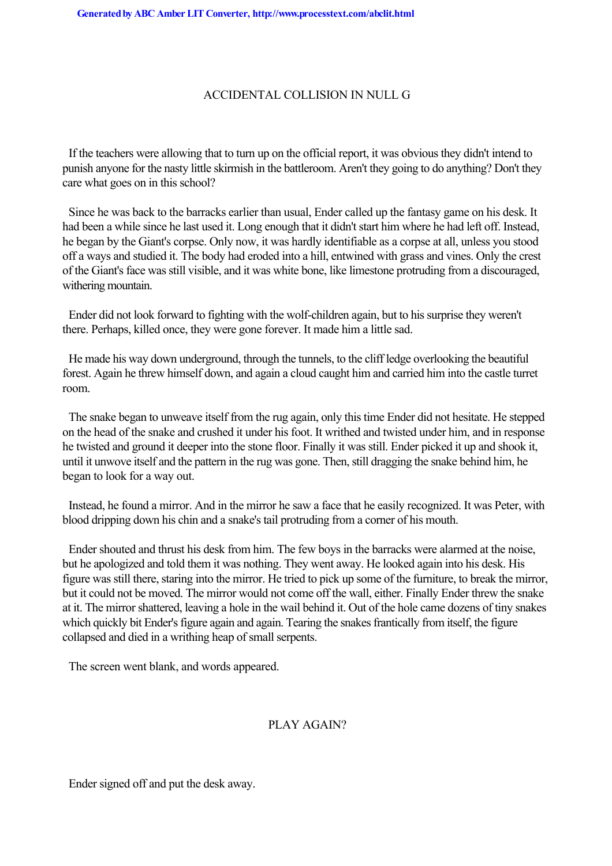## ACCIDENTAL COLLISION IN NULL G

 If the teachers were allowing that to turn up on the official report, it was obvious they didn't intend to punish anyone for the nasty little skirmish in the battleroom. Aren't they going to do anything? Don't they care what goes on in this school?

 Since he was back to the barracks earlier than usual, Ender called up the fantasy game on his desk. It had been a while since he last used it. Long enough that it didn't start him where he had left off. Instead, he began by the Giant's corpse. Only now, it was hardly identifiable as a corpse at all, unless you stood off a ways and studied it. The body had eroded into a hill, entwined with grass and vines. Only the crest of the Giant's face was still visible, and it was white bone, like limestone protruding from a discouraged, withering mountain.

 Ender did not look forward to fighting with the wolf-children again, but to his surprise they weren't there. Perhaps, killed once, they were gone forever. It made him a little sad.

 He made his way down underground, through the tunnels, to the cliff ledge overlooking the beautiful forest. Again he threw himself down, and again a cloud caught him and carried him into the castle turret room.

 The snake began to unweave itself from the rug again, only this time Ender did not hesitate. He stepped on the head of the snake and crushed it under his foot. It writhed and twisted under him, and in response he twisted and ground it deeper into the stone floor. Finally it was still. Ender picked it up and shook it, until it unwove itself and the pattern in the rug was gone. Then, still dragging the snake behind him, he began to look for a way out.

 Instead, he found a mirror. And in the mirror he saw a face that he easily recognized. It was Peter, with blood dripping down his chin and a snake's tail protruding from a corner of his mouth.

 Ender shouted and thrust his desk from him. The few boys in the barracks were alarmed at the noise, but he apologized and told them it was nothing. They went away. He looked again into his desk. His figure was still there, staring into the mirror. He tried to pick up some of the furniture, to break the mirror, but it could not be moved. The mirror would not come off the wall, either. Finally Ender threw the snake at it. The mirror shattered, leaving a hole in the wail behind it. Out of the hole came dozens of tiny snakes which quickly bit Ender's figure again and again. Tearing the snakes frantically from itself, the figure collapsed and died in a writhing heap of small serpents.

The screen went blank, and words appeared.

# PLAY AGAIN?

Ender signed off and put the desk away.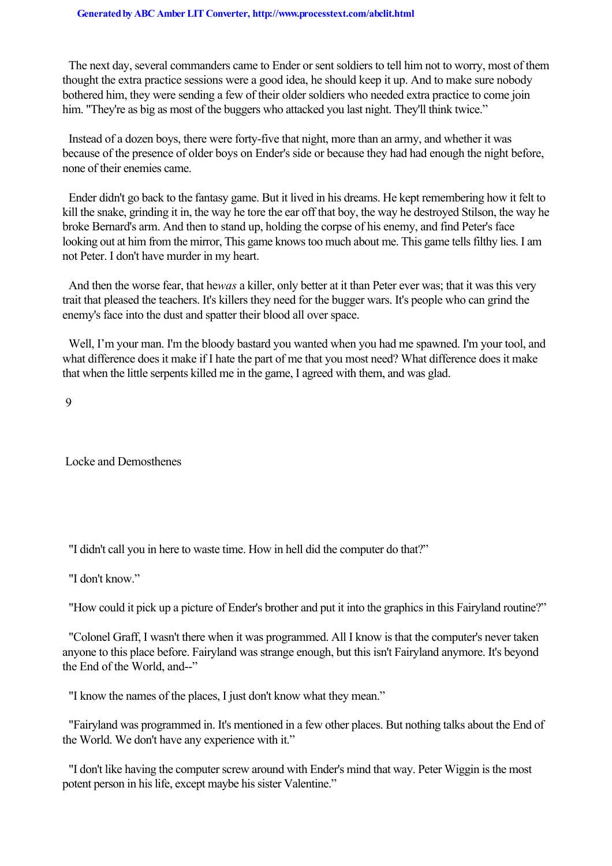The next day, several commanders came to Ender or sent soldiers to tell him not to worry, most of them thought the extra practice sessions were a good idea, he should keep it up. And to make sure nobody bothered him, they were sending a few of their older soldiers who needed extra practice to come join him. "They're as big as most of the buggers who attacked you last night. They'll think twice."

 Instead of a dozen boys, there were forty-five that night, more than an army, and whether it was because of the presence of older boys on Ender's side or because they had had enough the night before, none of their enemies came.

 Ender didn't go back to the fantasy game. But it lived in his dreams. He kept remembering how it felt to kill the snake, grinding it in, the way he tore the ear off that boy, the way he destroyed Stilson, the way he broke Bernard's arm. And then to stand up, holding the corpse of his enemy, and find Peter's face looking out at him from the mirror, This game knows too much about me. This game tells filthy lies. I am not Peter. I don't have murder in my heart.

 And then the worse fear, that he*was* a killer, only better at it than Peter ever was; that it was this very trait that pleased the teachers. It's killers they need for the bugger wars. It's people who can grind the enemy's face into the dust and spatter their blood all over space.

Well, I'm your man. I'm the bloody bastard you wanted when you had me spawned. I'm your tool, and what difference does it make if I hate the part of me that you most need? What difference does it make that when the little serpents killed me in the game, I agreed with them, and was glad.

 $\overline{Q}$ 

Locke and Demosthenes

"I didn't call you in here to waste time. How in hell did the computer do that?"

"I don't know."

"How could it pick up a picture of Ender's brother and put it into the graphics in this Fairyland routine?"

 "Colonel Graff, I wasn't there when it was programmed. All I know is that the computer's never taken anyone to this place before. Fairyland was strange enough, but this isn't Fairyland anymore. It's beyond the End of the World, and--"

"I know the names of the places, I just don't know what they mean."

 "Fairyland was programmed in. It's mentioned in a few other places. But nothing talks about the End of the World. We don't have any experience with it."

 "I don't like having the computer screw around with Ender's mind that way. Peter Wiggin is the most potent person in his life, except maybe his sister Valentine."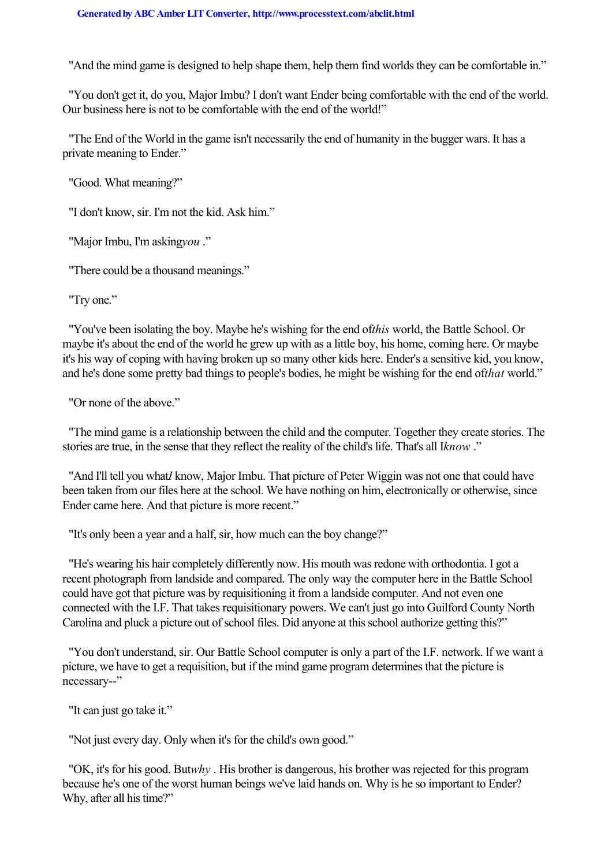"And the mind game is designed to help shape them, help them find worlds they can be comfortable in."

 "You don't get it, do you, Major Imbu? I don't want Ender being comfortable with the end of the world. Our business here is not to be comfortable with the end of the world!"

 "The End of the World in the game isn't necessarily the end of humanity in the bugger wars. It has a private meaning to Ender."

"Good. What meaning?"

"I don't know, sir. I'm not the kid. Ask him."

"Major Imbu, I'm asking*you* ."

"There could be a thousand meanings."

"Try one."

 "You've been isolating the boy. Maybe he's wishing for the end of*this* world, the Battle School. Or maybe it's about the end of the world he grew up with as a little boy, his home, coming here. Or maybe it's his way of coping with having broken up so many other kids here. Ender's a sensitive kid, you know, and he's done some pretty bad things to people's bodies, he might be wishing for the end of*that* world."

"Or none of the above."

 "The mind game is a relationship between the child and the computer. Together they create stories. The stories are true, in the sense that they reflect the reality of the child's life. That's all I*know* ."

 "And I'll tell you what*I* know, Major Imbu. That picture of Peter Wiggin was not one that could have been taken from our files here at the school. We have nothing on him, electronically or otherwise, since Ender came here. And that picture is more recent."

"It's only been a year and a half, sir, how much can the boy change?"

 "He's wearing his hair completely differently now. His mouth was redone with orthodontia. I got a recent photograph from landside and compared. The only way the computer here in the Battle School could have got that picture was by requisitioning it from a landside computer. And not even one connected with the I.F. That takes requisitionary powers. We can't just go into Guilford County North Carolina and pluck a picture out of school files. Did anyone at this school authorize getting this?"

 "You don't understand, sir. Our Battle School computer is only a part of the I.F. network. lf we want a picture, we have to get a requisition, but if the mind game program determines that the picture is necessary--"

"It can just go take it."

"Not just every day. Only when it's for the child's own good."

 "OK, it's for his good. But*why* . His brother is dangerous, his brother was rejected for this program because he's one of the worst human beings we've laid hands on. Why is he so important to Ender? Why, after all his time?"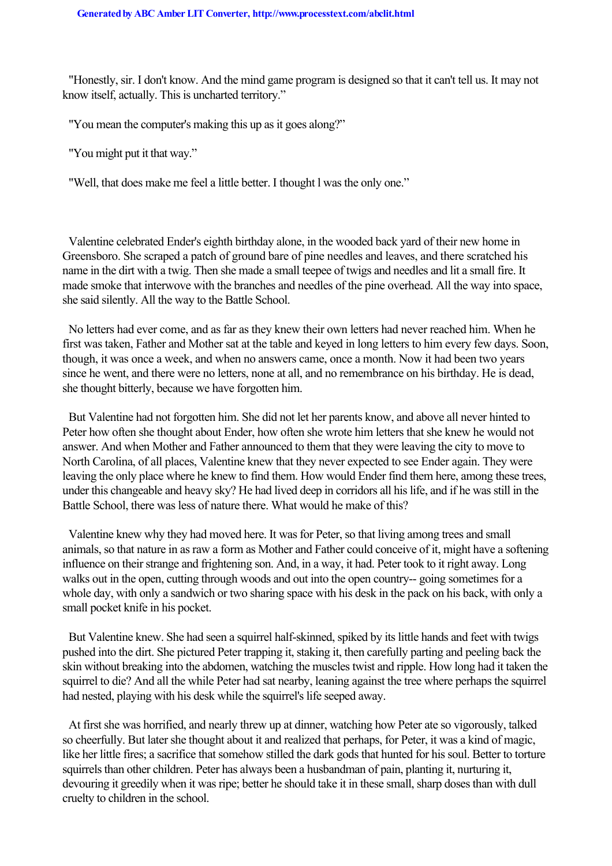"Honestly, sir. I don't know. And the mind game program is designed so that it can't tell us. It may not know itself, actually. This is uncharted territory."

"You mean the computer's making this up as it goes along?"

"You might put it that way."

"Well, that does make me feel a little better. I thought l was the only one."

 Valentine celebrated Ender's eighth birthday alone, in the wooded back yard of their new home in Greensboro. She scraped a patch of ground bare of pine needles and leaves, and there scratched his name in the dirt with a twig. Then she made a small teepee of twigs and needles and lit a small fire. It made smoke that interwove with the branches and needles of the pine overhead. All the way into space, she said silently. All the way to the Battle School.

 No letters had ever come, and as far as they knew their own letters had never reached him. When he first was taken, Father and Mother sat at the table and keyed in long letters to him every few days. Soon, though, it was once a week, and when no answers came, once a month. Now it had been two years since he went, and there were no letters, none at all, and no remembrance on his birthday. He is dead, she thought bitterly, because we have forgotten him.

 But Valentine had not forgotten him. She did not let her parents know, and above all never hinted to Peter how often she thought about Ender, how often she wrote him letters that she knew he would not answer. And when Mother and Father announced to them that they were leaving the city to move to North Carolina, of all places, Valentine knew that they never expected to see Ender again. They were leaving the only place where he knew to find them. How would Ender find them here, among these trees, under this changeable and heavy sky? He had lived deep in corridors all his life, and if he was still in the Battle School, there was less of nature there. What would he make of this?

 Valentine knew why they had moved here. It was for Peter, so that living among trees and small animals, so that nature in as raw a form as Mother and Father could conceive of it, might have a softening influence on their strange and frightening son. And, in a way, it had. Peter took to it right away. Long walks out in the open, cutting through woods and out into the open country-- going sometimes for a whole day, with only a sandwich or two sharing space with his desk in the pack on his back, with only a small pocket knife in his pocket.

 But Valentine knew. She had seen a squirrel half-skinned, spiked by its little hands and feet with twigs pushed into the dirt. She pictured Peter trapping it, staking it, then carefully parting and peeling back the skin without breaking into the abdomen, watching the muscles twist and ripple. How long had it taken the squirrel to die? And all the while Peter had sat nearby, leaning against the tree where perhaps the squirrel had nested, playing with his desk while the squirrel's life seeped away.

 At first she was horrified, and nearly threw up at dinner, watching how Peter ate so vigorously, talked so cheerfully. But later she thought about it and realized that perhaps, for Peter, it was a kind of magic, like her little fires; a sacrifice that somehow stilled the dark gods that hunted for his soul. Better to torture squirrels than other children. Peter has always been a husbandman of pain, planting it, nurturing it, devouring it greedily when it was ripe; better he should take it in these small, sharp doses than with dull cruelty to children in the school.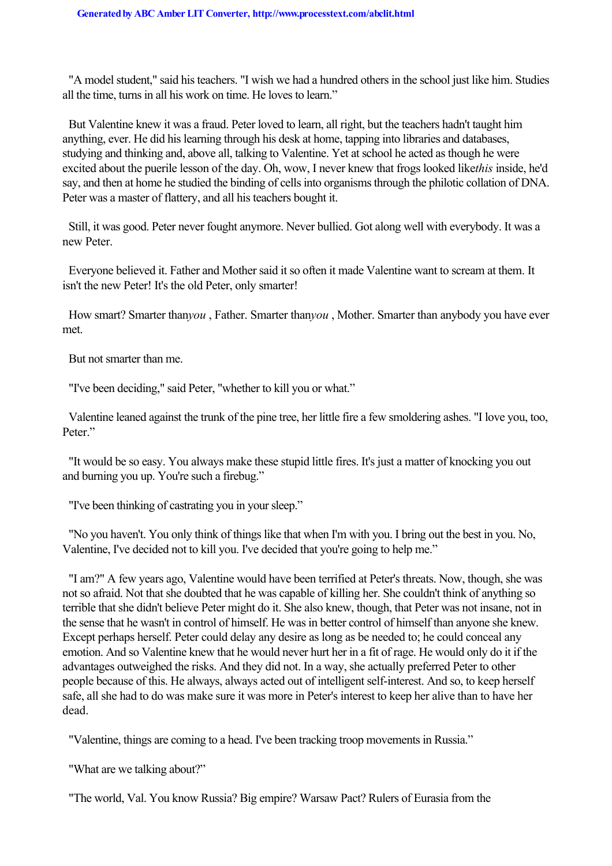"A model student," said his teachers. "I wish we had a hundred others in the school just like him. Studies all the time, turns in all his work on time. He loves to learn."

 But Valentine knew it was a fraud. Peter loved to learn, all right, but the teachers hadn't taught him anything, ever. He did his learning through his desk at home, tapping into libraries and databases, studying and thinking and, above all, talking to Valentine. Yet at school he acted as though he were excited about the puerile lesson of the day. Oh, wow, I never knew that frogs looked like*this* inside, he'd say, and then at home he studied the binding of cells into organisms through the philotic collation of DNA. Peter was a master of flattery, and all his teachers bought it.

 Still, it was good. Peter never fought anymore. Never bullied. Got along well with everybody. It was a new Peter.

 Everyone believed it. Father and Mother said it so often it made Valentine want to scream at them. It isn't the new Peter! It's the old Peter, only smarter!

 How smart? Smarter than*you* , Father. Smarter than*you* , Mother. Smarter than anybody you have ever met.

But not smarter than me.

"I've been deciding," said Peter, "whether to kill you or what."

 Valentine leaned against the trunk of the pine tree, her little fire a few smoldering ashes. "I love you, too, Peter."

 "It would be so easy. You always make these stupid little fires. It's just a matter of knocking you out and burning you up. You're such a firebug."

"I've been thinking of castrating you in your sleep."

 "No you haven't. You only think of things like that when I'm with you. I bring out the best in you. No, Valentine, I've decided not to kill you. I've decided that you're going to help me."

 "I am?" A few years ago, Valentine would have been terrified at Peter's threats. Now, though, she was not so afraid. Not that she doubted that he was capable of killing her. She couldn't think of anything so terrible that she didn't believe Peter might do it. She also knew, though, that Peter was not insane, not in the sense that he wasn't in control of himself. He was in better control of himself than anyone she knew. Except perhaps herself. Peter could delay any desire as long as be needed to; he could conceal any emotion. And so Valentine knew that he would never hurt her in a fit of rage. He would only do it if the advantages outweighed the risks. And they did not. In a way, she actually preferred Peter to other people because of this. He always, always acted out of intelligent self-interest. And so, to keep herself safe, all she had to do was make sure it was more in Peter's interest to keep her alive than to have her dead.

"Valentine, things are coming to a head. I've been tracking troop movements in Russia."

"What are we talking about?"

"The world, Val. You know Russia? Big empire? Warsaw Pact? Rulers of Eurasia from the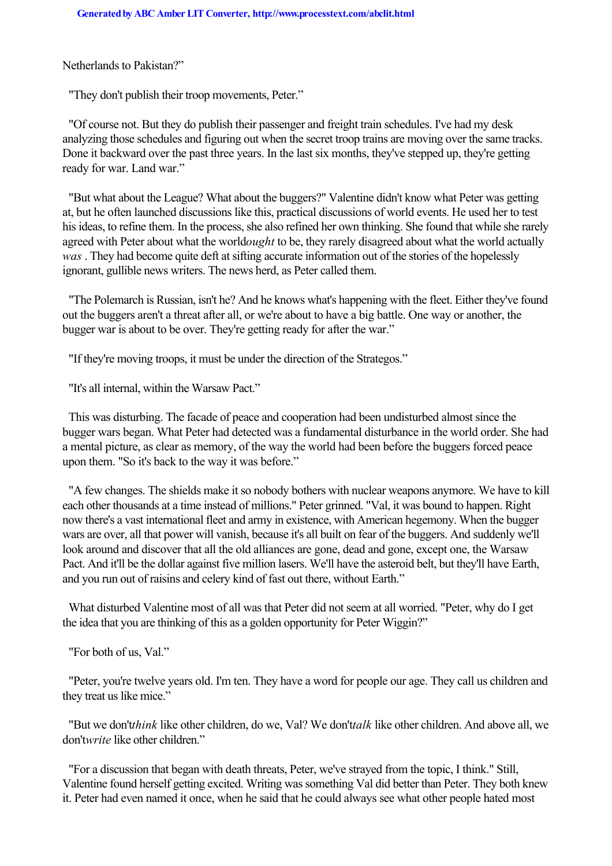Netherlands to Pakistan?"

"They don't publish their troop movements, Peter."

 "Of course not. But they do publish their passenger and freight train schedules. I've had my desk analyzing those schedules and figuring out when the secret troop trains are moving over the same tracks. Done it backward over the past three years. In the last six months, they've stepped up, they're getting ready for war. Land war."

 "But what about the League? What about the buggers?" Valentine didn't know what Peter was getting at, but he often launched discussions like this, practical discussions of world events. He used her to test his ideas, to refine them. In the process, she also refined her own thinking. She found that while she rarely agreed with Peter about what the world*ought* to be, they rarely disagreed about what the world actually *was* . They had become quite deft at sifting accurate information out of the stories of the hopelessly ignorant, gullible news writers. The news herd, as Peter called them.

 "The Polemarch is Russian, isn't he? And he knows what's happening with the fleet. Either they've found out the buggers aren't a threat after all, or we're about to have a big battle. One way or another, the bugger war is about to be over. They're getting ready for after the war."

"If they're moving troops, it must be under the direction of the Strategos."

"It's all internal, within the Warsaw Pact."

 This was disturbing. The facade of peace and cooperation had been undisturbed almost since the bugger wars began. What Peter had detected was a fundamental disturbance in the world order. She had a mental picture, as clear as memory, of the way the world had been before the buggers forced peace upon them. "So it's back to the way it was before."

 "A few changes. The shields make it so nobody bothers with nuclear weapons anymore. We have to kill each other thousands at a time instead of millions." Peter grinned. "Val, it was bound to happen. Right now there's a vast international fleet and army in existence, with American hegemony. When the bugger wars are over, all that power will vanish, because it's all built on fear of the buggers. And suddenly we'll look around and discover that all the old alliances are gone, dead and gone, except one, the Warsaw Pact. And it'll be the dollar against five million lasers. We'll have the asteroid belt, but they'll have Earth, and you run out of raisins and celery kind of fast out there, without Earth."

 What disturbed Valentine most of all was that Peter did not seem at all worried. "Peter, why do I get the idea that you are thinking of this as a golden opportunity for Peter Wiggin?"

"For both of us, Val."

 "Peter, you're twelve years old. I'm ten. They have a word for people our age. They call us children and they treat us like mice."

 "But we don't*think* like other children, do we, Val? We don't*talk* like other children. And above all, we don'twrite like other children<sup>"</sup>

 "For a discussion that began with death threats, Peter, we've strayed from the topic, I think." Still, Valentine found herself getting excited. Writing was something Val did better than Peter. They both knew it. Peter had even named it once, when he said that he could always see what other people hated most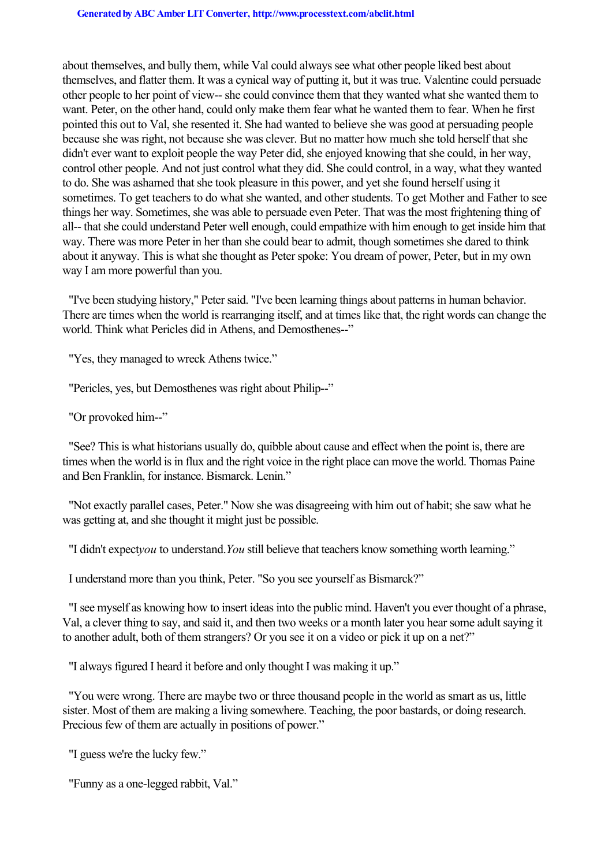about themselves, and bully them, while Val could always see what other people liked best about themselves, and flatter them. It was a cynical way of putting it, but it was true. Valentine could persuade other people to her point of view-- she could convince them that they wanted what she wanted them to want. Peter, on the other hand, could only make them fear what he wanted them to fear. When he first pointed this out to Val, she resented it. She had wanted to believe she was good at persuading people because she was right, not because she was clever. But no matter how much she told herself that she didn't ever want to exploit people the way Peter did, she enjoyed knowing that she could, in her way, control other people. And not just control what they did. She could control, in a way, what they wanted to do. She was ashamed that she took pleasure in this power, and yet she found herself using it sometimes. To get teachers to do what she wanted, and other students. To get Mother and Father to see things her way. Sometimes, she was able to persuade even Peter. That was the most frightening thing of all-- that she could understand Peter well enough, could empathize with him enough to get inside him that way. There was more Peter in her than she could bear to admit, though sometimes she dared to think about it anyway. This is what she thought as Peter spoke: You dream of power, Peter, but in my own way I am more powerful than you.

 "I've been studying history," Peter said. "I've been learning things about patterns in human behavior. There are times when the world is rearranging itself, and at times like that, the right words can change the world. Think what Pericles did in Athens, and Demosthenes--"

"Yes, they managed to wreck Athens twice."

"Pericles, yes, but Demosthenes was right about Philip--"

"Or provoked him--"

 "See? This is what historians usually do, quibble about cause and effect when the point is, there are times when the world is in flux and the right voice in the right place can move the world. Thomas Paine and Ben Franklin, for instance. Bismarck. Lenin."

 "Not exactly parallel cases, Peter." Now she was disagreeing with him out of habit; she saw what he was getting at, and she thought it might just be possible.

"I didn't expect*you* to understand.*You* still believe that teachers know something worth learning."

I understand more than you think, Peter. "So you see yourself as Bismarck?"

 "I see myself as knowing how to insert ideas into the public mind. Haven't you ever thought of a phrase, Val, a clever thing to say, and said it, and then two weeks or a month later you hear some adult saying it to another adult, both of them strangers? Or you see it on a video or pick it up on a net?"

"I always figured I heard it before and only thought I was making it up."

 "You were wrong. There are maybe two or three thousand people in the world as smart as us, little sister. Most of them are making a living somewhere. Teaching, the poor bastards, or doing research. Precious few of them are actually in positions of power."

"I guess we're the lucky few."

"Funny as a one-legged rabbit, Val."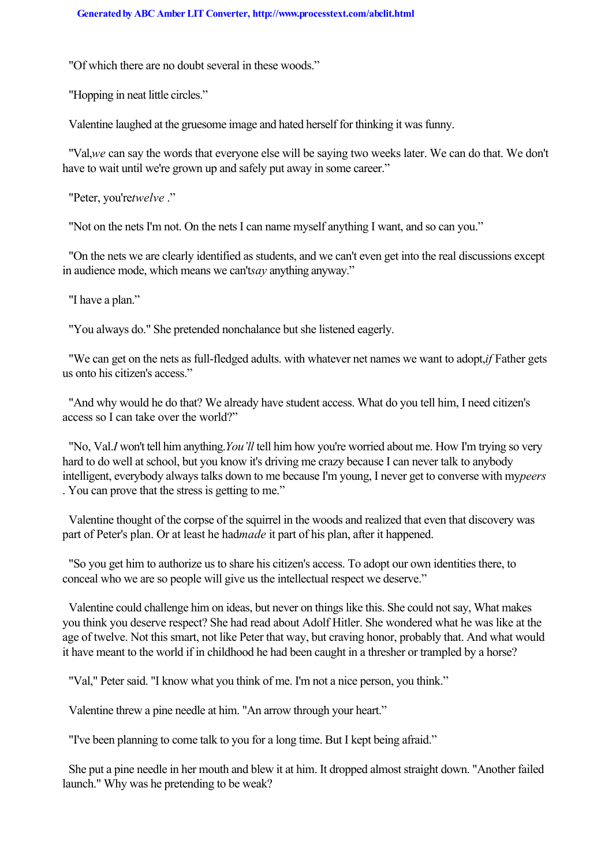"Of which there are no doubt several in these woods."

"Hopping in neat little circles."

Valentine laughed at the gruesome image and hated herself for thinking it was funny.

 "Val,*we* can say the words that everyone else will be saying two weeks later. We can do that. We don't have to wait until we're grown up and safely put away in some career."

"Peter, you're*twelve* ."

"Not on the nets I'm not. On the nets I can name myself anything I want, and so can you."

 "On the nets we are clearly identified as students, and we can't even get into the real discussions except in audience mode, which means we can't*say* anything anyway."

"I have a plan."

"You always do." She pretended nonchalance but she listened eagerly.

 "We can get on the nets as full-fledged adults. with whatever net names we want to adopt,*if* Father gets us onto his citizen's access."

 "And why would he do that? We already have student access. What do you tell him, I need citizen's access so I can take over the world?"

 "No, Val.*I* won't tell him anything.*You'll* tell him how you're worried about me. How I'm trying so very hard to do well at school, but you know it's driving me crazy because I can never talk to anybody intelligent, everybody always talks down to me because I'm young, I never get to converse with my*peers* . You can prove that the stress is getting to me."

 Valentine thought of the corpse of the squirrel in the woods and realized that even that discovery was part of Peter's plan. Or at least he had*made* it part of his plan, after it happened.

 "So you get him to authorize us to share his citizen's access. To adopt our own identities there, to conceal who we are so people will give us the intellectual respect we deserve."

 Valentine could challenge him on ideas, but never on things like this. She could not say, What makes you think you deserve respect? She had read about Adolf Hitler. She wondered what he was like at the age of twelve. Not this smart, not like Peter that way, but craving honor, probably that. And what would it have meant to the world if in childhood he had been caught in a thresher or trampled by a horse?

"Val," Peter said. "I know what you think of me. I'm not a nice person, you think."

Valentine threw a pine needle at him. "An arrow through your heart."

"I've been planning to come talk to you for a long time. But I kept being afraid."

 She put a pine needle in her mouth and blew it at him. It dropped almost straight down. "Another failed launch." Why was he pretending to be weak?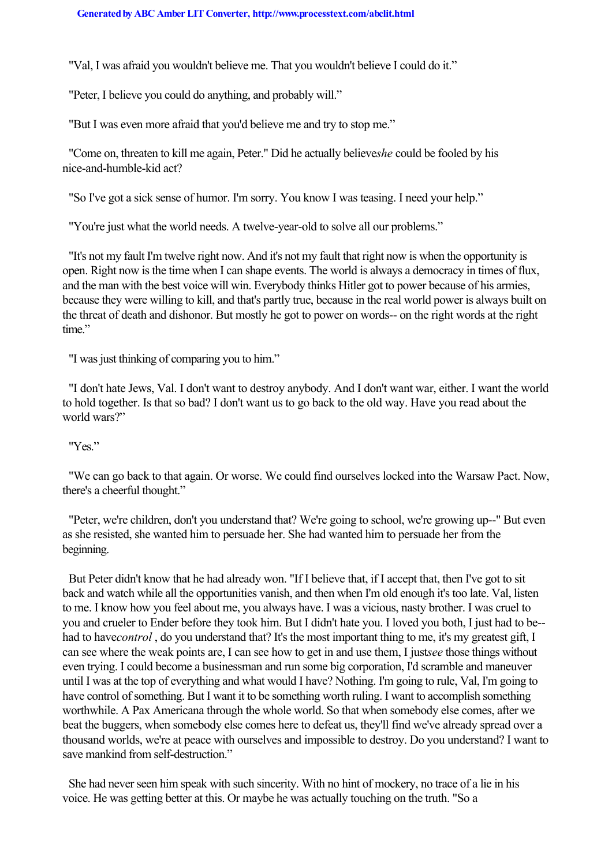"Val, I was afraid you wouldn't believe me. That you wouldn't believe I could do it."

"Peter, I believe you could do anything, and probably will."

"But I was even more afraid that you'd believe me and try to stop me."

 "Come on, threaten to kill me again, Peter." Did he actually believe*she* could be fooled by his nice-and-humble-kid act?

"So I've got a sick sense of humor. I'm sorry. You know I was teasing. I need your help."

"You're just what the world needs. A twelve-year-old to solve all our problems."

 "It's not my fault I'm twelve right now. And it's not my fault that right now is when the opportunity is open. Right now is the time when I can shape events. The world is always a democracy in times of flux, and the man with the best voice will win. Everybody thinks Hitler got to power because of his armies, because they were willing to kill, and that's partly true, because in the real world power is always built on the threat of death and dishonor. But mostly he got to power on words-- on the right words at the right time"

"I was just thinking of comparing you to him."

 "I don't hate Jews, Val. I don't want to destroy anybody. And I don't want war, either. I want the world to hold together. Is that so bad? I don't want us to go back to the old way. Have you read about the world wars?"

"Yes."

 "We can go back to that again. Or worse. We could find ourselves locked into the Warsaw Pact. Now, there's a cheerful thought."

 "Peter, we're children, don't you understand that? We're going to school, we're growing up--" But even as she resisted, she wanted him to persuade her. She had wanted him to persuade her from the beginning.

 But Peter didn't know that he had already won. "If I believe that, if I accept that, then I've got to sit back and watch while all the opportunities vanish, and then when I'm old enough it's too late. Val, listen to me. I know how you feel about me, you always have. I was a vicious, nasty brother. I was cruel to you and crueler to Ender before they took him. But I didn't hate you. I loved you both, I just had to be- had to have*control*, do you understand that? It's the most important thing to me, it's my greatest gift, I can see where the weak points are, I can see how to get in and use them, I just*see* those things without even trying. I could become a businessman and run some big corporation, I'd scramble and maneuver until I was at the top of everything and what would I have? Nothing. I'm going to rule, Val, I'm going to have control of something. But I want it to be something worth ruling. I want to accomplish something worthwhile. A Pax Americana through the whole world. So that when somebody else comes, after we beat the buggers, when somebody else comes here to defeat us, they'll find we've already spread over a thousand worlds, we're at peace with ourselves and impossible to destroy. Do you understand? I want to save mankind from self-destruction."

 She had never seen him speak with such sincerity. With no hint of mockery, no trace of a lie in his voice. He was getting better at this. Or maybe he was actually touching on the truth. "So a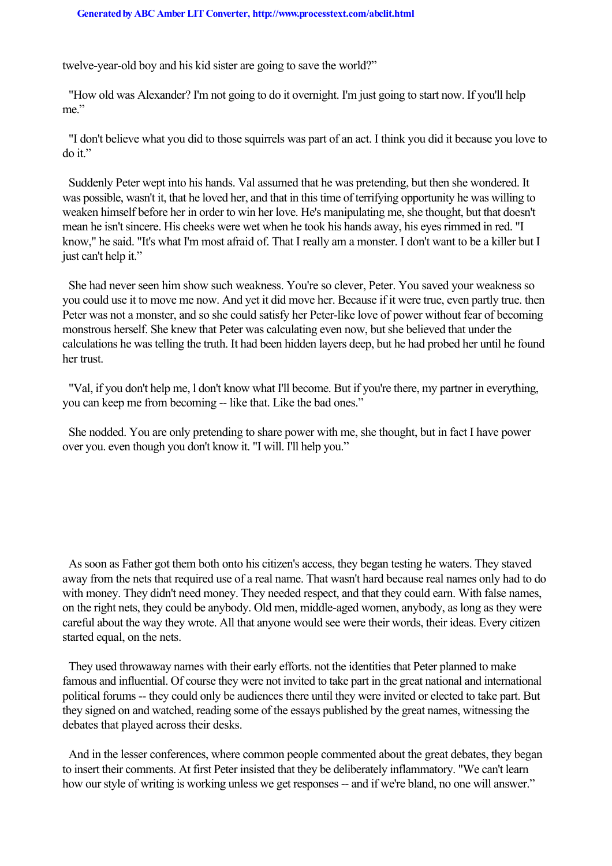twelve-year-old boy and his kid sister are going to save the world?"

 "How old was Alexander? I'm not going to do it overnight. I'm just going to start now. If you'll help me"

 "I don't believe what you did to those squirrels was part of an act. I think you did it because you love to do it."

 Suddenly Peter wept into his hands. Val assumed that he was pretending, but then she wondered. It was possible, wasn't it, that he loved her, and that in this time of terrifying opportunity he was willing to weaken himself before her in order to win her love. He's manipulating me, she thought, but that doesn't mean he isn't sincere. His cheeks were wet when he took his hands away, his eyes rimmed in red. "I know," he said. "It's what I'm most afraid of. That I really am a monster. I don't want to be a killer but I just can't help it."

 She had never seen him show such weakness. You're so clever, Peter. You saved your weakness so you could use it to move me now. And yet it did move her. Because if it were true, even partly true. then Peter was not a monster, and so she could satisfy her Peter-like love of power without fear of becoming monstrous herself. She knew that Peter was calculating even now, but she believed that under the calculations he was telling the truth. It had been hidden layers deep, but he had probed her until he found her trust.

 "Val, if you don't help me, l don't know what I'll become. But if you're there, my partner in everything, you can keep me from becoming -- like that. Like the bad ones."

 She nodded. You are only pretending to share power with me, she thought, but in fact I have power over you. even though you don't know it. "I will. I'll help you."

 As soon as Father got them both onto his citizen's access, they began testing he waters. They staved away from the nets that required use of a real name. That wasn't hard because real names only had to do with money. They didn't need money. They needed respect, and that they could earn. With false names, on the right nets, they could be anybody. Old men, middle-aged women, anybody, as long as they were careful about the way they wrote. All that anyone would see were their words, their ideas. Every citizen started equal, on the nets.

 They used throwaway names with their early efforts. not the identities that Peter planned to make famous and influential. Of course they were not invited to take part in the great national and international political forums -- they could only be audiences there until they were invited or elected to take part. But they signed on and watched, reading some of the essays published by the great names, witnessing the debates that played across their desks.

 And in the lesser conferences, where common people commented about the great debates, they began to insert their comments. At first Peter insisted that they be deliberately inflammatory. "We can't learn how our style of writing is working unless we get responses -- and if we're bland, no one will answer."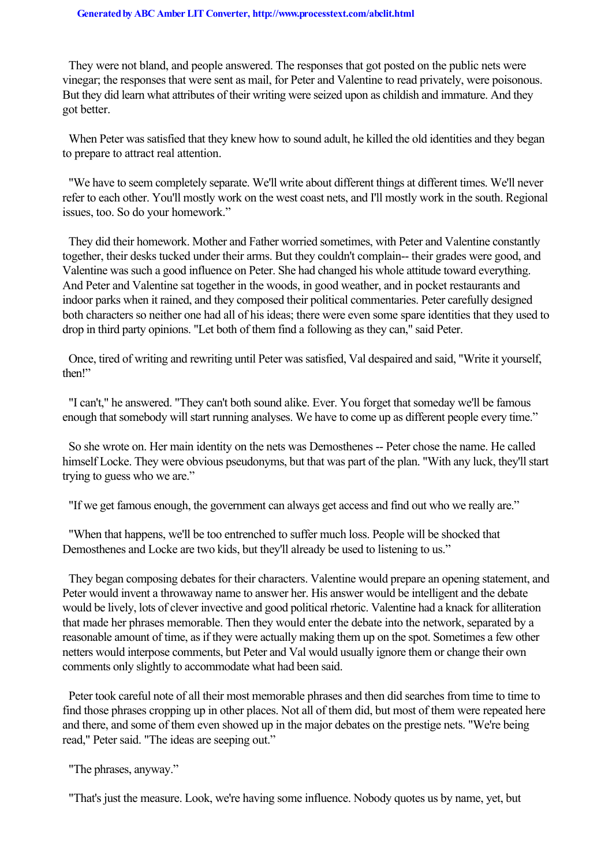They were not bland, and people answered. The responses that got posted on the public nets were vinegar; the responses that were sent as mail, for Peter and Valentine to read privately, were poisonous. But they did learn what attributes of their writing were seized upon as childish and immature. And they got better.

 When Peter was satisfied that they knew how to sound adult, he killed the old identities and they began to prepare to attract real attention.

 "We have to seem completely separate. We'll write about different things at different times. We'll never refer to each other. You'll mostly work on the west coast nets, and I'll mostly work in the south. Regional issues, too. So do your homework."

 They did their homework. Mother and Father worried sometimes, with Peter and Valentine constantly together, their desks tucked under their arms. But they couldn't complain-- their grades were good, and Valentine was such a good influence on Peter. She had changed his whole attitude toward everything. And Peter and Valentine sat together in the woods, in good weather, and in pocket restaurants and indoor parks when it rained, and they composed their political commentaries. Peter carefully designed both characters so neither one had all of his ideas; there were even some spare identities that they used to drop in third party opinions. "Let both of them find a following as they can," said Peter.

 Once, tired of writing and rewriting until Peter was satisfied, Val despaired and said, "Write it yourself, then!"

 "I can't," he answered. "They can't both sound alike. Ever. You forget that someday we'll be famous enough that somebody will start running analyses. We have to come up as different people every time."

 So she wrote on. Her main identity on the nets was Demosthenes -- Peter chose the name. He called himself Locke. They were obvious pseudonyms, but that was part of the plan. "With any luck, they'll start trying to guess who we are."

"If we get famous enough, the government can always get access and find out who we really are."

 "When that happens, we'll be too entrenched to suffer much loss. People will be shocked that Demosthenes and Locke are two kids, but they'll already be used to listening to us."

 They began composing debates for their characters. Valentine would prepare an opening statement, and Peter would invent a throwaway name to answer her. His answer would be intelligent and the debate would be lively, lots of clever invective and good political rhetoric. Valentine had a knack for alliteration that made her phrases memorable. Then they would enter the debate into the network, separated by a reasonable amount of time, as if they were actually making them up on the spot. Sometimes a few other netters would interpose comments, but Peter and Val would usually ignore them or change their own comments only slightly to accommodate what had been said.

 Peter took careful note of all their most memorable phrases and then did searches from time to time to find those phrases cropping up in other places. Not all of them did, but most of them were repeated here and there, and some of them even showed up in the major debates on the prestige nets. "We're being read," Peter said. "The ideas are seeping out."

"The phrases, anyway."

"That's just the measure. Look, we're having some influence. Nobody quotes us by name, yet, but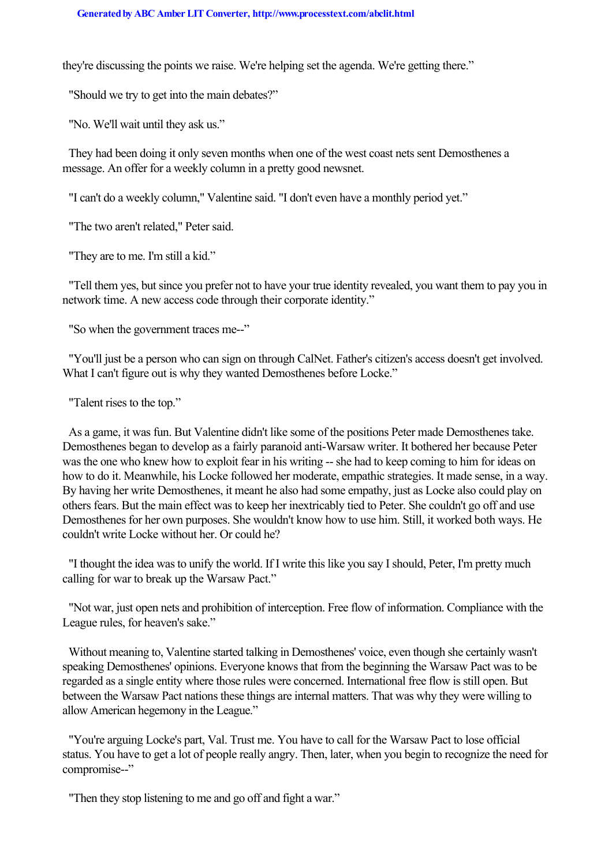they're discussing the points we raise. We're helping set the agenda. We're getting there."

"Should we try to get into the main debates?"

"No. We'll wait until they ask us."

 They had been doing it only seven months when one of the west coast nets sent Demosthenes a message. An offer for a weekly column in a pretty good newsnet.

"I can't do a weekly column," Valentine said. "I don't even have a monthly period yet."

"The two aren't related," Peter said.

"They are to me. I'm still a kid."

 "Tell them yes, but since you prefer not to have your true identity revealed, you want them to pay you in network time. A new access code through their corporate identity."

"So when the government traces me--"

 "You'll just be a person who can sign on through CalNet. Father's citizen's access doesn't get involved. What I can't figure out is why they wanted Demosthenes before Locke."

"Talent rises to the top."

 As a game, it was fun. But Valentine didn't like some of the positions Peter made Demosthenes take. Demosthenes began to develop as a fairly paranoid anti-Warsaw writer. It bothered her because Peter was the one who knew how to exploit fear in his writing -- she had to keep coming to him for ideas on how to do it. Meanwhile, his Locke followed her moderate, empathic strategies. It made sense, in a way. By having her write Demosthenes, it meant he also had some empathy, just as Locke also could play on others fears. But the main effect was to keep her inextricably tied to Peter. She couldn't go off and use Demosthenes for her own purposes. She wouldn't know how to use him. Still, it worked both ways. He couldn't write Locke without her. Or could he?

 "I thought the idea was to unify the world. If I write this like you say I should, Peter, I'm pretty much calling for war to break up the Warsaw Pact."

 "Not war, just open nets and prohibition of interception. Free flow of information. Compliance with the League rules, for heaven's sake."

 Without meaning to, Valentine started talking in Demosthenes' voice, even though she certainly wasn't speaking Demosthenes' opinions. Everyone knows that from the beginning the Warsaw Pact was to be regarded as a single entity where those rules were concerned. International free flow is still open. But between the Warsaw Pact nations these things are internal matters. That was why they were willing to allow American hegemony in the League."

 "You're arguing Locke's part, Val. Trust me. You have to call for the Warsaw Pact to lose official status. You have to get a lot of people really angry. Then, later, when you begin to recognize the need for compromise--"

"Then they stop listening to me and go off and fight a war."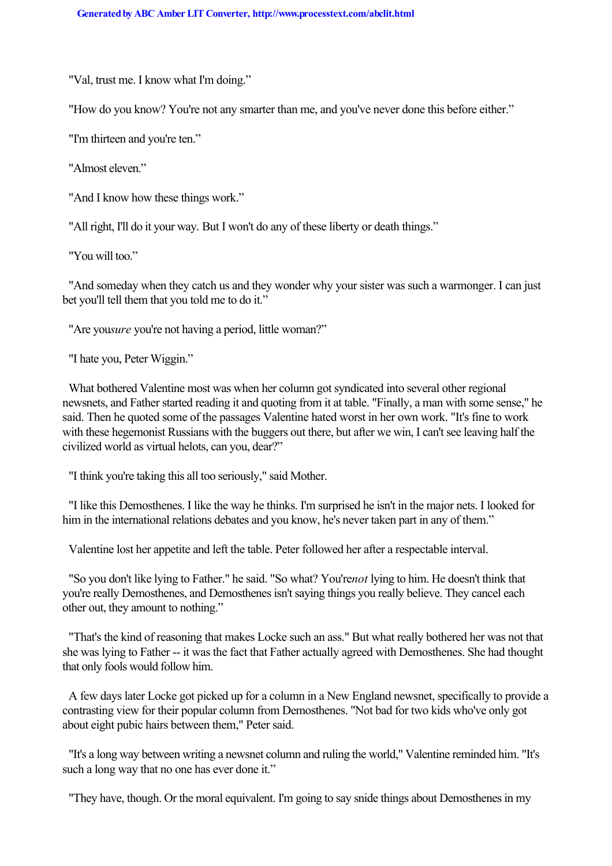"Val, trust me. I know what I'm doing."

"How do you know? You're not any smarter than me, and you've never done this before either."

"I'm thirteen and you're ten."

"Almost eleven"

"And I know how these things work."

"All right, I'll do it your way. But I won't do any of these liberty or death things."

"You will too."

 "And someday when they catch us and they wonder why your sister was such a warmonger. I can just bet you'll tell them that you told me to do it."

"Are you*sure* you're not having a period, little woman?"

"I hate you, Peter Wiggin."

 What bothered Valentine most was when her column got syndicated into several other regional newsnets, and Father started reading it and quoting from it at table. "Finally, a man with some sense," he said. Then he quoted some of the passages Valentine hated worst in her own work. "It's fine to work with these hegemonist Russians with the buggers out there, but after we win, I can't see leaving half the civilized world as virtual helots, can you, dear?"

"I think you're taking this all too seriously," said Mother.

 "I like this Demosthenes. I like the way he thinks. I'm surprised he isn't in the major nets. I looked for him in the international relations debates and you know, he's never taken part in any of them."

Valentine lost her appetite and left the table. Peter followed her after a respectable interval.

 "So you don't like lying to Father." he said. "So what? You're*not* lying to him. He doesn't think that you're really Demosthenes, and Demosthenes isn't saying things you really believe. They cancel each other out, they amount to nothing."

 "That's the kind of reasoning that makes Locke such an ass." But what really bothered her was not that she was lying to Father -- it was the fact that Father actually agreed with Demosthenes. She had thought that only fools would follow him.

 A few days later Locke got picked up for a column in a New England newsnet, specifically to provide a contrasting view for their popular column from Demosthenes. "Not bad for two kids who've only got about eight pubic hairs between them," Peter said.

 "It's a long way between writing a newsnet column and ruling the world," Valentine reminded him. "It's such a long way that no one has ever done it."

"They have, though. Or the moral equivalent. I'm going to say snide things about Demosthenes in my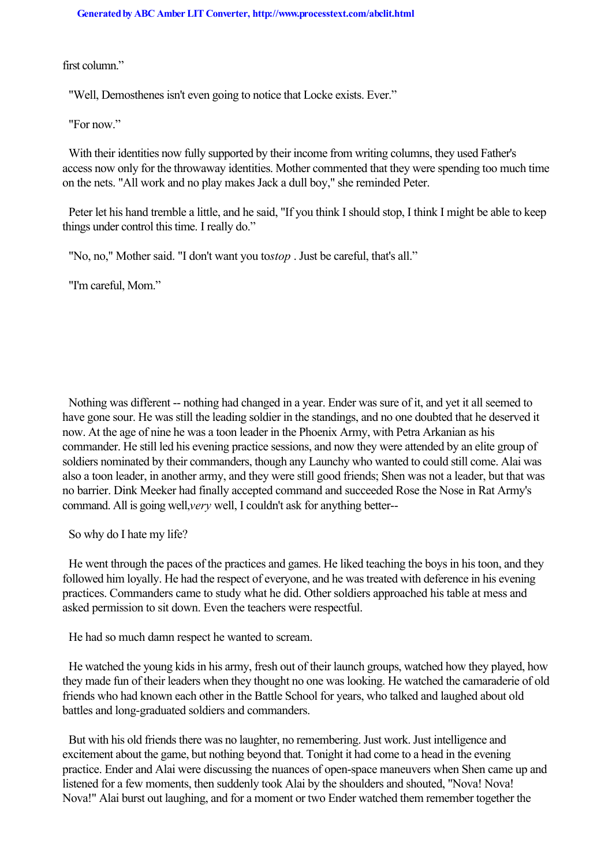first column."

"Well, Demosthenes isn't even going to notice that Locke exists. Ever."

"For now"

With their identities now fully supported by their income from writing columns, they used Father's access now only for the throwaway identities. Mother commented that they were spending too much time on the nets. "All work and no play makes Jack a dull boy," she reminded Peter.

 Peter let his hand tremble a little, and he said, "If you think I should stop, I think I might be able to keep things under control this time. I really do."

"No, no," Mother said. "I don't want you to*stop* . Just be careful, that's all."

"I'm careful, Mom."

 Nothing was different -- nothing had changed in a year. Ender was sure of it, and yet it all seemed to have gone sour. He was still the leading soldier in the standings, and no one doubted that he deserved it now. At the age of nine he was a toon leader in the Phoenix Army, with Petra Arkanian as his commander. He still led his evening practice sessions, and now they were attended by an elite group of soldiers nominated by their commanders, though any Launchy who wanted to could still come. Alai was also a toon leader, in another army, and they were still good friends; Shen was not a leader, but that was no barrier. Dink Meeker had finally accepted command and succeeded Rose the Nose in Rat Army's command. All is going well,*very* well, I couldn't ask for anything better--

So why do I hate my life?

 He went through the paces of the practices and games. He liked teaching the boys in his toon, and they followed him loyally. He had the respect of everyone, and he was treated with deference in his evening practices. Commanders came to study what he did. Other soldiers approached his table at mess and asked permission to sit down. Even the teachers were respectful.

He had so much damn respect he wanted to scream.

 He watched the young kids in his army, fresh out of their launch groups, watched how they played, how they made fun of their leaders when they thought no one was looking. He watched the camaraderie of old friends who had known each other in the Battle School for years, who talked and laughed about old battles and long-graduated soldiers and commanders.

 But with his old friends there was no laughter, no remembering. Just work. Just intelligence and excitement about the game, but nothing beyond that. Tonight it had come to a head in the evening practice. Ender and Alai were discussing the nuances of open-space maneuvers when Shen came up and listened for a few moments, then suddenly took Alai by the shoulders and shouted, "Nova! Nova! Nova!" Alai burst out laughing, and for a moment or two Ender watched them remember together the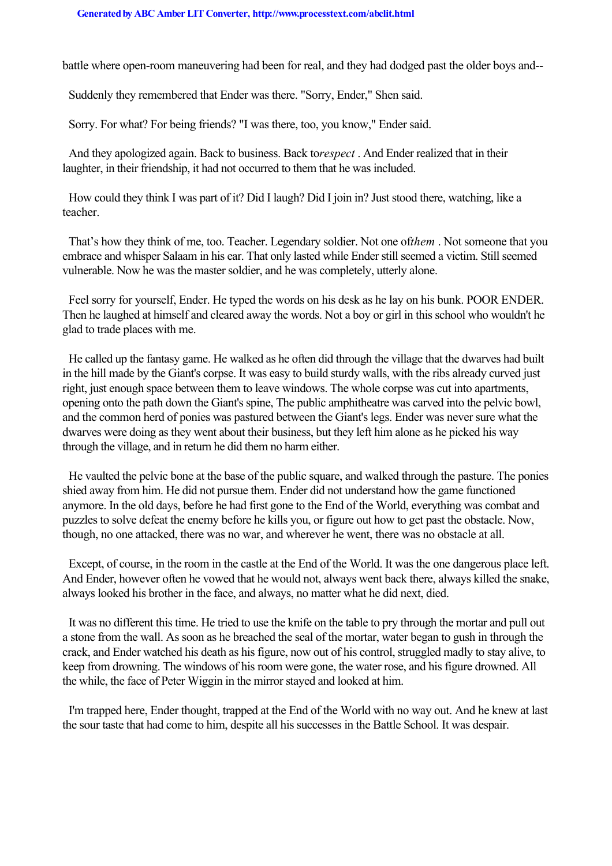battle where open-room maneuvering had been for real, and they had dodged past the older boys and--

Suddenly they remembered that Ender was there. "Sorry, Ender," Shen said.

Sorry. For what? For being friends? "I was there, too, you know," Ender said.

 And they apologized again. Back to business. Back to*respect* . And Ender realized that in their laughter, in their friendship, it had not occurred to them that he was included.

 How could they think I was part of it? Did I laugh? Did I join in? Just stood there, watching, like a teacher.

 That's how they think of me, too. Teacher. Legendary soldier. Not one of*them* . Not someone that you embrace and whisper Salaam in his ear. That only lasted while Ender still seemed a victim. Still seemed vulnerable. Now he was the master soldier, and he was completely, utterly alone.

 Feel sorry for yourself, Ender. He typed the words on his desk as he lay on his bunk. POOR ENDER. Then he laughed at himself and cleared away the words. Not a boy or girl in this school who wouldn't he glad to trade places with me.

 He called up the fantasy game. He walked as he often did through the village that the dwarves had built in the hill made by the Giant's corpse. It was easy to build sturdy walls, with the ribs already curved just right, just enough space between them to leave windows. The whole corpse was cut into apartments, opening onto the path down the Giant's spine, The public amphitheatre was carved into the pelvic bowl, and the common herd of ponies was pastured between the Giant's legs. Ender was never sure what the dwarves were doing as they went about their business, but they left him alone as he picked his way through the village, and in return he did them no harm either.

 He vaulted the pelvic bone at the base of the public square, and walked through the pasture. The ponies shied away from him. He did not pursue them. Ender did not understand how the game functioned anymore. In the old days, before he had first gone to the End of the World, everything was combat and puzzles to solve defeat the enemy before he kills you, or figure out how to get past the obstacle. Now, though, no one attacked, there was no war, and wherever he went, there was no obstacle at all.

 Except, of course, in the room in the castle at the End of the World. It was the one dangerous place left. And Ender, however often he vowed that he would not, always went back there, always killed the snake, always looked his brother in the face, and always, no matter what he did next, died.

 It was no different this time. He tried to use the knife on the table to pry through the mortar and pull out a stone from the wall. As soon as he breached the seal of the mortar, water began to gush in through the crack, and Ender watched his death as his figure, now out of his control, struggled madly to stay alive, to keep from drowning. The windows of his room were gone, the water rose, and his figure drowned. All the while, the face of Peter Wiggin in the mirror stayed and looked at him.

 I'm trapped here, Ender thought, trapped at the End of the World with no way out. And he knew at last the sour taste that had come to him, despite all his successes in the Battle School. It was despair.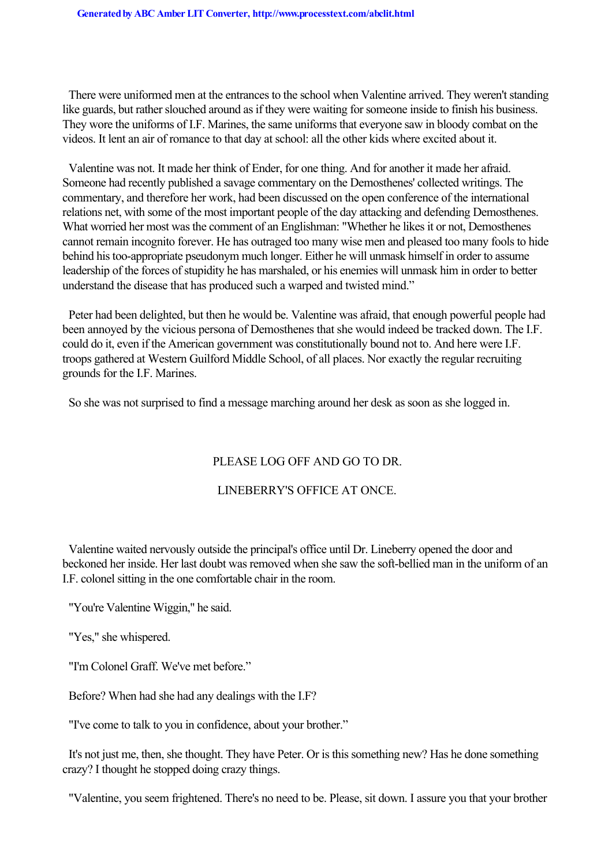There were uniformed men at the entrances to the school when Valentine arrived. They weren't standing like guards, but rather slouched around as if they were waiting for someone inside to finish his business. They wore the uniforms of I.F. Marines, the same uniforms that everyone saw in bloody combat on the videos. It lent an air of romance to that day at school: all the other kids where excited about it.

 Valentine was not. It made her think of Ender, for one thing. And for another it made her afraid. Someone had recently published a savage commentary on the Demosthenes' collected writings. The commentary, and therefore her work, had been discussed on the open conference of the international relations net, with some of the most important people of the day attacking and defending Demosthenes. What worried her most was the comment of an Englishman: "Whether he likes it or not, Demosthenes cannot remain incognito forever. He has outraged too many wise men and pleased too many fools to hide behind his too-appropriate pseudonym much longer. Either he will unmask himself in order to assume leadership of the forces of stupidity he has marshaled, or his enemies will unmask him in order to better understand the disease that has produced such a warped and twisted mind."

 Peter had been delighted, but then he would be. Valentine was afraid, that enough powerful people had been annoyed by the vicious persona of Demosthenes that she would indeed be tracked down. The I.F. could do it, even if the American government was constitutionally bound not to. And here were I.F. troops gathered at Western Guilford Middle School, of all places. Nor exactly the regular recruiting grounds for the I.F. Marines.

So she was not surprised to find a message marching around her desk as soon as she logged in.

# PLEASE LOG OFF AND GO TO DR.

# LINEBERRY'S OFFICE AT ONCE.

 Valentine waited nervously outside the principal's office until Dr. Lineberry opened the door and beckoned her inside. Her last doubt was removed when she saw the soft-bellied man in the uniform of an I.F. colonel sitting in the one comfortable chair in the room.

"You're Valentine Wiggin," he said.

"Yes," she whispered.

"I'm Colonel Graff. We've met before."

Before? When had she had any dealings with the I.F?

"I've come to talk to you in confidence, about your brother."

 It's not just me, then, she thought. They have Peter. Or is this something new? Has he done something crazy? I thought he stopped doing crazy things.

"Valentine, you seem frightened. There's no need to be. Please, sit down. I assure you that your brother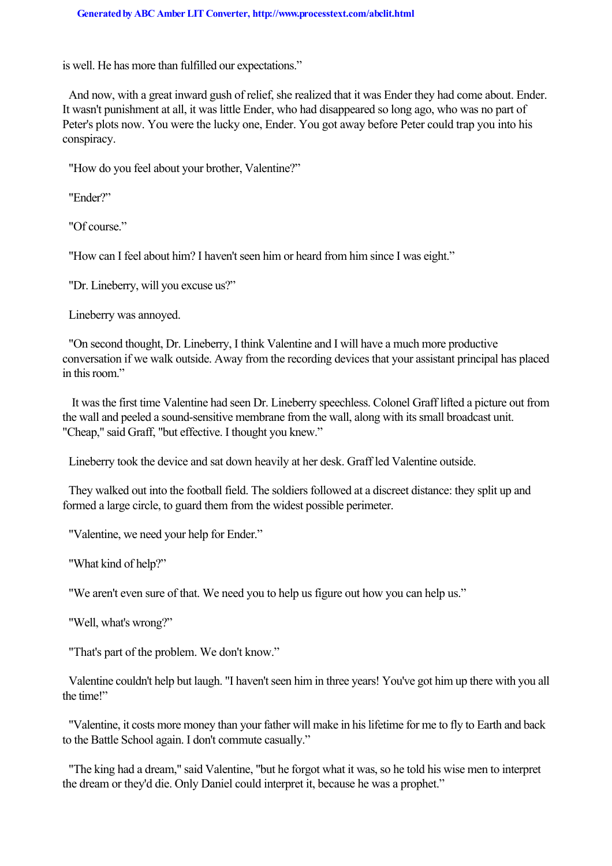is well. He has more than fulfilled our expectations."

 And now, with a great inward gush of relief, she realized that it was Ender they had come about. Ender. It wasn't punishment at all, it was little Ender, who had disappeared so long ago, who was no part of Peter's plots now. You were the lucky one, Ender. You got away before Peter could trap you into his conspiracy.

"How do you feel about your brother, Valentine?"

"Ender?"

"Of course."

"How can I feel about him? I haven't seen him or heard from him since I was eight."

"Dr. Lineberry, will you excuse us?"

Lineberry was annoyed.

 "On second thought, Dr. Lineberry, I think Valentine and I will have a much more productive conversation if we walk outside. Away from the recording devices that your assistant principal has placed in this room."

 It was the first time Valentine had seen Dr. Lineberry speechless. Colonel Graff lifted a picture out from the wall and peeled a sound-sensitive membrane from the wall, along with its small broadcast unit. "Cheap," said Graff, "but effective. I thought you knew."

Lineberry took the device and sat down heavily at her desk. Graff led Valentine outside.

 They walked out into the football field. The soldiers followed at a discreet distance: they split up and formed a large circle, to guard them from the widest possible perimeter.

"Valentine, we need your help for Ender."

"What kind of help?"

"We aren't even sure of that. We need you to help us figure out how you can help us."

"Well, what's wrong?"

"That's part of the problem. We don't know."

 Valentine couldn't help but laugh. "I haven't seen him in three years! You've got him up there with you all the time!"

 "Valentine, it costs more money than your father will make in his lifetime for me to fly to Earth and back to the Battle School again. I don't commute casually."

 "The king had a dream," said Valentine, "but he forgot what it was, so he told his wise men to interpret the dream or they'd die. Only Daniel could interpret it, because he was a prophet."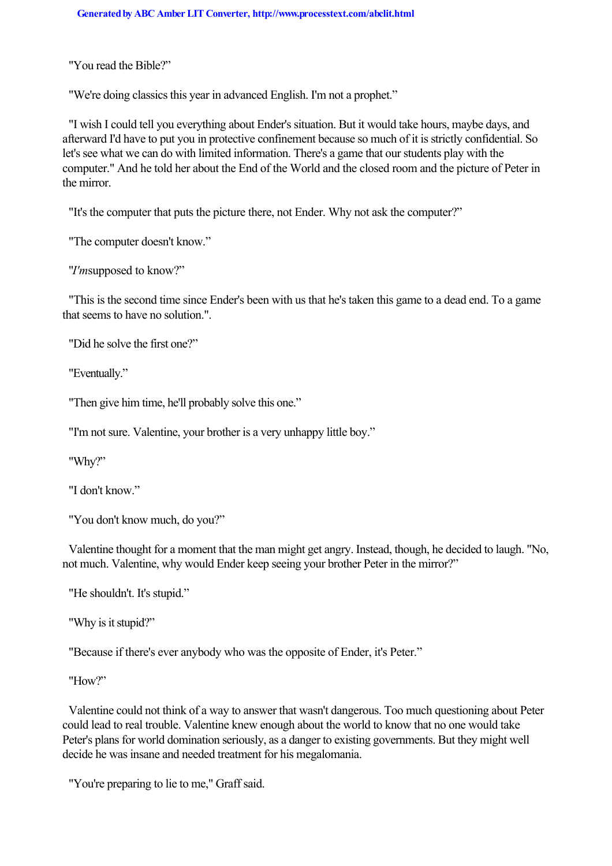"You read the Bible?"

"We're doing classics this year in advanced English. I'm not a prophet."

 "I wish I could tell you everything about Ender's situation. But it would take hours, maybe days, and afterward I'd have to put you in protective confinement because so much of it is strictly confidential. So let's see what we can do with limited information. There's a game that our students play with the computer." And he told her about the End of the World and the closed room and the picture of Peter in the mirror.

"It's the computer that puts the picture there, not Ender. Why not ask the computer?"

"The computer doesn't know."

"*I'm*supposed to know?"

 "This is the second time since Ender's been with us that he's taken this game to a dead end. To a game that seems to have no solution.".

"Did he solve the first one?"

"Eventually."

"Then give him time, he'll probably solve this one."

"I'm not sure. Valentine, your brother is a very unhappy little boy."

"Why?"

"I don't know"

"You don't know much, do you?"

 Valentine thought for a moment that the man might get angry. Instead, though, he decided to laugh. "No, not much. Valentine, why would Ender keep seeing your brother Peter in the mirror?"

"He shouldn't. It's stupid."

"Why is it stupid?"

"Because if there's ever anybody who was the opposite of Ender, it's Peter."

"How?"

 Valentine could not think of a way to answer that wasn't dangerous. Too much questioning about Peter could lead to real trouble. Valentine knew enough about the world to know that no one would take Peter's plans for world domination seriously, as a danger to existing governments. But they might well decide he was insane and needed treatment for his megalomania.

"You're preparing to lie to me," Graff said.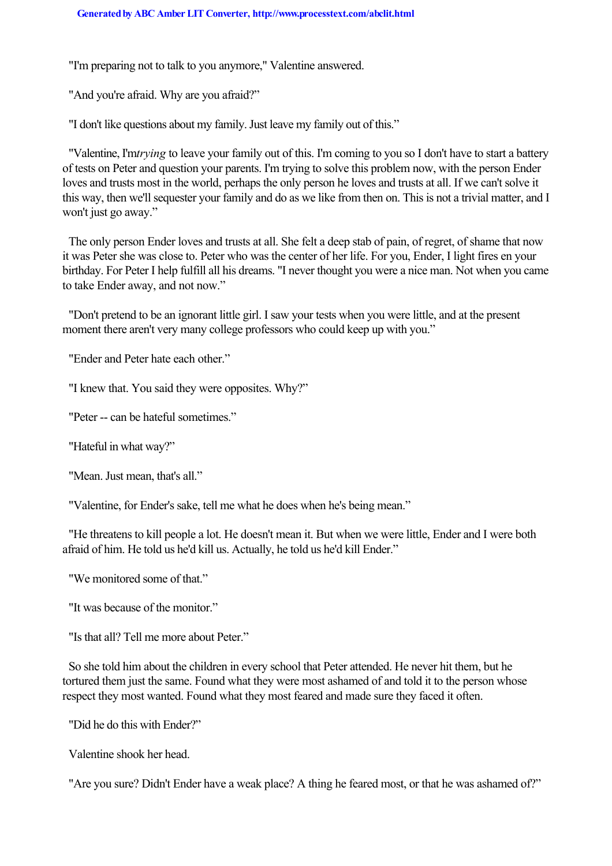"I'm preparing not to talk to you anymore," Valentine answered.

"And you're afraid. Why are you afraid?"

"I don't like questions about my family. Just leave my family out of this."

 "Valentine, I'm*trying* to leave your family out of this. I'm coming to you so I don't have to start a battery of tests on Peter and question your parents. I'm trying to solve this problem now, with the person Ender loves and trusts most in the world, perhaps the only person he loves and trusts at all. If we can't solve it this way, then we'll sequester your family and do as we like from then on. This is not a trivial matter, and I won't just go away."

 The only person Ender loves and trusts at all. She felt a deep stab of pain, of regret, of shame that now it was Peter she was close to. Peter who was the center of her life. For you, Ender, I light fires en your birthday. For Peter I help fulfill all his dreams. "I never thought you were a nice man. Not when you came to take Ender away, and not now."

 "Don't pretend to be an ignorant little girl. I saw your tests when you were little, and at the present moment there aren't very many college professors who could keep up with you."

"Ender and Peter hate each other."

"I knew that. You said they were opposites. Why?"

"Peter -- can be hateful sometimes."

"Hateful in what way?"

"Mean. Just mean, that's all."

"Valentine, for Ender's sake, tell me what he does when he's being mean."

 "He threatens to kill people a lot. He doesn't mean it. But when we were little, Ender and I were both afraid of him. He told us he'd kill us. Actually, he told us he'd kill Ender."

"We monitored some of that."

"It was because of the monitor."

"Is that all? Tell me more about Peter."

 So she told him about the children in every school that Peter attended. He never hit them, but he tortured them just the same. Found what they were most ashamed of and told it to the person whose respect they most wanted. Found what they most feared and made sure they faced it often.

"Did he do this with Ender?"

Valentine shook her head.

"Are you sure? Didn't Ender have a weak place? A thing he feared most, or that he was ashamed of?"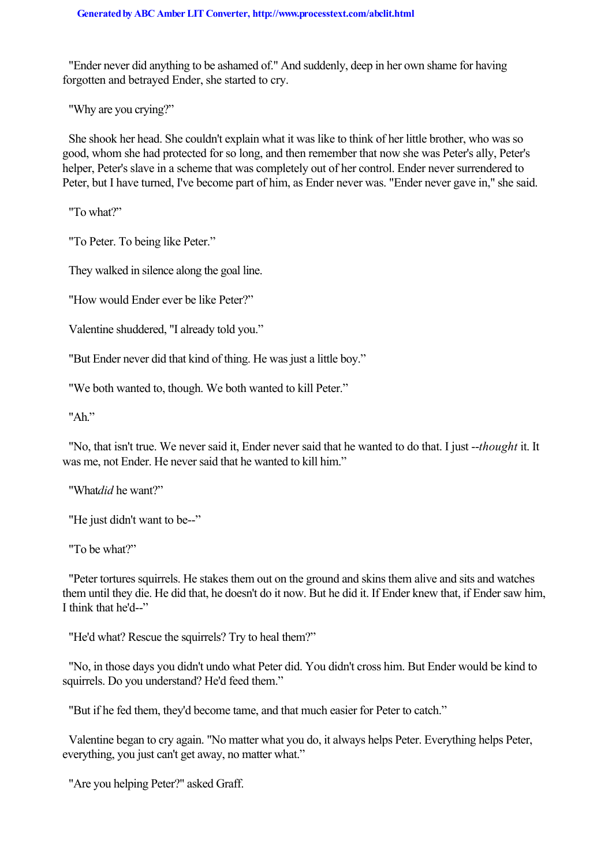"Ender never did anything to be ashamed of." And suddenly, deep in her own shame for having forgotten and betrayed Ender, she started to cry.

"Why are you crying?"

 She shook her head. She couldn't explain what it was like to think of her little brother, who was so good, whom she had protected for so long, and then remember that now she was Peter's ally, Peter's helper, Peter's slave in a scheme that was completely out of her control. Ender never surrendered to Peter, but I have turned, I've become part of him, as Ender never was. "Ender never gave in," she said.

"To what?"

"To Peter. To being like Peter."

They walked in silence along the goal line.

"How would Ender ever be like Peter?"

Valentine shuddered, "I already told you."

"But Ender never did that kind of thing. He was just a little boy."

"We both wanted to, though. We both wanted to kill Peter."

"Ah"

 "No, that isn't true. We never said it, Ender never said that he wanted to do that. I just --*thought* it. It was me, not Ender. He never said that he wanted to kill him."

"What*did* he want?"

"He just didn't want to be--"

"To be what?"

 "Peter tortures squirrels. He stakes them out on the ground and skins them alive and sits and watches them until they die. He did that, he doesn't do it now. But he did it. If Ender knew that, if Ender saw him, I think that he'd--"

"He'd what? Rescue the squirrels? Try to heal them?"

 "No, in those days you didn't undo what Peter did. You didn't cross him. But Ender would be kind to squirrels. Do you understand? He'd feed them."

"But if he fed them, they'd become tame, and that much easier for Peter to catch."

 Valentine began to cry again. "No matter what you do, it always helps Peter. Everything helps Peter, everything, you just can't get away, no matter what."

"Are you helping Peter?" asked Graff.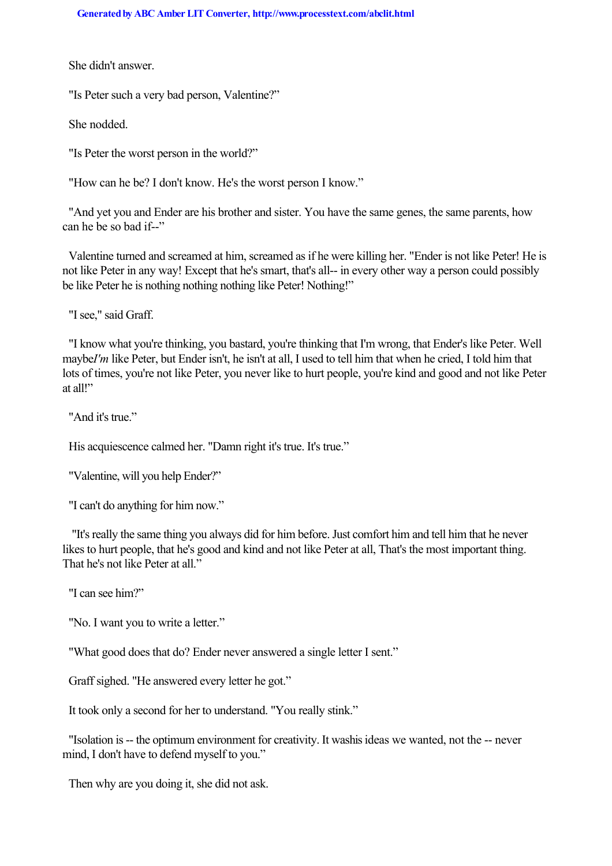She didn't answer.

"Is Peter such a very bad person, Valentine?"

She nodded.

"Is Peter the worst person in the world?"

"How can he be? I don't know. He's the worst person I know."

 "And yet you and Ender are his brother and sister. You have the same genes, the same parents, how can he be so bad if--"

 Valentine turned and screamed at him, screamed as if he were killing her. "Ender is not like Peter! He is not like Peter in any way! Except that he's smart, that's all-- in every other way a person could possibly be like Peter he is nothing nothing nothing like Peter! Nothing!"

"I see," said Graff.

 "I know what you're thinking, you bastard, you're thinking that I'm wrong, that Ender's like Peter. Well maybe*I'm* like Peter, but Ender isn't, he isn't at all, I used to tell him that when he cried, I told him that lots of times, you're not like Peter, you never like to hurt people, you're kind and good and not like Peter at all!"

"And it's true."

His acquiescence calmed her. "Damn right it's true. It's true."

"Valentine, will you help Ender?"

"I can't do anything for him now."

 "It's really the same thing you always did for him before. Just comfort him and tell him that he never likes to hurt people, that he's good and kind and not like Peter at all, That's the most important thing. That he's not like Peter at all."

"I can see him?"

"No. I want you to write a letter."

"What good does that do? Ender never answered a single letter I sent."

Graff sighed. "He answered every letter he got."

It took only a second for her to understand. "You really stink."

 "Isolation is -- the optimum environment for creativity. It washis ideas we wanted, not the -- never mind, I don't have to defend myself to you."

Then why are you doing it, she did not ask.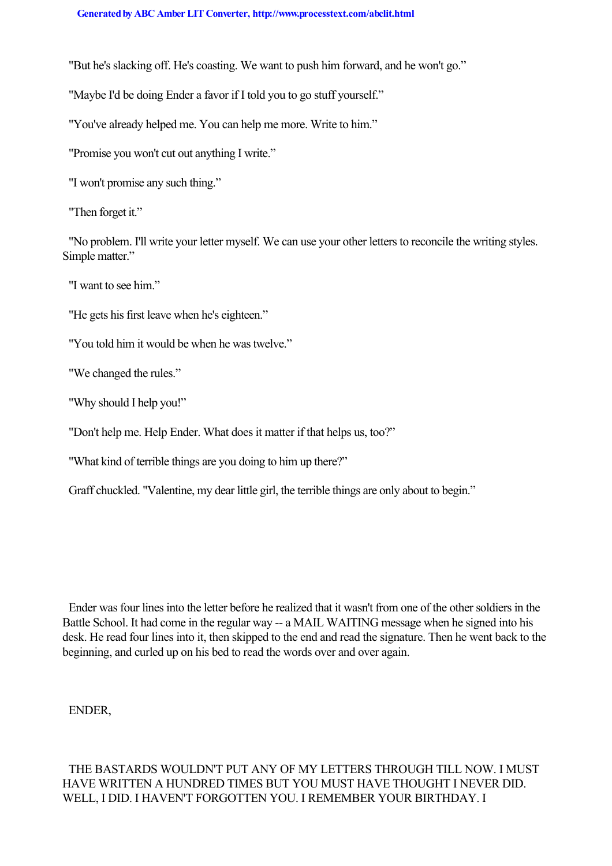"But he's slacking off. He's coasting. We want to push him forward, and he won't go."

"Maybe I'd be doing Ender a favor if I told you to go stuff yourself."

"You've already helped me. You can help me more. Write to him."

"Promise you won't cut out anything I write."

"I won't promise any such thing."

"Then forget it."

 "No problem. I'll write your letter myself. We can use your other letters to reconcile the writing styles. Simple matter."

"I want to see him."

"He gets his first leave when he's eighteen."

"You told him it would be when he was twelve."

"We changed the rules."

"Why should I help you!"

"Don't help me. Help Ender. What does it matter if that helps us, too?"

"What kind of terrible things are you doing to him up there?"

Graff chuckled. "Valentine, my dear little girl, the terrible things are only about to begin."

 Ender was four lines into the letter before he realized that it wasn't from one of the other soldiers in the Battle School. It had come in the regular way -- a MAIL WAITING message when he signed into his desk. He read four lines into it, then skipped to the end and read the signature. Then he went back to the beginning, and curled up on his bed to read the words over and over again.

ENDER,

# THE BASTARDS WOULDN'T PUT ANY OF MY LETTERS THROUGH TILL NOW. I MUST HAVE WRITTEN A HUNDRED TIMES BUT YOU MUST HAVE THOUGHT I NEVER DID. WELL, I DID. I HAVEN'T FORGOTTEN YOU. I REMEMBER YOUR BIRTHDAY. I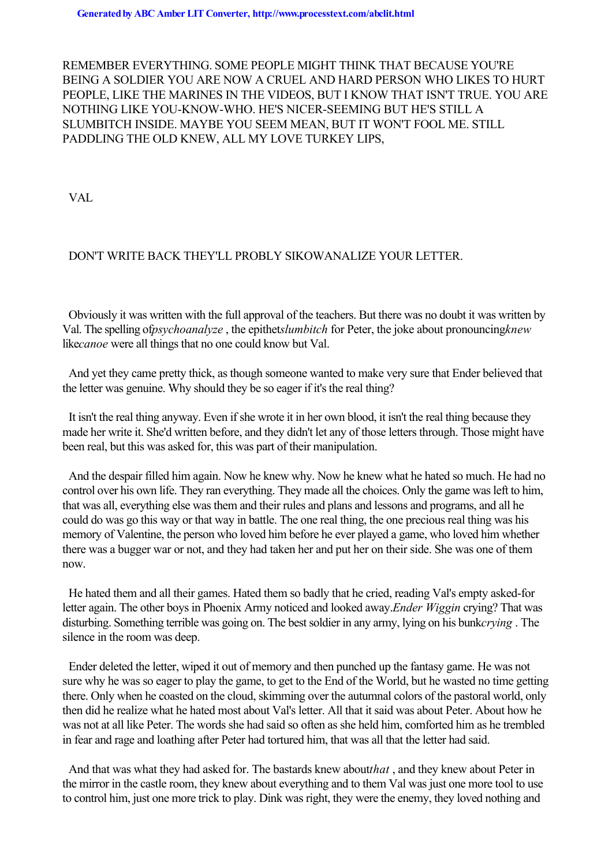REMEMBER EVERYTHING. SOME PEOPLE MIGHT THINK THAT BECAUSE YOU'RE BEING A SOLDIER YOU ARE NOW A CRUEL AND HARD PERSON WHO LIKES TO HURT PEOPLE, LIKE THE MARINES IN THE VIDEOS, BUT I KNOW THAT ISN'T TRUE. YOU ARE NOTHING LIKE YOU-KNOW-WHO. HE'S NICER-SEEMING BUT HE'S STILL A SLUMBITCH INSIDE. MAYBE YOU SEEM MEAN, BUT IT WON'T FOOL ME. STILL PADDLING THE OLD KNEW, ALL MY LOVE TURKEY LIPS,

VAL

## DON'T WRITE BACK THEY'LL PROBLY SIKOWANALIZE YOUR LETTER.

 Obviously it was written with the full approval of the teachers. But there was no doubt it was written by Val. The spelling of*psychoanalyze* , the epithet*slumbitch* for Peter, the joke about pronouncing*knew* like*canoe* were all things that no one could know but Val.

 And yet they came pretty thick, as though someone wanted to make very sure that Ender believed that the letter was genuine. Why should they be so eager if it's the real thing?

 It isn't the real thing anyway. Even if she wrote it in her own blood, it isn't the real thing because they made her write it. She'd written before, and they didn't let any of those letters through. Those might have been real, but this was asked for, this was part of their manipulation.

 And the despair filled him again. Now he knew why. Now he knew what he hated so much. He had no control over his own life. They ran everything. They made all the choices. Only the game was left to him, that was all, everything else was them and their rules and plans and lessons and programs, and all he could do was go this way or that way in battle. The one real thing, the one precious real thing was his memory of Valentine, the person who loved him before he ever played a game, who loved him whether there was a bugger war or not, and they had taken her and put her on their side. She was one of them now.

 He hated them and all their games. Hated them so badly that he cried, reading Val's empty asked-for letter again. The other boys in Phoenix Army noticed and looked away.*Ender Wiggin* crying? That was disturbing. Something terrible was going on. The best soldier in any army, lying on his bunk*crying* . The silence in the room was deep.

 Ender deleted the letter, wiped it out of memory and then punched up the fantasy game. He was not sure why he was so eager to play the game, to get to the End of the World, but he wasted no time getting there. Only when he coasted on the cloud, skimming over the autumnal colors of the pastoral world, only then did he realize what he hated most about Val's letter. All that it said was about Peter. About how he was not at all like Peter. The words she had said so often as she held him, comforted him as he trembled in fear and rage and loathing after Peter had tortured him, that was all that the letter had said.

 And that was what they had asked for. The bastards knew about*that* , and they knew about Peter in the mirror in the castle room, they knew about everything and to them Val was just one more tool to use to control him, just one more trick to play. Dink was right, they were the enemy, they loved nothing and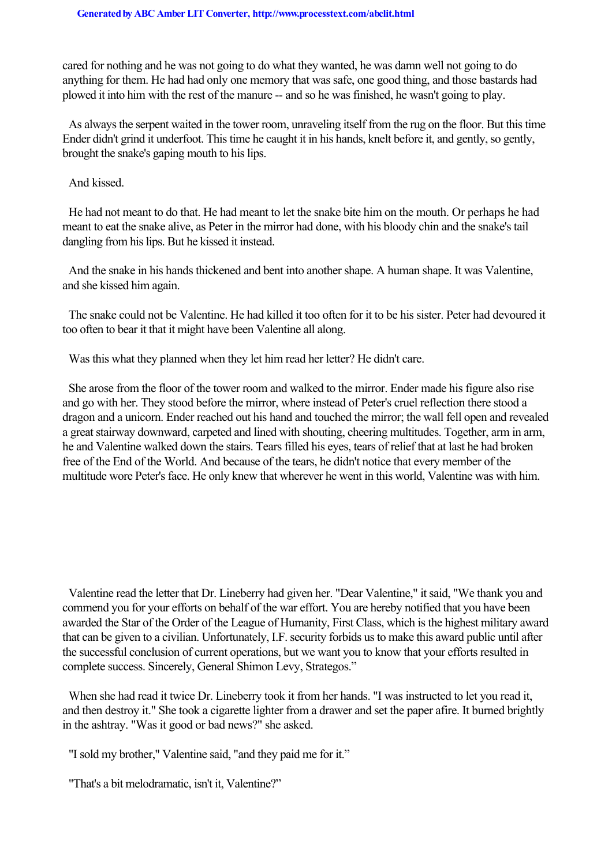cared for nothing and he was not going to do what they wanted, he was damn well not going to do anything for them. He had had only one memory that was safe, one good thing, and those bastards had plowed it into him with the rest of the manure -- and so he was finished, he wasn't going to play.

 As always the serpent waited in the tower room, unraveling itself from the rug on the floor. But this time Ender didn't grind it underfoot. This time he caught it in his hands, knelt before it, and gently, so gently, brought the snake's gaping mouth to his lips.

And kissed.

 He had not meant to do that. He had meant to let the snake bite him on the mouth. Or perhaps he had meant to eat the snake alive, as Peter in the mirror had done, with his bloody chin and the snake's tail dangling from his lips. But he kissed it instead.

 And the snake in his hands thickened and bent into another shape. A human shape. It was Valentine, and she kissed him again.

 The snake could not be Valentine. He had killed it too often for it to be his sister. Peter had devoured it too often to bear it that it might have been Valentine all along.

Was this what they planned when they let him read her letter? He didn't care.

 She arose from the floor of the tower room and walked to the mirror. Ender made his figure also rise and go with her. They stood before the mirror, where instead of Peter's cruel reflection there stood a dragon and a unicorn. Ender reached out his hand and touched the mirror; the wall fell open and revealed a great stairway downward, carpeted and lined with shouting, cheering multitudes. Together, arm in arm, he and Valentine walked down the stairs. Tears filled his eyes, tears of relief that at last he had broken free of the End of the World. And because of the tears, he didn't notice that every member of the multitude wore Peter's face. He only knew that wherever he went in this world, Valentine was with him.

 Valentine read the letter that Dr. Lineberry had given her. "Dear Valentine," it said, "We thank you and commend you for your efforts on behalf of the war effort. You are hereby notified that you have been awarded the Star of the Order of the League of Humanity, First Class, which is the highest military award that can be given to a civilian. Unfortunately, I.F. security forbids us to make this award public until after the successful conclusion of current operations, but we want you to know that your efforts resulted in complete success. Sincerely, General Shimon Levy, Strategos."

 When she had read it twice Dr. Lineberry took it from her hands. "I was instructed to let you read it, and then destroy it." She took a cigarette lighter from a drawer and set the paper afire. It burned brightly in the ashtray. "Was it good or bad news?" she asked.

"I sold my brother," Valentine said, "and they paid me for it."

"That's a bit melodramatic, isn't it, Valentine?"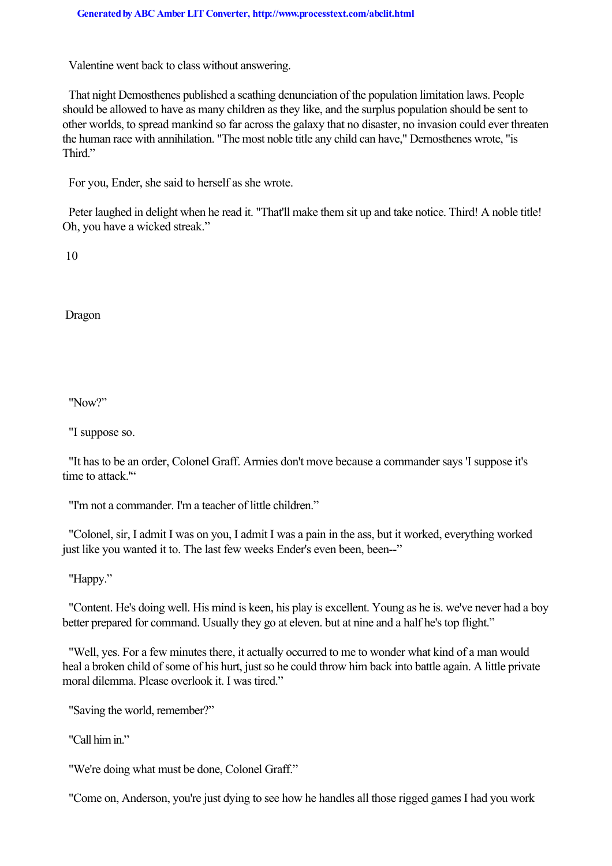Valentine went back to class without answering.

 That night Demosthenes published a scathing denunciation of the population limitation laws. People should be allowed to have as many children as they like, and the surplus population should be sent to other worlds, to spread mankind so far across the galaxy that no disaster, no invasion could ever threaten the human race with annihilation. "The most noble title any child can have," Demosthenes wrote, "is Third<sup>"</sup>

For you, Ender, she said to herself as she wrote.

 Peter laughed in delight when he read it. "That'll make them sit up and take notice. Third! A noble title! Oh, you have a wicked streak."

10

Dragon

"Now?"

"I suppose so.

 "It has to be an order, Colonel Graff. Armies don't move because a commander says 'I suppose it's time to attack."

"I'm not a commander. I'm a teacher of little children."

 "Colonel, sir, I admit I was on you, I admit I was a pain in the ass, but it worked, everything worked just like you wanted it to. The last few weeks Ender's even been, been--"

"Happy."

 "Content. He's doing well. His mind is keen, his play is excellent. Young as he is. we've never had a boy better prepared for command. Usually they go at eleven. but at nine and a half he's top flight."

 "Well, yes. For a few minutes there, it actually occurred to me to wonder what kind of a man would heal a broken child of some of his hurt, just so he could throw him back into battle again. A little private moral dilemma. Please overlook it. I was tired."

"Saving the world, remember?"

"Call him in"

"We're doing what must be done, Colonel Graff."

"Come on, Anderson, you're just dying to see how he handles all those rigged games I had you work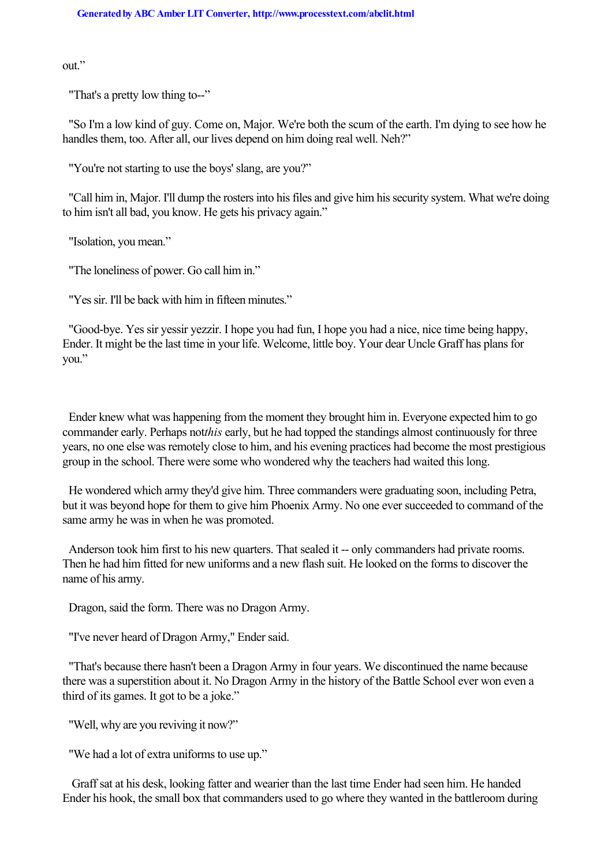out."

"That's a pretty low thing to--"

 "So I'm a low kind of guy. Come on, Major. We're both the scum of the earth. I'm dying to see how he handles them, too. After all, our lives depend on him doing real well. Neh?"

"You're not starting to use the boys' slang, are you?"

 "Call him in, Major. I'll dump the rosters into his files and give him his security system. What we're doing to him isn't all bad, you know. He gets his privacy again."

"Isolation, you mean."

"The loneliness of power. Go call him in."

"Yes sir. I'll be back with him in fifteen minutes."

 "Good-bye. Yes sir yessir yezzir. I hope you had fun, I hope you had a nice, nice time being happy, Ender. It might be the last time in your life. Welcome, little boy. Your dear Uncle Graff has plans for you."

 Ender knew what was happening from the moment they brought him in. Everyone expected him to go commander early. Perhaps not*this* early, but he had topped the standings almost continuously for three years, no one else was remotely close to him, and his evening practices had become the most prestigious group in the school. There were some who wondered why the teachers had waited this long.

 He wondered which army they'd give him. Three commanders were graduating soon, including Petra, but it was beyond hope for them to give him Phoenix Army. No one ever succeeded to command of the same army he was in when he was promoted.

 Anderson took him first to his new quarters. That sealed it -- only commanders had private rooms. Then he had him fitted for new uniforms and a new flash suit. He looked on the forms to discover the name of his army.

Dragon, said the form. There was no Dragon Army.

"I've never heard of Dragon Army," Ender said.

 "That's because there hasn't been a Dragon Army in four years. We discontinued the name because there was a superstition about it. No Dragon Army in the history of the Battle School ever won even a third of its games. It got to be a joke."

"Well, why are you reviving it now?"

"We had a lot of extra uniforms to use up."

 Graff sat at his desk, looking fatter and wearier than the last time Ender had seen him. He handed Ender his hook, the small box that commanders used to go where they wanted in the battleroom during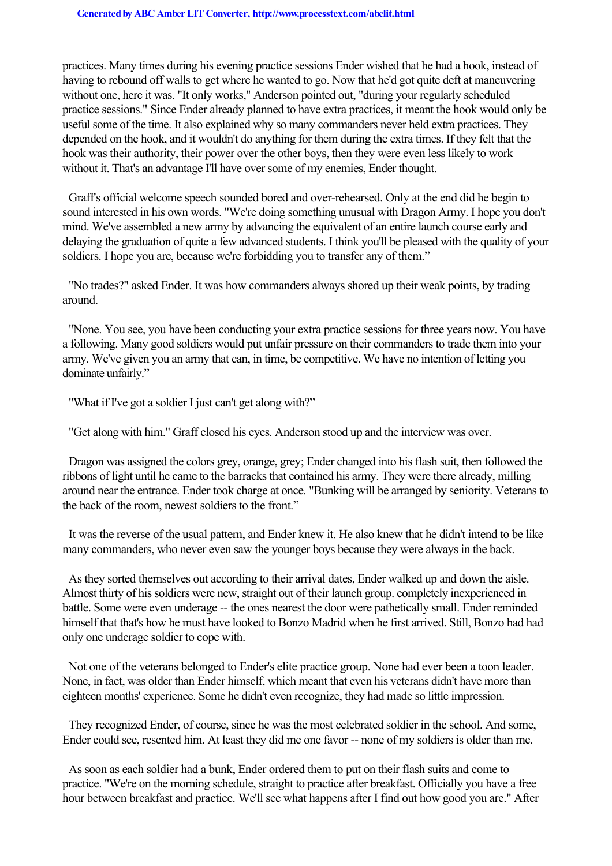practices. Many times during his evening practice sessions Ender wished that he had a hook, instead of having to rebound off walls to get where he wanted to go. Now that he'd got quite deft at maneuvering without one, here it was. "It only works," Anderson pointed out, "during your regularly scheduled practice sessions." Since Ender already planned to have extra practices, it meant the hook would only be useful some of the time. It also explained why so many commanders never held extra practices. They depended on the hook, and it wouldn't do anything for them during the extra times. If they felt that the hook was their authority, their power over the other boys, then they were even less likely to work without it. That's an advantage I'll have over some of my enemies. Ender thought.

 Graff's official welcome speech sounded bored and over-rehearsed. Only at the end did he begin to sound interested in his own words. "We're doing something unusual with Dragon Army. I hope you don't mind. We've assembled a new army by advancing the equivalent of an entire launch course early and delaying the graduation of quite a few advanced students. I think you'll be pleased with the quality of your soldiers. I hope you are, because we're forbidding you to transfer any of them."

 "No trades?" asked Ender. It was how commanders always shored up their weak points, by trading around.

 "None. You see, you have been conducting your extra practice sessions for three years now. You have a following. Many good soldiers would put unfair pressure on their commanders to trade them into your army. We've given you an army that can, in time, be competitive. We have no intention of letting you dominate unfairly."

"What if I've got a soldier I just can't get along with?"

"Get along with him." Graff closed his eyes. Anderson stood up and the interview was over.

 Dragon was assigned the colors grey, orange, grey; Ender changed into his flash suit, then followed the ribbons of light until he came to the barracks that contained his army. They were there already, milling around near the entrance. Ender took charge at once. "Bunking will be arranged by seniority. Veterans to the back of the room, newest soldiers to the front."

 It was the reverse of the usual pattern, and Ender knew it. He also knew that he didn't intend to be like many commanders, who never even saw the younger boys because they were always in the back.

 As they sorted themselves out according to their arrival dates, Ender walked up and down the aisle. Almost thirty of his soldiers were new, straight out of their launch group. completely inexperienced in battle. Some were even underage -- the ones nearest the door were pathetically small. Ender reminded himself that that's how he must have looked to Bonzo Madrid when he first arrived. Still, Bonzo had had only one underage soldier to cope with.

 Not one of the veterans belonged to Ender's elite practice group. None had ever been a toon leader. None, in fact, was older than Ender himself, which meant that even his veterans didn't have more than eighteen months' experience. Some he didn't even recognize, they had made so little impression.

 They recognized Ender, of course, since he was the most celebrated soldier in the school. And some, Ender could see, resented him. At least they did me one favor -- none of my soldiers is older than me.

 As soon as each soldier had a bunk, Ender ordered them to put on their flash suits and come to practice. "We're on the morning schedule, straight to practice after breakfast. Officially you have a free hour between breakfast and practice. We'll see what happens after I find out how good you are." After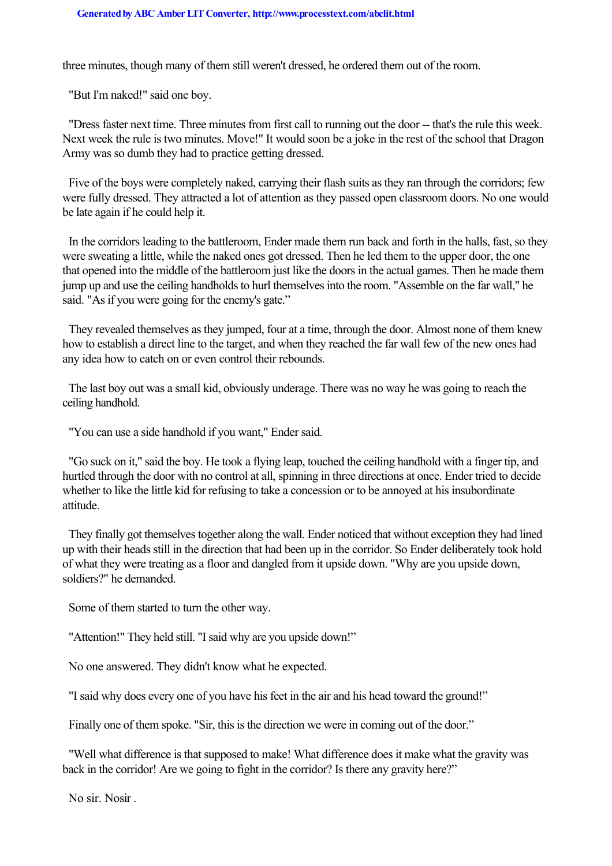three minutes, though many of them still weren't dressed, he ordered them out of the room.

"But I'm naked!" said one boy.

 "Dress faster next time. Three minutes from first call to running out the door -- that's the rule this week. Next week the rule is two minutes. Move!" It would soon be a joke in the rest of the school that Dragon Army was so dumb they had to practice getting dressed.

 Five of the boys were completely naked, carrying their flash suits as they ran through the corridors; few were fully dressed. They attracted a lot of attention as they passed open classroom doors. No one would be late again if he could help it.

 In the corridors leading to the battleroom, Ender made them run back and forth in the halls, fast, so they were sweating a little, while the naked ones got dressed. Then he led them to the upper door, the one that opened into the middle of the battleroom just like the doors in the actual games. Then he made them jump up and use the ceiling handholds to hurl themselves into the room. "Assemble on the far wall," he said. "As if you were going for the enemy's gate."

 They revealed themselves as they jumped, four at a time, through the door. Almost none of them knew how to establish a direct line to the target, and when they reached the far wall few of the new ones had any idea how to catch on or even control their rebounds.

 The last boy out was a small kid, obviously underage. There was no way he was going to reach the ceiling handhold.

"You can use a side handhold if you want," Ender said.

 "Go suck on it," said the boy. He took a flying leap, touched the ceiling handhold with a finger tip, and hurtled through the door with no control at all, spinning in three directions at once. Ender tried to decide whether to like the little kid for refusing to take a concession or to be annoved at his insubordinate attitude.

 They finally got themselves together along the wall. Ender noticed that without exception they had lined up with their heads still in the direction that had been up in the corridor. So Ender deliberately took hold of what they were treating as a floor and dangled from it upside down. "Why are you upside down, soldiers?" he demanded

Some of them started to turn the other way.

"Attention!" They held still. "I said why are you upside down!"

No one answered. They didn't know what he expected.

"I said why does every one of you have his feet in the air and his head toward the ground!"

Finally one of them spoke. "Sir, this is the direction we were in coming out of the door."

 "Well what difference is that supposed to make! What difference does it make what the gravity was back in the corridor! Are we going to fight in the corridor? Is there any gravity here?"

No sir. Nosir .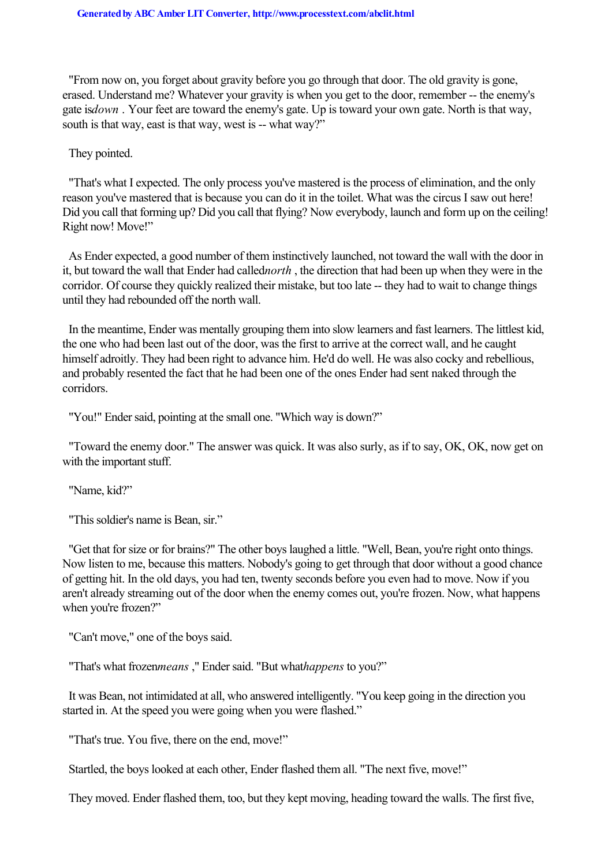"From now on, you forget about gravity before you go through that door. The old gravity is gone, erased. Understand me? Whatever your gravity is when you get to the door, remember -- the enemy's gate is*down* . Your feet are toward the enemy's gate. Up is toward your own gate. North is that way, south is that way, east is that way, west is -- what way?"

### They pointed.

 "That's what I expected. The only process you've mastered is the process of elimination, and the only reason you've mastered that is because you can do it in the toilet. What was the circus I saw out here! Did you call that forming up? Did you call that flying? Now everybody, launch and form up on the ceiling! Right now! Move!"

 As Ender expected, a good number of them instinctively launched, not toward the wall with the door in it, but toward the wall that Ender had called*north* , the direction that had been up when they were in the corridor. Of course they quickly realized their mistake, but too late -- they had to wait to change things until they had rebounded off the north wall.

 In the meantime, Ender was mentally grouping them into slow learners and fast learners. The littlest kid, the one who had been last out of the door, was the first to arrive at the correct wall, and he caught himself adroitly. They had been right to advance him. He'd do well. He was also cocky and rebellious, and probably resented the fact that he had been one of the ones Ender had sent naked through the corridors.

"You!" Ender said, pointing at the small one. "Which way is down?"

 "Toward the enemy door." The answer was quick. It was also surly, as if to say, OK, OK, now get on with the important stuff.

"Name, kid?"

"This soldier's name is Bean, sir."

 "Get that for size or for brains?" The other boys laughed a little. "Well, Bean, you're right onto things. Now listen to me, because this matters. Nobody's going to get through that door without a good chance of getting hit. In the old days, you had ten, twenty seconds before you even had to move. Now if you aren't already streaming out of the door when the enemy comes out, you're frozen. Now, what happens when you're frozen?"

"Can't move," one of the boys said.

"That's what frozen*means* ," Ender said. "But what*happens* to you?"

 It was Bean, not intimidated at all, who answered intelligently. "You keep going in the direction you started in. At the speed you were going when you were flashed."

"That's true. You five, there on the end, move!"

Startled, the boys looked at each other, Ender flashed them all. "The next five, move!"

They moved. Ender flashed them, too, but they kept moving, heading toward the walls. The first five,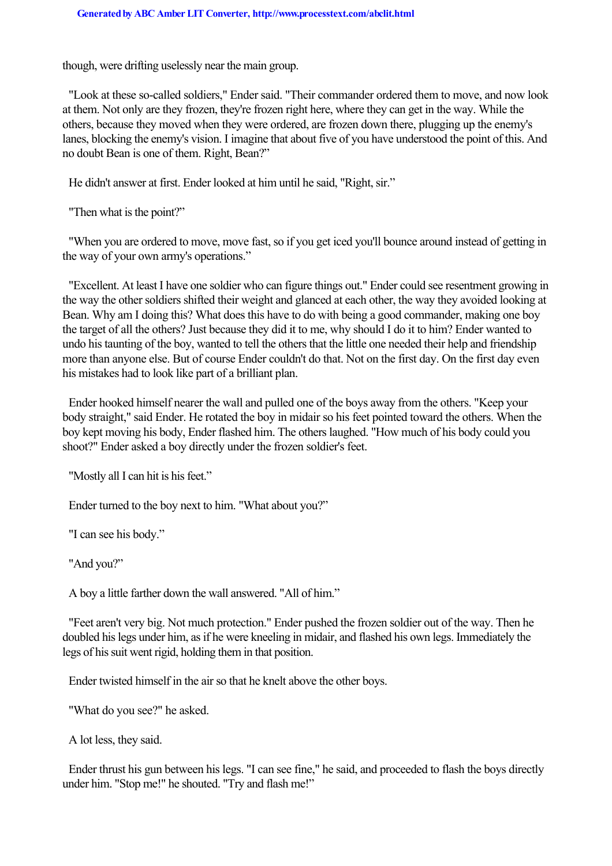though, were drifting uselessly near the main group.

 "Look at these so-called soldiers," Ender said. "Their commander ordered them to move, and now look at them. Not only are they frozen, they're frozen right here, where they can get in the way. While the others, because they moved when they were ordered, are frozen down there, plugging up the enemy's lanes, blocking the enemy's vision. I imagine that about five of you have understood the point of this. And no doubt Bean is one of them. Right, Bean?"

He didn't answer at first. Ender looked at him until he said, "Right, sir."

"Then what is the point?"

 "When you are ordered to move, move fast, so if you get iced you'll bounce around instead of getting in the way of your own army's operations."

 "Excellent. At least I have one soldier who can figure things out." Ender could see resentment growing in the way the other soldiers shifted their weight and glanced at each other, the way they avoided looking at Bean. Why am I doing this? What does this have to do with being a good commander, making one boy the target of all the others? Just because they did it to me, why should I do it to him? Ender wanted to undo his taunting of the boy, wanted to tell the others that the little one needed their help and friendship more than anyone else. But of course Ender couldn't do that. Not on the first day. On the first day even his mistakes had to look like part of a brilliant plan.

 Ender hooked himself nearer the wall and pulled one of the boys away from the others. "Keep your body straight," said Ender. He rotated the boy in midair so his feet pointed toward the others. When the boy kept moving his body, Ender flashed him. The others laughed. "How much of his body could you shoot?" Ender asked a boy directly under the frozen soldier's feet.

"Mostly all I can hit is his feet."

Ender turned to the boy next to him. "What about you?"

"I can see his body."

"And you?"

A boy a little farther down the wall answered. "All of him."

 "Feet aren't very big. Not much protection." Ender pushed the frozen soldier out of the way. Then he doubled his legs under him, as if he were kneeling in midair, and flashed his own legs. Immediately the legs of his suit went rigid, holding them in that position.

Ender twisted himself in the air so that he knelt above the other boys.

"What do you see?" he asked.

A lot less, they said.

 Ender thrust his gun between his legs. "I can see fine," he said, and proceeded to flash the boys directly under him. "Stop me!" he shouted. "Try and flash me!"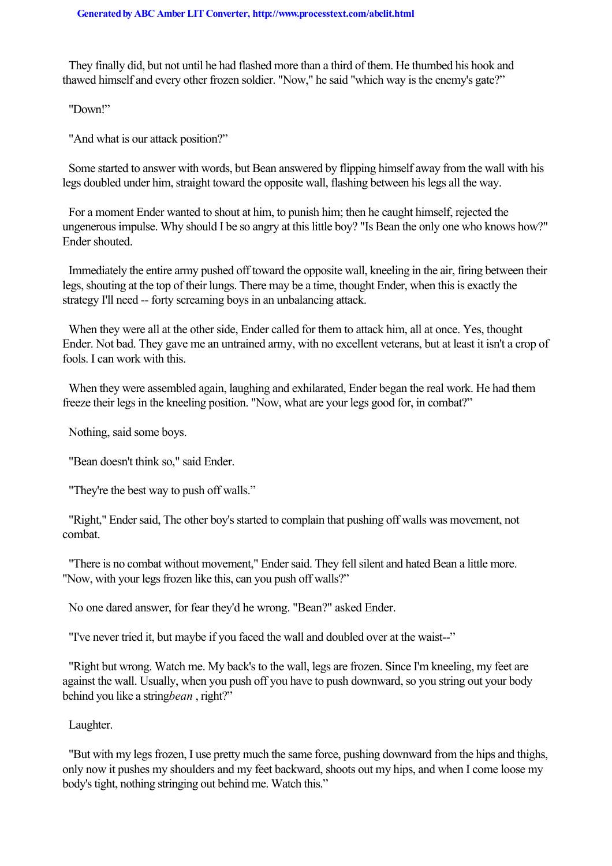They finally did, but not until he had flashed more than a third of them. He thumbed his hook and thawed himself and every other frozen soldier. "Now," he said "which way is the enemy's gate?"

"Down!"

"And what is our attack position?"

 Some started to answer with words, but Bean answered by flipping himself away from the wall with his legs doubled under him, straight toward the opposite wall, flashing between his legs all the way.

 For a moment Ender wanted to shout at him, to punish him; then he caught himself, rejected the ungenerous impulse. Why should I be so angry at this little boy? "Is Bean the only one who knows how?" Ender shouted.

 Immediately the entire army pushed off toward the opposite wall, kneeling in the air, firing between their legs, shouting at the top of their lungs. There may be a time, thought Ender, when this is exactly the strategy I'll need -- forty screaming boys in an unbalancing attack.

 When they were all at the other side, Ender called for them to attack him, all at once. Yes, thought Ender. Not bad. They gave me an untrained army, with no excellent veterans, but at least it isn't a crop of fools. I can work with this.

 When they were assembled again, laughing and exhilarated, Ender began the real work. He had them freeze their legs in the kneeling position. "Now, what are your legs good for, in combat?"

Nothing, said some boys.

"Bean doesn't think so," said Ender.

"They're the best way to push off walls."

 "Right," Ender said, The other boy's started to complain that pushing off walls was movement, not combat.

 "There is no combat without movement," Ender said. They fell silent and hated Bean a little more. "Now, with your legs frozen like this, can you push off walls?"

No one dared answer, for fear they'd he wrong. "Bean?" asked Ender.

"I've never tried it, but maybe if you faced the wall and doubled over at the waist--"

 "Right but wrong. Watch me. My back's to the wall, legs are frozen. Since I'm kneeling, my feet are against the wall. Usually, when you push off you have to push downward, so you string out your body behind you like a string*bean* , right?"

Laughter.

 "But with my legs frozen, I use pretty much the same force, pushing downward from the hips and thighs, only now it pushes my shoulders and my feet backward, shoots out my hips, and when I come loose my body's tight, nothing stringing out behind me. Watch this."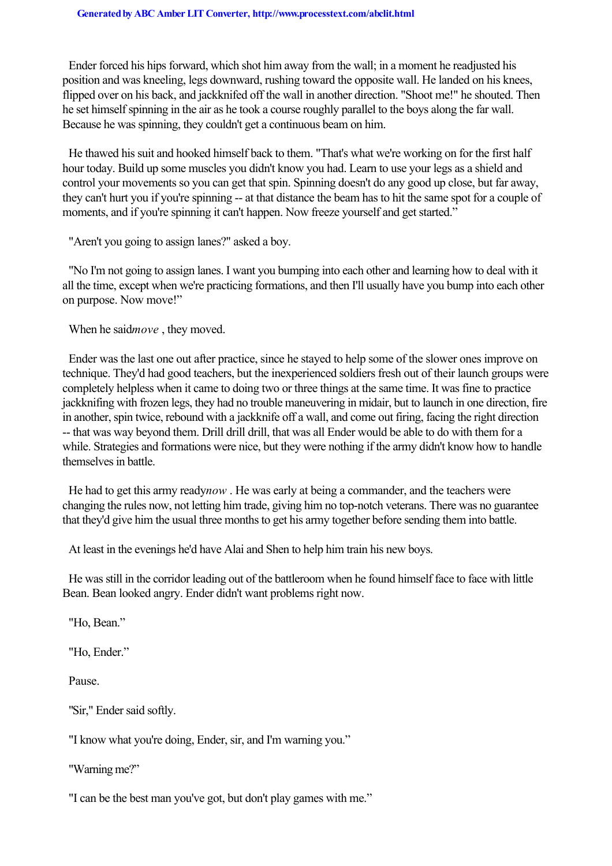Ender forced his hips forward, which shot him away from the wall; in a moment he readjusted his position and was kneeling, legs downward, rushing toward the opposite wall. He landed on his knees, flipped over on his back, and jackknifed off the wall in another direction. "Shoot me!" he shouted. Then he set himself spinning in the air as he took a course roughly parallel to the boys along the far wall. Because he was spinning, they couldn't get a continuous beam on him.

 He thawed his suit and hooked himself back to them. "That's what we're working on for the first half hour today. Build up some muscles you didn't know you had. Learn to use your legs as a shield and control your movements so you can get that spin. Spinning doesn't do any good up close, but far away, they can't hurt you if you're spinning -- at that distance the beam has to hit the same spot for a couple of moments, and if you're spinning it can't happen. Now freeze yourself and get started."

"Aren't you going to assign lanes?" asked a boy.

 "No I'm not going to assign lanes. I want you bumping into each other and learning how to deal with it all the time, except when we're practicing formations, and then I'll usually have you bump into each other on purpose. Now move!"

When he said*move* , they moved.

 Ender was the last one out after practice, since he stayed to help some of the slower ones improve on technique. They'd had good teachers, but the inexperienced soldiers fresh out of their launch groups were completely helpless when it came to doing two or three things at the same time. It was fine to practice jackknifing with frozen legs, they had no trouble maneuvering in midair, but to launch in one direction, fire in another, spin twice, rebound with a jackknife off a wall, and come out firing, facing the right direction -- that was way beyond them. Drill drill drill, that was all Ender would be able to do with them for a while. Strategies and formations were nice, but they were nothing if the army didn't know how to handle themselves in battle.

 He had to get this army ready*now* . He was early at being a commander, and the teachers were changing the rules now, not letting him trade, giving him no top-notch veterans. There was no guarantee that they'd give him the usual three months to get his army together before sending them into battle.

At least in the evenings he'd have Alai and Shen to help him train his new boys.

 He was still in the corridor leading out of the battleroom when he found himself face to face with little Bean. Bean looked angry. Ender didn't want problems right now.

"Ho, Bean."

"Ho, Ender."

Pause.

"Sir," Ender said softly.

"I know what you're doing, Ender, sir, and I'm warning you."

"Warning me?"

"I can be the best man you've got, but don't play games with me."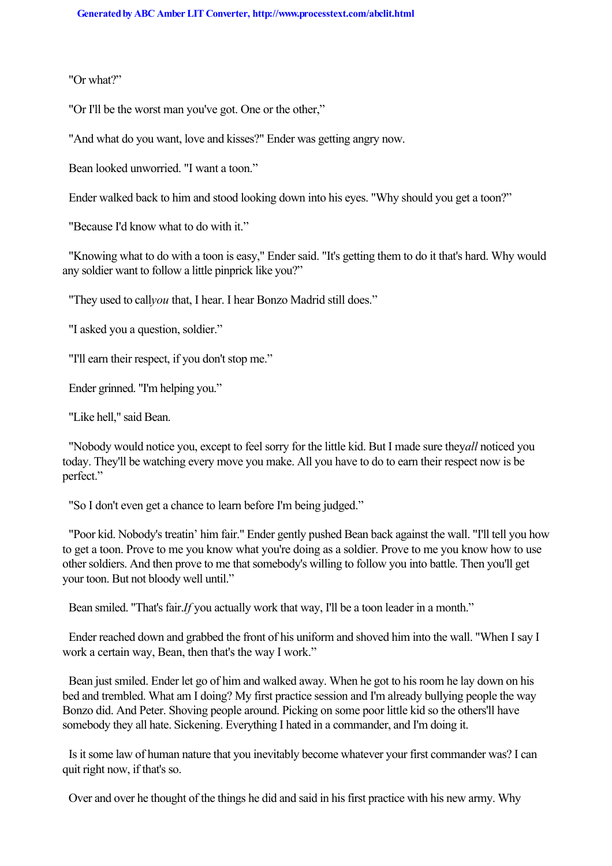"Or what?"

"Or I'll be the worst man you've got. One or the other,"

"And what do you want, love and kisses?" Ender was getting angry now.

Bean looked unworried. "I want a toon."

Ender walked back to him and stood looking down into his eyes. "Why should you get a toon?"

"Because I'd know what to do with it."

 "Knowing what to do with a toon is easy," Ender said. "It's getting them to do it that's hard. Why would any soldier want to follow a little pinprick like you?"

"They used to call*you* that, I hear. I hear Bonzo Madrid still does."

"I asked you a question, soldier."

"I'll earn their respect, if you don't stop me."

Ender grinned. "I'm helping you."

"Like hell," said Bean.

 "Nobody would notice you, except to feel sorry for the little kid. But I made sure they*all* noticed you today. They'll be watching every move you make. All you have to do to earn their respect now is be perfect."

"So I don't even get a chance to learn before I'm being judged."

 "Poor kid. Nobody's treatin' him fair." Ender gently pushed Bean back against the wall. "I'll tell you how to get a toon. Prove to me you know what you're doing as a soldier. Prove to me you know how to use other soldiers. And then prove to me that somebody's willing to follow you into battle. Then you'll get your toon. But not bloody well until."

Bean smiled. "That's fair.*If* you actually work that way, I'll be a toon leader in a month."

 Ender reached down and grabbed the front of his uniform and shoved him into the wall. "When I say I work a certain way, Bean, then that's the way I work."

 Bean just smiled. Ender let go of him and walked away. When he got to his room he lay down on his bed and trembled. What am I doing? My first practice session and I'm already bullying people the way Bonzo did. And Peter. Shoving people around. Picking on some poor little kid so the others'll have somebody they all hate. Sickening. Everything I hated in a commander, and I'm doing it.

 Is it some law of human nature that you inevitably become whatever your first commander was? I can quit right now, if that's so.

Over and over he thought of the things he did and said in his first practice with his new army. Why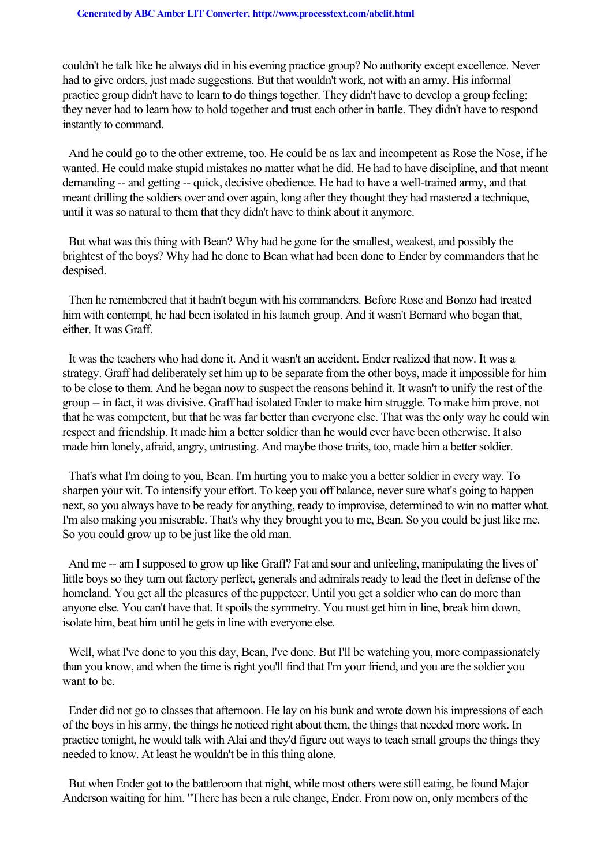couldn't he talk like he always did in his evening practice group? No authority except excellence. Never had to give orders, just made suggestions. But that wouldn't work, not with an army. His informal practice group didn't have to learn to do things together. They didn't have to develop a group feeling; they never had to learn how to hold together and trust each other in battle. They didn't have to respond instantly to command.

 And he could go to the other extreme, too. He could be as lax and incompetent as Rose the Nose, if he wanted. He could make stupid mistakes no matter what he did. He had to have discipline, and that meant demanding -- and getting -- quick, decisive obedience. He had to have a well-trained army, and that meant drilling the soldiers over and over again, long after they thought they had mastered a technique, until it was so natural to them that they didn't have to think about it anymore.

 But what was this thing with Bean? Why had he gone for the smallest, weakest, and possibly the brightest of the boys? Why had he done to Bean what had been done to Ender by commanders that he despised.

 Then he remembered that it hadn't begun with his commanders. Before Rose and Bonzo had treated him with contempt, he had been isolated in his launch group. And it wasn't Bernard who began that, either. It was Graff.

 It was the teachers who had done it. And it wasn't an accident. Ender realized that now. It was a strategy. Graff had deliberately set him up to be separate from the other boys, made it impossible for him to be close to them. And he began now to suspect the reasons behind it. It wasn't to unify the rest of the group -- in fact, it was divisive. Graff had isolated Ender to make him struggle. To make him prove, not that he was competent, but that he was far better than everyone else. That was the only way he could win respect and friendship. It made him a better soldier than he would ever have been otherwise. It also made him lonely, afraid, angry, untrusting. And maybe those traits, too, made him a better soldier.

 That's what I'm doing to you, Bean. I'm hurting you to make you a better soldier in every way. To sharpen your wit. To intensify your effort. To keep you off balance, never sure what's going to happen next, so you always have to be ready for anything, ready to improvise, determined to win no matter what. I'm also making you miserable. That's why they brought you to me, Bean. So you could be just like me. So you could grow up to be just like the old man.

 And me -- am I supposed to grow up like Graff? Fat and sour and unfeeling, manipulating the lives of little boys so they turn out factory perfect, generals and admirals ready to lead the fleet in defense of the homeland. You get all the pleasures of the puppeteer. Until you get a soldier who can do more than anyone else. You can't have that. It spoils the symmetry. You must get him in line, break him down, isolate him, beat him until he gets in line with everyone else.

Well, what I've done to you this day, Bean, I've done. But I'll be watching you, more compassionately than you know, and when the time is right you'll find that I'm your friend, and you are the soldier you want to be.

 Ender did not go to classes that afternoon. He lay on his bunk and wrote down his impressions of each of the boys in his army, the things he noticed right about them, the things that needed more work. In practice tonight, he would talk with Alai and they'd figure out ways to teach small groups the things they needed to know. At least he wouldn't be in this thing alone.

 But when Ender got to the battleroom that night, while most others were still eating, he found Major Anderson waiting for him. "There has been a rule change, Ender. From now on, only members of the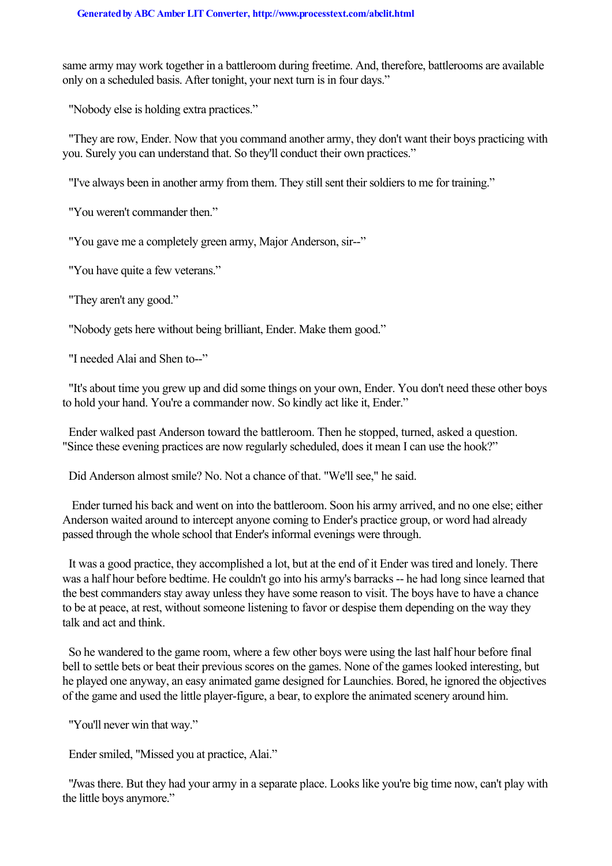same army may work together in a battleroom during freetime. And, therefore, battlerooms are available only on a scheduled basis. After tonight, your next turn is in four days."

"Nobody else is holding extra practices."

 "They are row, Ender. Now that you command another army, they don't want their boys practicing with you. Surely you can understand that. So they'll conduct their own practices."

"I've always been in another army from them. They still sent their soldiers to me for training."

"You weren't commander then."

"You gave me a completely green army, Major Anderson, sir--"

"You have quite a few veterans."

"They aren't any good."

"Nobody gets here without being brilliant, Ender. Make them good."

"I needed Alai and Shen to--"

 "It's about time you grew up and did some things on your own, Ender. You don't need these other boys to hold your hand. You're a commander now. So kindly act like it, Ender."

 Ender walked past Anderson toward the battleroom. Then he stopped, turned, asked a question. "Since these evening practices are now regularly scheduled, does it mean I can use the hook?"

Did Anderson almost smile? No. Not a chance of that. "We'll see," he said.

 Ender turned his back and went on into the battleroom. Soon his army arrived, and no one else; either Anderson waited around to intercept anyone coming to Ender's practice group, or word had already passed through the whole school that Ender's informal evenings were through.

 It was a good practice, they accomplished a lot, but at the end of it Ender was tired and lonely. There was a half hour before bedtime. He couldn't go into his army's barracks -- he had long since learned that the best commanders stay away unless they have some reason to visit. The boys have to have a chance to be at peace, at rest, without someone listening to favor or despise them depending on the way they talk and act and think

 So he wandered to the game room, where a few other boys were using the last half hour before final bell to settle bets or beat their previous scores on the games. None of the games looked interesting, but he played one anyway, an easy animated game designed for Launchies. Bored, he ignored the objectives of the game and used the little player-figure, a bear, to explore the animated scenery around him.

"You'll never win that way."

Ender smiled, "Missed you at practice, Alai."

 "*I*was there. But they had your army in a separate place. Looks like you're big time now, can't play with the little boys anymore."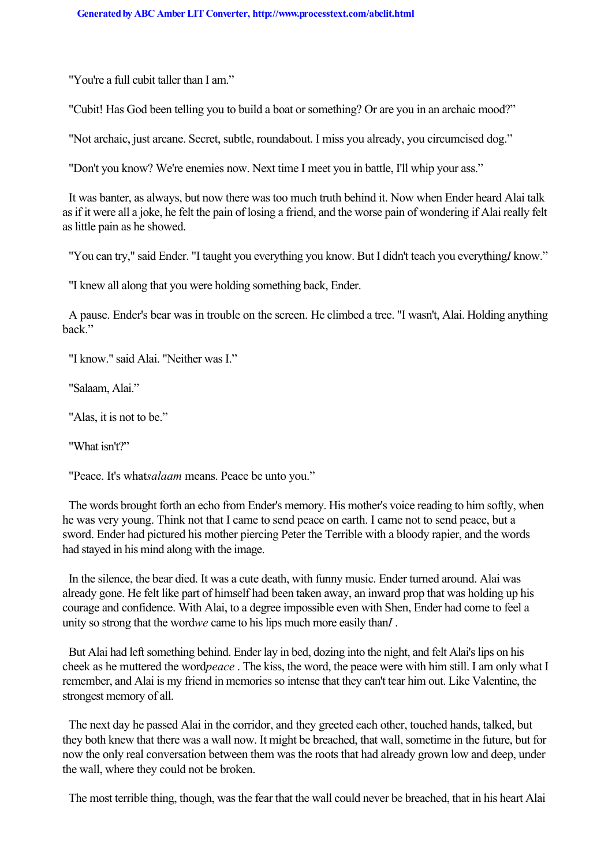"You're a full cubit taller than I am."

"Cubit! Has God been telling you to build a boat or something? Or are you in an archaic mood?"

"Not archaic, just arcane. Secret, subtle, roundabout. I miss you already, you circumcised dog."

"Don't you know? We're enemies now. Next time I meet you in battle, I'll whip your ass."

 It was banter, as always, but now there was too much truth behind it. Now when Ender heard Alai talk as if it were all a joke, he felt the pain of losing a friend, and the worse pain of wondering if Alai really felt as little pain as he showed.

"You can try," said Ender. "I taught you everything you know. But I didn't teach you everything*I* know."

"I knew all along that you were holding something back, Ender.

 A pause. Ender's bear was in trouble on the screen. He climbed a tree. "I wasn't, Alai. Holding anything back."

"I know." said Alai. "Neither was I."

"Salaam, Alai."

"Alas, it is not to be."

"What isn't?"

"Peace. It's what*salaam* means. Peace be unto you."

 The words brought forth an echo from Ender's memory. His mother's voice reading to him softly, when he was very young. Think not that I came to send peace on earth. I came not to send peace, but a sword. Ender had pictured his mother piercing Peter the Terrible with a bloody rapier, and the words had stayed in his mind along with the image.

 In the silence, the bear died. It was a cute death, with funny music. Ender turned around. Alai was already gone. He felt like part of himself had been taken away, an inward prop that was holding up his courage and confidence. With Alai, to a degree impossible even with Shen, Ender had come to feel a unity so strong that the word*we* came to his lips much more easily than*I* .

 But Alai had left something behind. Ender lay in bed, dozing into the night, and felt Alai's lips on his cheek as he muttered the word*peace* . The kiss, the word, the peace were with him still. I am only what I remember, and Alai is my friend in memories so intense that they can't tear him out. Like Valentine, the strongest memory of all.

 The next day he passed Alai in the corridor, and they greeted each other, touched hands, talked, but they both knew that there was a wall now. It might be breached, that wall, sometime in the future, but for now the only real conversation between them was the roots that had already grown low and deep, under the wall, where they could not be broken.

The most terrible thing, though, was the fear that the wall could never be breached, that in his heart Alai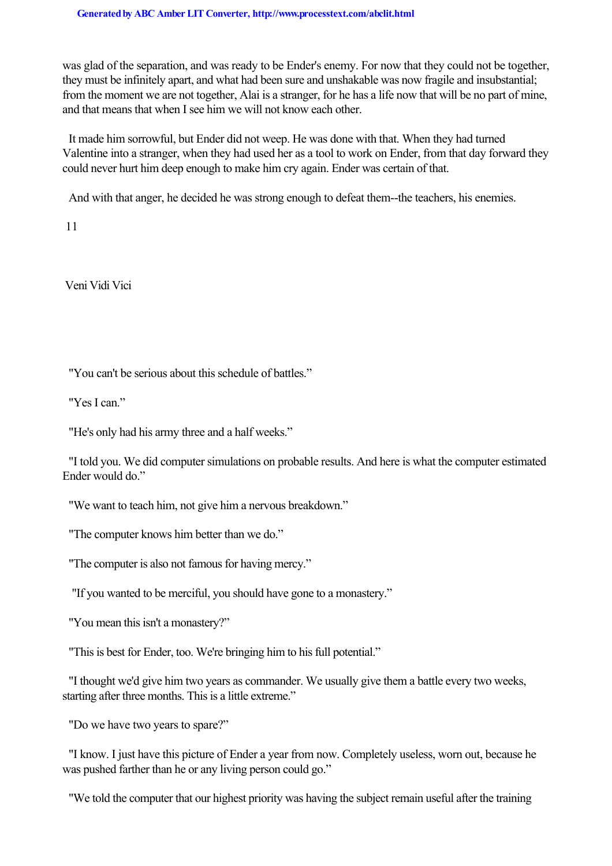was glad of the separation, and was ready to be Ender's enemy. For now that they could not be together, they must be infinitely apart, and what had been sure and unshakable was now fragile and insubstantial; from the moment we are not together, Alai is a stranger, for he has a life now that will be no part of mine, and that means that when I see him we will not know each other.

 It made him sorrowful, but Ender did not weep. He was done with that. When they had turned Valentine into a stranger, when they had used her as a tool to work on Ender, from that day forward they could never hurt him deep enough to make him cry again. Ender was certain of that.

And with that anger, he decided he was strong enough to defeat them--the teachers, his enemies.

11

Veni Vidi Vici

"You can't be serious about this schedule of battles."

"Yes I can."

"He's only had his army three and a half weeks."

 "I told you. We did computer simulations on probable results. And here is what the computer estimated Ender would do."

"We want to teach him, not give him a nervous breakdown."

"The computer knows him better than we do."

"The computer is also not famous for having mercy."

"If you wanted to be merciful, you should have gone to a monastery."

"You mean this isn't a monastery?"

"This is best for Ender, too. We're bringing him to his full potential."

 "I thought we'd give him two years as commander. We usually give them a battle every two weeks, starting after three months. This is a little extreme."

"Do we have two years to spare?"

 "I know. I just have this picture of Ender a year from now. Completely useless, worn out, because he was pushed farther than he or any living person could go."

"We told the computer that our highest priority was having the subject remain useful after the training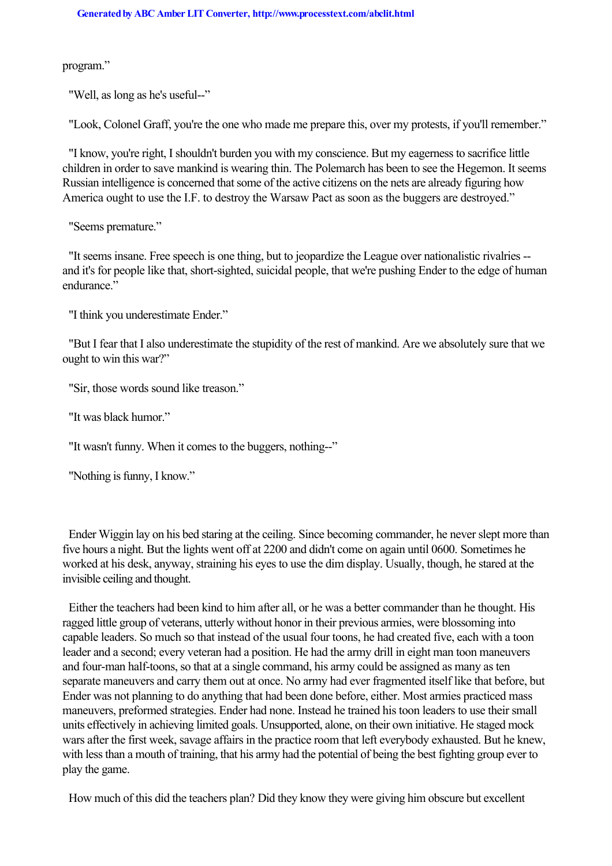program."

"Well, as long as he's useful--"

"Look, Colonel Graff, you're the one who made me prepare this, over my protests, if you'll remember."

 "I know, you're right, I shouldn't burden you with my conscience. But my eagerness to sacrifice little children in order to save mankind is wearing thin. The Polemarch has been to see the Hegemon. It seems Russian intelligence is concerned that some of the active citizens on the nets are already figuring how America ought to use the I.F. to destroy the Warsaw Pact as soon as the buggers are destroyed."

"Seems premature."

 "It seems insane. Free speech is one thing, but to jeopardize the League over nationalistic rivalries - and it's for people like that, short-sighted, suicidal people, that we're pushing Ender to the edge of human endurance"

"I think you underestimate Ender."

 "But I fear that I also underestimate the stupidity of the rest of mankind. Are we absolutely sure that we ought to win this war?"

"Sir, those words sound like treason."

"It was black humor."

"It wasn't funny. When it comes to the buggers, nothing--"

"Nothing is funny, I know."

 Ender Wiggin lay on his bed staring at the ceiling. Since becoming commander, he never slept more than five hours a night. But the lights went off at 2200 and didn't come on again until 0600. Sometimes he worked at his desk, anyway, straining his eyes to use the dim display. Usually, though, he stared at the invisible ceiling and thought.

 Either the teachers had been kind to him after all, or he was a better commander than he thought. His ragged little group of veterans, utterly without honor in their previous armies, were blossoming into capable leaders. So much so that instead of the usual four toons, he had created five, each with a toon leader and a second; every veteran had a position. He had the army drill in eight man toon maneuvers and four-man half-toons, so that at a single command, his army could be assigned as many as ten separate maneuvers and carry them out at once. No army had ever fragmented itself like that before, but Ender was not planning to do anything that had been done before, either. Most armies practiced mass maneuvers, preformed strategies. Ender had none. Instead he trained his toon leaders to use their small units effectively in achieving limited goals. Unsupported, alone, on their own initiative. He staged mock wars after the first week, savage affairs in the practice room that left everybody exhausted. But he knew, with less than a mouth of training, that his army had the potential of being the best fighting group ever to play the game.

How much of this did the teachers plan? Did they know they were giving him obscure but excellent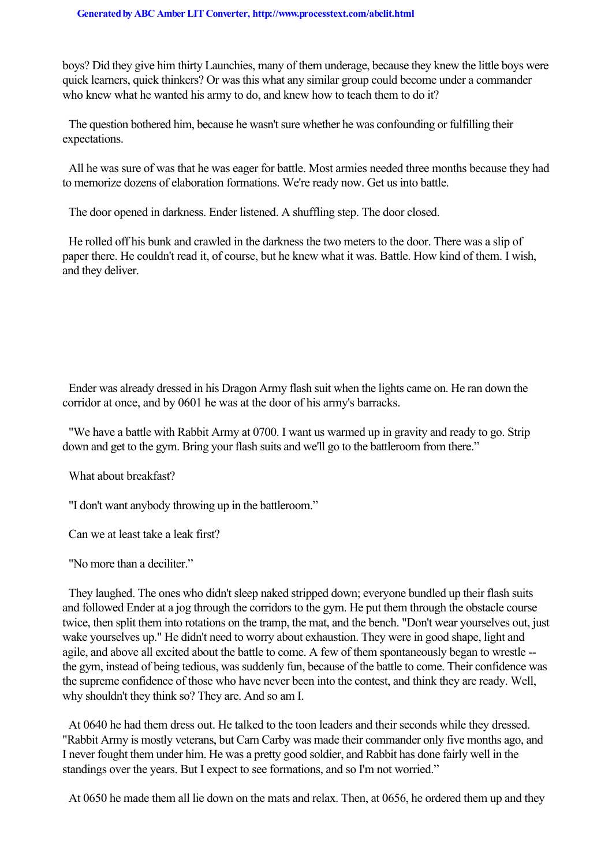boys? Did they give him thirty Launchies, many of them underage, because they knew the little boys were quick learners, quick thinkers? Or was this what any similar group could become under a commander who knew what he wanted his army to do, and knew how to teach them to do it?

 The question bothered him, because he wasn't sure whether he was confounding or fulfilling their expectations.

 All he was sure of was that he was eager for battle. Most armies needed three months because they had to memorize dozens of elaboration formations. We're ready now. Get us into battle.

The door opened in darkness. Ender listened. A shuffling step. The door closed.

 He rolled off his bunk and crawled in the darkness the two meters to the door. There was a slip of paper there. He couldn't read it, of course, but he knew what it was. Battle. How kind of them. I wish, and they deliver.

 Ender was already dressed in his Dragon Army flash suit when the lights came on. He ran down the corridor at once, and by 0601 he was at the door of his army's barracks.

 "We have a battle with Rabbit Army at 0700. I want us warmed up in gravity and ready to go. Strip down and get to the gym. Bring your flash suits and we'll go to the battleroom from there."

What about breakfast?

"I don't want anybody throwing up in the battleroom."

Can we at least take a leak first?

"No more than a deciliter."

 They laughed. The ones who didn't sleep naked stripped down; everyone bundled up their flash suits and followed Ender at a jog through the corridors to the gym. He put them through the obstacle course twice, then split them into rotations on the tramp, the mat, and the bench. "Don't wear yourselves out, just wake yourselves up." He didn't need to worry about exhaustion. They were in good shape, light and agile, and above all excited about the battle to come. A few of them spontaneously began to wrestle - the gym, instead of being tedious, was suddenly fun, because of the battle to come. Their confidence was the supreme confidence of those who have never been into the contest, and think they are ready. Well, why shouldn't they think so? They are. And so am I.

 At 0640 he had them dress out. He talked to the toon leaders and their seconds while they dressed. "Rabbit Army is mostly veterans, but Carn Carby was made their commander only five months ago, and I never fought them under him. He was a pretty good soldier, and Rabbit has done fairly well in the standings over the years. But I expect to see formations, and so I'm not worried."

At 0650 he made them all lie down on the mats and relax. Then, at 0656, he ordered them up and they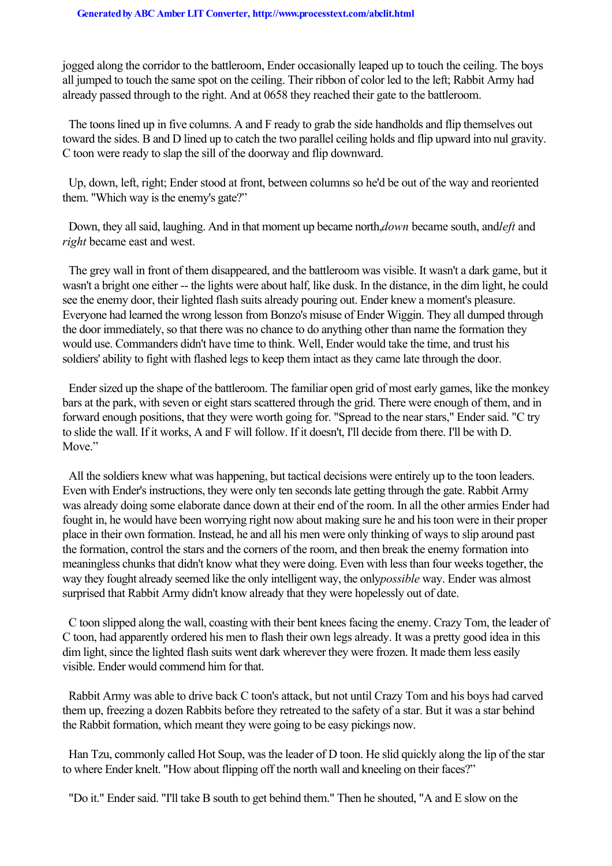jogged along the corridor to the battleroom, Ender occasionally leaped up to touch the ceiling. The boys all jumped to touch the same spot on the ceiling. Their ribbon of color led to the left; Rabbit Army had already passed through to the right. And at 0658 they reached their gate to the battleroom.

 The toons lined up in five columns. A and F ready to grab the side handholds and flip themselves out toward the sides. B and D lined up to catch the two parallel ceiling holds and flip upward into nul gravity. C toon were ready to slap the sill of the doorway and flip downward.

 Up, down, left, right; Ender stood at front, between columns so he'd be out of the way and reoriented them. "Which way is the enemy's gate?"

 Down, they all said, laughing. And in that moment up became north,*down* became south, and*left* and *right* became east and west.

 The grey wall in front of them disappeared, and the battleroom was visible. It wasn't a dark game, but it wasn't a bright one either -- the lights were about half, like dusk. In the distance, in the dim light, he could see the enemy door, their lighted flash suits already pouring out. Ender knew a moment's pleasure. Everyone had learned the wrong lesson from Bonzo's misuse of Ender Wiggin. They all dumped through the door immediately, so that there was no chance to do anything other than name the formation they would use. Commanders didn't have time to think. Well, Ender would take the time, and trust his soldiers' ability to fight with flashed legs to keep them intact as they came late through the door.

 Ender sized up the shape of the battleroom. The familiar open grid of most early games, like the monkey bars at the park, with seven or eight stars scattered through the grid. There were enough of them, and in forward enough positions, that they were worth going for. "Spread to the near stars," Ender said. "C try to slide the wall. If it works, A and F will follow. If it doesn't, I'll decide from there. I'll be with D. Move"

 All the soldiers knew what was happening, but tactical decisions were entirely up to the toon leaders. Even with Ender's instructions, they were only ten seconds late getting through the gate. Rabbit Army was already doing some elaborate dance down at their end of the room. In all the other armies Ender had fought in, he would have been worrying right now about making sure he and his toon were in their proper place in their own formation. Instead, he and all his men were only thinking of ways to slip around past the formation, control the stars and the corners of the room, and then break the enemy formation into meaningless chunks that didn't know what they were doing. Even with less than four weeks together, the way they fought already seemed like the only intelligent way, the only*possible* way. Ender was almost surprised that Rabbit Army didn't know already that they were hopelessly out of date.

 C toon slipped along the wall, coasting with their bent knees facing the enemy. Crazy Tom, the leader of C toon, had apparently ordered his men to flash their own legs already. It was a pretty good idea in this dim light, since the lighted flash suits went dark wherever they were frozen. It made them less easily visible. Ender would commend him for that.

 Rabbit Army was able to drive back C toon's attack, but not until Crazy Tom and his boys had carved them up, freezing a dozen Rabbits before they retreated to the safety of a star. But it was a star behind the Rabbit formation, which meant they were going to be easy pickings now.

 Han Tzu, commonly called Hot Soup, was the leader of D toon. He slid quickly along the lip of the star to where Ender knelt. "How about flipping off the north wall and kneeling on their faces?"

"Do it." Ender said. "I'll take B south to get behind them." Then he shouted, "A and E slow on the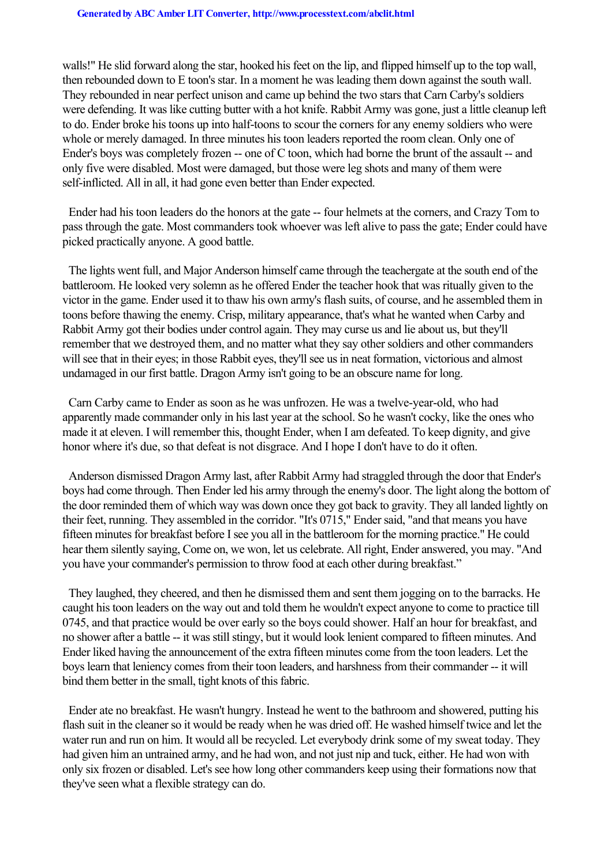walls!" He slid forward along the star, hooked his feet on the lip, and flipped himself up to the top wall, then rebounded down to E toon's star. In a moment he was leading them down against the south wall. They rebounded in near perfect unison and came up behind the two stars that Carn Carby's soldiers were defending. It was like cutting butter with a hot knife. Rabbit Army was gone, just a little cleanup left to do. Ender broke his toons up into half-toons to scour the corners for any enemy soldiers who were whole or merely damaged. In three minutes his toon leaders reported the room clean. Only one of Ender's boys was completely frozen -- one of C toon, which had borne the brunt of the assault -- and only five were disabled. Most were damaged, but those were leg shots and many of them were self-inflicted. All in all, it had gone even better than Ender expected.

 Ender had his toon leaders do the honors at the gate -- four helmets at the corners, and Crazy Tom to pass through the gate. Most commanders took whoever was left alive to pass the gate; Ender could have picked practically anyone. A good battle.

 The lights went full, and Major Anderson himself came through the teachergate at the south end of the battleroom. He looked very solemn as he offered Ender the teacher hook that was ritually given to the victor in the game. Ender used it to thaw his own army's flash suits, of course, and he assembled them in toons before thawing the enemy. Crisp, military appearance, that's what he wanted when Carby and Rabbit Army got their bodies under control again. They may curse us and lie about us, but they'll remember that we destroyed them, and no matter what they say other soldiers and other commanders will see that in their eyes; in those Rabbit eyes, they'll see us in neat formation, victorious and almost undamaged in our first battle. Dragon Army isn't going to be an obscure name for long.

 Carn Carby came to Ender as soon as he was unfrozen. He was a twelve-year-old, who had apparently made commander only in his last year at the school. So he wasn't cocky, like the ones who made it at eleven. I will remember this, thought Ender, when I am defeated. To keep dignity, and give honor where it's due, so that defeat is not disgrace. And I hope I don't have to do it often.

 Anderson dismissed Dragon Army last, after Rabbit Army had straggled through the door that Ender's boys had come through. Then Ender led his army through the enemy's door. The light along the bottom of the door reminded them of which way was down once they got back to gravity. They all landed lightly on their feet, running. They assembled in the corridor. "It's 0715," Ender said, "and that means you have fifteen minutes for breakfast before I see you all in the battleroom for the morning practice." He could hear them silently saying, Come on, we won, let us celebrate. All right, Ender answered, you may. "And you have your commander's permission to throw food at each other during breakfast."

 They laughed, they cheered, and then he dismissed them and sent them jogging on to the barracks. He caught his toon leaders on the way out and told them he wouldn't expect anyone to come to practice till 0745, and that practice would be over early so the boys could shower. Half an hour for breakfast, and no shower after a battle -- it was still stingy, but it would look lenient compared to fifteen minutes. And Ender liked having the announcement of the extra fifteen minutes come from the toon leaders. Let the boys learn that leniency comes from their toon leaders, and harshness from their commander -- it will bind them better in the small, tight knots of this fabric.

 Ender ate no breakfast. He wasn't hungry. Instead he went to the bathroom and showered, putting his flash suit in the cleaner so it would be ready when he was dried off. He washed himself twice and let the water run and run on him. It would all be recycled. Let everybody drink some of my sweat today. They had given him an untrained army, and he had won, and not just nip and tuck, either. He had won with only six frozen or disabled. Let's see how long other commanders keep using their formations now that they've seen what a flexible strategy can do.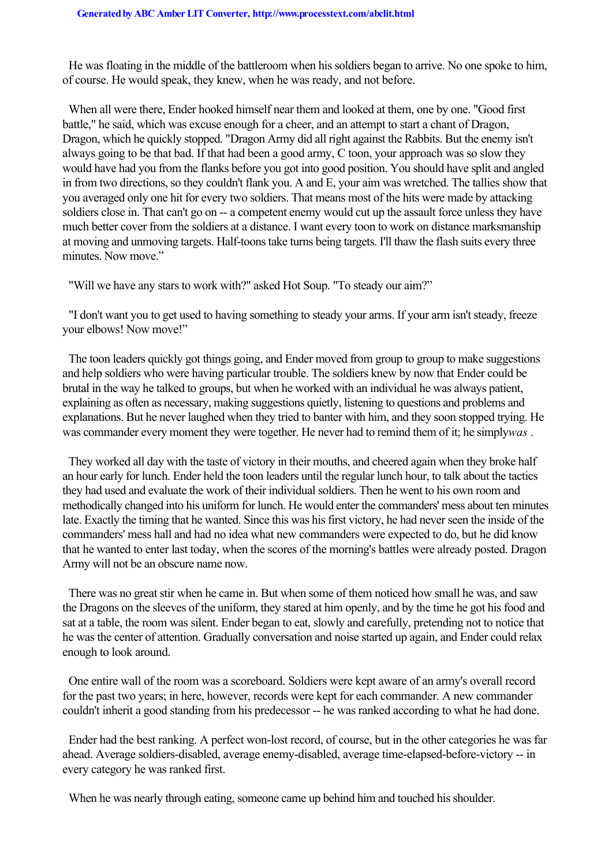He was floating in the middle of the battleroom when his soldiers began to arrive. No one spoke to him, of course. He would speak, they knew, when he was ready, and not before.

 When all were there, Ender hooked himself near them and looked at them, one by one. "Good first battle," he said, which was excuse enough for a cheer, and an attempt to start a chant of Dragon, Dragon, which he quickly stopped. "Dragon Army did all right against the Rabbits. But the enemy isn't always going to be that bad. If that had been a good army, C toon, your approach was so slow they would have had you from the flanks before you got into good position. You should have split and angled in from two directions, so they couldn't flank you. A and E, your aim was wretched. The tallies show that you averaged only one hit for every two soldiers. That means most of the hits were made by attacking soldiers close in. That can't go on -- a competent enemy would cut up the assault force unless they have much better cover from the soldiers at a distance. I want every toon to work on distance marksmanship at moving and unmoving targets. Half-toons take turns being targets. I'll thaw the flash suits every three minutes. Now move."

"Will we have any stars to work with?" asked Hot Soup. "To steady our aim?"

 "I don't want you to get used to having something to steady your arms. If your arm isn't steady, freeze your elbows! Now move!"

 The toon leaders quickly got things going, and Ender moved from group to group to make suggestions and help soldiers who were having particular trouble. The soldiers knew by now that Ender could be brutal in the way he talked to groups, but when he worked with an individual he was always patient, explaining as often as necessary, making suggestions quietly, listening to questions and problems and explanations. But he never laughed when they tried to banter with him, and they soon stopped trying. He was commander every moment they were together. He never had to remind them of it; he simply*was* .

 They worked all day with the taste of victory in their mouths, and cheered again when they broke half an hour early for lunch. Ender held the toon leaders until the regular lunch hour, to talk about the tactics they had used and evaluate the work of their individual soldiers. Then he went to his own room and methodically changed into his uniform for lunch. He would enter the commanders' mess about ten minutes late. Exactly the timing that he wanted. Since this was his first victory, he had never seen the inside of the commanders' mess hall and had no idea what new commanders were expected to do, but he did know that he wanted to enter last today, when the scores of the morning's battles were already posted. Dragon Army will not be an obscure name now.

 There was no great stir when he came in. But when some of them noticed how small he was, and saw the Dragons on the sleeves of the uniform, they stared at him openly, and by the time he got his food and sat at a table, the room was silent. Ender began to eat, slowly and carefully, pretending not to notice that he was the center of attention. Gradually conversation and noise started up again, and Ender could relax enough to look around.

 One entire wall of the room was a scoreboard. Soldiers were kept aware of an army's overall record for the past two years; in here, however, records were kept for each commander. A new commander couldn't inherit a good standing from his predecessor -- he was ranked according to what he had done.

 Ender had the best ranking. A perfect won-lost record, of course, but in the other categories he was far ahead. Average soldiers-disabled, average enemy-disabled, average time-elapsed-before-victory -- in every category he was ranked first.

When he was nearly through eating, someone came up behind him and touched his shoulder.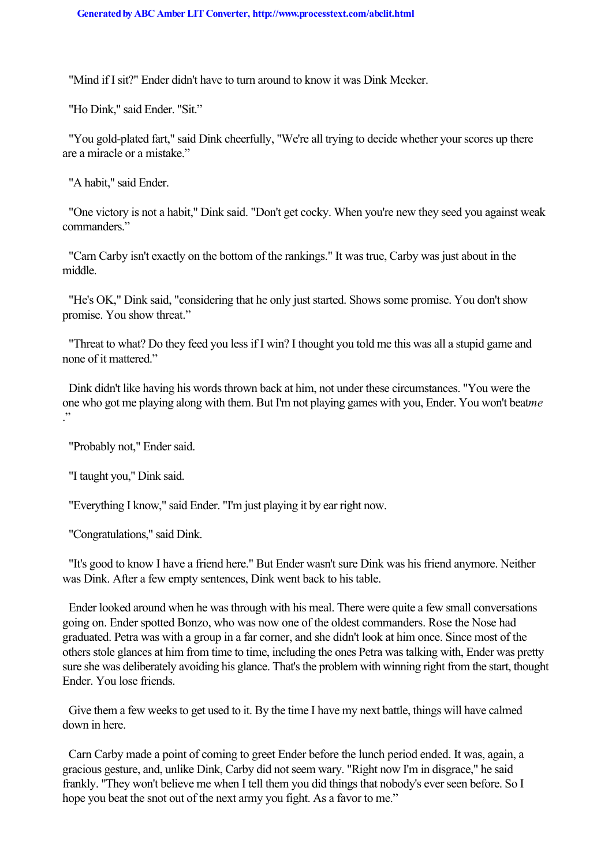"Mind if I sit?" Ender didn't have to turn around to know it was Dink Meeker.

"Ho Dink," said Ender. "Sit."

 "You gold-plated fart," said Dink cheerfully, "We're all trying to decide whether your scores up there are a miracle or a mistake"

"A habit," said Ender.

 "One victory is not a habit," Dink said. "Don't get cocky. When you're new they seed you against weak commanders."

 "Carn Carby isn't exactly on the bottom of the rankings." It was true, Carby was just about in the middle.

 "He's OK," Dink said, "considering that he only just started. Shows some promise. You don't show promise. You show threat."

 "Threat to what? Do they feed you less if I win? I thought you told me this was all a stupid game and none of it mattered."

 Dink didn't like having his words thrown back at him, not under these circumstances. "You were the one who got me playing along with them. But I'm not playing games with you, Ender. You won't beat*me* ."

"Probably not," Ender said.

"I taught you," Dink said.

"Everything I know," said Ender. "I'm just playing it by ear right now.

"Congratulations," said Dink.

 "It's good to know I have a friend here." But Ender wasn't sure Dink was his friend anymore. Neither was Dink. After a few empty sentences, Dink went back to his table.

 Ender looked around when he was through with his meal. There were quite a few small conversations going on. Ender spotted Bonzo, who was now one of the oldest commanders. Rose the Nose had graduated. Petra was with a group in a far corner, and she didn't look at him once. Since most of the others stole glances at him from time to time, including the ones Petra was talking with, Ender was pretty sure she was deliberately avoiding his glance. That's the problem with winning right from the start, thought Ender. You lose friends.

 Give them a few weeks to get used to it. By the time I have my next battle, things will have calmed down in here.

 Carn Carby made a point of coming to greet Ender before the lunch period ended. It was, again, a gracious gesture, and, unlike Dink, Carby did not seem wary. "Right now I'm in disgrace," he said frankly. "They won't believe me when I tell them you did things that nobody's ever seen before. So I hope you beat the snot out of the next army you fight. As a favor to me."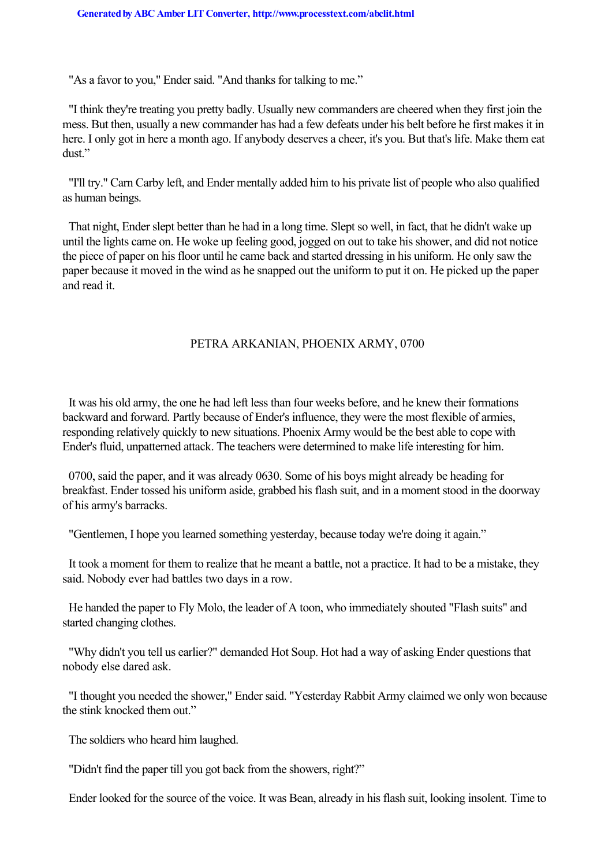"As a favor to you," Ender said. "And thanks for talking to me."

 "I think they're treating you pretty badly. Usually new commanders are cheered when they first join the mess. But then, usually a new commander has had a few defeats under his belt before he first makes it in here. I only got in here a month ago. If anybody deserves a cheer, it's you. But that's life. Make them eat dust."

 "I'll try." Carn Carby left, and Ender mentally added him to his private list of people who also qualified as human beings.

 That night, Ender slept better than he had in a long time. Slept so well, in fact, that he didn't wake up until the lights came on. He woke up feeling good, jogged on out to take his shower, and did not notice the piece of paper on his floor until he came back and started dressing in his uniform. He only saw the paper because it moved in the wind as he snapped out the uniform to put it on. He picked up the paper and read it.

### PETRA ARKANIAN, PHOENIX ARMY, 0700

 It was his old army, the one he had left less than four weeks before, and he knew their formations backward and forward. Partly because of Ender's influence, they were the most flexible of armies, responding relatively quickly to new situations. Phoenix Army would be the best able to cope with Ender's fluid, unpatterned attack. The teachers were determined to make life interesting for him.

 0700, said the paper, and it was already 0630. Some of his boys might already be heading for breakfast. Ender tossed his uniform aside, grabbed his flash suit, and in a moment stood in the doorway of his army's barracks.

"Gentlemen, I hope you learned something yesterday, because today we're doing it again."

 It took a moment for them to realize that he meant a battle, not a practice. It had to be a mistake, they said. Nobody ever had battles two days in a row.

 He handed the paper to Fly Molo, the leader of A toon, who immediately shouted "Flash suits" and started changing clothes.

 "Why didn't you tell us earlier?" demanded Hot Soup. Hot had a way of asking Ender questions that nobody else dared ask.

 "I thought you needed the shower," Ender said. "Yesterday Rabbit Army claimed we only won because the stink knocked them out."

The soldiers who heard him laughed.

"Didn't find the paper till you got back from the showers, right?"

Ender looked for the source of the voice. It was Bean, already in his flash suit, looking insolent. Time to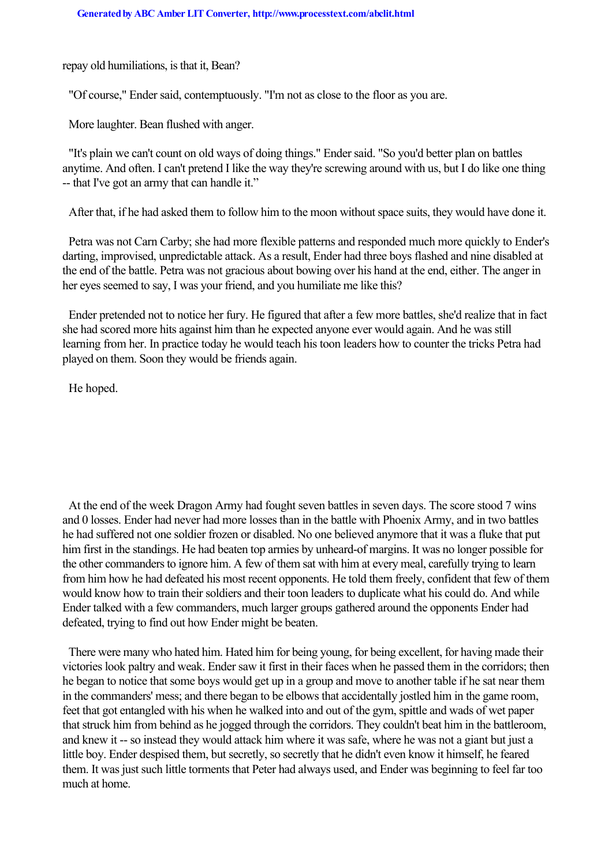repay old humiliations, is that it, Bean?

"Of course," Ender said, contemptuously. "I'm not as close to the floor as you are.

More laughter. Bean flushed with anger.

 "It's plain we can't count on old ways of doing things." Ender said. "So you'd better plan on battles anytime. And often. I can't pretend I like the way they're screwing around with us, but I do like one thing -- that I've got an army that can handle it."

After that, if he had asked them to follow him to the moon without space suits, they would have done it.

 Petra was not Carn Carby; she had more flexible patterns and responded much more quickly to Ender's darting, improvised, unpredictable attack. As a result, Ender had three boys flashed and nine disabled at the end of the battle. Petra was not gracious about bowing over his hand at the end, either. The anger in her eyes seemed to say, I was your friend, and you humiliate me like this?

 Ender pretended not to notice her fury. He figured that after a few more battles, she'd realize that in fact she had scored more hits against him than he expected anyone ever would again. And he was still learning from her. In practice today he would teach his toon leaders how to counter the tricks Petra had played on them. Soon they would be friends again.

He hoped.

 At the end of the week Dragon Army had fought seven battles in seven days. The score stood 7 wins and 0 losses. Ender had never had more losses than in the battle with Phoenix Army, and in two battles he had suffered not one soldier frozen or disabled. No one believed anymore that it was a fluke that put him first in the standings. He had beaten top armies by unheard-of margins. It was no longer possible for the other commanders to ignore him. A few of them sat with him at every meal, carefully trying to learn from him how he had defeated his most recent opponents. He told them freely, confident that few of them would know how to train their soldiers and their toon leaders to duplicate what his could do. And while Ender talked with a few commanders, much larger groups gathered around the opponents Ender had defeated, trying to find out how Ender might be beaten.

 There were many who hated him. Hated him for being young, for being excellent, for having made their victories look paltry and weak. Ender saw it first in their faces when he passed them in the corridors; then he began to notice that some boys would get up in a group and move to another table if he sat near them in the commanders' mess; and there began to be elbows that accidentally jostled him in the game room, feet that got entangled with his when he walked into and out of the gym, spittle and wads of wet paper that struck him from behind as he jogged through the corridors. They couldn't beat him in the battleroom, and knew it -- so instead they would attack him where it was safe, where he was not a giant but just a little boy. Ender despised them, but secretly, so secretly that he didn't even know it himself, he feared them. It was just such little torments that Peter had always used, and Ender was beginning to feel far too much at home.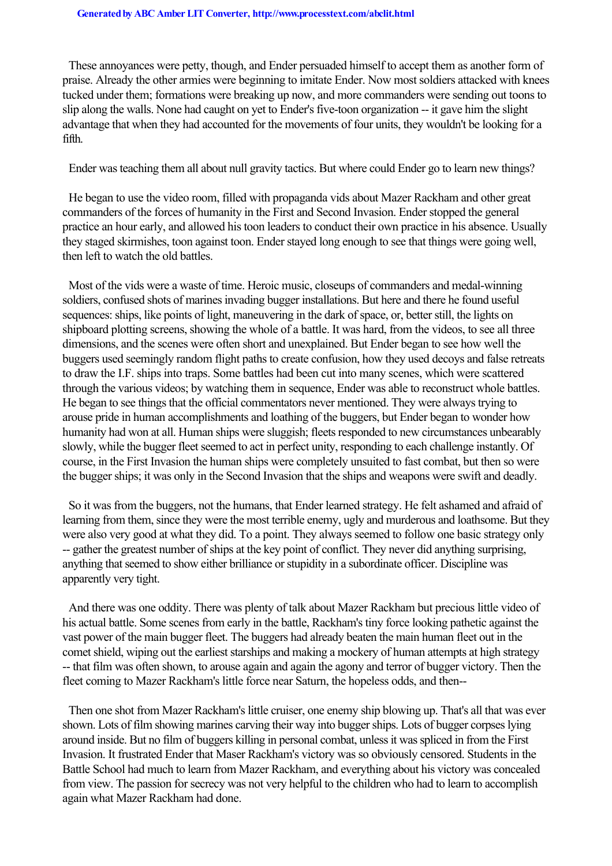These annoyances were petty, though, and Ender persuaded himself to accept them as another form of praise. Already the other armies were beginning to imitate Ender. Now most soldiers attacked with knees tucked under them; formations were breaking up now, and more commanders were sending out toons to slip along the walls. None had caught on yet to Ender's five-toon organization -- it gave him the slight advantage that when they had accounted for the movements of four units, they wouldn't be looking for a fifth.

Ender was teaching them all about null gravity tactics. But where could Ender go to learn new things?

 He began to use the video room, filled with propaganda vids about Mazer Rackham and other great commanders of the forces of humanity in the First and Second Invasion. Ender stopped the general practice an hour early, and allowed his toon leaders to conduct their own practice in his absence. Usually they staged skirmishes, toon against toon. Ender stayed long enough to see that things were going well, then left to watch the old battles.

 Most of the vids were a waste of time. Heroic music, closeups of commanders and medal-winning soldiers, confused shots of marines invading bugger installations. But here and there he found useful sequences: ships, like points of light, maneuvering in the dark of space, or, better still, the lights on shipboard plotting screens, showing the whole of a battle. It was hard, from the videos, to see all three dimensions, and the scenes were often short and unexplained. But Ender began to see how well the buggers used seemingly random flight paths to create confusion, how they used decoys and false retreats to draw the I.F. ships into traps. Some battles had been cut into many scenes, which were scattered through the various videos; by watching them in sequence, Ender was able to reconstruct whole battles. He began to see things that the official commentators never mentioned. They were always trying to arouse pride in human accomplishments and loathing of the buggers, but Ender began to wonder how humanity had won at all. Human ships were sluggish; fleets responded to new circumstances unbearably slowly, while the bugger fleet seemed to act in perfect unity, responding to each challenge instantly. Of course, in the First Invasion the human ships were completely unsuited to fast combat, but then so were the bugger ships; it was only in the Second Invasion that the ships and weapons were swift and deadly.

 So it was from the buggers, not the humans, that Ender learned strategy. He felt ashamed and afraid of learning from them, since they were the most terrible enemy, ugly and murderous and loathsome. But they were also very good at what they did. To a point. They always seemed to follow one basic strategy only -- gather the greatest number of ships at the key point of conflict. They never did anything surprising, anything that seemed to show either brilliance or stupidity in a subordinate officer. Discipline was apparently very tight.

 And there was one oddity. There was plenty of talk about Mazer Rackham but precious little video of his actual battle. Some scenes from early in the battle, Rackham's tiny force looking pathetic against the vast power of the main bugger fleet. The buggers had already beaten the main human fleet out in the comet shield, wiping out the earliest starships and making a mockery of human attempts at high strategy -- that film was often shown, to arouse again and again the agony and terror of bugger victory. Then the fleet coming to Mazer Rackham's little force near Saturn, the hopeless odds, and then--

 Then one shot from Mazer Rackham's little cruiser, one enemy ship blowing up. That's all that was ever shown. Lots of film showing marines carving their way into bugger ships. Lots of bugger corpses lying around inside. But no film of buggers killing in personal combat, unless it was spliced in from the First Invasion. It frustrated Ender that Maser Rackham's victory was so obviously censored. Students in the Battle School had much to learn from Mazer Rackham, and everything about his victory was concealed from view. The passion for secrecy was not very helpful to the children who had to learn to accomplish again what Mazer Rackham had done.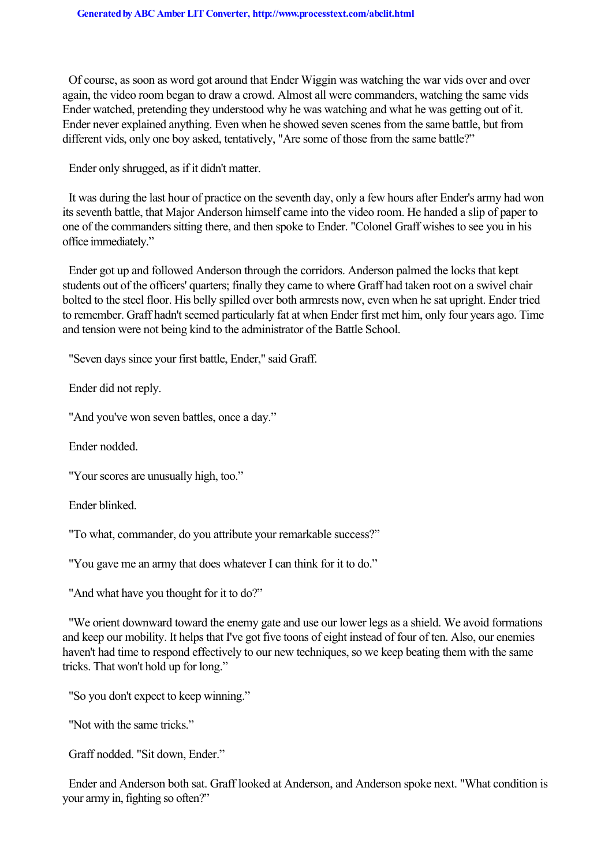Of course, as soon as word got around that Ender Wiggin was watching the war vids over and over again, the video room began to draw a crowd. Almost all were commanders, watching the same vids Ender watched, pretending they understood why he was watching and what he was getting out of it. Ender never explained anything. Even when he showed seven scenes from the same battle, but from different vids, only one boy asked, tentatively, "Are some of those from the same battle?"

Ender only shrugged, as if it didn't matter.

 It was during the last hour of practice on the seventh day, only a few hours after Ender's army had won its seventh battle, that Major Anderson himself came into the video room. He handed a slip of paper to one of the commanders sitting there, and then spoke to Ender. "Colonel Graff wishes to see you in his office immediately."

 Ender got up and followed Anderson through the corridors. Anderson palmed the locks that kept students out of the officers' quarters; finally they came to where Graff had taken root on a swivel chair bolted to the steel floor. His belly spilled over both armrests now, even when he sat upright. Ender tried to remember. Graff hadn't seemed particularly fat at when Ender first met him, only four years ago. Time and tension were not being kind to the administrator of the Battle School.

"Seven days since your first battle, Ender," said Graff.

Ender did not reply.

"And you've won seven battles, once a day."

Ender nodded.

"Your scores are unusually high, too."

Ender blinked.

"To what, commander, do you attribute your remarkable success?"

"You gave me an army that does whatever I can think for it to do."

"And what have you thought for it to do?"

 "We orient downward toward the enemy gate and use our lower legs as a shield. We avoid formations and keep our mobility. It helps that I've got five toons of eight instead of four of ten. Also, our enemies haven't had time to respond effectively to our new techniques, so we keep beating them with the same tricks. That won't hold up for long."

"So you don't expect to keep winning."

"Not with the same tricks."

Graff nodded. "Sit down, Ender."

 Ender and Anderson both sat. Graff looked at Anderson, and Anderson spoke next. "What condition is your army in, fighting so often?"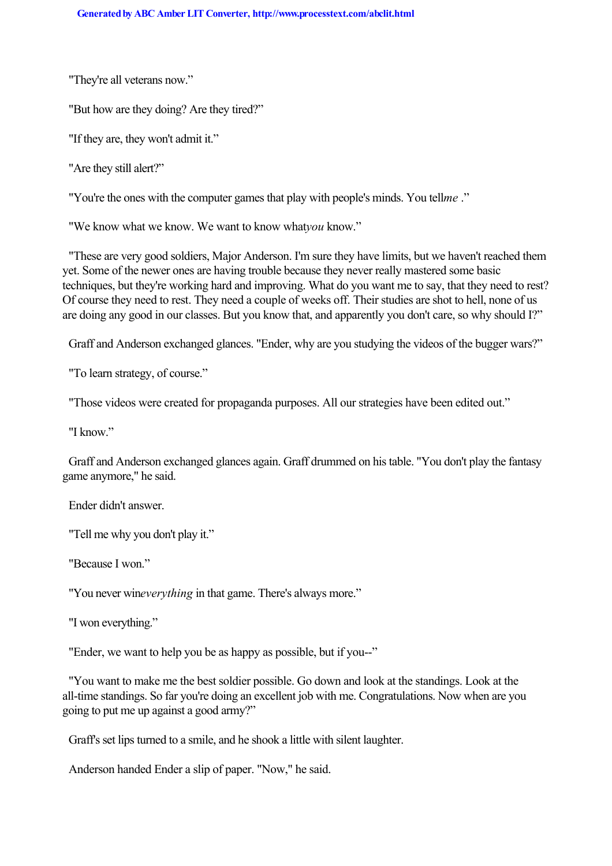"They're all veterans now."

"But how are they doing? Are they tired?"

"If they are, they won't admit it."

"Are they still alert?"

"You're the ones with the computer games that play with people's minds. You tell*me* ."

"We know what we know. We want to know what*you* know."

 "These are very good soldiers, Major Anderson. I'm sure they have limits, but we haven't reached them yet. Some of the newer ones are having trouble because they never really mastered some basic techniques, but they're working hard and improving. What do you want me to say, that they need to rest? Of course they need to rest. They need a couple of weeks off. Their studies are shot to hell, none of us are doing any good in our classes. But you know that, and apparently you don't care, so why should I?"

Graff and Anderson exchanged glances. "Ender, why are you studying the videos of the bugger wars?"

"To learn strategy, of course."

"Those videos were created for propaganda purposes. All our strategies have been edited out."

"I know"

 Graff and Anderson exchanged glances again. Graff drummed on his table. "You don't play the fantasy game anymore," he said.

Ender didn't answer.

"Tell me why you don't play it."

"Because I won."

"You never win*everything* in that game. There's always more."

"I won everything."

"Ender, we want to help you be as happy as possible, but if you--"

 "You want to make me the best soldier possible. Go down and look at the standings. Look at the all-time standings. So far you're doing an excellent job with me. Congratulations. Now when are you going to put me up against a good army?"

Graff's set lips turned to a smile, and he shook a little with silent laughter.

Anderson handed Ender a slip of paper. "Now," he said.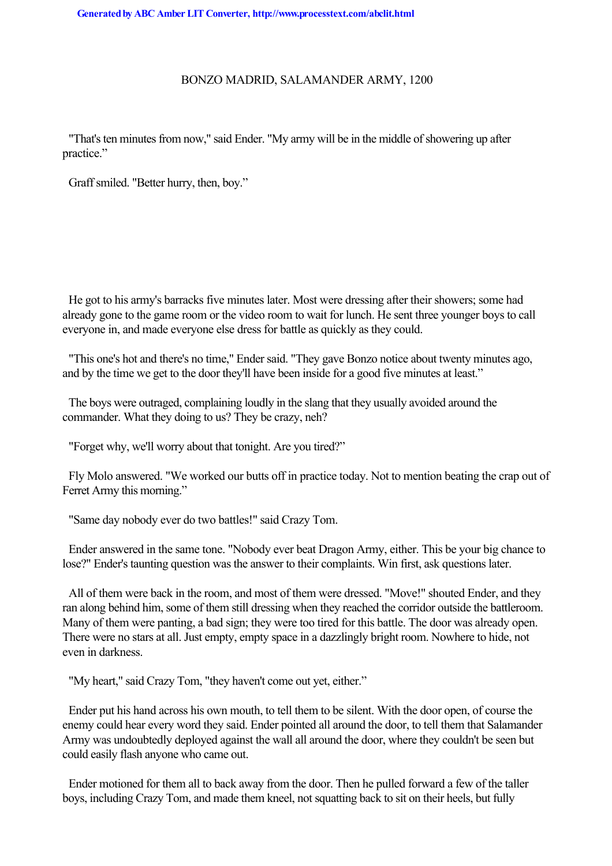### BONZO MADRID, SALAMANDER ARMY, 1200

 "That's ten minutes from now," said Ender. "My army will be in the middle of showering up after practice"

Graff smiled. "Better hurry, then, boy."

 He got to his army's barracks five minutes later. Most were dressing after their showers; some had already gone to the game room or the video room to wait for lunch. He sent three younger boys to call everyone in, and made everyone else dress for battle as quickly as they could.

 "This one's hot and there's no time," Ender said. "They gave Bonzo notice about twenty minutes ago, and by the time we get to the door they'll have been inside for a good five minutes at least."

 The boys were outraged, complaining loudly in the slang that they usually avoided around the commander. What they doing to us? They be crazy, neh?

"Forget why, we'll worry about that tonight. Are you tired?"

 Fly Molo answered. "We worked our butts off in practice today. Not to mention beating the crap out of Ferret Army this morning."

"Same day nobody ever do two battles!" said Crazy Tom.

 Ender answered in the same tone. "Nobody ever beat Dragon Army, either. This be your big chance to lose?" Ender's taunting question was the answer to their complaints. Win first, ask questions later.

 All of them were back in the room, and most of them were dressed. "Move!" shouted Ender, and they ran along behind him, some of them still dressing when they reached the corridor outside the battleroom. Many of them were panting, a bad sign; they were too tired for this battle. The door was already open. There were no stars at all. Just empty, empty space in a dazzlingly bright room. Nowhere to hide, not even in darkness.

"My heart," said Crazy Tom, "they haven't come out yet, either."

 Ender put his hand across his own mouth, to tell them to be silent. With the door open, of course the enemy could hear every word they said. Ender pointed all around the door, to tell them that Salamander Army was undoubtedly deployed against the wall all around the door, where they couldn't be seen but could easily flash anyone who came out.

 Ender motioned for them all to back away from the door. Then he pulled forward a few of the taller boys, including Crazy Tom, and made them kneel, not squatting back to sit on their heels, but fully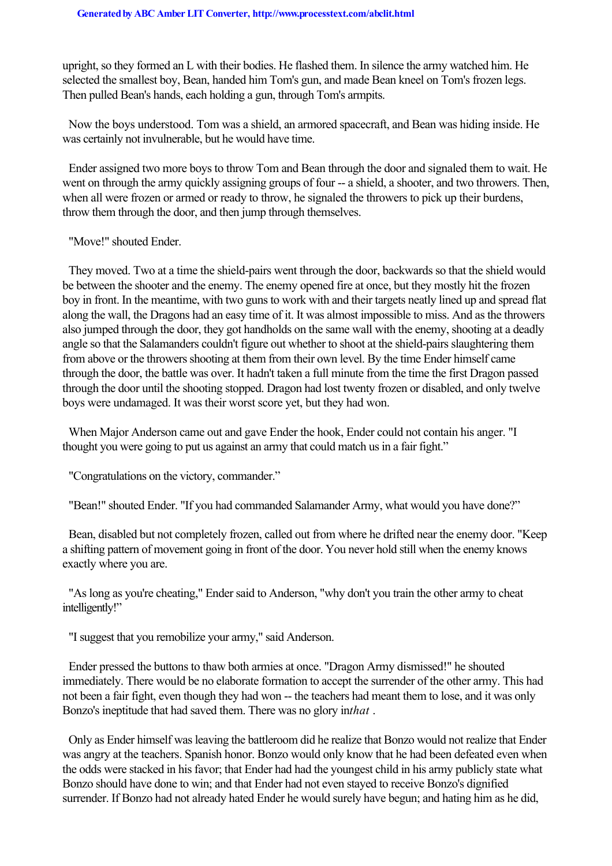upright, so they formed an L with their bodies. He flashed them. In silence the army watched him. He selected the smallest boy, Bean, handed him Tom's gun, and made Bean kneel on Tom's frozen legs. Then pulled Bean's hands, each holding a gun, through Tom's armpits.

 Now the boys understood. Tom was a shield, an armored spacecraft, and Bean was hiding inside. He was certainly not invulnerable, but he would have time.

 Ender assigned two more boys to throw Tom and Bean through the door and signaled them to wait. He went on through the army quickly assigning groups of four -- a shield, a shooter, and two throwers. Then, when all were frozen or armed or ready to throw, he signaled the throwers to pick up their burdens, throw them through the door, and then jump through themselves.

"Move!" shouted Ender.

 They moved. Two at a time the shield-pairs went through the door, backwards so that the shield would be between the shooter and the enemy. The enemy opened fire at once, but they mostly hit the frozen boy in front. In the meantime, with two guns to work with and their targets neatly lined up and spread flat along the wall, the Dragons had an easy time of it. It was almost impossible to miss. And as the throwers also jumped through the door, they got handholds on the same wall with the enemy, shooting at a deadly angle so that the Salamanders couldn't figure out whether to shoot at the shield-pairs slaughtering them from above or the throwers shooting at them from their own level. By the time Ender himself came through the door, the battle was over. It hadn't taken a full minute from the time the first Dragon passed through the door until the shooting stopped. Dragon had lost twenty frozen or disabled, and only twelve boys were undamaged. It was their worst score yet, but they had won.

 When Major Anderson came out and gave Ender the hook, Ender could not contain his anger. "I thought you were going to put us against an army that could match us in a fair fight."

"Congratulations on the victory, commander."

"Bean!" shouted Ender. "If you had commanded Salamander Army, what would you have done?"

 Bean, disabled but not completely frozen, called out from where he drifted near the enemy door. "Keep a shifting pattern of movement going in front of the door. You never hold still when the enemy knows exactly where you are.

 "As long as you're cheating," Ender said to Anderson, "why don't you train the other army to cheat intelligently!"

"I suggest that you remobilize your army," said Anderson.

 Ender pressed the buttons to thaw both armies at once. "Dragon Army dismissed!" he shouted immediately. There would be no elaborate formation to accept the surrender of the other army. This had not been a fair fight, even though they had won -- the teachers had meant them to lose, and it was only Bonzo's ineptitude that had saved them. There was no glory in*that* .

 Only as Ender himself was leaving the battleroom did he realize that Bonzo would not realize that Ender was angry at the teachers. Spanish honor. Bonzo would only know that he had been defeated even when the odds were stacked in his favor; that Ender had had the youngest child in his army publicly state what Bonzo should have done to win; and that Ender had not even stayed to receive Bonzo's dignified surrender. If Bonzo had not already hated Ender he would surely have begun; and hating him as he did,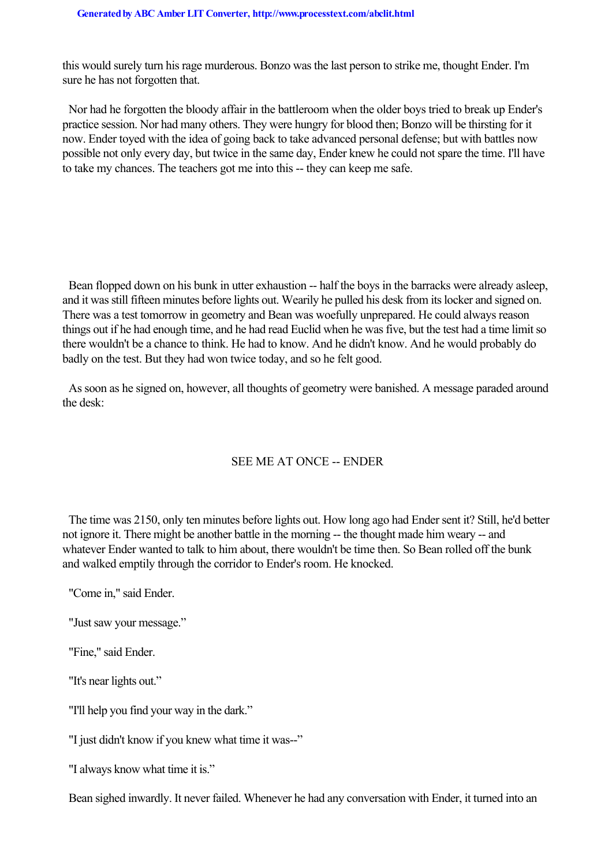this would surely turn his rage murderous. Bonzo was the last person to strike me, thought Ender. I'm sure he has not forgotten that.

 Nor had he forgotten the bloody affair in the battleroom when the older boys tried to break up Ender's practice session. Nor had many others. They were hungry for blood then; Bonzo will be thirsting for it now. Ender toyed with the idea of going back to take advanced personal defense; but with battles now possible not only every day, but twice in the same day, Ender knew he could not spare the time. I'll have to take my chances. The teachers got me into this -- they can keep me safe.

Bean flopped down on his bunk in utter exhaustion -- half the boys in the barracks were already asleep, and it was still fifteen minutes before lights out. Wearily he pulled his desk from its locker and signed on. There was a test tomorrow in geometry and Bean was woefully unprepared. He could always reason things out if he had enough time, and he had read Euclid when he was five, but the test had a time limit so there wouldn't be a chance to think. He had to know. And he didn't know. And he would probably do badly on the test. But they had won twice today, and so he felt good.

 As soon as he signed on, however, all thoughts of geometry were banished. A message paraded around the desk:

### SEE ME AT ONCE -- ENDER

 The time was 2150, only ten minutes before lights out. How long ago had Ender sent it? Still, he'd better not ignore it. There might be another battle in the morning -- the thought made him weary -- and whatever Ender wanted to talk to him about, there wouldn't be time then. So Bean rolled off the bunk and walked emptily through the corridor to Ender's room. He knocked.

"Come in," said Ender.

"Just saw your message."

"Fine," said Ender.

"It's near lights out."

"I'll help you find your way in the dark."

"I just didn't know if you knew what time it was--"

"I always know what time it is."

Bean sighed inwardly. It never failed. Whenever he had any conversation with Ender, it turned into an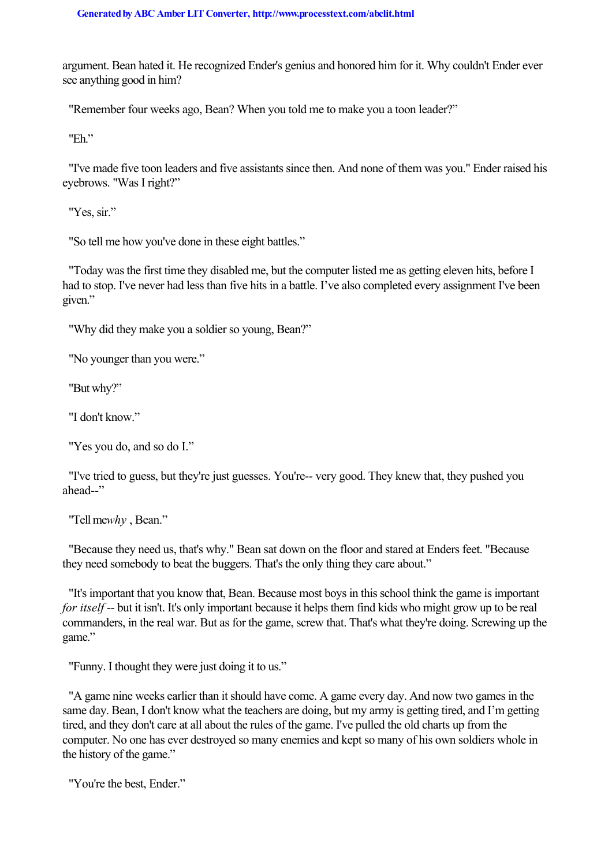argument. Bean hated it. He recognized Ender's genius and honored him for it. Why couldn't Ender ever see anything good in him?

"Remember four weeks ago, Bean? When you told me to make you a toon leader?"

"Eh"

 "I've made five toon leaders and five assistants since then. And none of them was you." Ender raised his eyebrows. "Was I right?"

"Yes sir"

"So tell me how you've done in these eight battles."

 "Today was the first time they disabled me, but the computer listed me as getting eleven hits, before I had to stop. I've never had less than five hits in a battle. I've also completed every assignment I've been given."

"Why did they make you a soldier so young, Bean?"

"No younger than you were."

"But why?"

"I don't know"

"Yes you do, and so do I."

 "I've tried to guess, but they're just guesses. You're-- very good. They knew that, they pushed you ahead--"

"Tell me*why* , Bean."

 "Because they need us, that's why." Bean sat down on the floor and stared at Enders feet. "Because they need somebody to beat the buggers. That's the only thing they care about."

 "It's important that you know that, Bean. Because most boys in this school think the game is important *for itself* -- but it isn't. It's only important because it helps them find kids who might grow up to be real commanders, in the real war. But as for the game, screw that. That's what they're doing. Screwing up the game."

"Funny. I thought they were just doing it to us."

 "A game nine weeks earlier than it should have come. A game every day. And now two games in the same day. Bean, I don't know what the teachers are doing, but my army is getting tired, and I'm getting tired, and they don't care at all about the rules of the game. I've pulled the old charts up from the computer. No one has ever destroyed so many enemies and kept so many of his own soldiers whole in the history of the game."

"You're the best, Ender."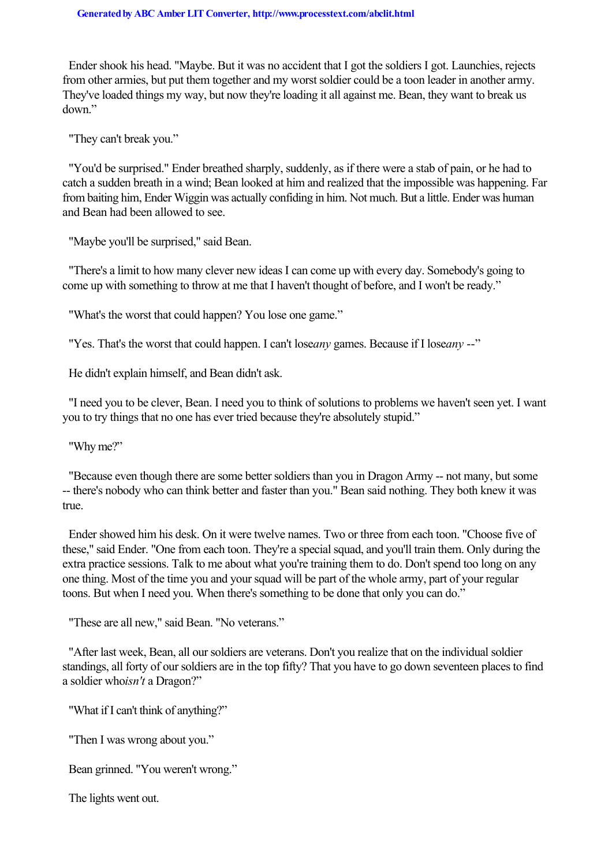Ender shook his head. "Maybe. But it was no accident that I got the soldiers I got. Launchies, rejects from other armies, but put them together and my worst soldier could be a toon leader in another army. They've loaded things my way, but now they're loading it all against me. Bean, they want to break us down."

"They can't break you."

 "You'd be surprised." Ender breathed sharply, suddenly, as if there were a stab of pain, or he had to catch a sudden breath in a wind; Bean looked at him and realized that the impossible was happening. Far from baiting him, Ender Wiggin was actually confiding in him. Not much. But a little. Ender was human and Bean had been allowed to see.

"Maybe you'll be surprised," said Bean.

 "There's a limit to how many clever new ideas I can come up with every day. Somebody's going to come up with something to throw at me that I haven't thought of before, and I won't be ready."

"What's the worst that could happen? You lose one game."

"Yes. That's the worst that could happen. I can't lose*any* games. Because if I lose*any* --"

He didn't explain himself, and Bean didn't ask.

 "I need you to be clever, Bean. I need you to think of solutions to problems we haven't seen yet. I want you to try things that no one has ever tried because they're absolutely stupid."

"Why me?"

 "Because even though there are some better soldiers than you in Dragon Army -- not many, but some -- there's nobody who can think better and faster than you." Bean said nothing. They both knew it was true.

 Ender showed him his desk. On it were twelve names. Two or three from each toon. "Choose five of these," said Ender. "One from each toon. They're a special squad, and you'll train them. Only during the extra practice sessions. Talk to me about what you're training them to do. Don't spend too long on any one thing. Most of the time you and your squad will be part of the whole army, part of your regular toons. But when I need you. When there's something to be done that only you can do."

"These are all new," said Bean. "No veterans."

 "After last week, Bean, all our soldiers are veterans. Don't you realize that on the individual soldier standings, all forty of our soldiers are in the top fifty? That you have to go down seventeen places to find a soldier who*isn't* a Dragon?"

"What if I can't think of anything?"

"Then I was wrong about you."

Bean grinned. "You weren't wrong."

The lights went out.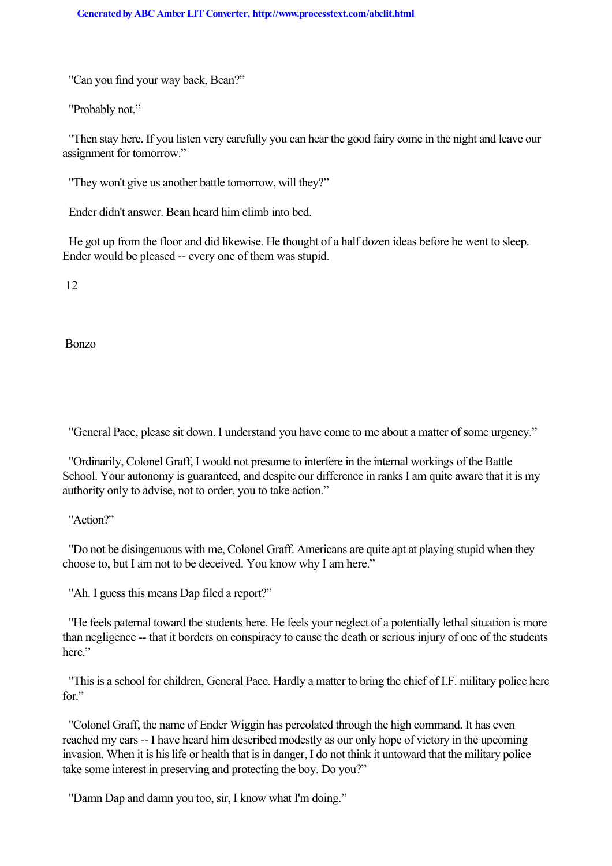"Can you find your way back, Bean?"

"Probably not."

 "Then stay here. If you listen very carefully you can hear the good fairy come in the night and leave our assignment for tomorrow."

"They won't give us another battle tomorrow, will they?"

Ender didn't answer. Bean heard him climb into bed.

 He got up from the floor and did likewise. He thought of a half dozen ideas before he went to sleep. Ender would be pleased -- every one of them was stupid.

12

Bonzo

"General Pace, please sit down. I understand you have come to me about a matter of some urgency."

 "Ordinarily, Colonel Graff, I would not presume to interfere in the internal workings of the Battle School. Your autonomy is guaranteed, and despite our difference in ranks I am quite aware that it is my authority only to advise, not to order, you to take action."

"Action?"

 "Do not be disingenuous with me, Colonel Graff. Americans are quite apt at playing stupid when they choose to, but I am not to be deceived. You know why I am here."

"Ah. I guess this means Dap filed a report?"

 "He feels paternal toward the students here. He feels your neglect of a potentially lethal situation is more than negligence -- that it borders on conspiracy to cause the death or serious injury of one of the students here"

 "This is a school for children, General Pace. Hardly a matter to bring the chief of I.F. military police here for."

 "Colonel Graff, the name of Ender Wiggin has percolated through the high command. It has even reached my ears -- I have heard him described modestly as our only hope of victory in the upcoming invasion. When it is his life or health that is in danger, I do not think it untoward that the military police take some interest in preserving and protecting the boy. Do you?"

"Damn Dap and damn you too, sir, I know what I'm doing."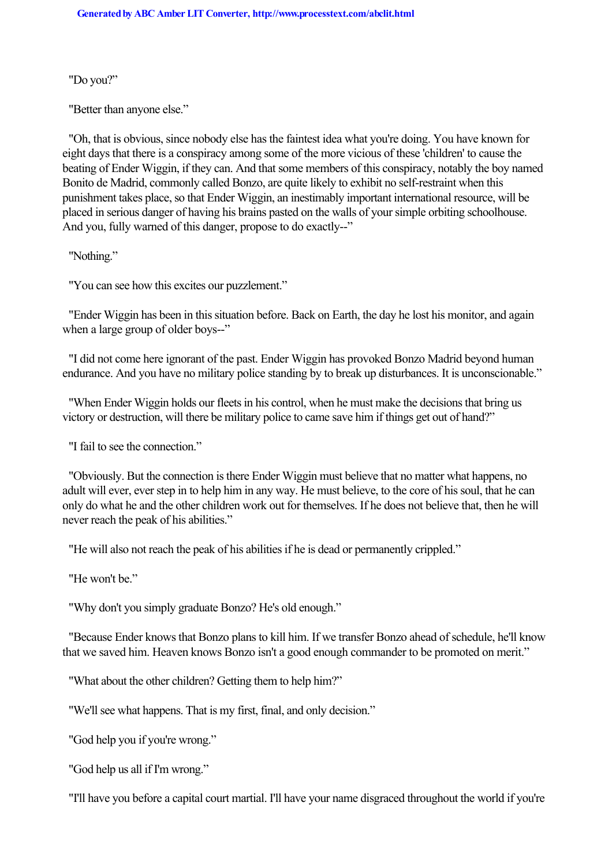"Do you?"

"Better than anyone else."

 "Oh, that is obvious, since nobody else has the faintest idea what you're doing. You have known for eight days that there is a conspiracy among some of the more vicious of these 'children' to cause the beating of Ender Wiggin, if they can. And that some members of this conspiracy, notably the boy named Bonito de Madrid, commonly called Bonzo, are quite likely to exhibit no self-restraint when this punishment takes place, so that Ender Wiggin, an inestimably important international resource, will be placed in serious danger of having his brains pasted on the walls of your simple orbiting schoolhouse. And you, fully warned of this danger, propose to do exactly--"

"Nothing."

"You can see how this excites our puzzlement."

 "Ender Wiggin has been in this situation before. Back on Earth, the day he lost his monitor, and again when a large group of older boys--"

 "I did not come here ignorant of the past. Ender Wiggin has provoked Bonzo Madrid beyond human endurance. And you have no military police standing by to break up disturbances. It is unconscionable."

 "When Ender Wiggin holds our fleets in his control, when he must make the decisions that bring us victory or destruction, will there be military police to came save him if things get out of hand?"

"I fail to see the connection"

 "Obviously. But the connection is there Ender Wiggin must believe that no matter what happens, no adult will ever, ever step in to help him in any way. He must believe, to the core of his soul, that he can only do what he and the other children work out for themselves. If he does not believe that, then he will never reach the peak of his abilities."

"He will also not reach the peak of his abilities if he is dead or permanently crippled."

"He won't be."

"Why don't you simply graduate Bonzo? He's old enough."

 "Because Ender knows that Bonzo plans to kill him. If we transfer Bonzo ahead of schedule, he'll know that we saved him. Heaven knows Bonzo isn't a good enough commander to be promoted on merit."

"What about the other children? Getting them to help him?"

"We'll see what happens. That is my first, final, and only decision."

"God help you if you're wrong."

"God help us all if I'm wrong."

"I'll have you before a capital court martial. I'll have your name disgraced throughout the world if you're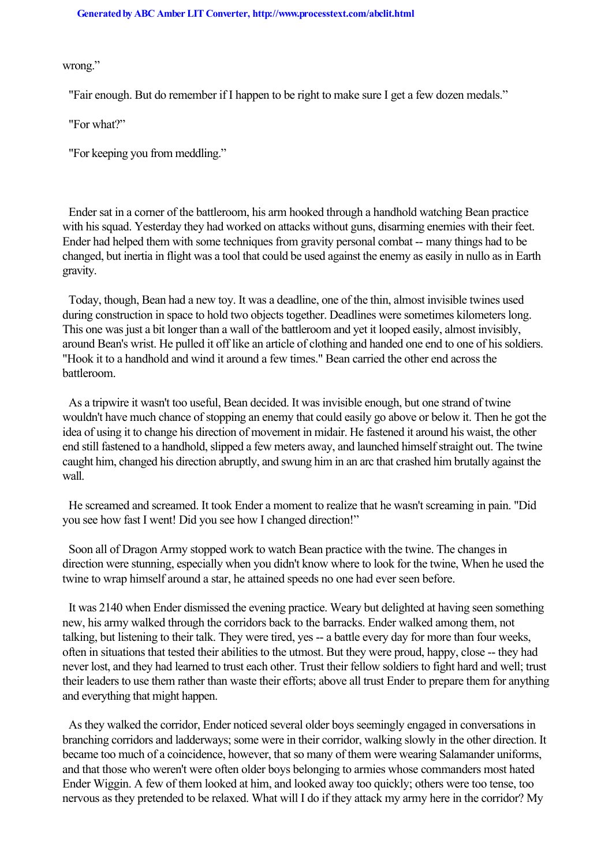wrong."

"Fair enough. But do remember if I happen to be right to make sure I get a few dozen medals."

"For what?"

"For keeping you from meddling."

 Ender sat in a corner of the battleroom, his arm hooked through a handhold watching Bean practice with his squad. Yesterday they had worked on attacks without guns, disarming enemies with their feet. Ender had helped them with some techniques from gravity personal combat -- many things had to be changed, but inertia in flight was a tool that could be used against the enemy as easily in nullo as in Earth gravity.

 Today, though, Bean had a new toy. It was a deadline, one of the thin, almost invisible twines used during construction in space to hold two objects together. Deadlines were sometimes kilometers long. This one was just a bit longer than a wall of the battleroom and yet it looped easily, almost invisibly, around Bean's wrist. He pulled it off like an article of clothing and handed one end to one of his soldiers. "Hook it to a handhold and wind it around a few times." Bean carried the other end across the battleroom.

 As a tripwire it wasn't too useful, Bean decided. It was invisible enough, but one strand of twine wouldn't have much chance of stopping an enemy that could easily go above or below it. Then he got the idea of using it to change his direction of movement in midair. He fastened it around his waist, the other end still fastened to a handhold, slipped a few meters away, and launched himself straight out. The twine caught him, changed his direction abruptly, and swung him in an arc that crashed him brutally against the wall.

 He screamed and screamed. It took Ender a moment to realize that he wasn't screaming in pain. "Did you see how fast I went! Did you see how I changed direction!"

 Soon all of Dragon Army stopped work to watch Bean practice with the twine. The changes in direction were stunning, especially when you didn't know where to look for the twine, When he used the twine to wrap himself around a star, he attained speeds no one had ever seen before.

 It was 2140 when Ender dismissed the evening practice. Weary but delighted at having seen something new, his army walked through the corridors back to the barracks. Ender walked among them, not talking, but listening to their talk. They were tired, yes -- a battle every day for more than four weeks, often in situations that tested their abilities to the utmost. But they were proud, happy, close -- they had never lost, and they had learned to trust each other. Trust their fellow soldiers to fight hard and well; trust their leaders to use them rather than waste their efforts; above all trust Ender to prepare them for anything and everything that might happen.

 As they walked the corridor, Ender noticed several older boys seemingly engaged in conversations in branching corridors and ladderways; some were in their corridor, walking slowly in the other direction. It became too much of a coincidence, however, that so many of them were wearing Salamander uniforms, and that those who weren't were often older boys belonging to armies whose commanders most hated Ender Wiggin. A few of them looked at him, and looked away too quickly; others were too tense, too nervous as they pretended to be relaxed. What will I do if they attack my army here in the corridor? My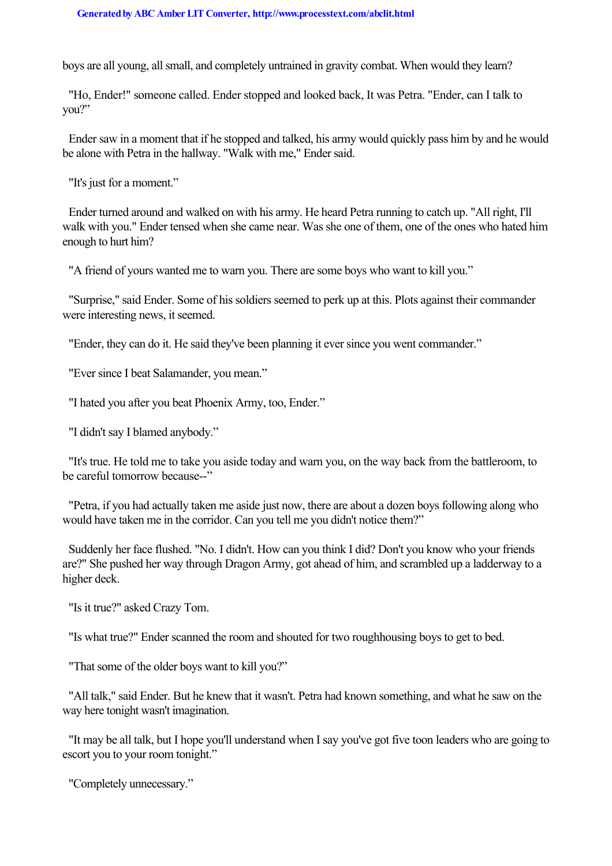boys are all young, all small, and completely untrained in gravity combat. When would they learn?

 "Ho, Ender!" someone called. Ender stopped and looked back, It was Petra. "Ender, can I talk to you?"

 Ender saw in a moment that if he stopped and talked, his army would quickly pass him by and he would be alone with Petra in the hallway. "Walk with me," Ender said.

"It's just for a moment."

 Ender turned around and walked on with his army. He heard Petra running to catch up. "All right, I'll walk with you." Ender tensed when she came near. Was she one of them, one of the ones who hated him enough to hurt him?

"A friend of yours wanted me to warn you. There are some boys who want to kill you."

 "Surprise," said Ender. Some of his soldiers seemed to perk up at this. Plots against their commander were interesting news, it seemed.

"Ender, they can do it. He said they've been planning it ever since you went commander."

"Ever since I beat Salamander, you mean."

"I hated you after you beat Phoenix Army, too, Ender."

"I didn't say I blamed anybody."

 "It's true. He told me to take you aside today and warn you, on the way back from the battleroom, to be careful tomorrow because--"

 "Petra, if you had actually taken me aside just now, there are about a dozen boys following along who would have taken me in the corridor. Can you tell me you didn't notice them?"

 Suddenly her face flushed. "No. I didn't. How can you think I did? Don't you know who your friends are?" She pushed her way through Dragon Army, got ahead of him, and scrambled up a ladderway to a higher deck.

"Is it true?" asked Crazy Tom.

"Is what true?" Ender scanned the room and shouted for two roughhousing boys to get to bed.

"That some of the older boys want to kill you?"

 "All talk," said Ender. But he knew that it wasn't. Petra had known something, and what he saw on the way here tonight wasn't imagination.

 "It may be all talk, but I hope you'll understand when I say you've got five toon leaders who are going to escort you to your room tonight."

"Completely unnecessary."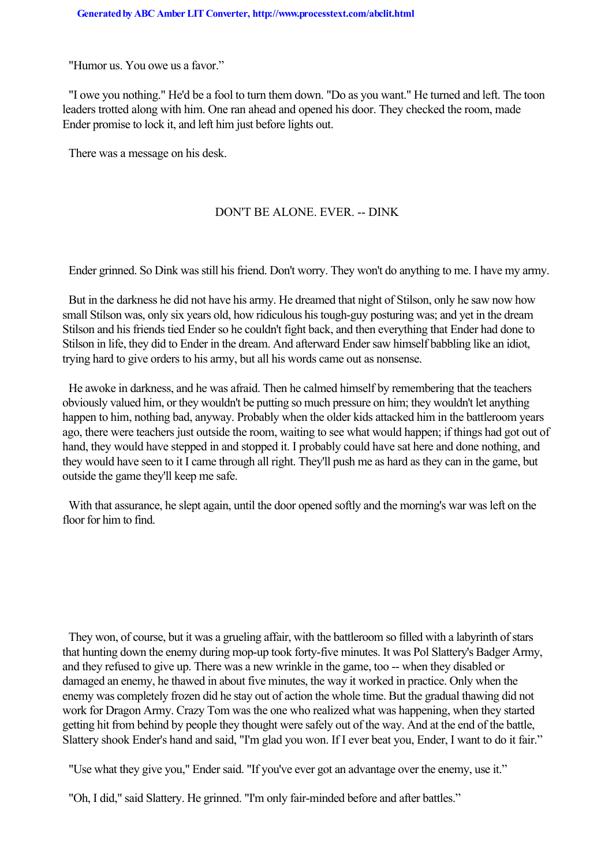#### **Generated by ABC Amber LIT Converter, <http://www.processtext.com/abclit.html>**

"Humor us. You owe us a favor."

 "I owe you nothing." He'd be a fool to turn them down. "Do as you want." He turned and left. The toon leaders trotted along with him. One ran ahead and opened his door. They checked the room, made Ender promise to lock it, and left him just before lights out.

There was a message on his desk.

# DON'T BE ALONE. EVER. -- DINK

Ender grinned. So Dink was still his friend. Don't worry. They won't do anything to me. I have my army.

 But in the darkness he did not have his army. He dreamed that night of Stilson, only he saw now how small Stilson was, only six years old, how ridiculous his tough-guy posturing was; and yet in the dream Stilson and his friends tied Ender so he couldn't fight back, and then everything that Ender had done to Stilson in life, they did to Ender in the dream. And afterward Ender saw himself babbling like an idiot, trying hard to give orders to his army, but all his words came out as nonsense.

 He awoke in darkness, and he was afraid. Then he calmed himself by remembering that the teachers obviously valued him, or they wouldn't be putting so much pressure on him; they wouldn't let anything happen to him, nothing bad, anyway. Probably when the older kids attacked him in the battleroom years ago, there were teachers just outside the room, waiting to see what would happen; if things had got out of hand, they would have stepped in and stopped it. I probably could have sat here and done nothing, and they would have seen to it I came through all right. They'll push me as hard as they can in the game, but outside the game they'll keep me safe.

With that assurance, he slept again, until the door opened softly and the morning's war was left on the floor for him to find.

 They won, of course, but it was a grueling affair, with the battleroom so filled with a labyrinth of stars that hunting down the enemy during mop-up took forty-five minutes. It was Pol Slattery's Badger Army, and they refused to give up. There was a new wrinkle in the game, too -- when they disabled or damaged an enemy, he thawed in about five minutes, the way it worked in practice. Only when the enemy was completely frozen did he stay out of action the whole time. But the gradual thawing did not work for Dragon Army. Crazy Tom was the one who realized what was happening, when they started getting hit from behind by people they thought were safely out of the way. And at the end of the battle, Slattery shook Ender's hand and said, "I'm glad you won. If I ever beat you, Ender, I want to do it fair."

"Use what they give you," Ender said. "If you've ever got an advantage over the enemy, use it."

"Oh, I did," said Slattery. He grinned. "I'm only fair-minded before and after battles."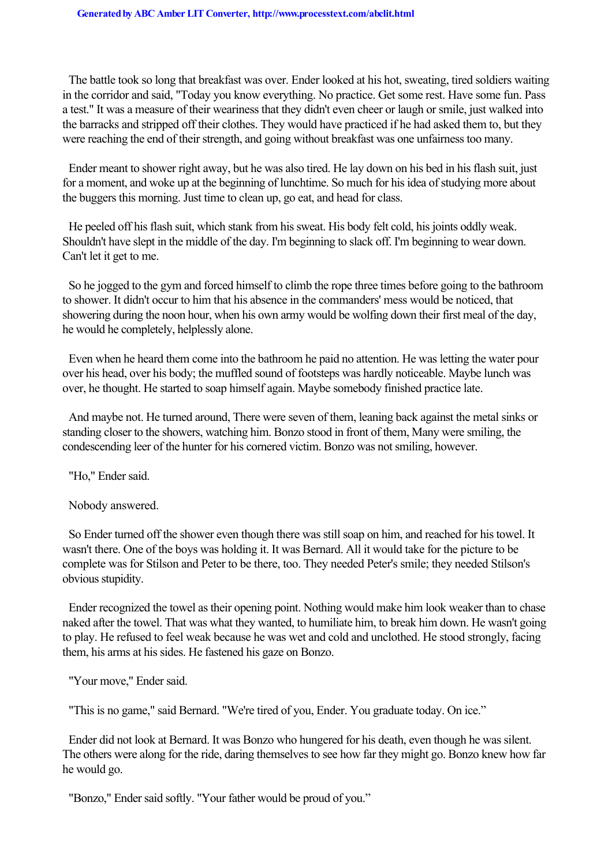The battle took so long that breakfast was over. Ender looked at his hot, sweating, tired soldiers waiting in the corridor and said, "Today you know everything. No practice. Get some rest. Have some fun. Pass a test." It was a measure of their weariness that they didn't even cheer or laugh or smile, just walked into the barracks and stripped off their clothes. They would have practiced if he had asked them to, but they were reaching the end of their strength, and going without breakfast was one unfairness too many.

 Ender meant to shower right away, but he was also tired. He lay down on his bed in his flash suit, just for a moment, and woke up at the beginning of lunchtime. So much for his idea of studying more about the buggers this morning. Just time to clean up, go eat, and head for class.

 He peeled off his flash suit, which stank from his sweat. His body felt cold, his joints oddly weak. Shouldn't have slept in the middle of the day. I'm beginning to slack off. I'm beginning to wear down. Can't let it get to me.

 So he jogged to the gym and forced himself to climb the rope three times before going to the bathroom to shower. It didn't occur to him that his absence in the commanders' mess would be noticed, that showering during the noon hour, when his own army would be wolfing down their first meal of the day, he would he completely, helplessly alone.

 Even when he heard them come into the bathroom he paid no attention. He was letting the water pour over his head, over his body; the muffled sound of footsteps was hardly noticeable. Maybe lunch was over, he thought. He started to soap himself again. Maybe somebody finished practice late.

 And maybe not. He turned around, There were seven of them, leaning back against the metal sinks or standing closer to the showers, watching him. Bonzo stood in front of them, Many were smiling, the condescending leer of the hunter for his cornered victim. Bonzo was not smiling, however.

"Ho," Ender said.

Nobody answered.

 So Ender turned off the shower even though there was still soap on him, and reached for his towel. It wasn't there. One of the boys was holding it. It was Bernard. All it would take for the picture to be complete was for Stilson and Peter to be there, too. They needed Peter's smile; they needed Stilson's obvious stupidity.

 Ender recognized the towel as their opening point. Nothing would make him look weaker than to chase naked after the towel. That was what they wanted, to humiliate him, to break him down. He wasn't going to play. He refused to feel weak because he was wet and cold and unclothed. He stood strongly, facing them, his arms at his sides. He fastened his gaze on Bonzo.

"Your move," Ender said.

"This is no game," said Bernard. "We're tired of you, Ender. You graduate today. On ice."

 Ender did not look at Bernard. It was Bonzo who hungered for his death, even though he was silent. The others were along for the ride, daring themselves to see how far they might go. Bonzo knew how far he would go.

"Bonzo," Ender said softly. "Your father would be proud of you."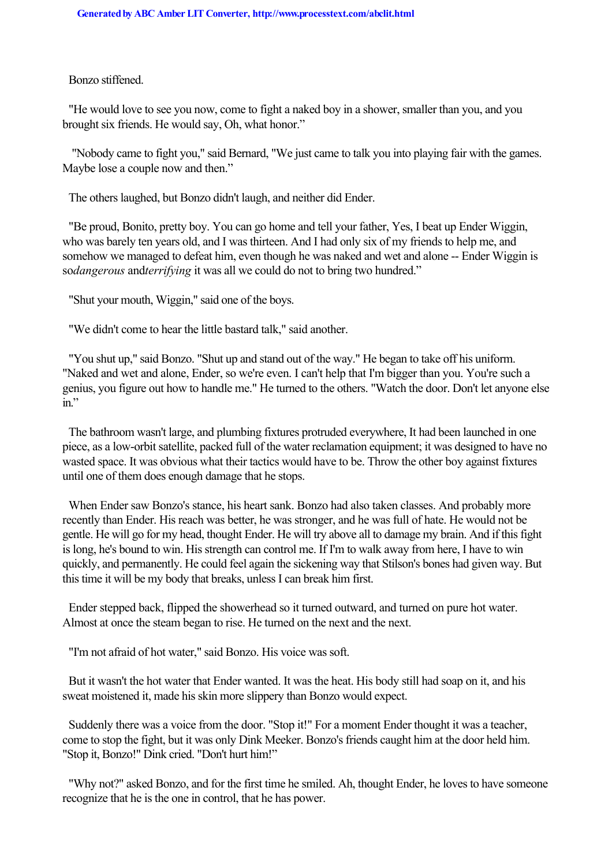Bonzo stiffened.

 "He would love to see you now, come to fight a naked boy in a shower, smaller than you, and you brought six friends. He would say, Oh, what honor."

 "Nobody came to fight you," said Bernard, "We just came to talk you into playing fair with the games. Maybe lose a couple now and then."

The others laughed, but Bonzo didn't laugh, and neither did Ender.

 "Be proud, Bonito, pretty boy. You can go home and tell your father, Yes, I beat up Ender Wiggin, who was barely ten years old, and I was thirteen. And I had only six of my friends to help me, and somehow we managed to defeat him, even though he was naked and wet and alone -- Ender Wiggin is so*dangerous* and*terrifying* it was all we could do not to bring two hundred."

"Shut your mouth, Wiggin," said one of the boys.

"We didn't come to hear the little bastard talk," said another.

 "You shut up," said Bonzo. "Shut up and stand out of the way." He began to take off his uniform. "Naked and wet and alone, Ender, so we're even. I can't help that I'm bigger than you. You're such a genius, you figure out how to handle me." He turned to the others. "Watch the door. Don't let anyone else  $\frac{1}{\ln}$ "

 The bathroom wasn't large, and plumbing fixtures protruded everywhere, It had been launched in one piece, as a low-orbit satellite, packed full of the water reclamation equipment; it was designed to have no wasted space. It was obvious what their tactics would have to be. Throw the other boy against fixtures until one of them does enough damage that he stops.

 When Ender saw Bonzo's stance, his heart sank. Bonzo had also taken classes. And probably more recently than Ender. His reach was better, he was stronger, and he was full of hate. He would not be gentle. He will go for my head, thought Ender. He will try above all to damage my brain. And if this fight is long, he's bound to win. His strength can control me. If I'm to walk away from here, I have to win quickly, and permanently. He could feel again the sickening way that Stilson's bones had given way. But this time it will be my body that breaks, unless I can break him first.

 Ender stepped back, flipped the showerhead so it turned outward, and turned on pure hot water. Almost at once the steam began to rise. He turned on the next and the next.

"I'm not afraid of hot water," said Bonzo. His voice was soft.

 But it wasn't the hot water that Ender wanted. It was the heat. His body still had soap on it, and his sweat moistened it, made his skin more slippery than Bonzo would expect.

 Suddenly there was a voice from the door. "Stop it!" For a moment Ender thought it was a teacher, come to stop the fight, but it was only Dink Meeker. Bonzo's friends caught him at the door held him. "Stop it, Bonzo!" Dink cried. "Don't hurt him!"

 "Why not?" asked Bonzo, and for the first time he smiled. Ah, thought Ender, he loves to have someone recognize that he is the one in control, that he has power.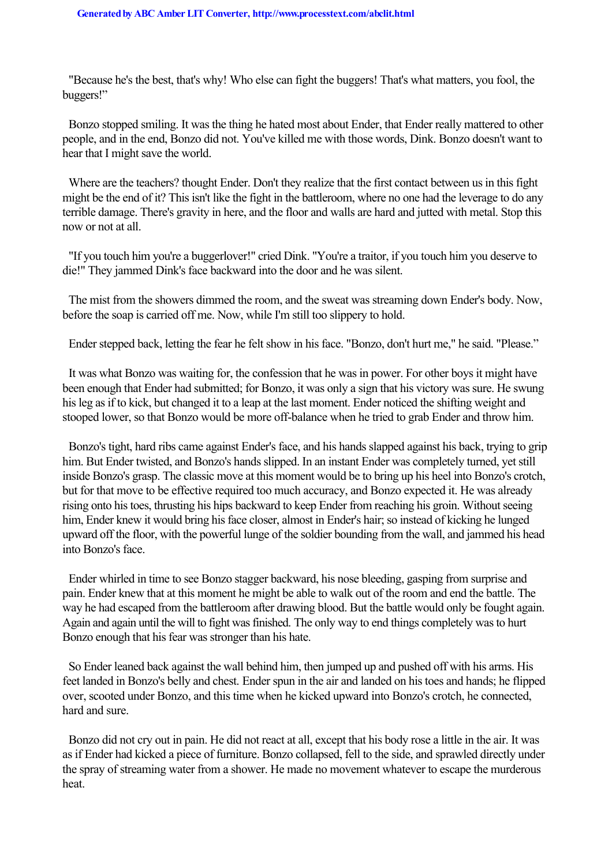"Because he's the best, that's why! Who else can fight the buggers! That's what matters, you fool, the buggers!"

 Bonzo stopped smiling. It was the thing he hated most about Ender, that Ender really mattered to other people, and in the end, Bonzo did not. You've killed me with those words, Dink. Bonzo doesn't want to hear that I might save the world.

 Where are the teachers? thought Ender. Don't they realize that the first contact between us in this fight might be the end of it? This isn't like the fight in the battleroom, where no one had the leverage to do any terrible damage. There's gravity in here, and the floor and walls are hard and jutted with metal. Stop this now or not at all.

 "If you touch him you're a buggerlover!" cried Dink. "You're a traitor, if you touch him you deserve to die!" They jammed Dink's face backward into the door and he was silent.

 The mist from the showers dimmed the room, and the sweat was streaming down Ender's body. Now, before the soap is carried off me. Now, while I'm still too slippery to hold.

Ender stepped back, letting the fear he felt show in his face. "Bonzo, don't hurt me," he said. "Please."

 It was what Bonzo was waiting for, the confession that he was in power. For other boys it might have been enough that Ender had submitted; for Bonzo, it was only a sign that his victory was sure. He swung his leg as if to kick, but changed it to a leap at the last moment. Ender noticed the shifting weight and stooped lower, so that Bonzo would be more off-balance when he tried to grab Ender and throw him.

 Bonzo's tight, hard ribs came against Ender's face, and his hands slapped against his back, trying to grip him. But Ender twisted, and Bonzo's hands slipped. In an instant Ender was completely turned, yet still inside Bonzo's grasp. The classic move at this moment would be to bring up his heel into Bonzo's crotch, but for that move to be effective required too much accuracy, and Bonzo expected it. He was already rising onto his toes, thrusting his hips backward to keep Ender from reaching his groin. Without seeing him, Ender knew it would bring his face closer, almost in Ender's hair; so instead of kicking he lunged upward off the floor, with the powerful lunge of the soldier bounding from the wall, and jammed his head into Bonzo's face.

 Ender whirled in time to see Bonzo stagger backward, his nose bleeding, gasping from surprise and pain. Ender knew that at this moment he might be able to walk out of the room and end the battle. The way he had escaped from the battleroom after drawing blood. But the battle would only be fought again. Again and again until the will to fight was finished. The only way to end things completely was to hurt Bonzo enough that his fear was stronger than his hate.

 So Ender leaned back against the wall behind him, then jumped up and pushed off with his arms. His feet landed in Bonzo's belly and chest. Ender spun in the air and landed on his toes and hands; he flipped over, scooted under Bonzo, and this time when he kicked upward into Bonzo's crotch, he connected, hard and sure.

 Bonzo did not cry out in pain. He did not react at all, except that his body rose a little in the air. It was as if Ender had kicked a piece of furniture. Bonzo collapsed, fell to the side, and sprawled directly under the spray of streaming water from a shower. He made no movement whatever to escape the murderous heat.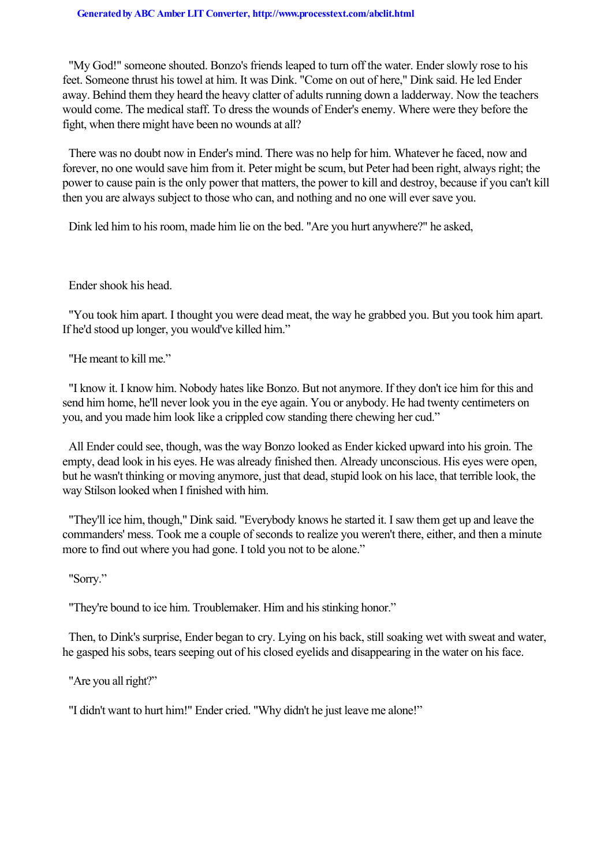"My God!" someone shouted. Bonzo's friends leaped to turn off the water. Ender slowly rose to his feet. Someone thrust his towel at him. It was Dink. "Come on out of here," Dink said. He led Ender away. Behind them they heard the heavy clatter of adults running down a ladderway. Now the teachers would come. The medical staff. To dress the wounds of Ender's enemy. Where were they before the fight, when there might have been no wounds at all?

 There was no doubt now in Ender's mind. There was no help for him. Whatever he faced, now and forever, no one would save him from it. Peter might be scum, but Peter had been right, always right; the power to cause pain is the only power that matters, the power to kill and destroy, because if you can't kill then you are always subject to those who can, and nothing and no one will ever save you.

Dink led him to his room, made him lie on the bed. "Are you hurt anywhere?" he asked,

Ender shook his head.

 "You took him apart. I thought you were dead meat, the way he grabbed you. But you took him apart. If he'd stood up longer, you would've killed him."

"He meant to kill me"

 "I know it. I know him. Nobody hates like Bonzo. But not anymore. If they don't ice him for this and send him home, he'll never look you in the eye again. You or anybody. He had twenty centimeters on you, and you made him look like a crippled cow standing there chewing her cud."

 All Ender could see, though, was the way Bonzo looked as Ender kicked upward into his groin. The empty, dead look in his eyes. He was already finished then. Already unconscious. His eyes were open, but he wasn't thinking or moving anymore, just that dead, stupid look on his lace, that terrible look, the way Stilson looked when I finished with him.

 "They'll ice him, though," Dink said. "Everybody knows he started it. I saw them get up and leave the commanders' mess. Took me a couple of seconds to realize you weren't there, either, and then a minute more to find out where you had gone. I told you not to be alone."

"Sorry."

"They're bound to ice him. Troublemaker. Him and his stinking honor."

 Then, to Dink's surprise, Ender began to cry. Lying on his back, still soaking wet with sweat and water, he gasped his sobs, tears seeping out of his closed eyelids and disappearing in the water on his face.

"Are you all right?"

"I didn't want to hurt him!" Ender cried. "Why didn't he just leave me alone!"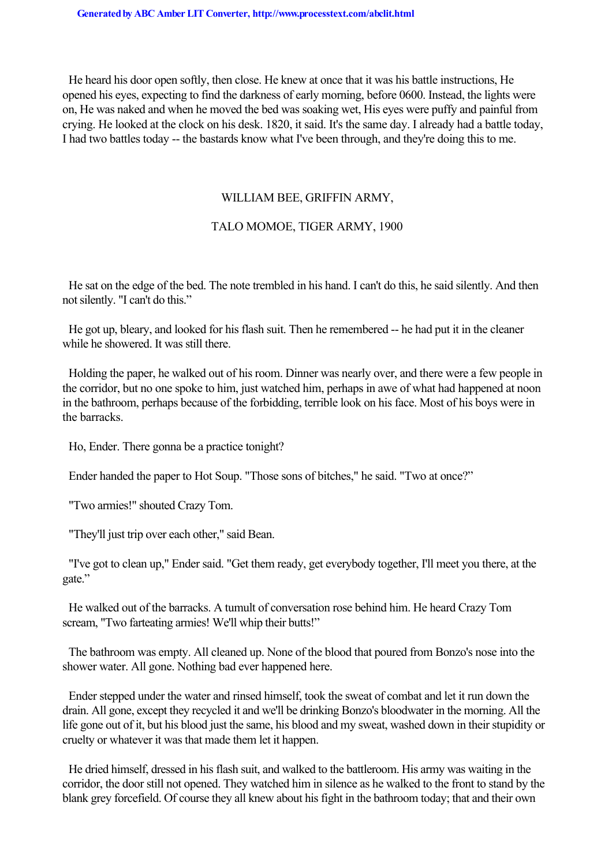He heard his door open softly, then close. He knew at once that it was his battle instructions, He opened his eyes, expecting to find the darkness of early morning, before 0600. Instead, the lights were on, He was naked and when he moved the bed was soaking wet, His eyes were puffy and painful from crying. He looked at the clock on his desk. 1820, it said. It's the same day. I already had a battle today, I had two battles today -- the bastards know what I've been through, and they're doing this to me.

### WILLIAM BEE, GRIFFIN ARMY,

# TALO MOMOE, TIGER ARMY, 1900

 He sat on the edge of the bed. The note trembled in his hand. I can't do this, he said silently. And then not silently. "I can't do this."

 He got up, bleary, and looked for his flash suit. Then he remembered -- he had put it in the cleaner while he showered. It was still there.

 Holding the paper, he walked out of his room. Dinner was nearly over, and there were a few people in the corridor, but no one spoke to him, just watched him, perhaps in awe of what had happened at noon in the bathroom, perhaps because of the forbidding, terrible look on his face. Most of his boys were in the barracks.

Ho, Ender. There gonna be a practice tonight?

Ender handed the paper to Hot Soup. "Those sons of bitches," he said. "Two at once?"

"Two armies!" shouted Crazy Tom.

"They'll just trip over each other," said Bean.

 "I've got to clean up," Ender said. "Get them ready, get everybody together, I'll meet you there, at the gate."

 He walked out of the barracks. A tumult of conversation rose behind him. He heard Crazy Tom scream, "Two farteating armies! We'll whip their butts!"

 The bathroom was empty. All cleaned up. None of the blood that poured from Bonzo's nose into the shower water. All gone. Nothing bad ever happened here.

 Ender stepped under the water and rinsed himself, took the sweat of combat and let it run down the drain. All gone, except they recycled it and we'll be drinking Bonzo's bloodwater in the morning. All the life gone out of it, but his blood just the same, his blood and my sweat, washed down in their stupidity or cruelty or whatever it was that made them let it happen.

 He dried himself, dressed in his flash suit, and walked to the battleroom. His army was waiting in the corridor, the door still not opened. They watched him in silence as he walked to the front to stand by the blank grey forcefield. Of course they all knew about his fight in the bathroom today; that and their own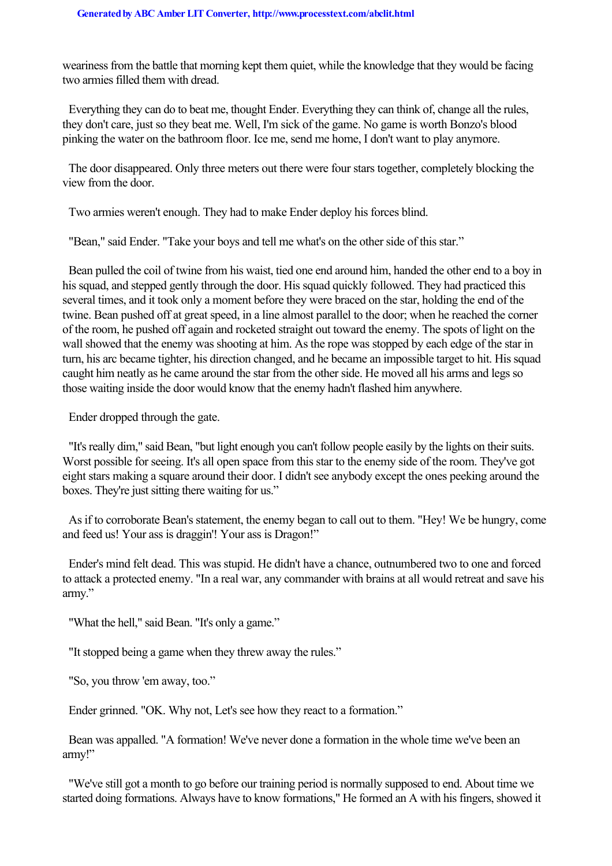weariness from the battle that morning kept them quiet, while the knowledge that they would be facing two armies filled them with dread.

 Everything they can do to beat me, thought Ender. Everything they can think of, change all the rules, they don't care, just so they beat me. Well, I'm sick of the game. No game is worth Bonzo's blood pinking the water on the bathroom floor. Ice me, send me home, I don't want to play anymore.

 The door disappeared. Only three meters out there were four stars together, completely blocking the view from the door.

Two armies weren't enough. They had to make Ender deploy his forces blind.

"Bean," said Ender. "Take your boys and tell me what's on the other side of this star."

 Bean pulled the coil of twine from his waist, tied one end around him, handed the other end to a boy in his squad, and stepped gently through the door. His squad quickly followed. They had practiced this several times, and it took only a moment before they were braced on the star, holding the end of the twine. Bean pushed off at great speed, in a line almost parallel to the door; when he reached the corner of the room, he pushed off again and rocketed straight out toward the enemy. The spots of light on the wall showed that the enemy was shooting at him. As the rope was stopped by each edge of the star in turn, his arc became tighter, his direction changed, and he became an impossible target to hit. His squad caught him neatly as he came around the star from the other side. He moved all his arms and legs so those waiting inside the door would know that the enemy hadn't flashed him anywhere.

Ender dropped through the gate.

 "It's really dim," said Bean, "but light enough you can't follow people easily by the lights on their suits. Worst possible for seeing. It's all open space from this star to the enemy side of the room. They've got eight stars making a square around their door. I didn't see anybody except the ones peeking around the boxes. They're just sitting there waiting for us."

 As if to corroborate Bean's statement, the enemy began to call out to them. "Hey! We be hungry, come and feed us! Your ass is draggin'! Your ass is Dragon!"

 Ender's mind felt dead. This was stupid. He didn't have a chance, outnumbered two to one and forced to attack a protected enemy. "In a real war, any commander with brains at all would retreat and save his army."

"What the hell," said Bean. "It's only a game."

"It stopped being a game when they threw away the rules."

"So, you throw 'em away, too."

Ender grinned. "OK. Why not, Let's see how they react to a formation."

 Bean was appalled. "A formation! We've never done a formation in the whole time we've been an army!"

 "We've still got a month to go before our training period is normally supposed to end. About time we started doing formations. Always have to know formations," He formed an A with his fingers, showed it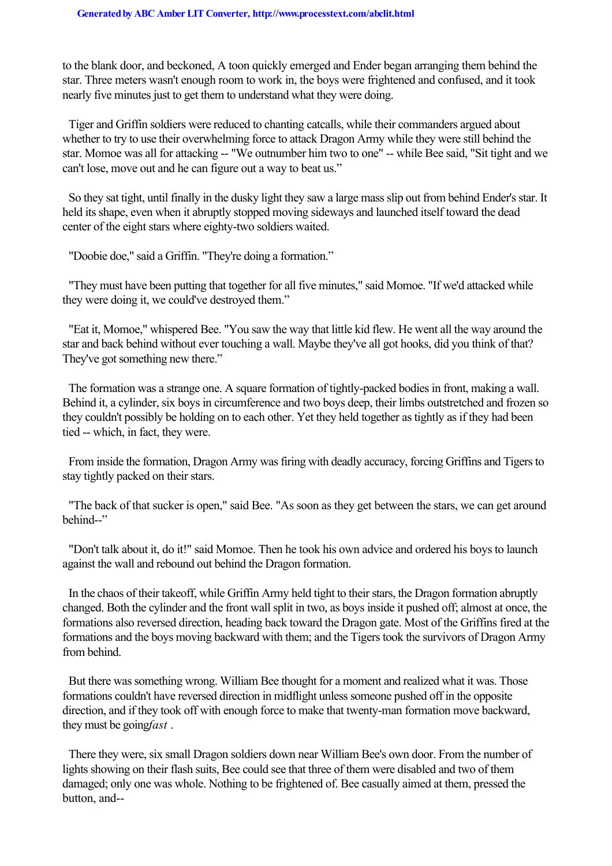to the blank door, and beckoned, A toon quickly emerged and Ender began arranging them behind the star. Three meters wasn't enough room to work in, the boys were frightened and confused, and it took nearly five minutes just to get them to understand what they were doing.

 Tiger and Griffin soldiers were reduced to chanting catcalls, while their commanders argued about whether to try to use their overwhelming force to attack Dragon Army while they were still behind the star. Momoe was all for attacking -- "We outnumber him two to one" -- while Bee said, "Sit tight and we can't lose, move out and he can figure out a way to beat us."

 So they sat tight, until finally in the dusky light they saw a large mass slip out from behind Ender's star. It held its shape, even when it abruptly stopped moving sideways and launched itself toward the dead center of the eight stars where eighty-two soldiers waited.

"Doobie doe," said a Griffin. "They're doing a formation."

 "They must have been putting that together for all five minutes," said Momoe. "If we'd attacked while they were doing it, we could've destroyed them."

 "Eat it, Momoe," whispered Bee. "You saw the way that little kid flew. He went all the way around the star and back behind without ever touching a wall. Maybe they've all got hooks, did you think of that? They've got something new there."

 The formation was a strange one. A square formation of tightly-packed bodies in front, making a wall. Behind it, a cylinder, six boys in circumference and two boys deep, their limbs outstretched and frozen so they couldn't possibly be holding on to each other. Yet they held together as tightly as if they had been tied -- which, in fact, they were.

 From inside the formation, Dragon Army was firing with deadly accuracy, forcing Griffins and Tigers to stay tightly packed on their stars.

 "The back of that sucker is open," said Bee. "As soon as they get between the stars, we can get around behind--"

 "Don't talk about it, do it!" said Momoe. Then he took his own advice and ordered his boys to launch against the wall and rebound out behind the Dragon formation.

 In the chaos of their takeoff, while Griffin Army held tight to their stars, the Dragon formation abruptly changed. Both the cylinder and the front wall split in two, as boys inside it pushed off; almost at once, the formations also reversed direction, heading back toward the Dragon gate. Most of the Griffins fired at the formations and the boys moving backward with them; and the Tigers took the survivors of Dragon Army from behind.

 But there was something wrong. William Bee thought for a moment and realized what it was. Those formations couldn't have reversed direction in midflight unless someone pushed off in the opposite direction, and if they took off with enough force to make that twenty-man formation move backward, they must be going*fast* .

 There they were, six small Dragon soldiers down near William Bee's own door. From the number of lights showing on their flash suits, Bee could see that three of them were disabled and two of them damaged; only one was whole. Nothing to be frightened of. Bee casually aimed at them, pressed the button, and--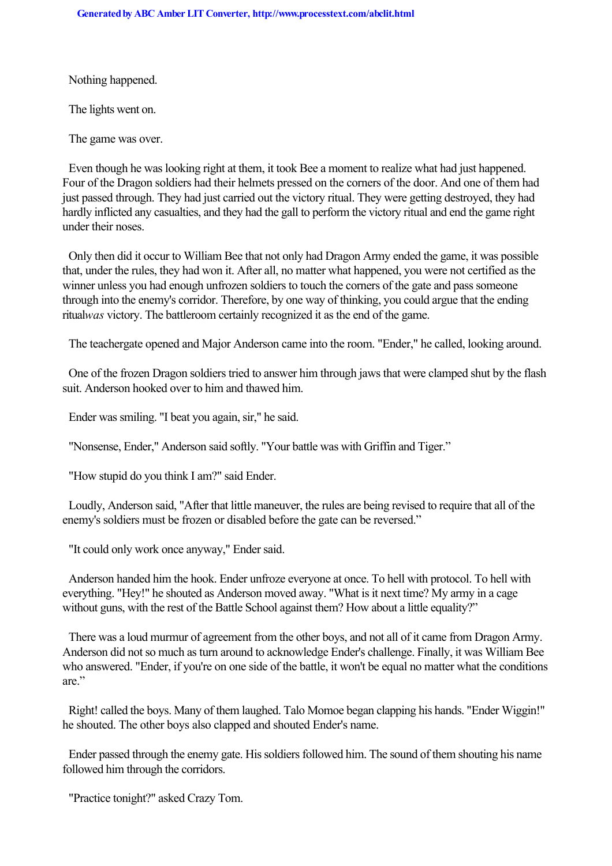Nothing happened.

The lights went on.

The game was over.

 Even though he was looking right at them, it took Bee a moment to realize what had just happened. Four of the Dragon soldiers had their helmets pressed on the corners of the door. And one of them had just passed through. They had just carried out the victory ritual. They were getting destroyed, they had hardly inflicted any casualties, and they had the gall to perform the victory ritual and end the game right under their noses.

 Only then did it occur to William Bee that not only had Dragon Army ended the game, it was possible that, under the rules, they had won it. After all, no matter what happened, you were not certified as the winner unless you had enough unfrozen soldiers to touch the corners of the gate and pass someone through into the enemy's corridor. Therefore, by one way of thinking, you could argue that the ending ritual*was* victory. The battleroom certainly recognized it as the end of the game.

The teachergate opened and Major Anderson came into the room. "Ender," he called, looking around.

 One of the frozen Dragon soldiers tried to answer him through jaws that were clamped shut by the flash suit. Anderson hooked over to him and thawed him.

Ender was smiling. "I beat you again, sir," he said.

"Nonsense, Ender," Anderson said softly. "Your battle was with Griffin and Tiger."

"How stupid do you think I am?" said Ender.

 Loudly, Anderson said, "After that little maneuver, the rules are being revised to require that all of the enemy's soldiers must be frozen or disabled before the gate can be reversed."

"It could only work once anyway," Ender said.

 Anderson handed him the hook. Ender unfroze everyone at once. To hell with protocol. To hell with everything. "Hey!" he shouted as Anderson moved away. "What is it next time? My army in a cage without guns, with the rest of the Battle School against them? How about a little equality?"

 There was a loud murmur of agreement from the other boys, and not all of it came from Dragon Army. Anderson did not so much as turn around to acknowledge Ender's challenge. Finally, it was William Bee who answered. "Ender, if you're on one side of the battle, it won't be equal no matter what the conditions are."

 Right! called the boys. Many of them laughed. Talo Momoe began clapping his hands. "Ender Wiggin!" he shouted. The other boys also clapped and shouted Ender's name.

 Ender passed through the enemy gate. His soldiers followed him. The sound of them shouting his name followed him through the corridors.

"Practice tonight?" asked Crazy Tom.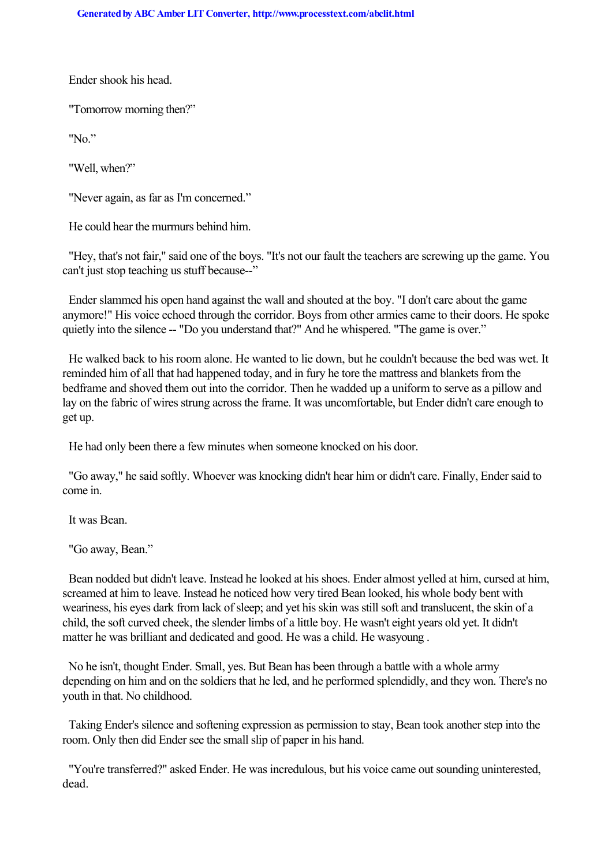Ender shook his head.

"Tomorrow morning then?"

"No."

"Well when?"

"Never again, as far as I'm concerned."

He could hear the murmurs behind him.

 "Hey, that's not fair," said one of the boys. "It's not our fault the teachers are screwing up the game. You can't just stop teaching us stuff because--"

 Ender slammed his open hand against the wall and shouted at the boy. "I don't care about the game anymore!" His voice echoed through the corridor. Boys from other armies came to their doors. He spoke quietly into the silence -- "Do you understand that?" And he whispered. "The game is over."

 He walked back to his room alone. He wanted to lie down, but he couldn't because the bed was wet. It reminded him of all that had happened today, and in fury he tore the mattress and blankets from the bedframe and shoved them out into the corridor. Then he wadded up a uniform to serve as a pillow and lay on the fabric of wires strung across the frame. It was uncomfortable, but Ender didn't care enough to get up.

He had only been there a few minutes when someone knocked on his door.

 "Go away," he said softly. Whoever was knocking didn't hear him or didn't care. Finally, Ender said to come in.

It was Bean.

"Go away, Bean."

 Bean nodded but didn't leave. Instead he looked at his shoes. Ender almost yelled at him, cursed at him, screamed at him to leave. Instead he noticed how very tired Bean looked, his whole body bent with weariness, his eyes dark from lack of sleep; and yet his skin was still soft and translucent, the skin of a child, the soft curved cheek, the slender limbs of a little boy. He wasn't eight years old yet. It didn't matter he was brilliant and dedicated and good. He was a child. He wasyoung .

 No he isn't, thought Ender. Small, yes. But Bean has been through a battle with a whole army depending on him and on the soldiers that he led, and he performed splendidly, and they won. There's no youth in that. No childhood.

 Taking Ender's silence and softening expression as permission to stay, Bean took another step into the room. Only then did Ender see the small slip of paper in his hand.

 "You're transferred?" asked Ender. He was incredulous, but his voice came out sounding uninterested, dead.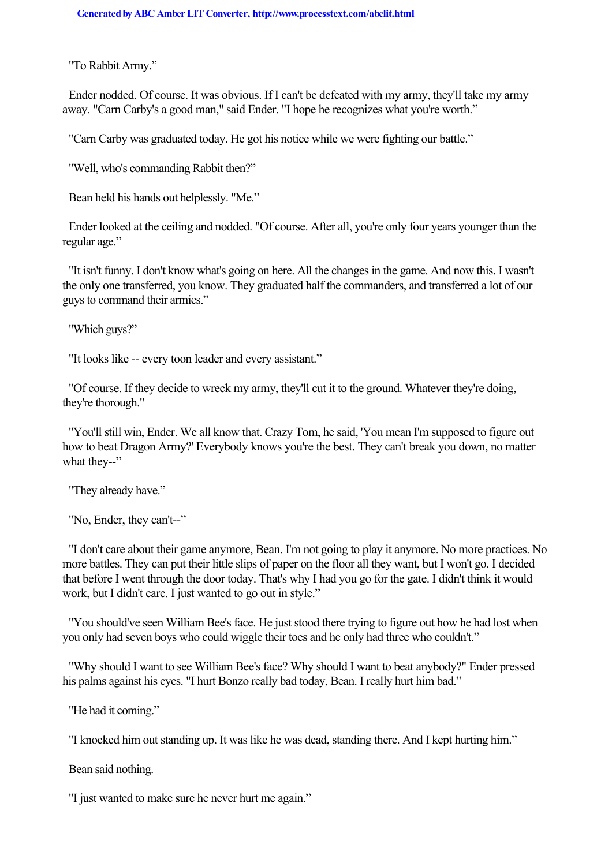"To Rabbit Army."

 Ender nodded. Of course. It was obvious. If I can't be defeated with my army, they'll take my army away. "Carn Carby's a good man," said Ender. "I hope he recognizes what you're worth."

"Carn Carby was graduated today. He got his notice while we were fighting our battle."

"Well, who's commanding Rabbit then?"

Bean held his hands out helplessly. "Me."

 Ender looked at the ceiling and nodded. "Of course. After all, you're only four years younger than the regular age."

 "It isn't funny. I don't know what's going on here. All the changes in the game. And now this. I wasn't the only one transferred, you know. They graduated half the commanders, and transferred a lot of our guys to command their armies."

"Which guys?"

"It looks like -- every toon leader and every assistant."

 "Of course. If they decide to wreck my army, they'll cut it to the ground. Whatever they're doing, they're thorough."

 "You'll still win, Ender. We all know that. Crazy Tom, he said, 'You mean I'm supposed to figure out how to beat Dragon Army?' Everybody knows you're the best. They can't break you down, no matter what the v--"

"They already have."

"No, Ender, they can't--"

 "I don't care about their game anymore, Bean. I'm not going to play it anymore. No more practices. No more battles. They can put their little slips of paper on the floor all they want, but I won't go. I decided that before I went through the door today. That's why I had you go for the gate. I didn't think it would work, but I didn't care. I just wanted to go out in style."

 "You should've seen William Bee's face. He just stood there trying to figure out how he had lost when you only had seven boys who could wiggle their toes and he only had three who couldn't."

 "Why should I want to see William Bee's face? Why should I want to beat anybody?" Ender pressed his palms against his eyes. "I hurt Bonzo really bad today, Bean. I really hurt him bad."

"He had it coming."

"I knocked him out standing up. It was like he was dead, standing there. And I kept hurting him."

Bean said nothing.

"I just wanted to make sure he never hurt me again."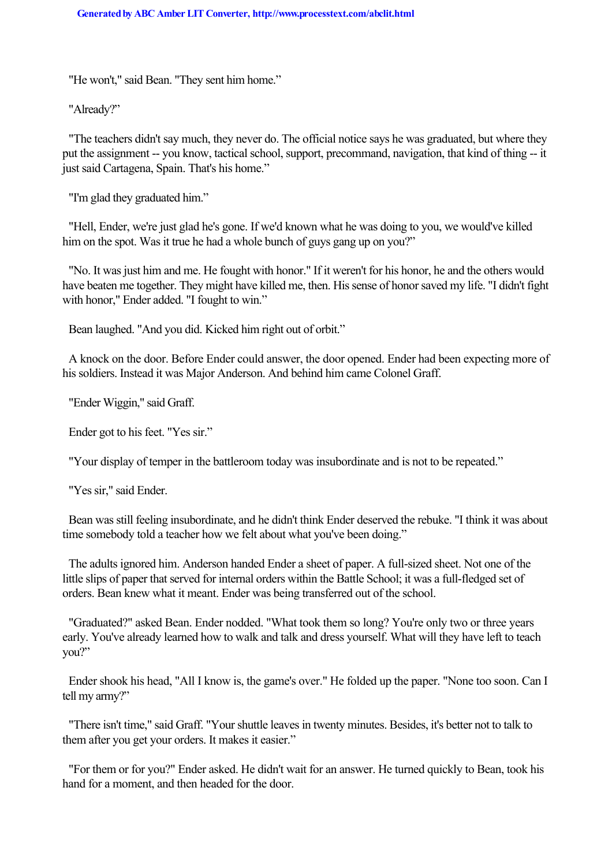"He won't," said Bean. "They sent him home."

"Already?"

 "The teachers didn't say much, they never do. The official notice says he was graduated, but where they put the assignment -- you know, tactical school, support, precommand, navigation, that kind of thing -- it just said Cartagena, Spain. That's his home."

"I'm glad they graduated him."

 "Hell, Ender, we're just glad he's gone. If we'd known what he was doing to you, we would've killed him on the spot. Was it true he had a whole bunch of guys gang up on you?"

 "No. It was just him and me. He fought with honor." If it weren't for his honor, he and the others would have beaten me together. They might have killed me, then. His sense of honor saved my life. "I didn't fight with honor," Ender added. "I fought to win."

Bean laughed. "And you did. Kicked him right out of orbit."

 A knock on the door. Before Ender could answer, the door opened. Ender had been expecting more of his soldiers. Instead it was Major Anderson. And behind him came Colonel Graff.

"Ender Wiggin," said Graff.

Ender got to his feet. "Yes sir."

"Your display of temper in the battleroom today was insubordinate and is not to be repeated."

"Yes sir," said Ender.

 Bean was still feeling insubordinate, and he didn't think Ender deserved the rebuke. "I think it was about time somebody told a teacher how we felt about what you've been doing."

 The adults ignored him. Anderson handed Ender a sheet of paper. A full-sized sheet. Not one of the little slips of paper that served for internal orders within the Battle School; it was a full-fledged set of orders. Bean knew what it meant. Ender was being transferred out of the school.

 "Graduated?" asked Bean. Ender nodded. "What took them so long? You're only two or three years early. You've already learned how to walk and talk and dress yourself. What will they have left to teach you?"

 Ender shook his head, "All I know is, the game's over." He folded up the paper. "None too soon. Can I tell my army?"

 "There isn't time," said Graff. "Your shuttle leaves in twenty minutes. Besides, it's better not to talk to them after you get your orders. It makes it easier."

 "For them or for you?" Ender asked. He didn't wait for an answer. He turned quickly to Bean, took his hand for a moment, and then headed for the door.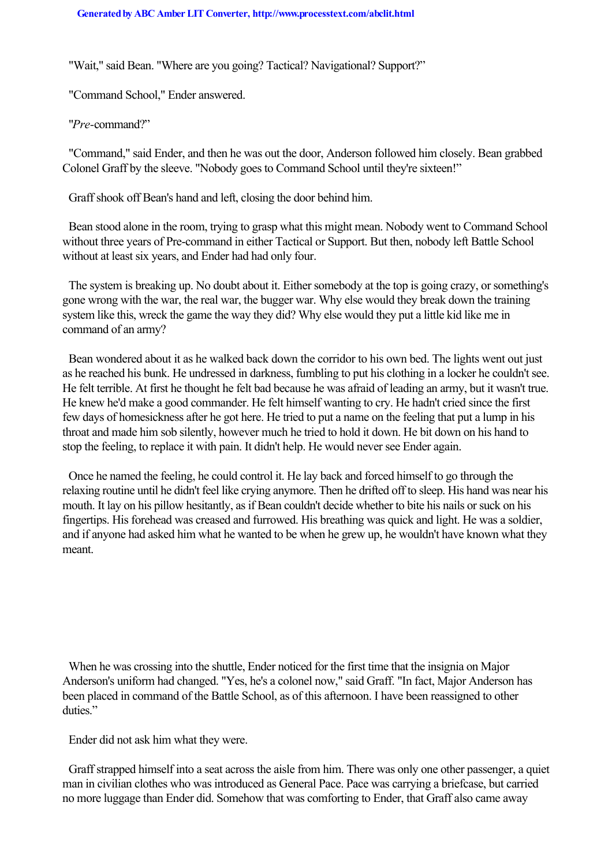"Wait," said Bean. "Where are you going? Tactical? Navigational? Support?"

"Command School," Ender answered.

"*Pre-*command?"

 "Command," said Ender, and then he was out the door, Anderson followed him closely. Bean grabbed Colonel Graff by the sleeve. "Nobody goes to Command School until they're sixteen!"

Graff shook off Bean's hand and left, closing the door behind him.

 Bean stood alone in the room, trying to grasp what this might mean. Nobody went to Command School without three years of Pre-command in either Tactical or Support. But then, nobody left Battle School without at least six years, and Ender had had only four.

 The system is breaking up. No doubt about it. Either somebody at the top is going crazy, or something's gone wrong with the war, the real war, the bugger war. Why else would they break down the training system like this, wreck the game the way they did? Why else would they put a little kid like me in command of an army?

 Bean wondered about it as he walked back down the corridor to his own bed. The lights went out just as he reached his bunk. He undressed in darkness, fumbling to put his clothing in a locker he couldn't see. He felt terrible. At first he thought he felt bad because he was afraid of leading an army, but it wasn't true. He knew he'd make a good commander. He felt himself wanting to cry. He hadn't cried since the first few days of homesickness after he got here. He tried to put a name on the feeling that put a lump in his throat and made him sob silently, however much he tried to hold it down. He bit down on his hand to stop the feeling, to replace it with pain. It didn't help. He would never see Ender again.

 Once he named the feeling, he could control it. He lay back and forced himself to go through the relaxing routine until he didn't feel like crying anymore. Then he drifted off to sleep. His hand was near his mouth. It lay on his pillow hesitantly, as if Bean couldn't decide whether to bite his nails or suck on his fingertips. His forehead was creased and furrowed. His breathing was quick and light. He was a soldier, and if anyone had asked him what he wanted to be when he grew up, he wouldn't have known what they meant.

 When he was crossing into the shuttle, Ender noticed for the first time that the insignia on Major Anderson's uniform had changed. "Yes, he's a colonel now," said Graff. "In fact, Major Anderson has been placed in command of the Battle School, as of this afternoon. I have been reassigned to other duties."

Ender did not ask him what they were.

 Graff strapped himself into a seat across the aisle from him. There was only one other passenger, a quiet man in civilian clothes who was introduced as General Pace. Pace was carrying a briefcase, but carried no more luggage than Ender did. Somehow that was comforting to Ender, that Graff also came away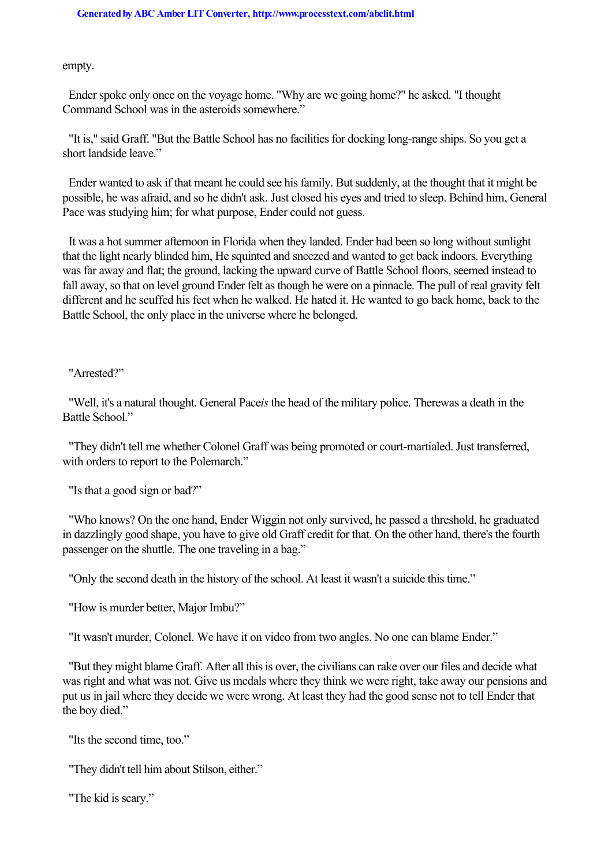empty.

 Ender spoke only once on the voyage home. "Why are we going home?" he asked. "I thought Command School was in the asteroids somewhere."

 "It is," said Graff. "But the Battle School has no facilities for docking long-range ships. So you get a short landside leave."

 Ender wanted to ask if that meant he could see his family. But suddenly, at the thought that it might be possible, he was afraid, and so he didn't ask. Just closed his eyes and tried to sleep. Behind him, General Pace was studying him; for what purpose, Ender could not guess.

 It was a hot summer afternoon in Florida when they landed. Ender had been so long without sunlight that the light nearly blinded him, He squinted and sneezed and wanted to get back indoors. Everything was far away and flat; the ground, lacking the upward curve of Battle School floors, seemed instead to fall away, so that on level ground Ender felt as though he were on a pinnacle. The pull of real gravity felt different and he scuffed his feet when he walked. He hated it. He wanted to go back home, back to the Battle School, the only place in the universe where he belonged.

"Arrested?"

 "Well, it's a natural thought. General Pace*is* the head of the military police. Therewas a death in the Battle School."

 "They didn't tell me whether Colonel Graff was being promoted or court-martialed. Just transferred, with orders to report to the Polemarch."

"Is that a good sign or bad?"

 "Who knows? On the one hand, Ender Wiggin not only survived, he passed a threshold, he graduated in dazzlingly good shape, you have to give old Graff credit for that. On the other hand, there's the fourth passenger on the shuttle. The one traveling in a bag."

"Only the second death in the history of the school. At least it wasn't a suicide this time."

"How is murder better, Major Imbu?"

"It wasn't murder, Colonel. We have it on video from two angles. No one can blame Ender."

 "But they might blame Graff. After all this is over, the civilians can rake over our files and decide what was right and what was not. Give us medals where they think we were right, take away our pensions and put us in jail where they decide we were wrong. At least they had the good sense not to tell Ender that the boy died."

"Its the second time, too."

"They didn't tell him about Stilson, either."

"The kid is scary."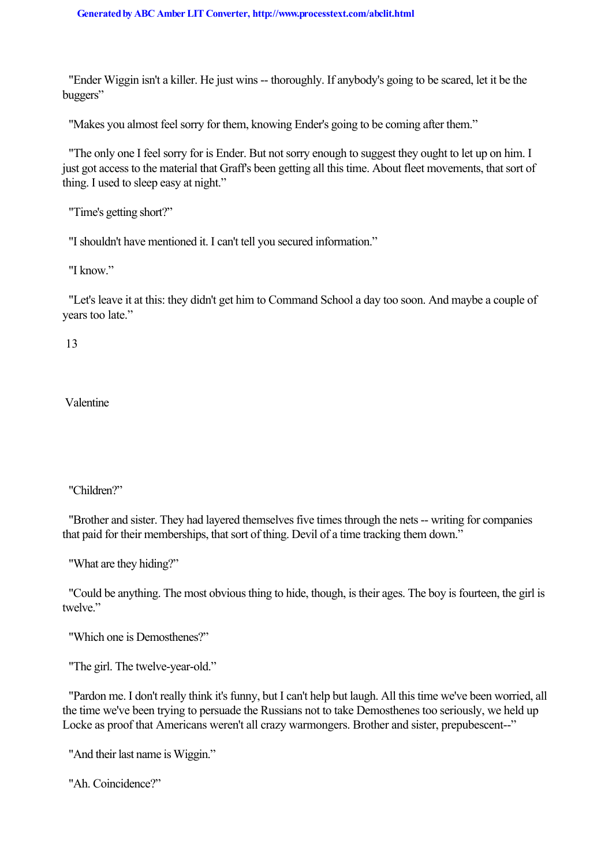"Ender Wiggin isn't a killer. He just wins -- thoroughly. If anybody's going to be scared, let it be the buggers"

"Makes you almost feel sorry for them, knowing Ender's going to be coming after them."

 "The only one I feel sorry for is Ender. But not sorry enough to suggest they ought to let up on him. I just got access to the material that Graff's been getting all this time. About fleet movements, that sort of thing. I used to sleep easy at night."

"Time's getting short?"

"I shouldn't have mentioned it. I can't tell you secured information."

"I know."

 "Let's leave it at this: they didn't get him to Command School a day too soon. And maybe a couple of years too late."

13

Valentine

"Children?"

 "Brother and sister. They had layered themselves five times through the nets -- writing for companies that paid for their memberships, that sort of thing. Devil of a time tracking them down."

"What are they hiding?"

 "Could be anything. The most obvious thing to hide, though, is their ages. The boy is fourteen, the girl is twelve."

"Which one is Demosthenes?"

"The girl. The twelve-year-old."

 "Pardon me. I don't really think it's funny, but I can't help but laugh. All this time we've been worried, all the time we've been trying to persuade the Russians not to take Demosthenes too seriously, we held up Locke as proof that Americans weren't all crazy warmongers. Brother and sister, prepubescent--"

"And their last name is Wiggin."

"Ah. Coincidence?"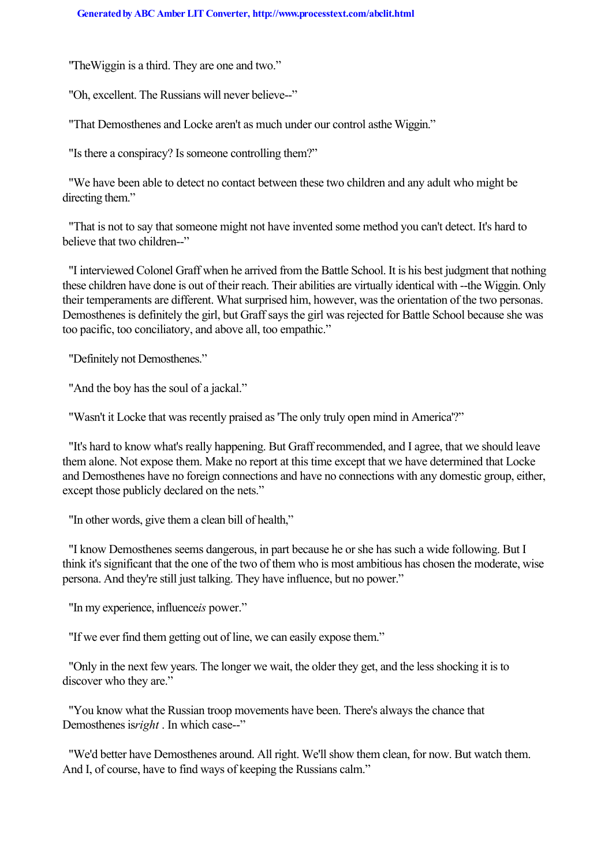"TheWiggin is a third. They are one and two."

"Oh, excellent. The Russians will never believe--"

"That Demosthenes and Locke aren't as much under our control asthe Wiggin."

"Is there a conspiracy? Is someone controlling them?"

 "We have been able to detect no contact between these two children and any adult who might be directing them."

 "That is not to say that someone might not have invented some method you can't detect. It's hard to believe that two children--"

 "I interviewed Colonel Graff when he arrived from the Battle School. It is his best judgment that nothing these children have done is out of their reach. Their abilities are virtually identical with --the Wiggin. Only their temperaments are different. What surprised him, however, was the orientation of the two personas. Demosthenes is definitely the girl, but Graff says the girl was rejected for Battle School because she was too pacific, too conciliatory, and above all, too empathic."

"Definitely not Demosthenes."

"And the boy has the soul of a jackal."

"Wasn't it Locke that was recently praised as 'The only truly open mind in America'?"

 "It's hard to know what's really happening. But Graff recommended, and I agree, that we should leave them alone. Not expose them. Make no report at this time except that we have determined that Locke and Demosthenes have no foreign connections and have no connections with any domestic group, either, except those publicly declared on the nets."

"In other words, give them a clean bill of health,"

 "I know Demosthenes seems dangerous, in part because he or she has such a wide following. But I think it's significant that the one of the two of them who is most ambitious has chosen the moderate, wise persona. And they're still just talking. They have influence, but no power."

"In my experience, influence*is* power."

"If we ever find them getting out of line, we can easily expose them."

 "Only in the next few years. The longer we wait, the older they get, and the less shocking it is to discover who they are."

 "You know what the Russian troop movements have been. There's always the chance that Demosthenes is*right* . In which case--"

 "We'd better have Demosthenes around. All right. We'll show them clean, for now. But watch them. And I, of course, have to find ways of keeping the Russians calm."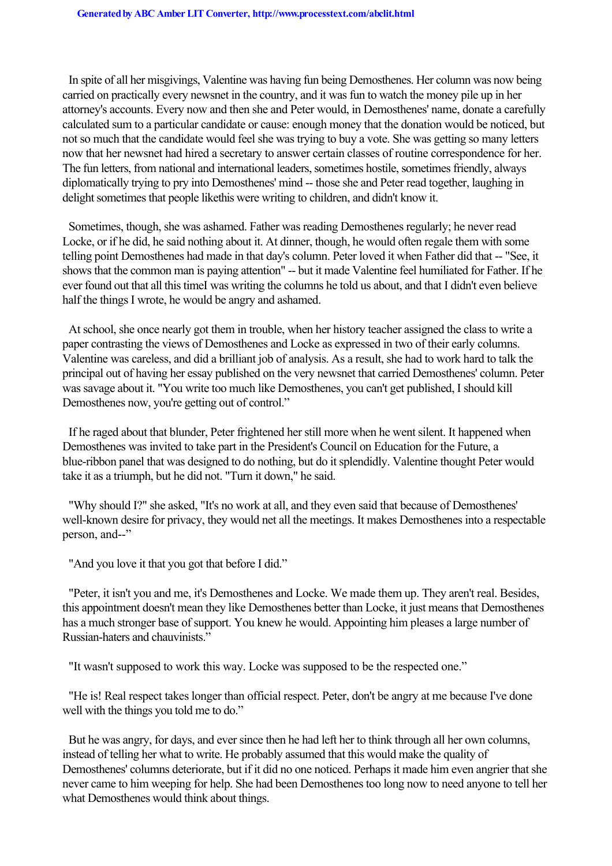In spite of all her misgivings, Valentine was having fun being Demosthenes. Her column was now being carried on practically every newsnet in the country, and it was fun to watch the money pile up in her attorney's accounts. Every now and then she and Peter would, in Demosthenes' name, donate a carefully calculated sum to a particular candidate or cause: enough money that the donation would be noticed, but not so much that the candidate would feel she was trying to buy a vote. She was getting so many letters now that her newsnet had hired a secretary to answer certain classes of routine correspondence for her. The fun letters, from national and international leaders, sometimes hostile, sometimes friendly, always diplomatically trying to pry into Demosthenes' mind -- those she and Peter read together, laughing in delight sometimes that people likethis were writing to children, and didn't know it.

 Sometimes, though, she was ashamed. Father was reading Demosthenes regularly; he never read Locke, or if he did, he said nothing about it. At dinner, though, he would often regale them with some telling point Demosthenes had made in that day's column. Peter loved it when Father did that -- "See, it shows that the common man is paying attention" -- but it made Valentine feel humiliated for Father. If he ever found out that all this timeI was writing the columns he told us about, and that I didn't even believe half the things I wrote, he would be angry and ashamed.

 At school, she once nearly got them in trouble, when her history teacher assigned the class to write a paper contrasting the views of Demosthenes and Locke as expressed in two of their early columns. Valentine was careless, and did a brilliant job of analysis. As a result, she had to work hard to talk the principal out of having her essay published on the very newsnet that carried Demosthenes' column. Peter was savage about it. "You write too much like Demosthenes, you can't get published, I should kill Demosthenes now, you're getting out of control."

 If he raged about that blunder, Peter frightened her still more when he went silent. It happened when Demosthenes was invited to take part in the President's Council on Education for the Future, a blue-ribbon panel that was designed to do nothing, but do it splendidly. Valentine thought Peter would take it as a triumph, but he did not. "Turn it down," he said.

 "Why should I?" she asked, "It's no work at all, and they even said that because of Demosthenes' well-known desire for privacy, they would net all the meetings. It makes Demosthenes into a respectable person, and--"

"And you love it that you got that before I did."

 "Peter, it isn't you and me, it's Demosthenes and Locke. We made them up. They aren't real. Besides, this appointment doesn't mean they like Demosthenes better than Locke, it just means that Demosthenes has a much stronger base of support. You knew he would. Appointing him pleases a large number of Russian-haters and chauvinists."

"It wasn't supposed to work this way. Locke was supposed to be the respected one."

 "He is! Real respect takes longer than official respect. Peter, don't be angry at me because I've done well with the things you told me to do."

 But he was angry, for days, and ever since then he had left her to think through all her own columns, instead of telling her what to write. He probably assumed that this would make the quality of Demosthenes' columns deteriorate, but if it did no one noticed. Perhaps it made him even angrier that she never came to him weeping for help. She had been Demosthenes too long now to need anyone to tell her what Demosthenes would think about things.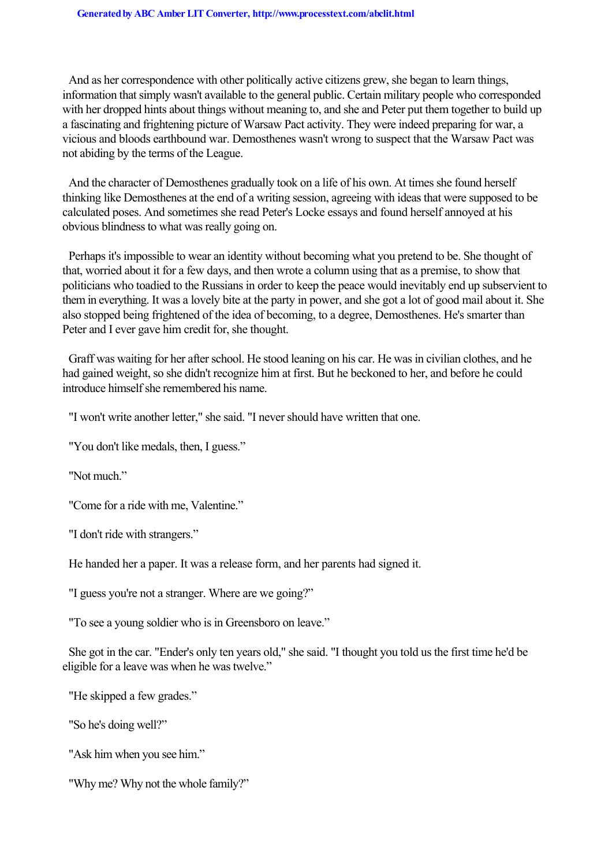And as her correspondence with other politically active citizens grew, she began to learn things, information that simply wasn't available to the general public. Certain military people who corresponded with her dropped hints about things without meaning to, and she and Peter put them together to build up a fascinating and frightening picture of Warsaw Pact activity. They were indeed preparing for war, a vicious and bloods earthbound war. Demosthenes wasn't wrong to suspect that the Warsaw Pact was not abiding by the terms of the League.

 And the character of Demosthenes gradually took on a life of his own. At times she found herself thinking like Demosthenes at the end of a writing session, agreeing with ideas that were supposed to be calculated poses. And sometimes she read Peter's Locke essays and found herself annoyed at his obvious blindness to what was really going on.

 Perhaps it's impossible to wear an identity without becoming what you pretend to be. She thought of that, worried about it for a few days, and then wrote a column using that as a premise, to show that politicians who toadied to the Russians in order to keep the peace would inevitably end up subservient to them in everything. It was a lovely bite at the party in power, and she got a lot of good mail about it. She also stopped being frightened of the idea of becoming, to a degree, Demosthenes. He's smarter than Peter and I ever gave him credit for, she thought.

 Graff was waiting for her after school. He stood leaning on his car. He was in civilian clothes, and he had gained weight, so she didn't recognize him at first. But he beckoned to her, and before he could introduce himself she remembered his name.

"I won't write another letter," she said. "I never should have written that one.

"You don't like medals, then, I guess."

"Not much."

"Come for a ride with me, Valentine."

"I don't ride with strangers."

He handed her a paper. It was a release form, and her parents had signed it.

"I guess you're not a stranger. Where are we going?"

"To see a young soldier who is in Greensboro on leave."

 She got in the car. "Ender's only ten years old," she said. "I thought you told us the first time he'd be eligible for a leave was when he was twelve."

"He skipped a few grades."

"So he's doing well?"

"Ask him when you see him."

"Why me? Why not the whole family?"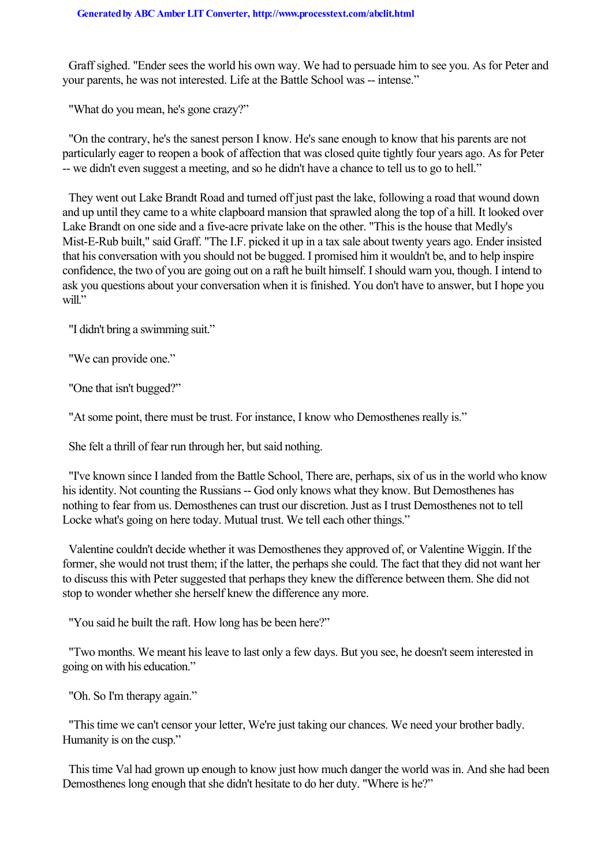Graff sighed. "Ender sees the world his own way. We had to persuade him to see you. As for Peter and your parents, he was not interested. Life at the Battle School was -- intense."

"What do you mean, he's gone crazy?"

 "On the contrary, he's the sanest person I know. He's sane enough to know that his parents are not particularly eager to reopen a book of affection that was closed quite tightly four years ago. As for Peter -- we didn't even suggest a meeting, and so he didn't have a chance to tell us to go to hell."

 They went out Lake Brandt Road and turned off just past the lake, following a road that wound down and up until they came to a white clapboard mansion that sprawled along the top of a hill. It looked over Lake Brandt on one side and a five-acre private lake on the other. "This is the house that Medly's Mist-E-Rub built," said Graff. "The I.F. picked it up in a tax sale about twenty years ago. Ender insisted that his conversation with you should not be bugged. I promised him it wouldn't be, and to help inspire confidence, the two of you are going out on a raft he built himself. I should warn you, though. I intend to ask you questions about your conversation when it is finished. You don't have to answer, but I hope you will."

"I didn't bring a swimming suit."

"We can provide one."

"One that isn't bugged?"

"At some point, there must be trust. For instance, I know who Demosthenes really is."

She felt a thrill of fear run through her, but said nothing.

 "I've known since I landed from the Battle School, There are, perhaps, six of us in the world who know his identity. Not counting the Russians -- God only knows what they know. But Demosthenes has nothing to fear from us. Demosthenes can trust our discretion. Just as I trust Demosthenes not to tell Locke what's going on here today. Mutual trust. We tell each other things."

 Valentine couldn't decide whether it was Demosthenes they approved of, or Valentine Wiggin. If the former, she would not trust them; if the latter, the perhaps she could. The fact that they did not want her to discuss this with Peter suggested that perhaps they knew the difference between them. She did not stop to wonder whether she herself knew the difference any more.

"You said he built the raft. How long has be been here?"

 "Two months. We meant his leave to last only a few days. But you see, he doesn't seem interested in going on with his education."

"Oh. So I'm therapy again."

 "This time we can't censor your letter, We're just taking our chances. We need your brother badly. Humanity is on the cusp."

 This time Val had grown up enough to know just how much danger the world was in. And she had been Demosthenes long enough that she didn't hesitate to do her duty. "Where is he?"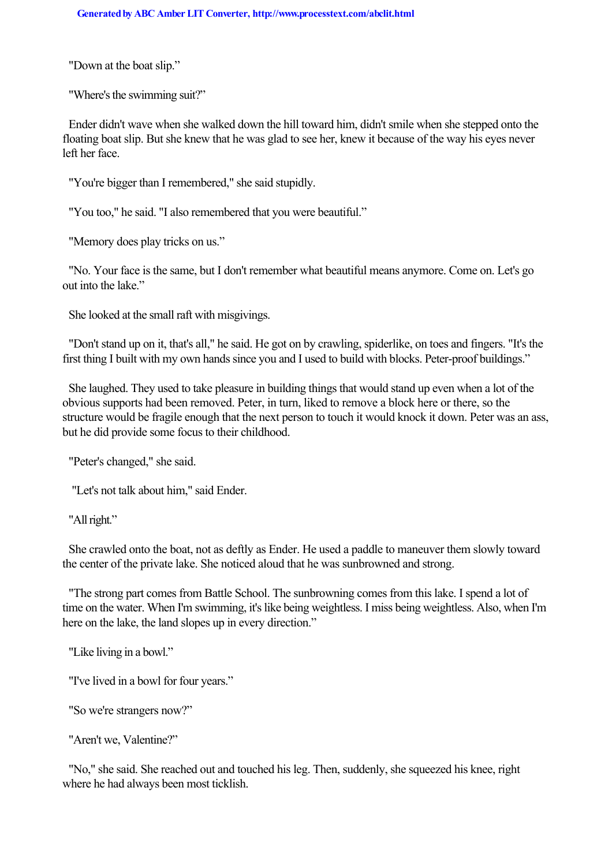"Down at the boat slip."

"Where's the swimming suit?"

 Ender didn't wave when she walked down the hill toward him, didn't smile when she stepped onto the floating boat slip. But she knew that he was glad to see her, knew it because of the way his eyes never left her face.

"You're bigger than I remembered," she said stupidly.

"You too," he said. "I also remembered that you were beautiful."

"Memory does play tricks on us."

 "No. Your face is the same, but I don't remember what beautiful means anymore. Come on. Let's go out into the lake."

She looked at the small raft with misgivings.

 "Don't stand up on it, that's all," he said. He got on by crawling, spiderlike, on toes and fingers. "It's the first thing I built with my own hands since you and I used to build with blocks. Peter-proof buildings."

 She laughed. They used to take pleasure in building things that would stand up even when a lot of the obvious supports had been removed. Peter, in turn, liked to remove a block here or there, so the structure would be fragile enough that the next person to touch it would knock it down. Peter was an ass, but he did provide some focus to their childhood.

"Peter's changed," she said.

"Let's not talk about him," said Ender.

"All right."

 She crawled onto the boat, not as deftly as Ender. He used a paddle to maneuver them slowly toward the center of the private lake. She noticed aloud that he was sunbrowned and strong.

 "The strong part comes from Battle School. The sunbrowning comes from this lake. I spend a lot of time on the water. When I'm swimming, it's like being weightless. I miss being weightless. Also, when I'm here on the lake, the land slopes up in every direction."

"Like living in a bowl."

"I've lived in a bowl for four years."

"So we're strangers now?"

"Aren't we, Valentine?"

 "No," she said. She reached out and touched his leg. Then, suddenly, she squeezed his knee, right where he had always been most ticklish.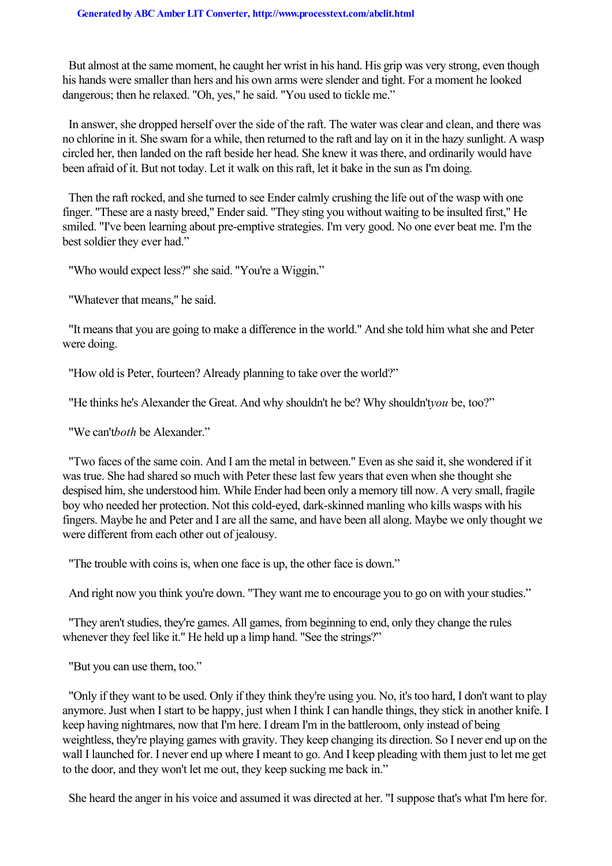But almost at the same moment, he caught her wrist in his hand. His grip was very strong, even though his hands were smaller than hers and his own arms were slender and tight. For a moment he looked dangerous; then he relaxed. "Oh, yes," he said. "You used to tickle me."

 In answer, she dropped herself over the side of the raft. The water was clear and clean, and there was no chlorine in it. She swam for a while, then returned to the raft and lay on it in the hazy sunlight. A wasp circled her, then landed on the raft beside her head. She knew it was there, and ordinarily would have been afraid of it. But not today. Let it walk on this raft, let it bake in the sun as I'm doing.

 Then the raft rocked, and she turned to see Ender calmly crushing the life out of the wasp with one finger. "These are a nasty breed," Ender said. "They sting you without waiting to be insulted first," He smiled. "I've been learning about pre-emptive strategies. I'm very good. No one ever beat me. I'm the best soldier they ever had."

"Who would expect less?" she said. "You're a Wiggin."

"Whatever that means," he said.

 "It means that you are going to make a difference in the world." And she told him what she and Peter were doing.

"How old is Peter, fourteen? Already planning to take over the world?"

"He thinks he's Alexander the Great. And why shouldn't he be? Why shouldn't*you* be, too?"

"We can'thoth be Alexander."

 "Two faces of the same coin. And I am the metal in between." Even as she said it, she wondered if it was true. She had shared so much with Peter these last few years that even when she thought she despised him, she understood him. While Ender had been only a memory till now. A very small, fragile boy who needed her protection. Not this cold-eyed, dark-skinned manling who kills wasps with his fingers. Maybe he and Peter and I are all the same, and have been all along. Maybe we only thought we were different from each other out of jealousy.

"The trouble with coins is, when one face is up, the other face is down."

And right now you think you're down. "They want me to encourage you to go on with your studies."

 "They aren't studies, they're games. All games, from beginning to end, only they change the rules whenever they feel like it." He held up a limp hand. "See the strings?"

"But you can use them, too."

 "Only if they want to be used. Only if they think they're using you. No, it's too hard, I don't want to play anymore. Just when I start to be happy, just when I think I can handle things, they stick in another knife. I keep having nightmares, now that I'm here. I dream I'm in the battleroom, only instead of being weightless, they're playing games with gravity. They keep changing its direction. So I never end up on the wall I launched for. I never end up where I meant to go. And I keep pleading with them just to let me get to the door, and they won't let me out, they keep sucking me back in."

She heard the anger in his voice and assumed it was directed at her. "I suppose that's what I'm here for.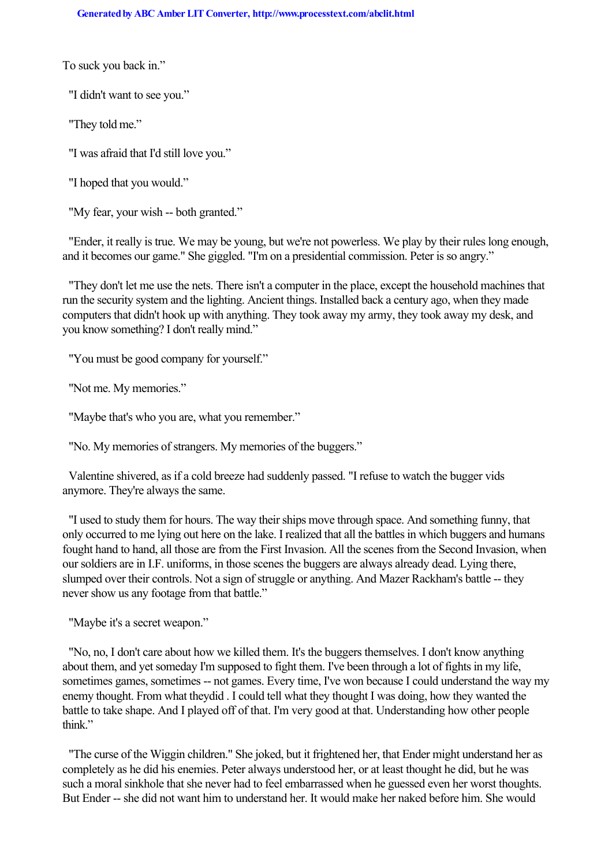To suck you back in."

"I didn't want to see you."

"They told me."

"I was afraid that I'd still love you."

"I hoped that you would."

"My fear, your wish -- both granted."

 "Ender, it really is true. We may be young, but we're not powerless. We play by their rules long enough, and it becomes our game." She giggled. "I'm on a presidential commission. Peter is so angry."

 "They don't let me use the nets. There isn't a computer in the place, except the household machines that run the security system and the lighting. Ancient things. Installed back a century ago, when they made computers that didn't hook up with anything. They took away my army, they took away my desk, and you know something? I don't really mind."

"You must be good company for yourself."

"Not me. My memories."

"Maybe that's who you are, what you remember."

"No. My memories of strangers. My memories of the buggers."

 Valentine shivered, as if a cold breeze had suddenly passed. "I refuse to watch the bugger vids anymore. They're always the same.

 "I used to study them for hours. The way their ships move through space. And something funny, that only occurred to me lying out here on the lake. I realized that all the battles in which buggers and humans fought hand to hand, all those are from the First Invasion. All the scenes from the Second Invasion, when our soldiers are in I.F. uniforms, in those scenes the buggers are always already dead. Lying there, slumped over their controls. Not a sign of struggle or anything. And Mazer Rackham's battle -- they never show us any footage from that battle."

"Maybe it's a secret weapon."

 "No, no, I don't care about how we killed them. It's the buggers themselves. I don't know anything about them, and yet someday I'm supposed to fight them. I've been through a lot of fights in my life, sometimes games, sometimes -- not games. Every time, I've won because I could understand the way my enemy thought. From what theydid . I could tell what they thought I was doing, how they wanted the battle to take shape. And I played off of that. I'm very good at that. Understanding how other people think."

 "The curse of the Wiggin children." She joked, but it frightened her, that Ender might understand her as completely as he did his enemies. Peter always understood her, or at least thought he did, but he was such a moral sinkhole that she never had to feel embarrassed when he guessed even her worst thoughts. But Ender -- she did not want him to understand her. It would make her naked before him. She would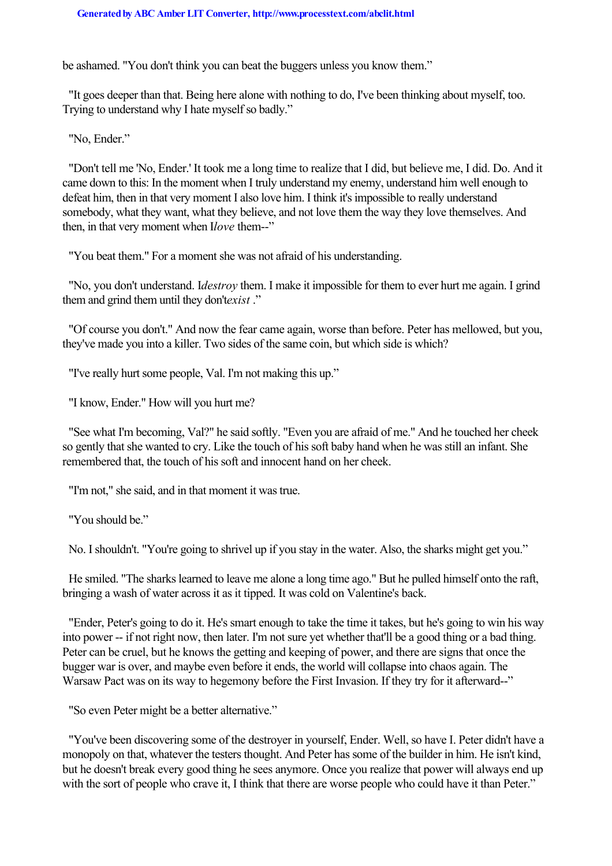### **Generated by ABC Amber LIT Converter, <http://www.processtext.com/abclit.html>**

be ashamed. "You don't think you can beat the buggers unless you know them."

 "It goes deeper than that. Being here alone with nothing to do, I've been thinking about myself, too. Trying to understand why I hate myself so badly."

"No, Ender."

 "Don't tell me 'No, Ender.' It took me a long time to realize that I did, but believe me, I did. Do. And it came down to this: In the moment when I truly understand my enemy, understand him well enough to defeat him, then in that very moment I also love him. I think it's impossible to really understand somebody, what they want, what they believe, and not love them the way they love themselves. And then, in that very moment when I*love* them--"

"You beat them." For a moment she was not afraid of his understanding.

 "No, you don't understand. I*destroy* them. I make it impossible for them to ever hurt me again. I grind them and grind them until they don't*exist* ."

 "Of course you don't." And now the fear came again, worse than before. Peter has mellowed, but you, they've made you into a killer. Two sides of the same coin, but which side is which?

"I've really hurt some people, Val. I'm not making this up."

"I know, Ender." How will you hurt me?

 "See what I'm becoming, Val?" he said softly. "Even you are afraid of me." And he touched her cheek so gently that she wanted to cry. Like the touch of his soft baby hand when he was still an infant. She remembered that, the touch of his soft and innocent hand on her cheek.

"I'm not," she said, and in that moment it was true.

"You should be"

No. I shouldn't. "You're going to shrivel up if you stay in the water. Also, the sharks might get you."

 He smiled. "The sharks learned to leave me alone a long time ago." But he pulled himself onto the raft, bringing a wash of water across it as it tipped. It was cold on Valentine's back.

 "Ender, Peter's going to do it. He's smart enough to take the time it takes, but he's going to win his way into power -- if not right now, then later. I'm not sure yet whether that'll be a good thing or a bad thing. Peter can be cruel, but he knows the getting and keeping of power, and there are signs that once the bugger war is over, and maybe even before it ends, the world will collapse into chaos again. The Warsaw Pact was on its way to hegemony before the First Invasion. If they try for it afterward--"

"So even Peter might be a better alternative."

 "You've been discovering some of the destroyer in yourself, Ender. Well, so have I. Peter didn't have a monopoly on that, whatever the testers thought. And Peter has some of the builder in him. He isn't kind, but he doesn't break every good thing he sees anymore. Once you realize that power will always end up with the sort of people who crave it, I think that there are worse people who could have it than Peter."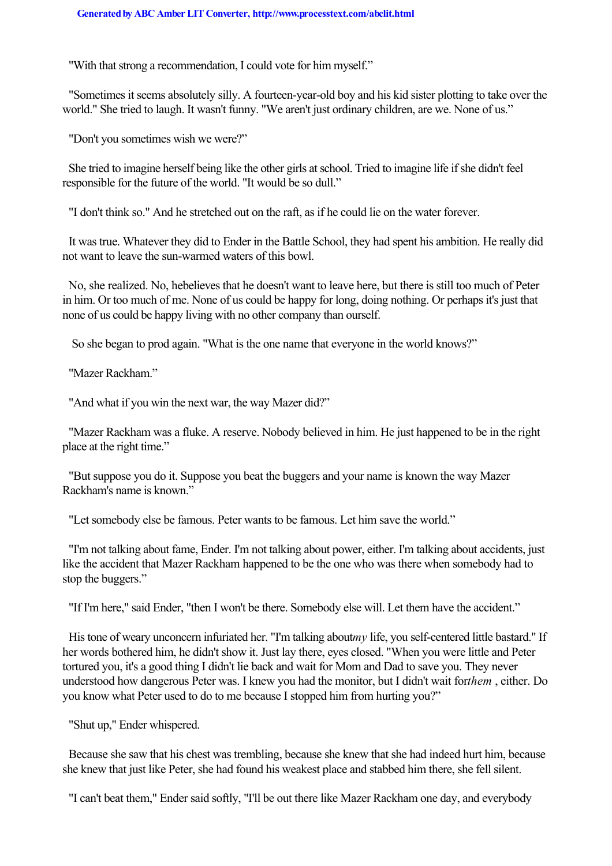"With that strong a recommendation, I could vote for him myself."

 "Sometimes it seems absolutely silly. A fourteen-year-old boy and his kid sister plotting to take over the world." She tried to laugh. It wasn't funny. "We aren't just ordinary children, are we. None of us."

"Don't you sometimes wish we were?"

 She tried to imagine herself being like the other girls at school. Tried to imagine life if she didn't feel responsible for the future of the world. "It would be so dull."

"I don't think so." And he stretched out on the raft, as if he could lie on the water forever.

 It was true. Whatever they did to Ender in the Battle School, they had spent his ambition. He really did not want to leave the sun-warmed waters of this bowl.

 No, she realized. No, hebelieves that he doesn't want to leave here, but there is still too much of Peter in him. Or too much of me. None of us could be happy for long, doing nothing. Or perhaps it's just that none of us could be happy living with no other company than ourself.

So she began to prod again. "What is the one name that everyone in the world knows?"

"Mazer Rackham"

"And what if you win the next war, the way Mazer did?"

 "Mazer Rackham was a fluke. A reserve. Nobody believed in him. He just happened to be in the right place at the right time."

 "But suppose you do it. Suppose you beat the buggers and your name is known the way Mazer Rackham's name is known."

"Let somebody else be famous. Peter wants to be famous. Let him save the world."

 "I'm not talking about fame, Ender. I'm not talking about power, either. I'm talking about accidents, just like the accident that Mazer Rackham happened to be the one who was there when somebody had to stop the buggers."

"If I'm here," said Ender, "then I won't be there. Somebody else will. Let them have the accident."

 His tone of weary unconcern infuriated her. "I'm talking about*my* life, you self-centered little bastard." If her words bothered him, he didn't show it. Just lay there, eyes closed. "When you were little and Peter tortured you, it's a good thing I didn't lie back and wait for Mom and Dad to save you. They never understood how dangerous Peter was. I knew you had the monitor, but I didn't wait for*them* , either. Do you know what Peter used to do to me because I stopped him from hurting you?"

"Shut up," Ender whispered.

 Because she saw that his chest was trembling, because she knew that she had indeed hurt him, because she knew that just like Peter, she had found his weakest place and stabbed him there, she fell silent.

"I can't beat them," Ender said softly, "I'll be out there like Mazer Rackham one day, and everybody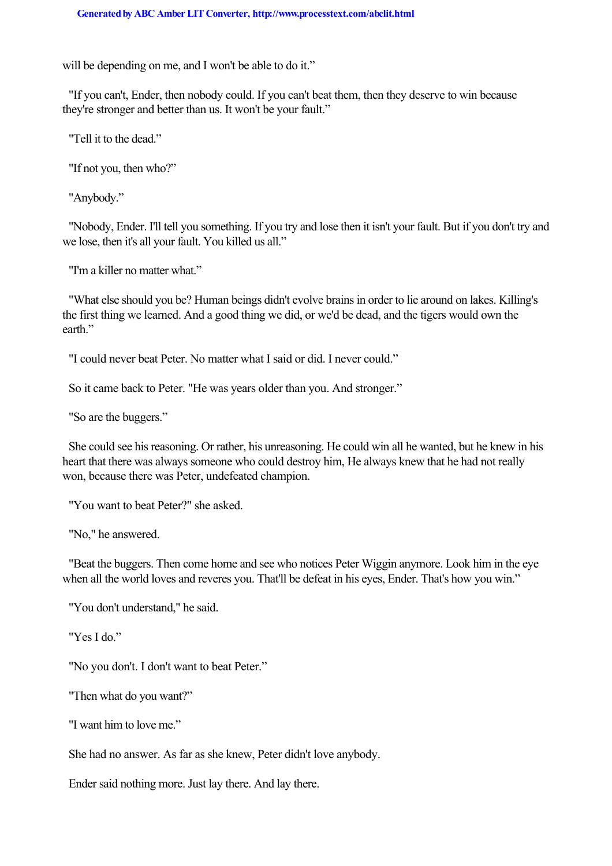will be depending on me, and I won't be able to do it."

 "If you can't, Ender, then nobody could. If you can't beat them, then they deserve to win because they're stronger and better than us. It won't be your fault."

"Tell it to the dead."

"If not you, then who?"

"Anybody."

 "Nobody, Ender. I'll tell you something. If you try and lose then it isn't your fault. But if you don't try and we lose, then it's all your fault. You killed us all."

"I'm a killer no matter what."

 "What else should you be? Human beings didn't evolve brains in order to lie around on lakes. Killing's the first thing we learned. And a good thing we did, or we'd be dead, and the tigers would own the earth"

"I could never beat Peter. No matter what I said or did. I never could."

So it came back to Peter. "He was years older than you. And stronger."

"So are the buggers."

 She could see his reasoning. Or rather, his unreasoning. He could win all he wanted, but he knew in his heart that there was always someone who could destroy him, He always knew that he had not really won, because there was Peter, undefeated champion.

"You want to beat Peter?" she asked.

"No," he answered.

 "Beat the buggers. Then come home and see who notices Peter Wiggin anymore. Look him in the eye when all the world loves and reveres you. That'll be defeat in his eyes, Ender. That's how you win."

"You don't understand," he said.

"Yes I do."

"No you don't. I don't want to beat Peter."

"Then what do you want?"

"I want him to love me"

She had no answer. As far as she knew, Peter didn't love anybody.

Ender said nothing more. Just lay there. And lay there.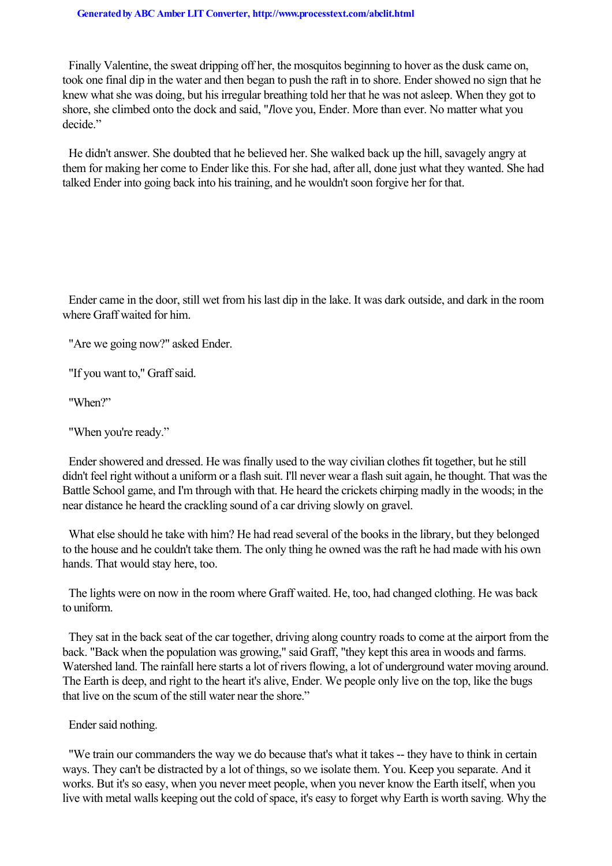Finally Valentine, the sweat dripping off her, the mosquitos beginning to hover as the dusk came on, took one final dip in the water and then began to push the raft in to shore. Ender showed no sign that he knew what she was doing, but his irregular breathing told her that he was not asleep. When they got to shore, she climbed onto the dock and said, "*I*love you, Ender. More than ever. No matter what you decide<sup>"</sup>

 He didn't answer. She doubted that he believed her. She walked back up the hill, savagely angry at them for making her come to Ender like this. For she had, after all, done just what they wanted. She had talked Ender into going back into his training, and he wouldn't soon forgive her for that.

 Ender came in the door, still wet from his last dip in the lake. It was dark outside, and dark in the room where Graff waited for him.

"Are we going now?" asked Ender.

"If you want to," Graff said.

"When?"

"When you're ready."

 Ender showered and dressed. He was finally used to the way civilian clothes fit together, but he still didn't feel right without a uniform or a flash suit. I'll never wear a flash suit again, he thought. That was the Battle School game, and I'm through with that. He heard the crickets chirping madly in the woods; in the near distance he heard the crackling sound of a car driving slowly on gravel.

 What else should he take with him? He had read several of the books in the library, but they belonged to the house and he couldn't take them. The only thing he owned was the raft he had made with his own hands. That would stay here, too.

 The lights were on now in the room where Graff waited. He, too, had changed clothing. He was back to uniform.

 They sat in the back seat of the car together, driving along country roads to come at the airport from the back. "Back when the population was growing," said Graff, "they kept this area in woods and farms. Watershed land. The rainfall here starts a lot of rivers flowing, a lot of underground water moving around. The Earth is deep, and right to the heart it's alive, Ender. We people only live on the top, like the bugs that live on the scum of the still water near the shore."

### Ender said nothing.

 "We train our commanders the way we do because that's what it takes -- they have to think in certain ways. They can't be distracted by a lot of things, so we isolate them. You. Keep you separate. And it works. But it's so easy, when you never meet people, when you never know the Earth itself, when you live with metal walls keeping out the cold of space, it's easy to forget why Earth is worth saving. Why the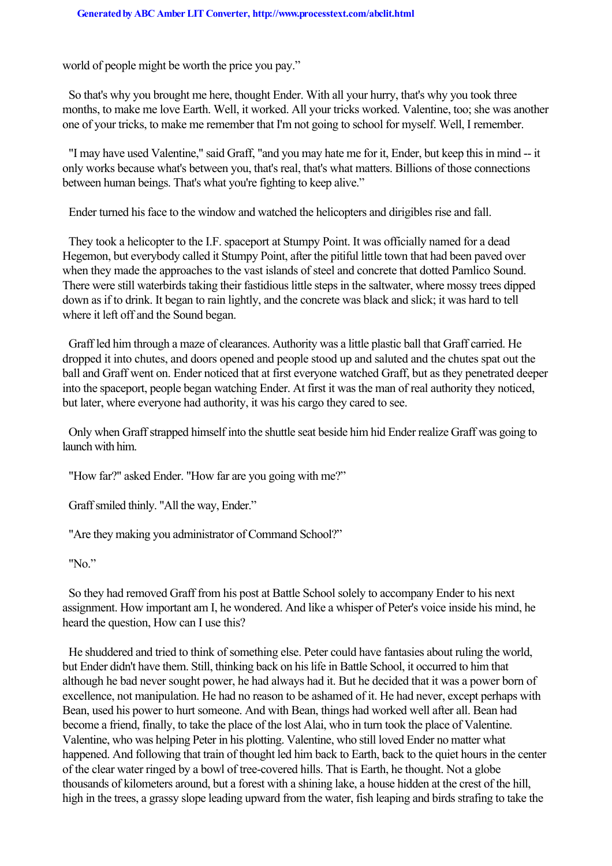world of people might be worth the price you pay."

 So that's why you brought me here, thought Ender. With all your hurry, that's why you took three months, to make me love Earth. Well, it worked. All your tricks worked. Valentine, too; she was another one of your tricks, to make me remember that I'm not going to school for myself. Well, I remember.

 "I may have used Valentine," said Graff, "and you may hate me for it, Ender, but keep this in mind -- it only works because what's between you, that's real, that's what matters. Billions of those connections between human beings. That's what you're fighting to keep alive."

Ender turned his face to the window and watched the helicopters and dirigibles rise and fall.

 They took a helicopter to the I.F. spaceport at Stumpy Point. It was officially named for a dead Hegemon, but everybody called it Stumpy Point, after the pitiful little town that had been paved over when they made the approaches to the vast islands of steel and concrete that dotted Pamlico Sound. There were still waterbirds taking their fastidious little steps in the saltwater, where mossy trees dipped down as if to drink. It began to rain lightly, and the concrete was black and slick; it was hard to tell where it left off and the Sound began.

 Graff led him through a maze of clearances. Authority was a little plastic ball that Graff carried. He dropped it into chutes, and doors opened and people stood up and saluted and the chutes spat out the ball and Graff went on. Ender noticed that at first everyone watched Graff, but as they penetrated deeper into the spaceport, people began watching Ender. At first it was the man of real authority they noticed, but later, where everyone had authority, it was his cargo they cared to see.

 Only when Graff strapped himself into the shuttle seat beside him hid Ender realize Graff was going to launch with him.

"How far?" asked Ender. "How far are you going with me?"

Graff smiled thinly. "All the way, Ender."

"Are they making you administrator of Command School?"

"No."

 So they had removed Graff from his post at Battle School solely to accompany Ender to his next assignment. How important am I, he wondered. And like a whisper of Peter's voice inside his mind, he heard the question, How can I use this?

 He shuddered and tried to think of something else. Peter could have fantasies about ruling the world, but Ender didn't have them. Still, thinking back on his life in Battle School, it occurred to him that although he bad never sought power, he had always had it. But he decided that it was a power born of excellence, not manipulation. He had no reason to be ashamed of it. He had never, except perhaps with Bean, used his power to hurt someone. And with Bean, things had worked well after all. Bean had become a friend, finally, to take the place of the lost Alai, who in turn took the place of Valentine. Valentine, who was helping Peter in his plotting. Valentine, who still loved Ender no matter what happened. And following that train of thought led him back to Earth, back to the quiet hours in the center of the clear water ringed by a bowl of tree-covered hills. That is Earth, he thought. Not a globe thousands of kilometers around, but a forest with a shining lake, a house hidden at the crest of the hill, high in the trees, a grassy slope leading upward from the water, fish leaping and birds strafing to take the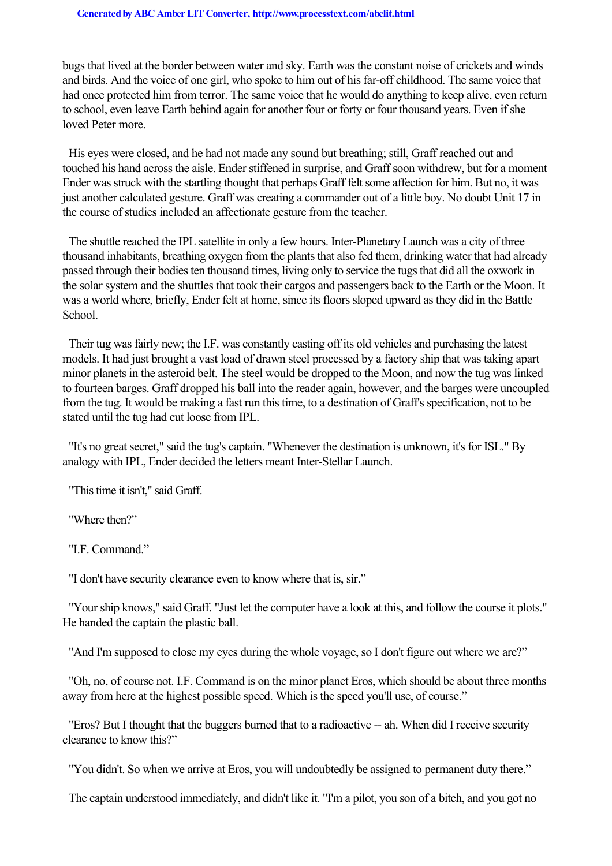bugs that lived at the border between water and sky. Earth was the constant noise of crickets and winds and birds. And the voice of one girl, who spoke to him out of his far-off childhood. The same voice that had once protected him from terror. The same voice that he would do anything to keep alive, even return to school, even leave Earth behind again for another four or forty or four thousand years. Even if she loved Peter more.

 His eyes were closed, and he had not made any sound but breathing; still, Graff reached out and touched his hand across the aisle. Ender stiffened in surprise, and Graff soon withdrew, but for a moment Ender was struck with the startling thought that perhaps Graff felt some affection for him. But no, it was just another calculated gesture. Graff was creating a commander out of a little boy. No doubt Unit 17 in the course of studies included an affectionate gesture from the teacher.

 The shuttle reached the IPL satellite in only a few hours. Inter-Planetary Launch was a city of three thousand inhabitants, breathing oxygen from the plants that also fed them, drinking water that had already passed through their bodies ten thousand times, living only to service the tugs that did all the oxwork in the solar system and the shuttles that took their cargos and passengers back to the Earth or the Moon. It was a world where, briefly, Ender felt at home, since its floors sloped upward as they did in the Battle School.

 Their tug was fairly new; the I.F. was constantly casting off its old vehicles and purchasing the latest models. It had just brought a vast load of drawn steel processed by a factory ship that was taking apart minor planets in the asteroid belt. The steel would be dropped to the Moon, and now the tug was linked to fourteen barges. Graff dropped his ball into the reader again, however, and the barges were uncoupled from the tug. It would be making a fast run this time, to a destination of Graff's specification, not to be stated until the tug had cut loose from IPL.

 "It's no great secret," said the tug's captain. "Whenever the destination is unknown, it's for ISL." By analogy with IPL, Ender decided the letters meant Inter-Stellar Launch.

"This time it isn't," said Graff.

"Where then?"

"I.F. Command."

"I don't have security clearance even to know where that is, sir."

 "Your ship knows," said Graff. "Just let the computer have a look at this, and follow the course it plots." He handed the captain the plastic ball.

"And I'm supposed to close my eyes during the whole voyage, so I don't figure out where we are?"

 "Oh, no, of course not. I.F. Command is on the minor planet Eros, which should be about three months away from here at the highest possible speed. Which is the speed you'll use, of course."

 "Eros? But I thought that the buggers burned that to a radioactive -- ah. When did I receive security clearance to know this?"

"You didn't. So when we arrive at Eros, you will undoubtedly be assigned to permanent duty there."

The captain understood immediately, and didn't like it. "I'm a pilot, you son of a bitch, and you got no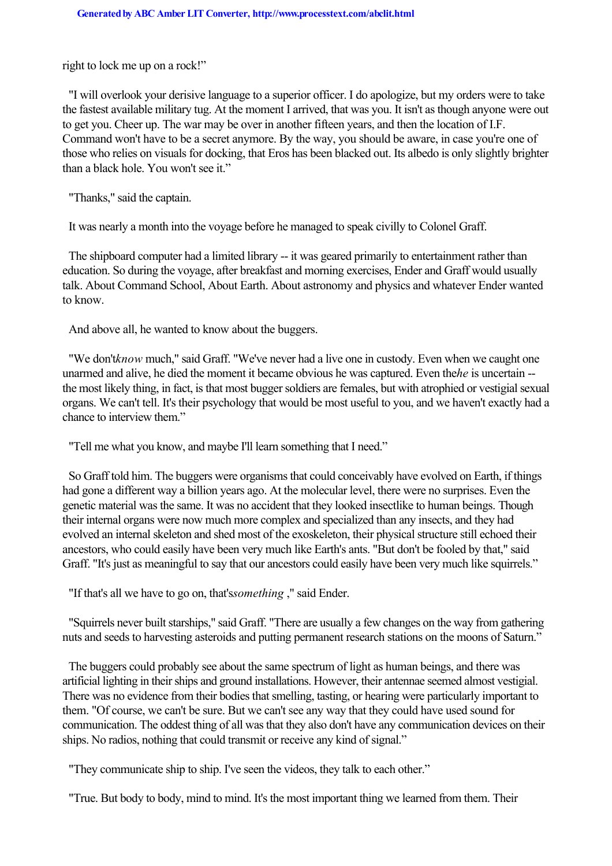right to lock me up on a rock!"

 "I will overlook your derisive language to a superior officer. I do apologize, but my orders were to take the fastest available military tug. At the moment I arrived, that was you. It isn't as though anyone were out to get you. Cheer up. The war may be over in another fifteen years, and then the location of I.F. Command won't have to be a secret anymore. By the way, you should be aware, in case you're one of those who relies on visuals for docking, that Eros has been blacked out. Its albedo is only slightly brighter than a black hole. You won't see it."

"Thanks," said the captain.

It was nearly a month into the voyage before he managed to speak civilly to Colonel Graff.

 The shipboard computer had a limited library -- it was geared primarily to entertainment rather than education. So during the voyage, after breakfast and morning exercises, Ender and Graff would usually talk. About Command School, About Earth. About astronomy and physics and whatever Ender wanted to know.

And above all, he wanted to know about the buggers.

 "We don't*know* much," said Graff. "We've never had a live one in custody. Even when we caught one unarmed and alive, he died the moment it became obvious he was captured. Even the*he* is uncertain - the most likely thing, in fact, is that most bugger soldiers are females, but with atrophied or vestigial sexual organs. We can't tell. It's their psychology that would be most useful to you, and we haven't exactly had a chance to interview them."

"Tell me what you know, and maybe I'll learn something that I need."

 So Graff told him. The buggers were organisms that could conceivably have evolved on Earth, if things had gone a different way a billion years ago. At the molecular level, there were no surprises. Even the genetic material was the same. It was no accident that they looked insectlike to human beings. Though their internal organs were now much more complex and specialized than any insects, and they had evolved an internal skeleton and shed most of the exoskeleton, their physical structure still echoed their ancestors, who could easily have been very much like Earth's ants. "But don't be fooled by that," said Graff. "It's just as meaningful to say that our ancestors could easily have been very much like squirrels."

"If that's all we have to go on, that's*something* ," said Ender.

 "Squirrels never built starships," said Graff. "There are usually a few changes on the way from gathering nuts and seeds to harvesting asteroids and putting permanent research stations on the moons of Saturn."

 The buggers could probably see about the same spectrum of light as human beings, and there was artificial lighting in their ships and ground installations. However, their antennae seemed almost vestigial. There was no evidence from their bodies that smelling, tasting, or hearing were particularly important to them. "Of course, we can't be sure. But we can't see any way that they could have used sound for communication. The oddest thing of all was that they also don't have any communication devices on their ships. No radios, nothing that could transmit or receive any kind of signal."

"They communicate ship to ship. I've seen the videos, they talk to each other."

"True. But body to body, mind to mind. It's the most important thing we learned from them. Their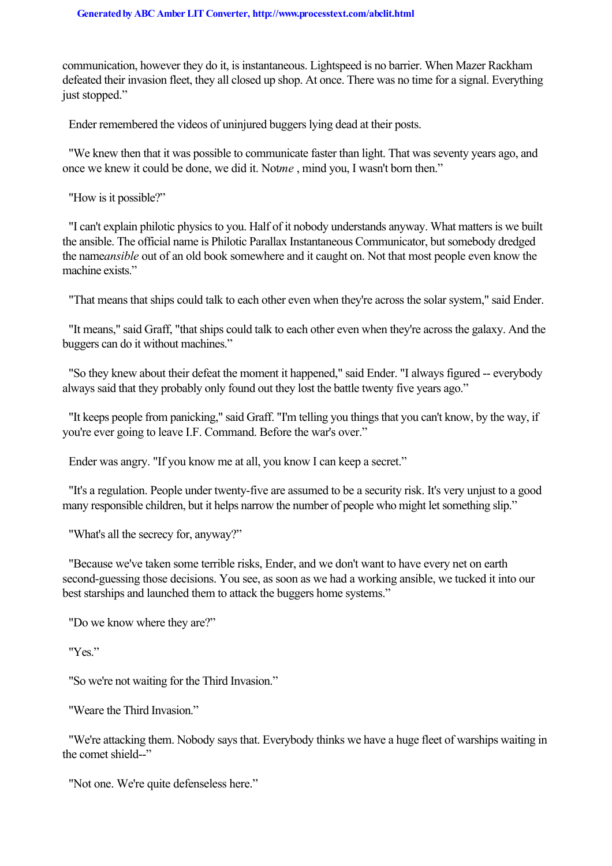#### **Generated by ABC Amber LIT Converter, <http://www.processtext.com/abclit.html>**

communication, however they do it, is instantaneous. Lightspeed is no barrier. When Mazer Rackham defeated their invasion fleet, they all closed up shop. At once. There was no time for a signal. Everything just stopped."

Ender remembered the videos of uninjured buggers lying dead at their posts.

 "We knew then that it was possible to communicate faster than light. That was seventy years ago, and once we knew it could be done, we did it. Not*me* , mind you, I wasn't born then."

"How is it possible?"

 "I can't explain philotic physics to you. Half of it nobody understands anyway. What matters is we built the ansible. The official name is Philotic Parallax Instantaneous Communicator, but somebody dredged the name*ansible* out of an old book somewhere and it caught on. Not that most people even know the machine exists"

"That means that ships could talk to each other even when they're across the solar system," said Ender.

 "It means," said Graff, "that ships could talk to each other even when they're across the galaxy. And the buggers can do it without machines."

 "So they knew about their defeat the moment it happened," said Ender. "I always figured -- everybody always said that they probably only found out they lost the battle twenty five years ago."

 "It keeps people from panicking," said Graff. "I'm telling you things that you can't know, by the way, if you're ever going to leave I.F. Command. Before the war's over."

Ender was angry. "If you know me at all, you know I can keep a secret."

 "It's a regulation. People under twenty-five are assumed to be a security risk. It's very unjust to a good many responsible children, but it helps narrow the number of people who might let something slip."

"What's all the secrecy for, anyway?"

 "Because we've taken some terrible risks, Ender, and we don't want to have every net on earth second-guessing those decisions. You see, as soon as we had a working ansible, we tucked it into our best starships and launched them to attack the buggers home systems."

"Do we know where they are?"

"Yes."

"So we're not waiting for the Third Invasion."

"Weare the Third Invasion."

 "We're attacking them. Nobody says that. Everybody thinks we have a huge fleet of warships waiting in the comet shield--"

"Not one. We're quite defenseless here."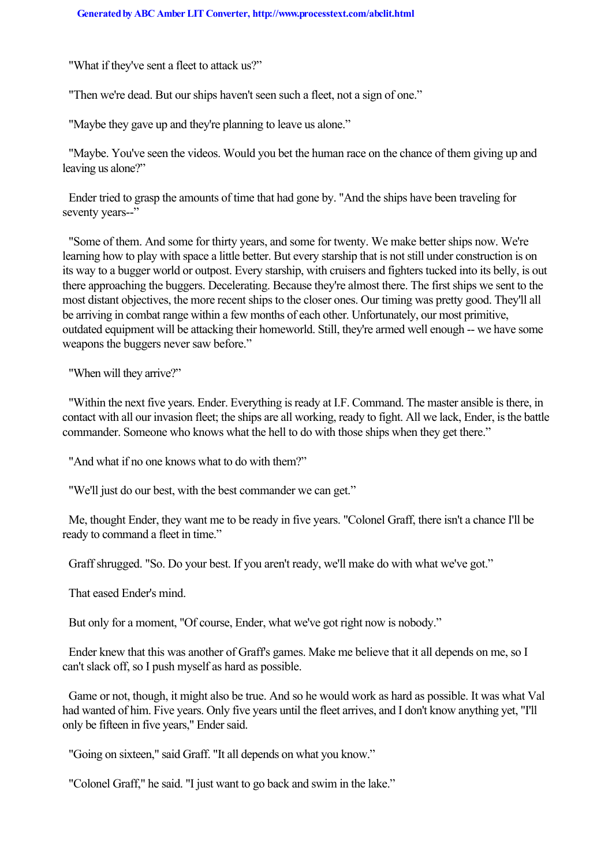### **Generated by ABC Amber LIT Converter, <http://www.processtext.com/abclit.html>**

"What if they've sent a fleet to attack us?"

"Then we're dead. But our ships haven't seen such a fleet, not a sign of one."

"Maybe they gave up and they're planning to leave us alone."

 "Maybe. You've seen the videos. Would you bet the human race on the chance of them giving up and leaving us alone?"

 Ender tried to grasp the amounts of time that had gone by. "And the ships have been traveling for seventy years--"

 "Some of them. And some for thirty years, and some for twenty. We make better ships now. We're learning how to play with space a little better. But every starship that is not still under construction is on its way to a bugger world or outpost. Every starship, with cruisers and fighters tucked into its belly, is out there approaching the buggers. Decelerating. Because they're almost there. The first ships we sent to the most distant objectives, the more recent ships to the closer ones. Our timing was pretty good. They'll all be arriving in combat range within a few months of each other. Unfortunately, our most primitive, outdated equipment will be attacking their homeworld. Still, they're armed well enough -- we have some weapons the buggers never saw before."

"When will they arrive?"

 "Within the next five years. Ender. Everything is ready at I.F. Command. The master ansible is there, in contact with all our invasion fleet; the ships are all working, ready to fight. All we lack, Ender, is the battle commander. Someone who knows what the hell to do with those ships when they get there."

"And what if no one knows what to do with them?"

"We'll just do our best, with the best commander we can get."

 Me, thought Ender, they want me to be ready in five years. "Colonel Graff, there isn't a chance I'll be ready to command a fleet in time."

Graff shrugged. "So. Do your best. If you aren't ready, we'll make do with what we've got."

That eased Ender's mind.

But only for a moment, "Of course, Ender, what we've got right now is nobody."

 Ender knew that this was another of Graff's games. Make me believe that it all depends on me, so I can't slack off, so I push myself as hard as possible.

 Game or not, though, it might also be true. And so he would work as hard as possible. It was what Val had wanted of him. Five years. Only five years until the fleet arrives, and I don't know anything yet, "I'll only be fifteen in five years," Ender said.

"Going on sixteen," said Graff. "It all depends on what you know."

"Colonel Graff," he said. "I just want to go back and swim in the lake."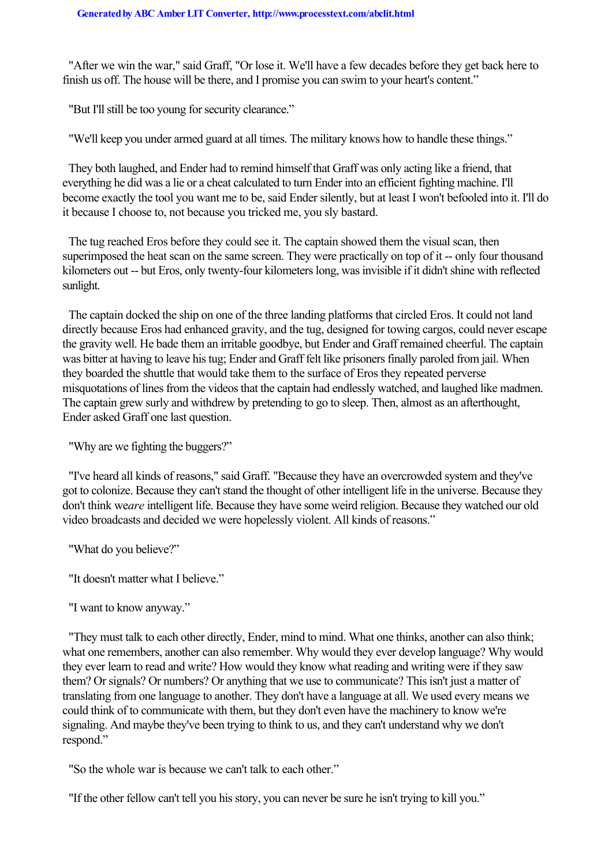"After we win the war," said Graff, "Or lose it. We'll have a few decades before they get back here to finish us off. The house will be there, and I promise you can swim to your heart's content."

"But I'll still be too young for security clearance."

"We'll keep you under armed guard at all times. The military knows how to handle these things."

 They both laughed, and Ender had to remind himself that Graff was only acting like a friend, that everything he did was a lie or a cheat calculated to turn Ender into an efficient fighting machine. I'll become exactly the tool you want me to be, said Ender silently, but at least I won't befooled into it. I'll do it because I choose to, not because you tricked me, you sly bastard.

 The tug reached Eros before they could see it. The captain showed them the visual scan, then superimposed the heat scan on the same screen. They were practically on top of it -- only four thousand kilometers out -- but Eros, only twenty-four kilometers long, was invisible if it didn't shine with reflected sunlight.

 The captain docked the ship on one of the three landing platforms that circled Eros. It could not land directly because Eros had enhanced gravity, and the tug, designed for towing cargos, could never escape the gravity well. He bade them an irritable goodbye, but Ender and Graff remained cheerful. The captain was bitter at having to leave his tug; Ender and Graff felt like prisoners finally paroled from jail. When they boarded the shuttle that would take them to the surface of Eros they repeated perverse misquotations of lines from the videos that the captain had endlessly watched, and laughed like madmen. The captain grew surly and withdrew by pretending to go to sleep. Then, almost as an afterthought, Ender asked Graff one last question.

"Why are we fighting the buggers?"

 "I've heard all kinds of reasons," said Graff. "Because they have an overcrowded system and they've got to colonize. Because they can't stand the thought of other intelligent life in the universe. Because they don't think we*are* intelligent life. Because they have some weird religion. Because they watched our old video broadcasts and decided we were hopelessly violent. All kinds of reasons."

"What do you believe?"

"It doesn't matter what I believe."

```
 "I want to know anyway."
```
 "They must talk to each other directly, Ender, mind to mind. What one thinks, another can also think; what one remembers, another can also remember. Why would they ever develop language? Why would they ever learn to read and write? How would they know what reading and writing were if they saw them? Or signals? Or numbers? Or anything that we use to communicate? This isn't just a matter of translating from one language to another. They don't have a language at all. We used every means we could think of to communicate with them, but they don't even have the machinery to know we're signaling. And maybe they've been trying to think to us, and they can't understand why we don't respond."

"So the whole war is because we can't talk to each other."

"If the other fellow can't tell you his story, you can never be sure he isn't trying to kill you."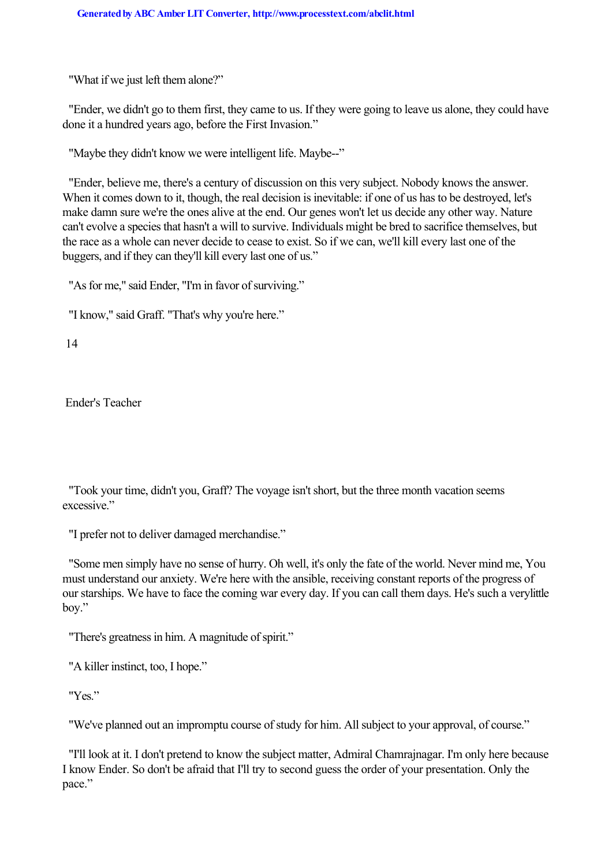"What if we just left them alone?"

 "Ender, we didn't go to them first, they came to us. If they were going to leave us alone, they could have done it a hundred years ago, before the First Invasion."

"Maybe they didn't know we were intelligent life. Maybe--"

 "Ender, believe me, there's a century of discussion on this very subject. Nobody knows the answer. When it comes down to it, though, the real decision is inevitable: if one of us has to be destroyed, let's make damn sure we're the ones alive at the end. Our genes won't let us decide any other way. Nature can't evolve a species that hasn't a will to survive. Individuals might be bred to sacrifice themselves, but the race as a whole can never decide to cease to exist. So if we can, we'll kill every last one of the buggers, and if they can they'll kill every last one of us."

"As for me," said Ender, "I'm in favor of surviving."

"I know," said Graff. "That's why you're here."

14

Ender's Teacher

 "Took your time, didn't you, Graff? The voyage isn't short, but the three month vacation seems excessive."

"I prefer not to deliver damaged merchandise."

 "Some men simply have no sense of hurry. Oh well, it's only the fate of the world. Never mind me, You must understand our anxiety. We're here with the ansible, receiving constant reports of the progress of our starships. We have to face the coming war every day. If you can call them days. He's such a verylittle boy."

"There's greatness in him. A magnitude of spirit."

"A killer instinct, too, I hope."

"Yes."

"We've planned out an impromptu course of study for him. All subject to your approval, of course."

 "I'll look at it. I don't pretend to know the subject matter, Admiral Chamrajnagar. I'm only here because I know Ender. So don't be afraid that I'll try to second guess the order of your presentation. Only the pace."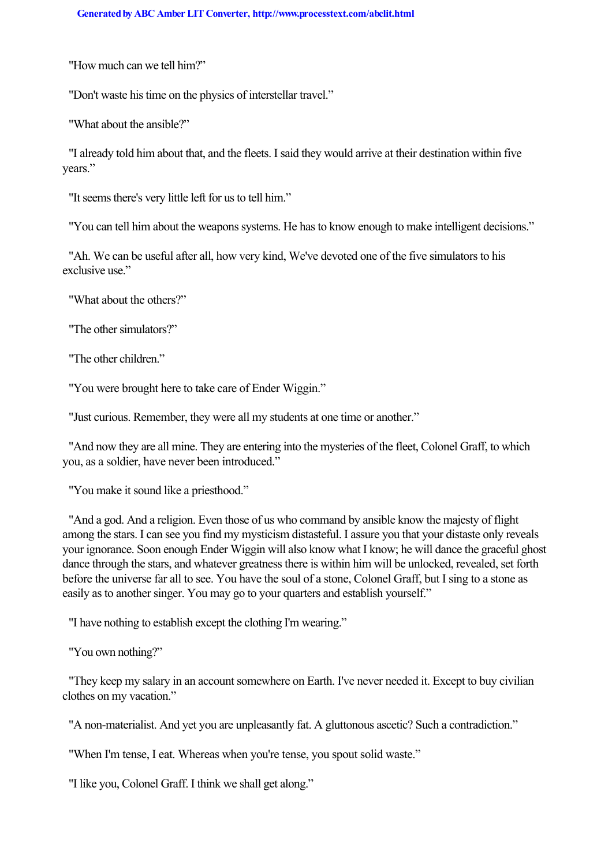### **Generated by ABC Amber LIT Converter, <http://www.processtext.com/abclit.html>**

"How much can we tell him?"

"Don't waste his time on the physics of interstellar travel."

"What about the ansible?"

 "I already told him about that, and the fleets. I said they would arrive at their destination within five vears"

"It seems there's very little left for us to tell him."

"You can tell him about the weapons systems. He has to know enough to make intelligent decisions."

 "Ah. We can be useful after all, how very kind, We've devoted one of the five simulators to his exclusive use."

"What about the others?"

"The other simulators?"

"The other children."

"You were brought here to take care of Ender Wiggin."

"Just curious. Remember, they were all my students at one time or another."

 "And now they are all mine. They are entering into the mysteries of the fleet, Colonel Graff, to which you, as a soldier, have never been introduced."

"You make it sound like a priesthood."

 "And a god. And a religion. Even those of us who command by ansible know the majesty of flight among the stars. I can see you find my mysticism distasteful. I assure you that your distaste only reveals your ignorance. Soon enough Ender Wiggin will also know what I know; he will dance the graceful ghost dance through the stars, and whatever greatness there is within him will be unlocked, revealed, set forth before the universe far all to see. You have the soul of a stone, Colonel Graff, but I sing to a stone as easily as to another singer. You may go to your quarters and establish yourself."

"I have nothing to establish except the clothing I'm wearing."

"You own nothing?"

 "They keep my salary in an account somewhere on Earth. I've never needed it. Except to buy civilian clothes on my vacation."

"A non-materialist. And yet you are unpleasantly fat. A gluttonous ascetic? Such a contradiction."

"When I'm tense, I eat. Whereas when you're tense, you spout solid waste."

"I like you, Colonel Graff. I think we shall get along."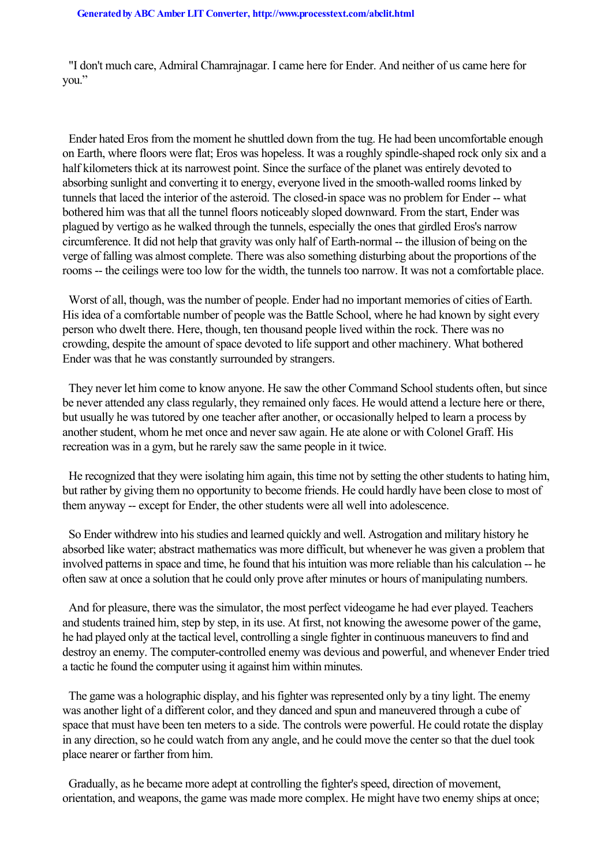"I don't much care, Admiral Chamrajnagar. I came here for Ender. And neither of us came here for you."

 Ender hated Eros from the moment he shuttled down from the tug. He had been uncomfortable enough on Earth, where floors were flat; Eros was hopeless. It was a roughly spindle-shaped rock only six and a half kilometers thick at its narrowest point. Since the surface of the planet was entirely devoted to absorbing sunlight and converting it to energy, everyone lived in the smooth-walled rooms linked by tunnels that laced the interior of the asteroid. The closed-in space was no problem for Ender -- what bothered him was that all the tunnel floors noticeably sloped downward. From the start, Ender was plagued by vertigo as he walked through the tunnels, especially the ones that girdled Eros's narrow circumference. It did not help that gravity was only half of Earth-normal -- the illusion of being on the verge of falling was almost complete. There was also something disturbing about the proportions of the rooms -- the ceilings were too low for the width, the tunnels too narrow. It was not a comfortable place.

 Worst of all, though, was the number of people. Ender had no important memories of cities of Earth. His idea of a comfortable number of people was the Battle School, where he had known by sight every person who dwelt there. Here, though, ten thousand people lived within the rock. There was no crowding, despite the amount of space devoted to life support and other machinery. What bothered Ender was that he was constantly surrounded by strangers.

 They never let him come to know anyone. He saw the other Command School students often, but since be never attended any class regularly, they remained only faces. He would attend a lecture here or there, but usually he was tutored by one teacher after another, or occasionally helped to learn a process by another student, whom he met once and never saw again. He ate alone or with Colonel Graff. His recreation was in a gym, but he rarely saw the same people in it twice.

 He recognized that they were isolating him again, this time not by setting the other students to hating him, but rather by giving them no opportunity to become friends. He could hardly have been close to most of them anyway -- except for Ender, the other students were all well into adolescence.

 So Ender withdrew into his studies and learned quickly and well. Astrogation and military history he absorbed like water; abstract mathematics was more difficult, but whenever he was given a problem that involved patterns in space and time, he found that his intuition was more reliable than his calculation -- he often saw at once a solution that he could only prove after minutes or hours of manipulating numbers.

 And for pleasure, there was the simulator, the most perfect videogame he had ever played. Teachers and students trained him, step by step, in its use. At first, not knowing the awesome power of the game, he had played only at the tactical level, controlling a single fighter in continuous maneuvers to find and destroy an enemy. The computer-controlled enemy was devious and powerful, and whenever Ender tried a tactic he found the computer using it against him within minutes.

 The game was a holographic display, and his fighter was represented only by a tiny light. The enemy was another light of a different color, and they danced and spun and maneuvered through a cube of space that must have been ten meters to a side. The controls were powerful. He could rotate the display in any direction, so he could watch from any angle, and he could move the center so that the duel took place nearer or farther from him.

 Gradually, as he became more adept at controlling the fighter's speed, direction of movement, orientation, and weapons, the game was made more complex. He might have two enemy ships at once;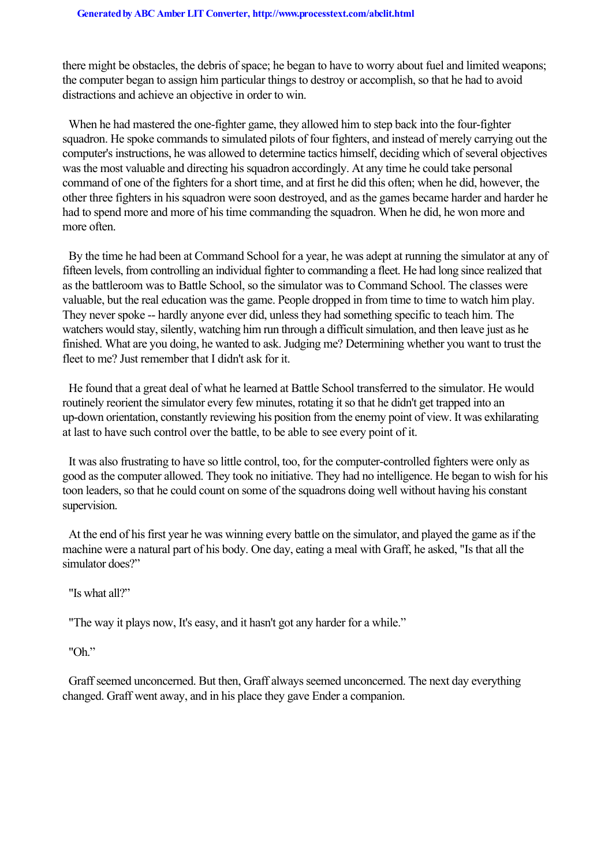there might be obstacles, the debris of space; he began to have to worry about fuel and limited weapons; the computer began to assign him particular things to destroy or accomplish, so that he had to avoid distractions and achieve an objective in order to win.

 When he had mastered the one-fighter game, they allowed him to step back into the four-fighter squadron. He spoke commands to simulated pilots of four fighters, and instead of merely carrying out the computer's instructions, he was allowed to determine tactics himself, deciding which of several objectives was the most valuable and directing his squadron accordingly. At any time he could take personal command of one of the fighters for a short time, and at first he did this often; when he did, however, the other three fighters in his squadron were soon destroyed, and as the games became harder and harder he had to spend more and more of his time commanding the squadron. When he did, he won more and more often.

 By the time he had been at Command School for a year, he was adept at running the simulator at any of fifteen levels, from controlling an individual fighter to commanding a fleet. He had long since realized that as the battleroom was to Battle School, so the simulator was to Command School. The classes were valuable, but the real education was the game. People dropped in from time to time to watch him play. They never spoke -- hardly anyone ever did, unless they had something specific to teach him. The watchers would stay, silently, watching him run through a difficult simulation, and then leave just as he finished. What are you doing, he wanted to ask. Judging me? Determining whether you want to trust the fleet to me? Just remember that I didn't ask for it.

 He found that a great deal of what he learned at Battle School transferred to the simulator. He would routinely reorient the simulator every few minutes, rotating it so that he didn't get trapped into an up-down orientation, constantly reviewing his position from the enemy point of view. It was exhilarating at last to have such control over the battle, to be able to see every point of it.

 It was also frustrating to have so little control, too, for the computer-controlled fighters were only as good as the computer allowed. They took no initiative. They had no intelligence. He began to wish for his toon leaders, so that he could count on some of the squadrons doing well without having his constant supervision.

 At the end of his first year he was winning every battle on the simulator, and played the game as if the machine were a natural part of his body. One day, eating a meal with Graff, he asked, "Is that all the simulator does?"

"Is what all?"

"The way it plays now, It's easy, and it hasn't got any harder for a while."

"Oh."

 Graff seemed unconcerned. But then, Graff always seemed unconcerned. The next day everything changed. Graff went away, and in his place they gave Ender a companion.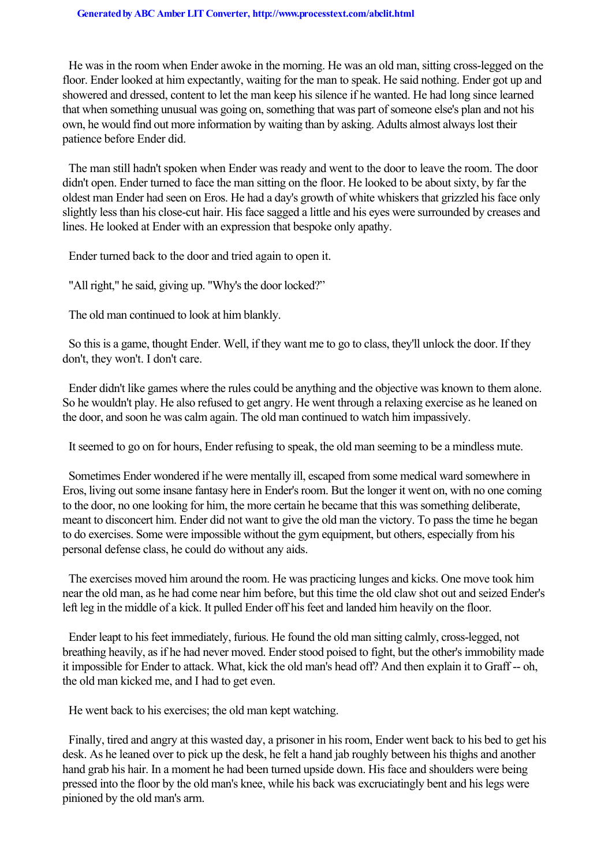He was in the room when Ender awoke in the morning. He was an old man, sitting cross-legged on the floor. Ender looked at him expectantly, waiting for the man to speak. He said nothing. Ender got up and showered and dressed, content to let the man keep his silence if he wanted. He had long since learned that when something unusual was going on, something that was part of someone else's plan and not his own, he would find out more information by waiting than by asking. Adults almost always lost their patience before Ender did.

 The man still hadn't spoken when Ender was ready and went to the door to leave the room. The door didn't open. Ender turned to face the man sitting on the floor. He looked to be about sixty, by far the oldest man Ender had seen on Eros. He had a day's growth of white whiskers that grizzled his face only slightly less than his close-cut hair. His face sagged a little and his eyes were surrounded by creases and lines. He looked at Ender with an expression that bespoke only apathy.

Ender turned back to the door and tried again to open it.

"All right," he said, giving up. "Why's the door locked?"

The old man continued to look at him blankly.

 So this is a game, thought Ender. Well, if they want me to go to class, they'll unlock the door. If they don't, they won't. I don't care.

 Ender didn't like games where the rules could be anything and the objective was known to them alone. So he wouldn't play. He also refused to get angry. He went through a relaxing exercise as he leaned on the door, and soon he was calm again. The old man continued to watch him impassively.

It seemed to go on for hours, Ender refusing to speak, the old man seeming to be a mindless mute.

 Sometimes Ender wondered if he were mentally ill, escaped from some medical ward somewhere in Eros, living out some insane fantasy here in Ender's room. But the longer it went on, with no one coming to the door, no one looking for him, the more certain he became that this was something deliberate, meant to disconcert him. Ender did not want to give the old man the victory. To pass the time he began to do exercises. Some were impossible without the gym equipment, but others, especially from his personal defense class, he could do without any aids.

 The exercises moved him around the room. He was practicing lunges and kicks. One move took him near the old man, as he had come near him before, but this time the old claw shot out and seized Ender's left leg in the middle of a kick. It pulled Ender off his feet and landed him heavily on the floor.

 Ender leapt to his feet immediately, furious. He found the old man sitting calmly, cross-legged, not breathing heavily, as if he had never moved. Ender stood poised to fight, but the other's immobility made it impossible for Ender to attack. What, kick the old man's head off? And then explain it to Graff -- oh, the old man kicked me, and I had to get even.

He went back to his exercises; the old man kept watching.

 Finally, tired and angry at this wasted day, a prisoner in his room, Ender went back to his bed to get his desk. As he leaned over to pick up the desk, he felt a hand jab roughly between his thighs and another hand grab his hair. In a moment he had been turned upside down. His face and shoulders were being pressed into the floor by the old man's knee, while his back was excruciatingly bent and his legs were pinioned by the old man's arm.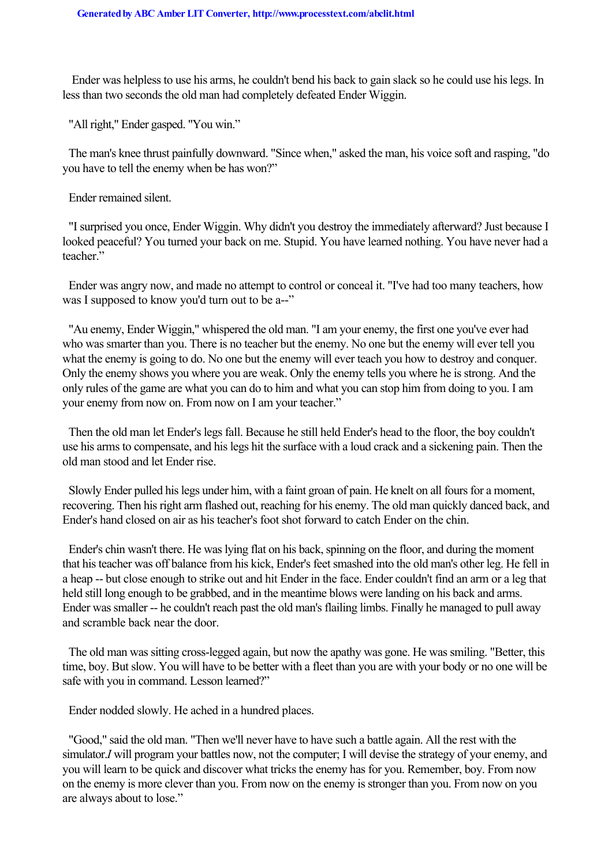Ender was helpless to use his arms, he couldn't bend his back to gain slack so he could use his legs. In less than two seconds the old man had completely defeated Ender Wiggin.

"All right," Ender gasped. "You win."

 The man's knee thrust painfully downward. "Since when," asked the man, his voice soft and rasping, "do you have to tell the enemy when be has won?"

Ender remained silent.

 "I surprised you once, Ender Wiggin. Why didn't you destroy the immediately afterward? Just because I looked peaceful? You turned your back on me. Stupid. You have learned nothing. You have never had a teacher"

 Ender was angry now, and made no attempt to control or conceal it. "I've had too many teachers, how was I supposed to know you'd turn out to be a--"

 "Au enemy, Ender Wiggin," whispered the old man. "I am your enemy, the first one you've ever had who was smarter than you. There is no teacher but the enemy. No one but the enemy will ever tell you what the enemy is going to do. No one but the enemy will ever teach you how to destroy and conquer. Only the enemy shows you where you are weak. Only the enemy tells you where he is strong. And the only rules of the game are what you can do to him and what you can stop him from doing to you. I am your enemy from now on. From now on I am your teacher."

 Then the old man let Ender's legs fall. Because he still held Ender's head to the floor, the boy couldn't use his arms to compensate, and his legs hit the surface with a loud crack and a sickening pain. Then the old man stood and let Ender rise.

 Slowly Ender pulled his legs under him, with a faint groan of pain. He knelt on all fours for a moment, recovering. Then his right arm flashed out, reaching for his enemy. The old man quickly danced back, and Ender's hand closed on air as his teacher's foot shot forward to catch Ender on the chin.

 Ender's chin wasn't there. He was lying flat on his back, spinning on the floor, and during the moment that his teacher was off balance from his kick, Ender's feet smashed into the old man's other leg. He fell in a heap -- but close enough to strike out and hit Ender in the face. Ender couldn't find an arm or a leg that held still long enough to be grabbed, and in the meantime blows were landing on his back and arms. Ender was smaller -- he couldn't reach past the old man's flailing limbs. Finally he managed to pull away and scramble back near the door.

 The old man was sitting cross-legged again, but now the apathy was gone. He was smiling. "Better, this time, boy. But slow. You will have to be better with a fleet than you are with your body or no one will be safe with you in command. Lesson learned?"

Ender nodded slowly. He ached in a hundred places.

 "Good," said the old man. "Then we'll never have to have such a battle again. All the rest with the simulator.*I* will program your battles now, not the computer; I will devise the strategy of your enemy, and you will learn to be quick and discover what tricks the enemy has for you. Remember, boy. From now on the enemy is more clever than you. From now on the enemy is stronger than you. From now on you are always about to lose."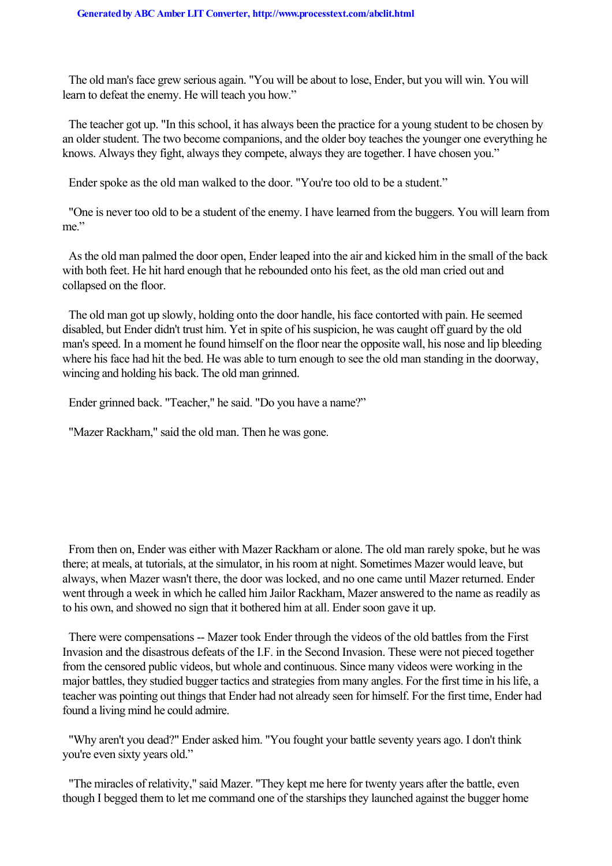The old man's face grew serious again. "You will be about to lose, Ender, but you will win. You will learn to defeat the enemy. He will teach you how."

 The teacher got up. "In this school, it has always been the practice for a young student to be chosen by an older student. The two become companions, and the older boy teaches the younger one everything he knows. Always they fight, always they compete, always they are together. I have chosen you."

Ender spoke as the old man walked to the door. "You're too old to be a student."

 "One is never too old to be a student of the enemy. I have learned from the buggers. You will learn from me"

 As the old man palmed the door open, Ender leaped into the air and kicked him in the small of the back with both feet. He hit hard enough that he rebounded onto his feet, as the old man cried out and collapsed on the floor.

 The old man got up slowly, holding onto the door handle, his face contorted with pain. He seemed disabled, but Ender didn't trust him. Yet in spite of his suspicion, he was caught off guard by the old man's speed. In a moment he found himself on the floor near the opposite wall, his nose and lip bleeding where his face had hit the bed. He was able to turn enough to see the old man standing in the doorway. wincing and holding his back. The old man grinned.

Ender grinned back. "Teacher," he said. "Do you have a name?"

"Mazer Rackham," said the old man. Then he was gone.

 From then on, Ender was either with Mazer Rackham or alone. The old man rarely spoke, but he was there; at meals, at tutorials, at the simulator, in his room at night. Sometimes Mazer would leave, but always, when Mazer wasn't there, the door was locked, and no one came until Mazer returned. Ender went through a week in which he called him Jailor Rackham, Mazer answered to the name as readily as to his own, and showed no sign that it bothered him at all. Ender soon gave it up.

 There were compensations -- Mazer took Ender through the videos of the old battles from the First Invasion and the disastrous defeats of the I.F. in the Second Invasion. These were not pieced together from the censored public videos, but whole and continuous. Since many videos were working in the major battles, they studied bugger tactics and strategies from many angles. For the first time in his life, a teacher was pointing out things that Ender had not already seen for himself. For the first time, Ender had found a living mind he could admire.

 "Why aren't you dead?" Ender asked him. "You fought your battle seventy years ago. I don't think you're even sixty years old."

 "The miracles of relativity," said Mazer. "They kept me here for twenty years after the battle, even though I begged them to let me command one of the starships they launched against the bugger home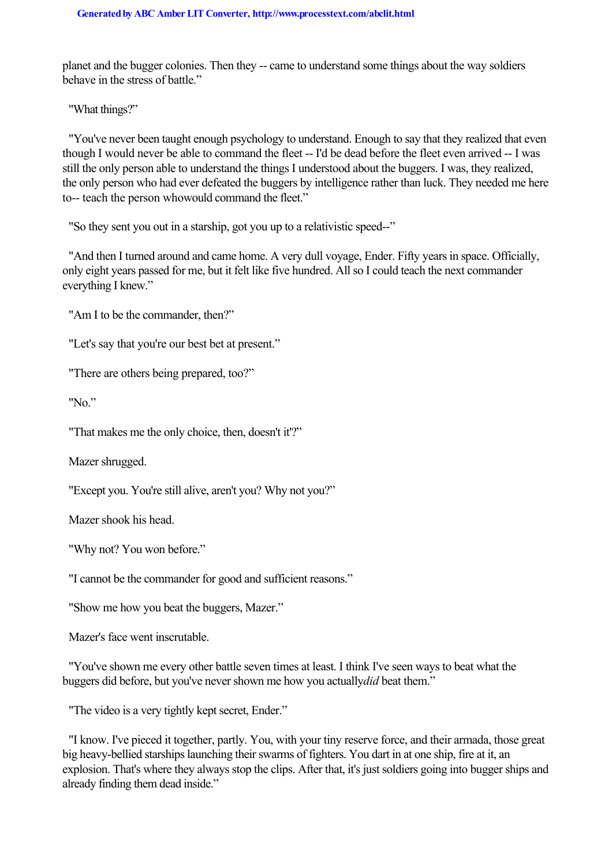planet and the bugger colonies. Then they -- came to understand some things about the way soldiers behave in the stress of battle."

"What things?"

 "You've never been taught enough psychology to understand. Enough to say that they realized that even though I would never be able to command the fleet -- I'd be dead before the fleet even arrived -- I was still the only person able to understand the things I understood about the buggers. I was, they realized, the only person who had ever defeated the buggers by intelligence rather than luck. They needed me here to-- teach the person whowould command the fleet."

"So they sent you out in a starship, got you up to a relativistic speed--"

 "And then I turned around and came home. A very dull voyage, Ender. Fifty years in space. Officially, only eight years passed for me, but it felt like five hundred. All so I could teach the next commander everything I knew."

"Am I to be the commander, then?"

"Let's say that you're our best bet at present."

"There are others being prepared, too?"

"No."

"That makes me the only choice, then, doesn't it'?"

Mazer shrugged.

"Except you. You're still alive, aren't you? Why not you?"

Mazer shook his head.

"Why not? You won before."

"I cannot be the commander for good and sufficient reasons."

"Show me how you beat the buggers, Mazer."

Mazer's face went inscrutable.

 "You've shown me every other battle seven times at least. I think I've seen ways to beat what the buggers did before, but you've never shown me how you actually*did* beat them."

"The video is a very tightly kept secret, Ender."

 "I know. I've pieced it together, partly. You, with your tiny reserve force, and their armada, those great big heavy-bellied starships launching their swarms of fighters. You dart in at one ship, fire at it, an explosion. That's where they always stop the clips. After that, it's just soldiers going into bugger ships and already finding them dead inside."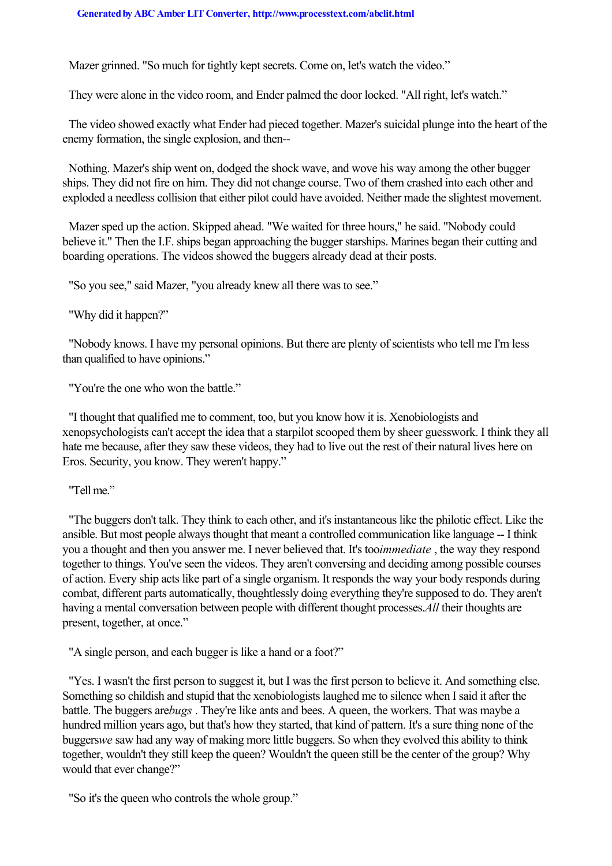Mazer grinned. "So much for tightly kept secrets. Come on, let's watch the video."

They were alone in the video room, and Ender palmed the door locked. "All right, let's watch."

 The video showed exactly what Ender had pieced together. Mazer's suicidal plunge into the heart of the enemy formation, the single explosion, and then--

 Nothing. Mazer's ship went on, dodged the shock wave, and wove his way among the other bugger ships. They did not fire on him. They did not change course. Two of them crashed into each other and exploded a needless collision that either pilot could have avoided. Neither made the slightest movement.

 Mazer sped up the action. Skipped ahead. "We waited for three hours," he said. "Nobody could believe it." Then the I.F. ships began approaching the bugger starships. Marines began their cutting and boarding operations. The videos showed the buggers already dead at their posts.

"So you see," said Mazer, "you already knew all there was to see."

"Why did it happen?"

 "Nobody knows. I have my personal opinions. But there are plenty of scientists who tell me I'm less than qualified to have opinions."

"You're the one who won the battle."

 "I thought that qualified me to comment, too, but you know how it is. Xenobiologists and xenopsychologists can't accept the idea that a starpilot scooped them by sheer guesswork. I think they all hate me because, after they saw these videos, they had to live out the rest of their natural lives here on Eros. Security, you know. They weren't happy."

"Tell me"

 "The buggers don't talk. They think to each other, and it's instantaneous like the philotic effect. Like the ansible. But most people always thought that meant a controlled communication like language -- I think you a thought and then you answer me. I never believed that. It's too*immediate* , the way they respond together to things. You've seen the videos. They aren't conversing and deciding among possible courses of action. Every ship acts like part of a single organism. It responds the way your body responds during combat, different parts automatically, thoughtlessly doing everything they're supposed to do. They aren't having a mental conversation between people with different thought processes.*All* their thoughts are present, together, at once."

"A single person, and each bugger is like a hand or a foot?"

 "Yes. I wasn't the first person to suggest it, but I was the first person to believe it. And something else. Something so childish and stupid that the xenobiologists laughed me to silence when I said it after the battle. The buggers are*bugs* . They're like ants and bees. A queen, the workers. That was maybe a hundred million years ago, but that's how they started, that kind of pattern. It's a sure thing none of the buggers*we* saw had any way of making more little buggers. So when they evolved this ability to think together, wouldn't they still keep the queen? Wouldn't the queen still be the center of the group? Why would that ever change?"

"So it's the queen who controls the whole group."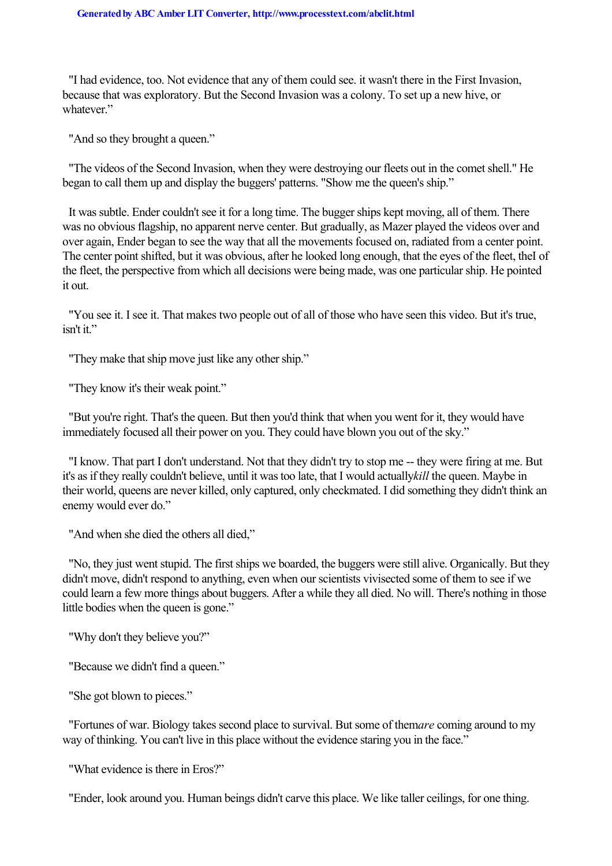"I had evidence, too. Not evidence that any of them could see. it wasn't there in the First Invasion, because that was exploratory. But the Second Invasion was a colony. To set up a new hive, or whatever."

"And so they brought a queen."

 "The videos of the Second Invasion, when they were destroying our fleets out in the comet shell." He began to call them up and display the buggers' patterns. "Show me the queen's ship."

 It was subtle. Ender couldn't see it for a long time. The bugger ships kept moving, all of them. There was no obvious flagship, no apparent nerve center. But gradually, as Mazer played the videos over and over again, Ender began to see the way that all the movements focused on, radiated from a center point. The center point shifted, but it was obvious, after he looked long enough, that the eyes of the fleet, theI of the fleet, the perspective from which all decisions were being made, was one particular ship. He pointed it out.

 "You see it. I see it. That makes two people out of all of those who have seen this video. But it's true, isn't it."

"They make that ship move just like any other ship."

"They know it's their weak point."

 "But you're right. That's the queen. But then you'd think that when you went for it, they would have immediately focused all their power on you. They could have blown you out of the sky."

 "I know. That part I don't understand. Not that they didn't try to stop me -- they were firing at me. But it's as if they really couldn't believe, until it was too late, that I would actually*kill* the queen. Maybe in their world, queens are never killed, only captured, only checkmated. I did something they didn't think an enemy would ever do."

"And when she died the others all died,"

 "No, they just went stupid. The first ships we boarded, the buggers were still alive. Organically. But they didn't move, didn't respond to anything, even when our scientists vivisected some of them to see if we could learn a few more things about buggers. After a while they all died. No will. There's nothing in those little bodies when the queen is gone."

"Why don't they believe you?"

"Because we didn't find a queen."

"She got blown to pieces."

 "Fortunes of war. Biology takes second place to survival. But some of them*are* coming around to my way of thinking. You can't live in this place without the evidence staring you in the face."

"What evidence is there in Eros?"

"Ender, look around you. Human beings didn't carve this place. We like taller ceilings, for one thing.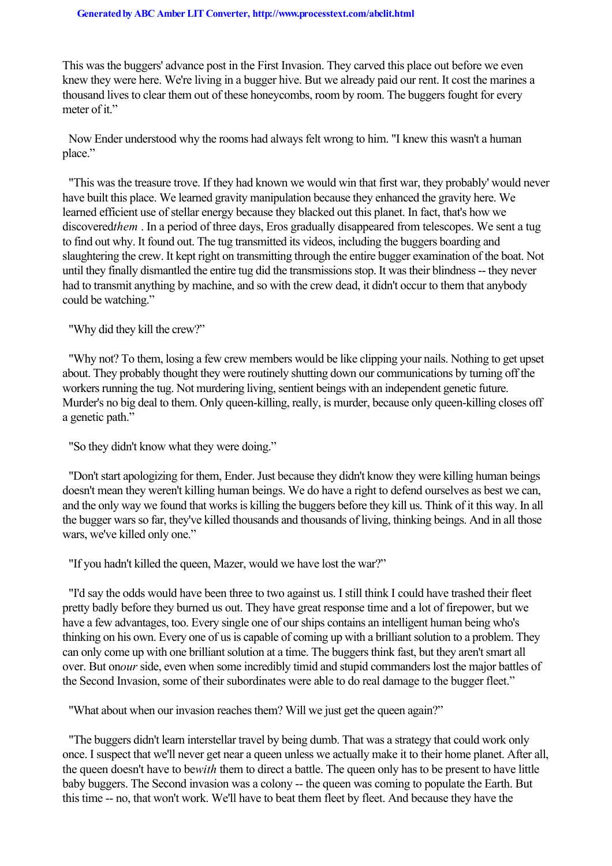This was the buggers' advance post in the First Invasion. They carved this place out before we even knew they were here. We're living in a bugger hive. But we already paid our rent. It cost the marines a thousand lives to clear them out of these honeycombs, room by room. The buggers fought for every meter of it."

 Now Ender understood why the rooms had always felt wrong to him. "I knew this wasn't a human place"

 "This was the treasure trove. If they had known we would win that first war, they probably' would never have built this place. We learned gravity manipulation because they enhanced the gravity here. We learned efficient use of stellar energy because they blacked out this planet. In fact, that's how we discovered*them* . In a period of three days, Eros gradually disappeared from telescopes. We sent a tug to find out why. It found out. The tug transmitted its videos, including the buggers boarding and slaughtering the crew. It kept right on transmitting through the entire bugger examination of the boat. Not until they finally dismantled the entire tug did the transmissions stop. It was their blindness -- they never had to transmit anything by machine, and so with the crew dead, it didn't occur to them that anybody could be watching."

"Why did they kill the crew?"

 "Why not? To them, losing a few crew members would be like clipping your nails. Nothing to get upset about. They probably thought they were routinely shutting down our communications by turning off the workers running the tug. Not murdering living, sentient beings with an independent genetic future. Murder's no big deal to them. Only queen-killing, really, is murder, because only queen-killing closes off a genetic path."

"So they didn't know what they were doing."

 "Don't start apologizing for them, Ender. Just because they didn't know they were killing human beings doesn't mean they weren't killing human beings. We do have a right to defend ourselves as best we can, and the only way we found that works is killing the buggers before they kill us. Think of it this way. In all the bugger wars so far, they've killed thousands and thousands of living, thinking beings. And in all those wars, we've killed only one."

"If you hadn't killed the queen, Mazer, would we have lost the war?"

 "I'd say the odds would have been three to two against us. I still think I could have trashed their fleet pretty badly before they burned us out. They have great response time and a lot of firepower, but we have a few advantages, too. Every single one of our ships contains an intelligent human being who's thinking on his own. Every one of us is capable of coming up with a brilliant solution to a problem. They can only come up with one brilliant solution at a time. The buggers think fast, but they aren't smart all over. But on*our* side, even when some incredibly timid and stupid commanders lost the major battles of the Second Invasion, some of their subordinates were able to do real damage to the bugger fleet."

"What about when our invasion reaches them? Will we just get the queen again?"

 "The buggers didn't learn interstellar travel by being dumb. That was a strategy that could work only once. I suspect that we'll never get near a queen unless we actually make it to their home planet. After all, the queen doesn't have to be*with* them to direct a battle. The queen only has to be present to have little baby buggers. The Second invasion was a colony -- the queen was coming to populate the Earth. But this time -- no, that won't work. We'll have to beat them fleet by fleet. And because they have the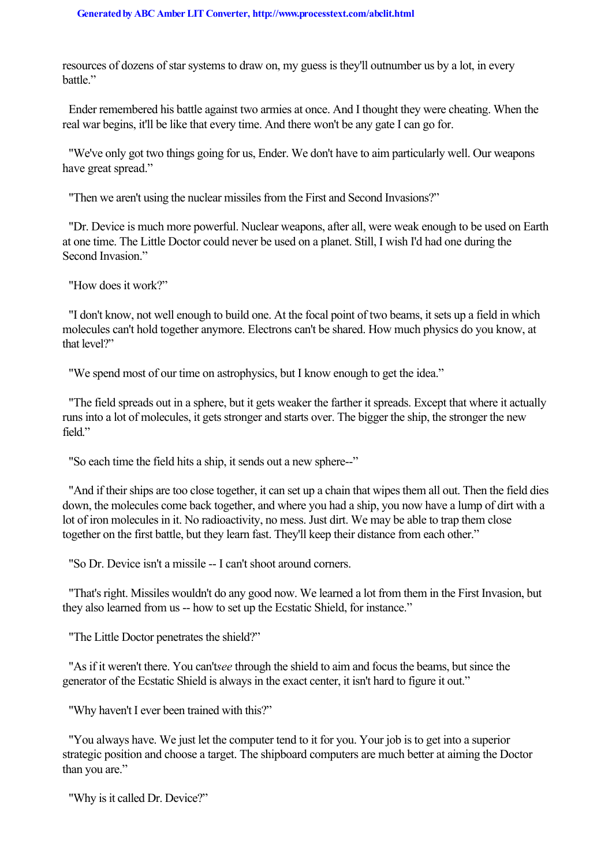resources of dozens of star systems to draw on, my guess is they'll outnumber us by a lot, in every battle."

 Ender remembered his battle against two armies at once. And I thought they were cheating. When the real war begins, it'll be like that every time. And there won't be any gate I can go for.

 "We've only got two things going for us, Ender. We don't have to aim particularly well. Our weapons have great spread."

"Then we aren't using the nuclear missiles from the First and Second Invasions?"

 "Dr. Device is much more powerful. Nuclear weapons, after all, were weak enough to be used on Earth at one time. The Little Doctor could never be used on a planet. Still, I wish I'd had one during the Second Invasion"

"How does it work?"

 "I don't know, not well enough to build one. At the focal point of two beams, it sets up a field in which molecules can't hold together anymore. Electrons can't be shared. How much physics do you know, at that level?"

"We spend most of our time on astrophysics, but I know enough to get the idea."

 "The field spreads out in a sphere, but it gets weaker the farther it spreads. Except that where it actually runs into a lot of molecules, it gets stronger and starts over. The bigger the ship, the stronger the new field"

"So each time the field hits a ship, it sends out a new sphere--"

 "And if their ships are too close together, it can set up a chain that wipes them all out. Then the field dies down, the molecules come back together, and where you had a ship, you now have a lump of dirt with a lot of iron molecules in it. No radioactivity, no mess. Just dirt. We may be able to trap them close together on the first battle, but they learn fast. They'll keep their distance from each other."

"So Dr. Device isn't a missile -- I can't shoot around corners.

 "That's right. Missiles wouldn't do any good now. We learned a lot from them in the First Invasion, but they also learned from us -- how to set up the Ecstatic Shield, for instance."

"The Little Doctor penetrates the shield?"

 "As if it weren't there. You can't*see* through the shield to aim and focus the beams, but since the generator of the Ecstatic Shield is always in the exact center, it isn't hard to figure it out."

"Why haven't I ever been trained with this?"

 "You always have. We just let the computer tend to it for you. Your job is to get into a superior strategic position and choose a target. The shipboard computers are much better at aiming the Doctor than you are."

"Why is it called Dr. Device?"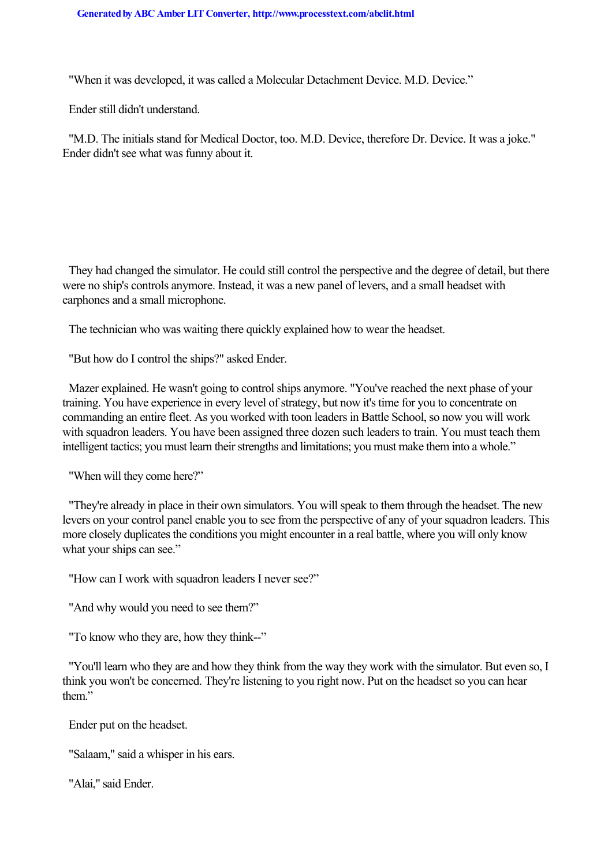"When it was developed, it was called a Molecular Detachment Device. M.D. Device."

Ender still didn't understand.

 "M.D. The initials stand for Medical Doctor, too. M.D. Device, therefore Dr. Device. It was a joke." Ender didn't see what was funny about it.

 They had changed the simulator. He could still control the perspective and the degree of detail, but there were no ship's controls anymore. Instead, it was a new panel of levers, and a small headset with earphones and a small microphone.

The technician who was waiting there quickly explained how to wear the headset.

"But how do I control the ships?" asked Ender.

 Mazer explained. He wasn't going to control ships anymore. "You've reached the next phase of your training. You have experience in every level of strategy, but now it's time for you to concentrate on commanding an entire fleet. As you worked with toon leaders in Battle School, so now you will work with squadron leaders. You have been assigned three dozen such leaders to train. You must teach them intelligent tactics; you must learn their strengths and limitations; you must make them into a whole."

"When will they come here?"

 "They're already in place in their own simulators. You will speak to them through the headset. The new levers on your control panel enable you to see from the perspective of any of your squadron leaders. This more closely duplicates the conditions you might encounter in a real battle, where you will only know what your ships can see."

"How can I work with squadron leaders I never see?"

"And why would you need to see them?"

"To know who they are, how they think--"

 "You'll learn who they are and how they think from the way they work with the simulator. But even so, I think you won't be concerned. They're listening to you right now. Put on the headset so you can hear them"

Ender put on the headset.

"Salaam," said a whisper in his ears.

"Alai," said Ender.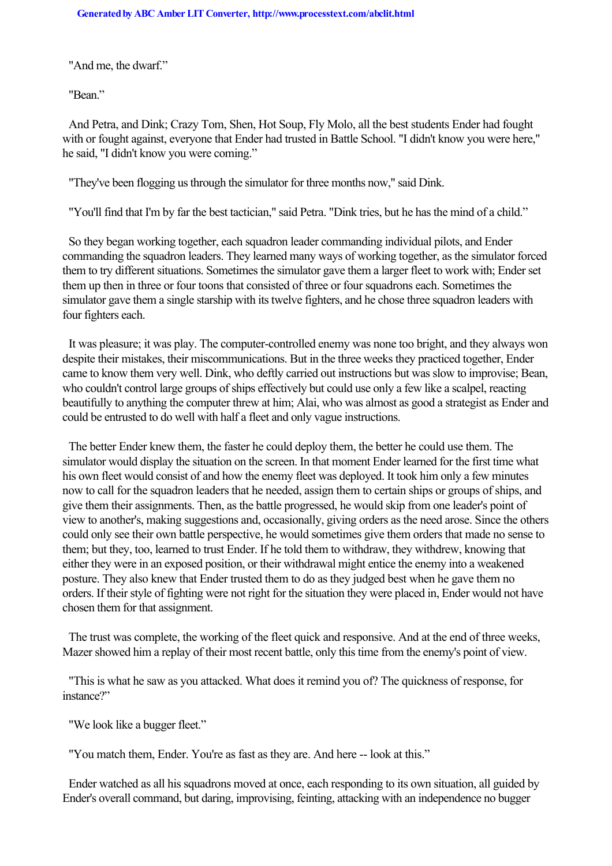"And me, the dwarf."

"Bean"

 And Petra, and Dink; Crazy Tom, Shen, Hot Soup, Fly Molo, all the best students Ender had fought with or fought against, everyone that Ender had trusted in Battle School. "I didn't know you were here," he said, "I didn't know you were coming."

"They've been flogging us through the simulator for three months now," said Dink.

"You'll find that I'm by far the best tactician," said Petra. "Dink tries, but he has the mind of a child."

 So they began working together, each squadron leader commanding individual pilots, and Ender commanding the squadron leaders. They learned many ways of working together, as the simulator forced them to try different situations. Sometimes the simulator gave them a larger fleet to work with; Ender set them up then in three or four toons that consisted of three or four squadrons each. Sometimes the simulator gave them a single starship with its twelve fighters, and he chose three squadron leaders with four fighters each.

 It was pleasure; it was play. The computer-controlled enemy was none too bright, and they always won despite their mistakes, their miscommunications. But in the three weeks they practiced together, Ender came to know them very well. Dink, who deftly carried out instructions but was slow to improvise; Bean, who couldn't control large groups of ships effectively but could use only a few like a scalpel, reacting beautifully to anything the computer threw at him; Alai, who was almost as good a strategist as Ender and could be entrusted to do well with half a fleet and only vague instructions.

 The better Ender knew them, the faster he could deploy them, the better he could use them. The simulator would display the situation on the screen. In that moment Ender learned for the first time what his own fleet would consist of and how the enemy fleet was deployed. It took him only a few minutes now to call for the squadron leaders that he needed, assign them to certain ships or groups of ships, and give them their assignments. Then, as the battle progressed, he would skip from one leader's point of view to another's, making suggestions and, occasionally, giving orders as the need arose. Since the others could only see their own battle perspective, he would sometimes give them orders that made no sense to them; but they, too, learned to trust Ender. If he told them to withdraw, they withdrew, knowing that either they were in an exposed position, or their withdrawal might entice the enemy into a weakened posture. They also knew that Ender trusted them to do as they judged best when he gave them no orders. If their style of fighting were not right for the situation they were placed in, Ender would not have chosen them for that assignment.

 The trust was complete, the working of the fleet quick and responsive. And at the end of three weeks, Mazer showed him a replay of their most recent battle, only this time from the enemy's point of view.

 "This is what he saw as you attacked. What does it remind you of? The quickness of response, for instance?"

"We look like a bugger fleet."

"You match them, Ender. You're as fast as they are. And here -- look at this."

 Ender watched as all his squadrons moved at once, each responding to its own situation, all guided by Ender's overall command, but daring, improvising, feinting, attacking with an independence no bugger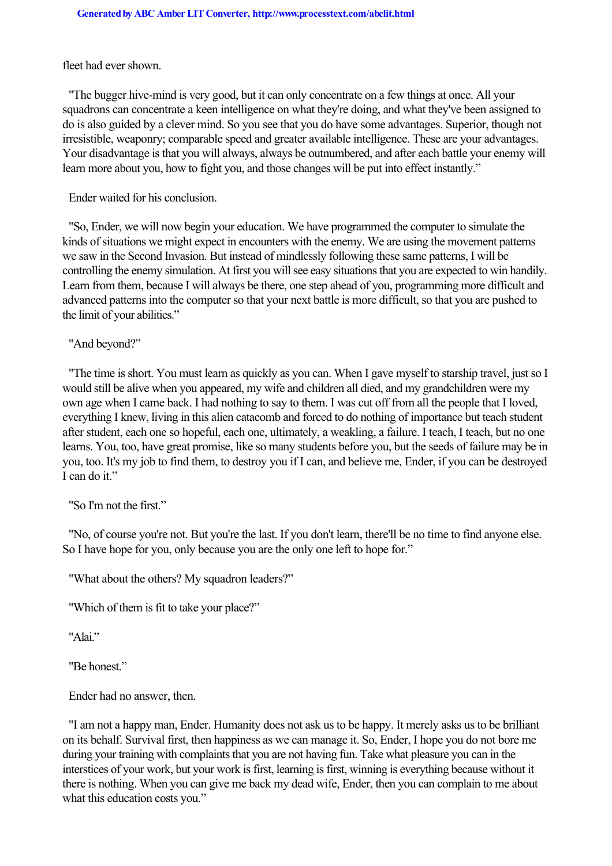fleet had ever shown.

 "The bugger hive-mind is very good, but it can only concentrate on a few things at once. All your squadrons can concentrate a keen intelligence on what they're doing, and what they've been assigned to do is also guided by a clever mind. So you see that you do have some advantages. Superior, though not irresistible, weaponry; comparable speed and greater available intelligence. These are your advantages. Your disadvantage is that you will always, always be outnumbered, and after each battle your enemy will learn more about you, how to fight you, and those changes will be put into effect instantly."

Ender waited for his conclusion.

 "So, Ender, we will now begin your education. We have programmed the computer to simulate the kinds of situations we might expect in encounters with the enemy. We are using the movement patterns we saw in the Second Invasion. But instead of mindlessly following these same patterns, I will be controlling the enemy simulation. At first you will see easy situations that you are expected to win handily. Learn from them, because I will always be there, one step ahead of you, programming more difficult and advanced patterns into the computer so that your next battle is more difficult, so that you are pushed to the limit of your abilities."

"And beyond?"

 "The time is short. You must learn as quickly as you can. When I gave myself to starship travel, just so I would still be alive when you appeared, my wife and children all died, and my grandchildren were my own age when I came back. I had nothing to say to them. I was cut off from all the people that I loved, everything I knew, living in this alien catacomb and forced to do nothing of importance but teach student after student, each one so hopeful, each one, ultimately, a weakling, a failure. I teach, I teach, but no one learns. You, too, have great promise, like so many students before you, but the seeds of failure may be in you, too. It's my job to find them, to destroy you if I can, and believe me, Ender, if you can be destroyed I can do it."

"So I'm not the first."

 "No, of course you're not. But you're the last. If you don't learn, there'll be no time to find anyone else. So I have hope for you, only because you are the only one left to hope for."

"What about the others? My squadron leaders?"

"Which of them is fit to take your place?"

"Alai"

"Be honest."

Ender had no answer, then.

 "I am not a happy man, Ender. Humanity does not ask us to be happy. It merely asks us to be brilliant on its behalf. Survival first, then happiness as we can manage it. So, Ender, I hope you do not bore me during your training with complaints that you are not having fun. Take what pleasure you can in the interstices of your work, but your work is first, learning is first, winning is everything because without it there is nothing. When you can give me back my dead wife, Ender, then you can complain to me about what this education costs you."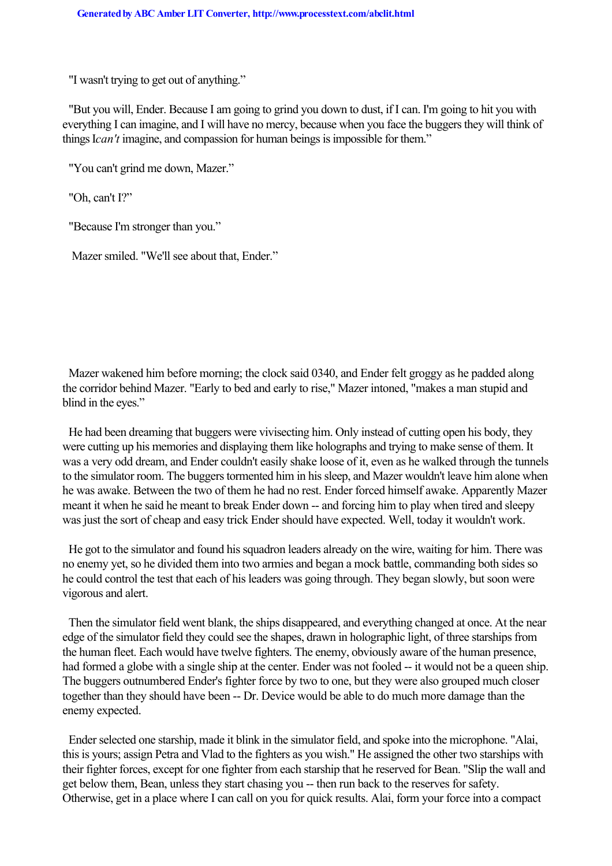"I wasn't trying to get out of anything."

 "But you will, Ender. Because I am going to grind you down to dust, if I can. I'm going to hit you with everything I can imagine, and I will have no mercy, because when you face the buggers they will think of things I*can't* imagine, and compassion for human beings is impossible for them."

"You can't grind me down, Mazer."

"Oh, can't I?"

"Because I'm stronger than you."

Mazer smiled. "We'll see about that, Ender."

 Mazer wakened him before morning; the clock said 0340, and Ender felt groggy as he padded along the corridor behind Mazer. "Early to bed and early to rise," Mazer intoned, "makes a man stupid and blind in the eyes."

 He had been dreaming that buggers were vivisecting him. Only instead of cutting open his body, they were cutting up his memories and displaying them like holographs and trying to make sense of them. It was a very odd dream, and Ender couldn't easily shake loose of it, even as he walked through the tunnels to the simulator room. The buggers tormented him in his sleep, and Mazer wouldn't leave him alone when he was awake. Between the two of them he had no rest. Ender forced himself awake. Apparently Mazer meant it when he said he meant to break Ender down -- and forcing him to play when tired and sleepy was just the sort of cheap and easy trick Ender should have expected. Well, today it wouldn't work.

 He got to the simulator and found his squadron leaders already on the wire, waiting for him. There was no enemy yet, so he divided them into two armies and began a mock battle, commanding both sides so he could control the test that each of his leaders was going through. They began slowly, but soon were vigorous and alert.

 Then the simulator field went blank, the ships disappeared, and everything changed at once. At the near edge of the simulator field they could see the shapes, drawn in holographic light, of three starships from the human fleet. Each would have twelve fighters. The enemy, obviously aware of the human presence, had formed a globe with a single ship at the center. Ender was not fooled -- it would not be a queen ship. The buggers outnumbered Ender's fighter force by two to one, but they were also grouped much closer together than they should have been -- Dr. Device would be able to do much more damage than the enemy expected.

 Ender selected one starship, made it blink in the simulator field, and spoke into the microphone. "Alai, this is yours; assign Petra and Vlad to the fighters as you wish." He assigned the other two starships with their fighter forces, except for one fighter from each starship that he reserved for Bean. "Slip the wall and get below them, Bean, unless they start chasing you -- then run back to the reserves for safety. Otherwise, get in a place where I can call on you for quick results. Alai, form your force into a compact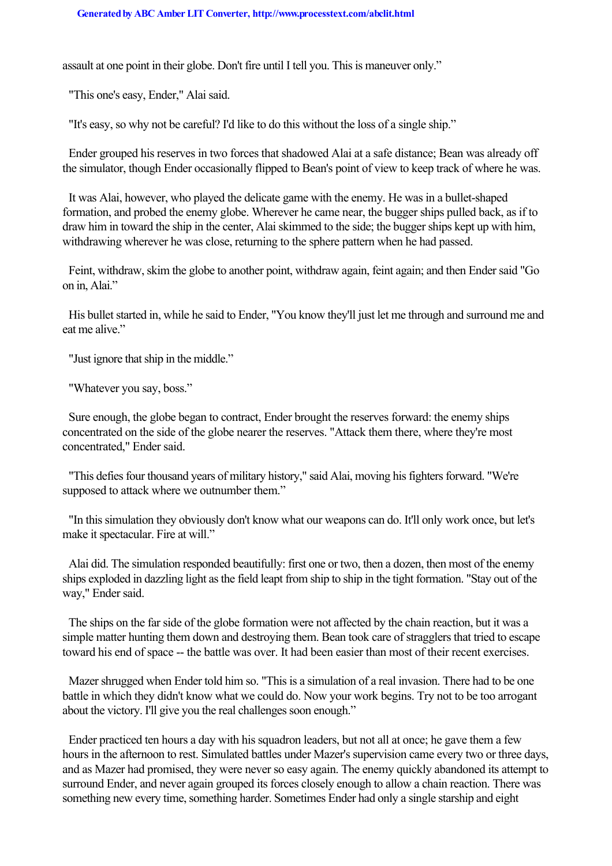assault at one point in their globe. Don't fire until I tell you. This is maneuver only."

"This one's easy, Ender," Alai said.

"It's easy, so why not be careful? I'd like to do this without the loss of a single ship."

 Ender grouped his reserves in two forces that shadowed Alai at a safe distance; Bean was already off the simulator, though Ender occasionally flipped to Bean's point of view to keep track of where he was.

 It was Alai, however, who played the delicate game with the enemy. He was in a bullet-shaped formation, and probed the enemy globe. Wherever he came near, the bugger ships pulled back, as if to draw him in toward the ship in the center, Alai skimmed to the side; the bugger ships kept up with him, withdrawing wherever he was close, returning to the sphere pattern when he had passed.

 Feint, withdraw, skim the globe to another point, withdraw again, feint again; and then Ender said "Go on in, Alai."

 His bullet started in, while he said to Ender, "You know they'll just let me through and surround me and eat me alive."

"Just ignore that ship in the middle."

"Whatever you say, boss."

 Sure enough, the globe began to contract, Ender brought the reserves forward: the enemy ships concentrated on the side of the globe nearer the reserves. "Attack them there, where they're most concentrated," Ender said.

 "This defies four thousand years of military history," said Alai, moving his fighters forward. "We're supposed to attack where we outnumber them."

 "In this simulation they obviously don't know what our weapons can do. It'll only work once, but let's make it spectacular. Fire at will."

 Alai did. The simulation responded beautifully: first one or two, then a dozen, then most of the enemy ships exploded in dazzling light as the field leapt from ship to ship in the tight formation. "Stay out of the way," Ender said.

 The ships on the far side of the globe formation were not affected by the chain reaction, but it was a simple matter hunting them down and destroying them. Bean took care of stragglers that tried to escape toward his end of space -- the battle was over. It had been easier than most of their recent exercises.

 Mazer shrugged when Ender told him so. "This is a simulation of a real invasion. There had to be one battle in which they didn't know what we could do. Now your work begins. Try not to be too arrogant about the victory. I'll give you the real challenges soon enough."

 Ender practiced ten hours a day with his squadron leaders, but not all at once; he gave them a few hours in the afternoon to rest. Simulated battles under Mazer's supervision came every two or three days, and as Mazer had promised, they were never so easy again. The enemy quickly abandoned its attempt to surround Ender, and never again grouped its forces closely enough to allow a chain reaction. There was something new every time, something harder. Sometimes Ender had only a single starship and eight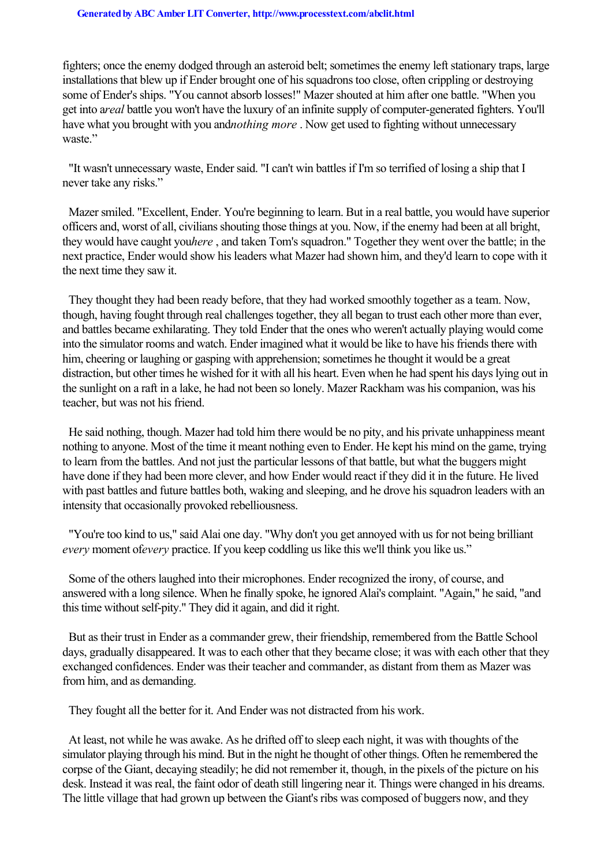fighters; once the enemy dodged through an asteroid belt; sometimes the enemy left stationary traps, large installations that blew up if Ender brought one of his squadrons too close, often crippling or destroying some of Ender's ships. "You cannot absorb losses!" Mazer shouted at him after one battle. "When you get into a*real* battle you won't have the luxury of an infinite supply of computer-generated fighters. You'll have what you brought with you and*nothing more* . Now get used to fighting without unnecessary waste "

 "It wasn't unnecessary waste, Ender said. "I can't win battles if I'm so terrified of losing a ship that I never take any risks."

 Mazer smiled. "Excellent, Ender. You're beginning to learn. But in a real battle, you would have superior officers and, worst of all, civilians shouting those things at you. Now, if the enemy had been at all bright, they would have caught you*here* , and taken Tom's squadron." Together they went over the battle; in the next practice, Ender would show his leaders what Mazer had shown him, and they'd learn to cope with it the next time they saw it.

 They thought they had been ready before, that they had worked smoothly together as a team. Now, though, having fought through real challenges together, they all began to trust each other more than ever, and battles became exhilarating. They told Ender that the ones who weren't actually playing would come into the simulator rooms and watch. Ender imagined what it would be like to have his friends there with him, cheering or laughing or gasping with apprehension; sometimes he thought it would be a great distraction, but other times he wished for it with all his heart. Even when he had spent his days lying out in the sunlight on a raft in a lake, he had not been so lonely. Mazer Rackham was his companion, was his teacher, but was not his friend.

 He said nothing, though. Mazer had told him there would be no pity, and his private unhappiness meant nothing to anyone. Most of the time it meant nothing even to Ender. He kept his mind on the game, trying to learn from the battles. And not just the particular lessons of that battle, but what the buggers might have done if they had been more clever, and how Ender would react if they did it in the future. He lived with past battles and future battles both, waking and sleeping, and he drove his squadron leaders with an intensity that occasionally provoked rebelliousness.

 "You're too kind to us," said Alai one day. "Why don't you get annoyed with us for not being brilliant *every* moment of*every* practice. If you keep coddling us like this we'll think you like us."

 Some of the others laughed into their microphones. Ender recognized the irony, of course, and answered with a long silence. When he finally spoke, he ignored Alai's complaint. "Again," he said, "and this time without self-pity." They did it again, and did it right.

 But as their trust in Ender as a commander grew, their friendship, remembered from the Battle School days, gradually disappeared. It was to each other that they became close; it was with each other that they exchanged confidences. Ender was their teacher and commander, as distant from them as Mazer was from him, and as demanding.

They fought all the better for it. And Ender was not distracted from his work.

 At least, not while he was awake. As he drifted off to sleep each night, it was with thoughts of the simulator playing through his mind. But in the night he thought of other things. Often he remembered the corpse of the Giant, decaying steadily; he did not remember it, though, in the pixels of the picture on his desk. Instead it was real, the faint odor of death still lingering near it. Things were changed in his dreams. The little village that had grown up between the Giant's ribs was composed of buggers now, and they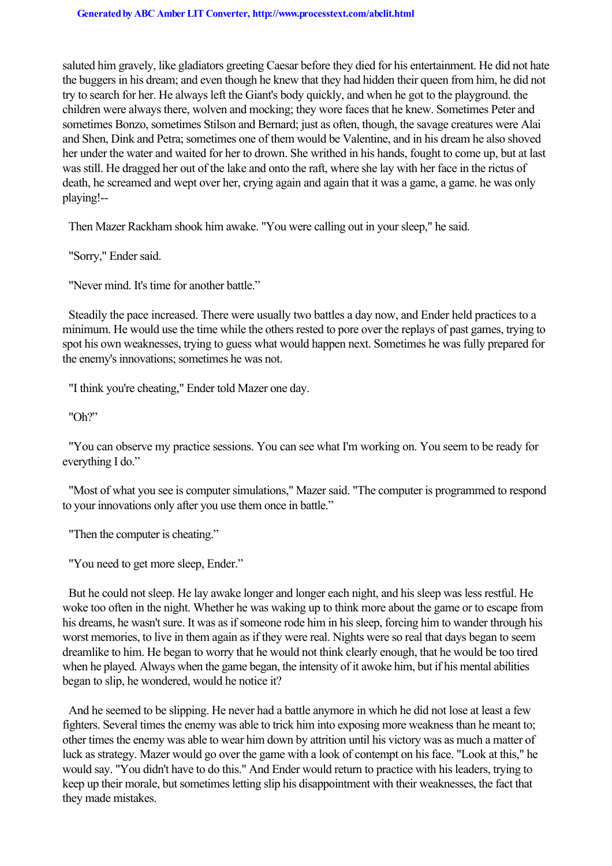saluted him gravely, like gladiators greeting Caesar before they died for his entertainment. He did not hate the buggers in his dream; and even though he knew that they had hidden their queen from him, he did not try to search for her. He always left the Giant's body quickly, and when he got to the playground. the children were always there, wolven and mocking; they wore faces that he knew. Sometimes Peter and sometimes Bonzo, sometimes Stilson and Bernard; just as often, though, the savage creatures were Alai and Shen, Dink and Petra; sometimes one of them would be Valentine, and in his dream he also shoved her under the water and waited for her to drown. She writhed in his hands, fought to come up, but at last was still. He dragged her out of the lake and onto the raft, where she lay with her face in the rictus of death, he screamed and wept over her, crying again and again that it was a game, a game. he was only playing!--

Then Mazer Rackham shook him awake. "You were calling out in your sleep," he said.

"Sorry," Ender said.

"Never mind. It's time for another battle."

 Steadily the pace increased. There were usually two battles a day now, and Ender held practices to a minimum. He would use the time while the others rested to pore over the replays of past games, trying to spot his own weaknesses, trying to guess what would happen next. Sometimes he was fully prepared for the enemy's innovations; sometimes he was not.

"I think you're cheating," Ender told Mazer one day.

"Oh?"

 "You can observe my practice sessions. You can see what I'm working on. You seem to be ready for everything I do."

 "Most of what you see is computer simulations," Mazer said. "The computer is programmed to respond to your innovations only after you use them once in battle."

"Then the computer is cheating."

"You need to get more sleep, Ender."

 But he could not sleep. He lay awake longer and longer each night, and his sleep was less restful. He woke too often in the night. Whether he was waking up to think more about the game or to escape from his dreams, he wasn't sure. It was as if someone rode him in his sleep, forcing him to wander through his worst memories, to live in them again as if they were real. Nights were so real that days began to seem dreamlike to him. He began to worry that he would not think clearly enough, that he would be too tired when he played. Always when the game began, the intensity of it awoke him, but if his mental abilities began to slip, he wondered, would he notice it?

 And he seemed to be slipping. He never had a battle anymore in which he did not lose at least a few fighters. Several times the enemy was able to trick him into exposing more weakness than he meant to; other times the enemy was able to wear him down by attrition until his victory was as much a matter of luck as strategy. Mazer would go over the game with a look of contempt on his face. "Look at this," he would say. "You didn't have to do this." And Ender would return to practice with his leaders, trying to keep up their morale, but sometimes letting slip his disappointment with their weaknesses, the fact that they made mistakes.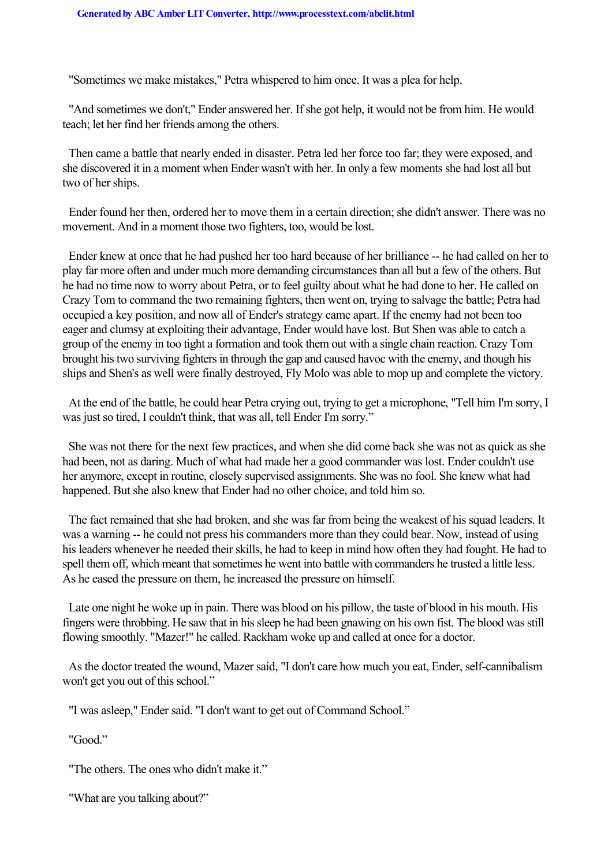"Sometimes we make mistakes," Petra whispered to him once. It was a plea for help.

 "And sometimes we don't," Ender answered her. If she got help, it would not be from him. He would teach; let her find her friends among the others.

 Then came a battle that nearly ended in disaster. Petra led her force too far; they were exposed, and she discovered it in a moment when Ender wasn't with her. In only a few moments she had lost all but two of her ships.

 Ender found her then, ordered her to move them in a certain direction; she didn't answer. There was no movement. And in a moment those two fighters, too, would be lost.

 Ender knew at once that he had pushed her too hard because of her brilliance -- he had called on her to play far more often and under much more demanding circumstances than all but a few of the others. But he had no time now to worry about Petra, or to feel guilty about what he had done to her. He called on Crazy Tom to command the two remaining fighters, then went on, trying to salvage the battle; Petra had occupied a key position, and now all of Ender's strategy came apart. If the enemy had not been too eager and clumsy at exploiting their advantage, Ender would have lost. But Shen was able to catch a group of the enemy in too tight a formation and took them out with a single chain reaction. Crazy Tom brought his two surviving fighters in through the gap and caused havoc with the enemy, and though his ships and Shen's as well were finally destroyed, Fly Molo was able to mop up and complete the victory.

 At the end of the battle, he could hear Petra crying out, trying to get a microphone, "Tell him I'm sorry, I was just so tired, I couldn't think, that was all, tell Ender I'm sorry."

 She was not there for the next few practices, and when she did come back she was not as quick as she had been, not as daring. Much of what had made her a good commander was lost. Ender couldn't use her anymore, except in routine, closely supervised assignments. She was no fool. She knew what had happened. But she also knew that Ender had no other choice, and told him so.

 The fact remained that she had broken, and she was far from being the weakest of his squad leaders. It was a warning -- he could not press his commanders more than they could bear. Now, instead of using his leaders whenever he needed their skills, he had to keep in mind how often they had fought. He had to spell them off, which meant that sometimes he went into battle with commanders he trusted a little less. As he eased the pressure on them, he increased the pressure on himself.

 Late one night he woke up in pain. There was blood on his pillow, the taste of blood in his mouth. His fingers were throbbing. He saw that in his sleep he had been gnawing on his own fist. The blood was still flowing smoothly. "Mazer!" he called. Rackham woke up and called at once for a doctor.

 As the doctor treated the wound, Mazer said, "I don't care how much you eat, Ender, self-cannibalism won't get you out of this school."

"I was asleep," Ender said. "I don't want to get out of Command School."

"Good."

"The others. The ones who didn't make it."

"What are you talking about?"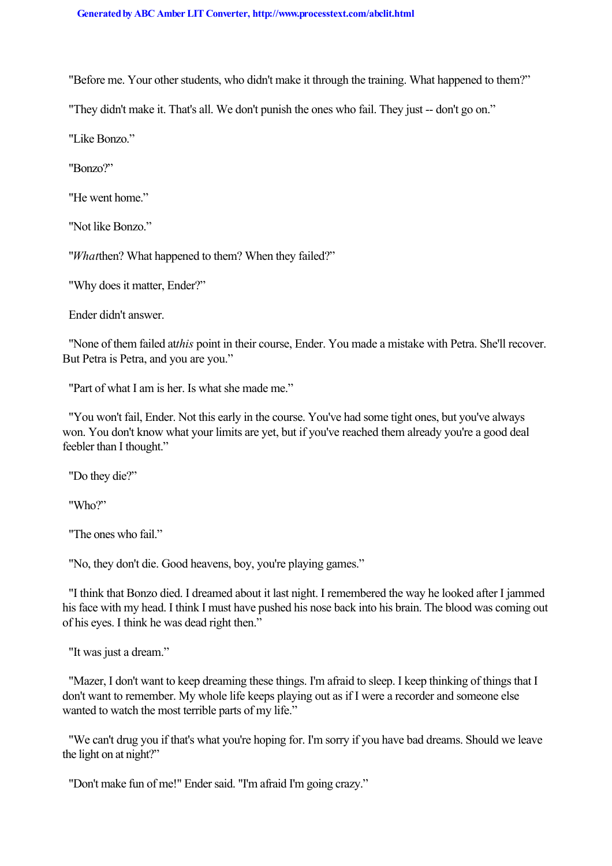"Before me. Your other students, who didn't make it through the training. What happened to them?"

"They didn't make it. That's all. We don't punish the ones who fail. They just -- don't go on."

"Like Bonzo."

"Bonzo?"

"He went home"

"Not like Bonzo."

"*What*then? What happened to them? When they failed?"

"Why does it matter, Ender?"

Ender didn't answer.

 "None of them failed at*this* point in their course, Ender. You made a mistake with Petra. She'll recover. But Petra is Petra, and you are you."

"Part of what I am is her. Is what she made me."

 "You won't fail, Ender. Not this early in the course. You've had some tight ones, but you've always won. You don't know what your limits are yet, but if you've reached them already you're a good deal feebler than I thought."

"Do they die?"

"Who?"

"The ones who fail."

"No, they don't die. Good heavens, boy, you're playing games."

 "I think that Bonzo died. I dreamed about it last night. I remembered the way he looked after I jammed his face with my head. I think I must have pushed his nose back into his brain. The blood was coming out of his eyes. I think he was dead right then."

"It was just a dream."

 "Mazer, I don't want to keep dreaming these things. I'm afraid to sleep. I keep thinking of things that I don't want to remember. My whole life keeps playing out as if I were a recorder and someone else wanted to watch the most terrible parts of my life."

 "We can't drug you if that's what you're hoping for. I'm sorry if you have bad dreams. Should we leave the light on at night?"

"Don't make fun of me!" Ender said. "I'm afraid I'm going crazy."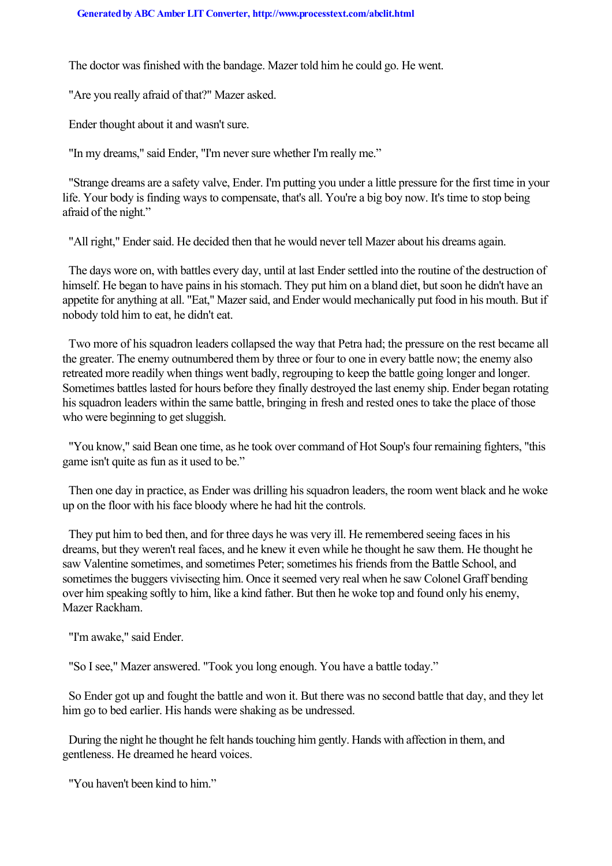The doctor was finished with the bandage. Mazer told him he could go. He went.

"Are you really afraid of that?" Mazer asked.

Ender thought about it and wasn't sure.

"In my dreams," said Ender, "I'm never sure whether I'm really me."

 "Strange dreams are a safety valve, Ender. I'm putting you under a little pressure for the first time in your life. Your body is finding ways to compensate, that's all. You're a big boy now. It's time to stop being afraid of the night."

"All right," Ender said. He decided then that he would never tell Mazer about his dreams again.

 The days wore on, with battles every day, until at last Ender settled into the routine of the destruction of himself. He began to have pains in his stomach. They put him on a bland diet, but soon he didn't have an appetite for anything at all. "Eat," Mazer said, and Ender would mechanically put food in his mouth. But if nobody told him to eat, he didn't eat.

 Two more of his squadron leaders collapsed the way that Petra had; the pressure on the rest became all the greater. The enemy outnumbered them by three or four to one in every battle now; the enemy also retreated more readily when things went badly, regrouping to keep the battle going longer and longer. Sometimes battles lasted for hours before they finally destroyed the last enemy ship. Ender began rotating his squadron leaders within the same battle, bringing in fresh and rested ones to take the place of those who were beginning to get sluggish.

 "You know," said Bean one time, as he took over command of Hot Soup's four remaining fighters, "this game isn't quite as fun as it used to be."

 Then one day in practice, as Ender was drilling his squadron leaders, the room went black and he woke up on the floor with his face bloody where he had hit the controls.

 They put him to bed then, and for three days he was very ill. He remembered seeing faces in his dreams, but they weren't real faces, and he knew it even while he thought he saw them. He thought he saw Valentine sometimes, and sometimes Peter; sometimes his friends from the Battle School, and sometimes the buggers vivisecting him. Once it seemed very real when he saw Colonel Graff bending over him speaking softly to him, like a kind father. But then he woke top and found only his enemy, Mazer Rackham.

"I'm awake," said Ender.

"So I see," Mazer answered. "Took you long enough. You have a battle today."

 So Ender got up and fought the battle and won it. But there was no second battle that day, and they let him go to bed earlier. His hands were shaking as be undressed.

 During the night he thought he felt hands touching him gently. Hands with affection in them, and gentleness. He dreamed he heard voices.

"You haven't been kind to him."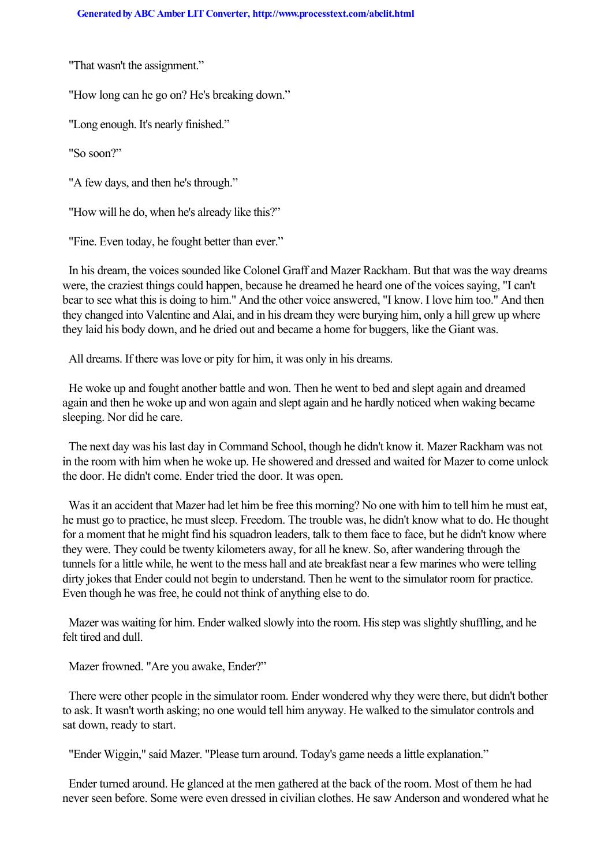"That wasn't the assignment."

"How long can he go on? He's breaking down."

"Long enough. It's nearly finished."

"So soon?"

"A few days, and then he's through."

"How will he do, when he's already like this?"

"Fine. Even today, he fought better than ever."

 In his dream, the voices sounded like Colonel Graff and Mazer Rackham. But that was the way dreams were, the craziest things could happen, because he dreamed he heard one of the voices saying, "I can't bear to see what this is doing to him." And the other voice answered, "I know. I love him too." And then they changed into Valentine and Alai, and in his dream they were burying him, only a hill grew up where they laid his body down, and he dried out and became a home for buggers, like the Giant was.

All dreams. If there was love or pity for him, it was only in his dreams.

 He woke up and fought another battle and won. Then he went to bed and slept again and dreamed again and then he woke up and won again and slept again and he hardly noticed when waking became sleeping. Nor did he care.

 The next day was his last day in Command School, though he didn't know it. Mazer Rackham was not in the room with him when he woke up. He showered and dressed and waited for Mazer to come unlock the door. He didn't come. Ender tried the door. It was open.

 Was it an accident that Mazer had let him be free this morning? No one with him to tell him he must eat, he must go to practice, he must sleep. Freedom. The trouble was, he didn't know what to do. He thought for a moment that he might find his squadron leaders, talk to them face to face, but he didn't know where they were. They could be twenty kilometers away, for all he knew. So, after wandering through the tunnels for a little while, he went to the mess hall and ate breakfast near a few marines who were telling dirty jokes that Ender could not begin to understand. Then he went to the simulator room for practice. Even though he was free, he could not think of anything else to do.

 Mazer was waiting for him. Ender walked slowly into the room. His step was slightly shuffling, and he felt tired and dull

Mazer frowned. "Are you awake, Ender?"

 There were other people in the simulator room. Ender wondered why they were there, but didn't bother to ask. It wasn't worth asking; no one would tell him anyway. He walked to the simulator controls and sat down, ready to start.

"Ender Wiggin," said Mazer. "Please turn around. Today's game needs a little explanation."

 Ender turned around. He glanced at the men gathered at the back of the room. Most of them he had never seen before. Some were even dressed in civilian clothes. He saw Anderson and wondered what he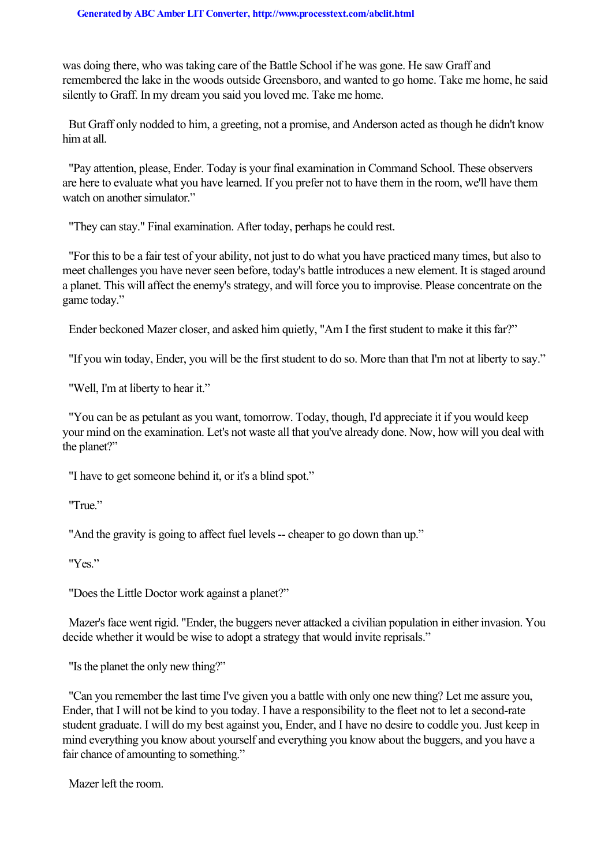was doing there, who was taking care of the Battle School if he was gone. He saw Graff and remembered the lake in the woods outside Greensboro, and wanted to go home. Take me home, he said silently to Graff. In my dream you said you loved me. Take me home.

 But Graff only nodded to him, a greeting, not a promise, and Anderson acted as though he didn't know him at all.

 "Pay attention, please, Ender. Today is your final examination in Command School. These observers are here to evaluate what you have learned. If you prefer not to have them in the room, we'll have them watch on another simulator."

"They can stay." Final examination. After today, perhaps he could rest.

 "For this to be a fair test of your ability, not just to do what you have practiced many times, but also to meet challenges you have never seen before, today's battle introduces a new element. It is staged around a planet. This will affect the enemy's strategy, and will force you to improvise. Please concentrate on the game today."

Ender beckoned Mazer closer, and asked him quietly, "Am I the first student to make it this far?"

"If you win today, Ender, you will be the first student to do so. More than that I'm not at liberty to say."

"Well, I'm at liberty to hear it."

 "You can be as petulant as you want, tomorrow. Today, though, I'd appreciate it if you would keep your mind on the examination. Let's not waste all that you've already done. Now, how will you deal with the planet?"

"I have to get someone behind it, or it's a blind spot."

"True."

"And the gravity is going to affect fuel levels -- cheaper to go down than up."

"Yes."

"Does the Little Doctor work against a planet?"

 Mazer's face went rigid. "Ender, the buggers never attacked a civilian population in either invasion. You decide whether it would be wise to adopt a strategy that would invite reprisals."

"Is the planet the only new thing?"

 "Can you remember the last time I've given you a battle with only one new thing? Let me assure you, Ender, that I will not be kind to you today. I have a responsibility to the fleet not to let a second-rate student graduate. I will do my best against you, Ender, and I have no desire to coddle you. Just keep in mind everything you know about yourself and everything you know about the buggers, and you have a fair chance of amounting to something."

Mazer left the room.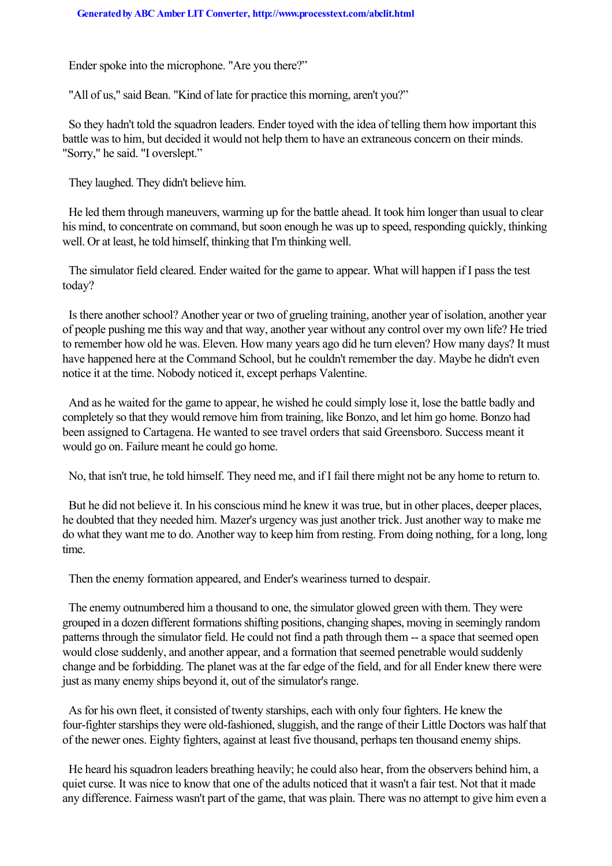Ender spoke into the microphone. "Are you there?"

"All of us," said Bean. "Kind of late for practice this morning, aren't you?"

 So they hadn't told the squadron leaders. Ender toyed with the idea of telling them how important this battle was to him, but decided it would not help them to have an extraneous concern on their minds. "Sorry," he said. "I overslept."

They laughed. They didn't believe him.

 He led them through maneuvers, warming up for the battle ahead. It took him longer than usual to clear his mind, to concentrate on command, but soon enough he was up to speed, responding quickly, thinking well. Or at least, he told himself, thinking that I'm thinking well.

 The simulator field cleared. Ender waited for the game to appear. What will happen if I pass the test today?

 Is there another school? Another year or two of grueling training, another year of isolation, another year of people pushing me this way and that way, another year without any control over my own life? He tried to remember how old he was. Eleven. How many years ago did he turn eleven? How many days? It must have happened here at the Command School, but he couldn't remember the day. Maybe he didn't even notice it at the time. Nobody noticed it, except perhaps Valentine.

 And as he waited for the game to appear, he wished he could simply lose it, lose the battle badly and completely so that they would remove him from training, like Bonzo, and let him go home. Bonzo had been assigned to Cartagena. He wanted to see travel orders that said Greensboro. Success meant it would go on. Failure meant he could go home.

No, that isn't true, he told himself. They need me, and if I fail there might not be any home to return to.

 But he did not believe it. In his conscious mind he knew it was true, but in other places, deeper places, he doubted that they needed him. Mazer's urgency was just another trick. Just another way to make me do what they want me to do. Another way to keep him from resting. From doing nothing, for a long, long time.

Then the enemy formation appeared, and Ender's weariness turned to despair.

 The enemy outnumbered him a thousand to one, the simulator glowed green with them. They were grouped in a dozen different formations shifting positions, changing shapes, moving in seemingly random patterns through the simulator field. He could not find a path through them -- a space that seemed open would close suddenly, and another appear, and a formation that seemed penetrable would suddenly change and be forbidding. The planet was at the far edge of the field, and for all Ender knew there were just as many enemy ships beyond it, out of the simulator's range.

 As for his own fleet, it consisted of twenty starships, each with only four fighters. He knew the four-fighter starships they were old-fashioned, sluggish, and the range of their Little Doctors was half that of the newer ones. Eighty fighters, against at least five thousand, perhaps ten thousand enemy ships.

 He heard his squadron leaders breathing heavily; he could also hear, from the observers behind him, a quiet curse. It was nice to know that one of the adults noticed that it wasn't a fair test. Not that it made any difference. Fairness wasn't part of the game, that was plain. There was no attempt to give him even a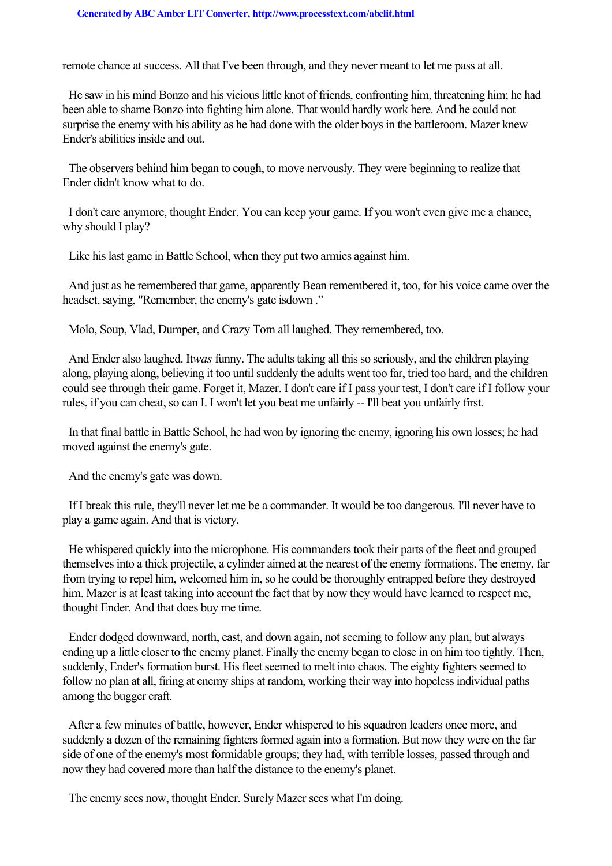remote chance at success. All that I've been through, and they never meant to let me pass at all.

 He saw in his mind Bonzo and his vicious little knot of friends, confronting him, threatening him; he had been able to shame Bonzo into fighting him alone. That would hardly work here. And he could not surprise the enemy with his ability as he had done with the older boys in the battleroom. Mazer knew Ender's abilities inside and out.

 The observers behind him began to cough, to move nervously. They were beginning to realize that Ender didn't know what to do.

 I don't care anymore, thought Ender. You can keep your game. If you won't even give me a chance, why should I play?

Like his last game in Battle School, when they put two armies against him.

 And just as he remembered that game, apparently Bean remembered it, too, for his voice came over the headset, saying, "Remember, the enemy's gate isdown ."

Molo, Soup, Vlad, Dumper, and Crazy Tom all laughed. They remembered, too.

 And Ender also laughed. It*was* funny. The adults taking all this so seriously, and the children playing along, playing along, believing it too until suddenly the adults went too far, tried too hard, and the children could see through their game. Forget it, Mazer. I don't care if I pass your test, I don't care if I follow your rules, if you can cheat, so can I. I won't let you beat me unfairly -- I'll beat you unfairly first.

 In that final battle in Battle School, he had won by ignoring the enemy, ignoring his own losses; he had moved against the enemy's gate.

And the enemy's gate was down.

 If I break this rule, they'll never let me be a commander. It would be too dangerous. I'll never have to play a game again. And that is victory.

 He whispered quickly into the microphone. His commanders took their parts of the fleet and grouped themselves into a thick projectile, a cylinder aimed at the nearest of the enemy formations. The enemy, far from trying to repel him, welcomed him in, so he could be thoroughly entrapped before they destroyed him. Mazer is at least taking into account the fact that by now they would have learned to respect me, thought Ender. And that does buy me time.

 Ender dodged downward, north, east, and down again, not seeming to follow any plan, but always ending up a little closer to the enemy planet. Finally the enemy began to close in on him too tightly. Then, suddenly, Ender's formation burst. His fleet seemed to melt into chaos. The eighty fighters seemed to follow no plan at all, firing at enemy ships at random, working their way into hopeless individual paths among the bugger craft.

 After a few minutes of battle, however, Ender whispered to his squadron leaders once more, and suddenly a dozen of the remaining fighters formed again into a formation. But now they were on the far side of one of the enemy's most formidable groups; they had, with terrible losses, passed through and now they had covered more than half the distance to the enemy's planet.

The enemy sees now, thought Ender. Surely Mazer sees what I'm doing.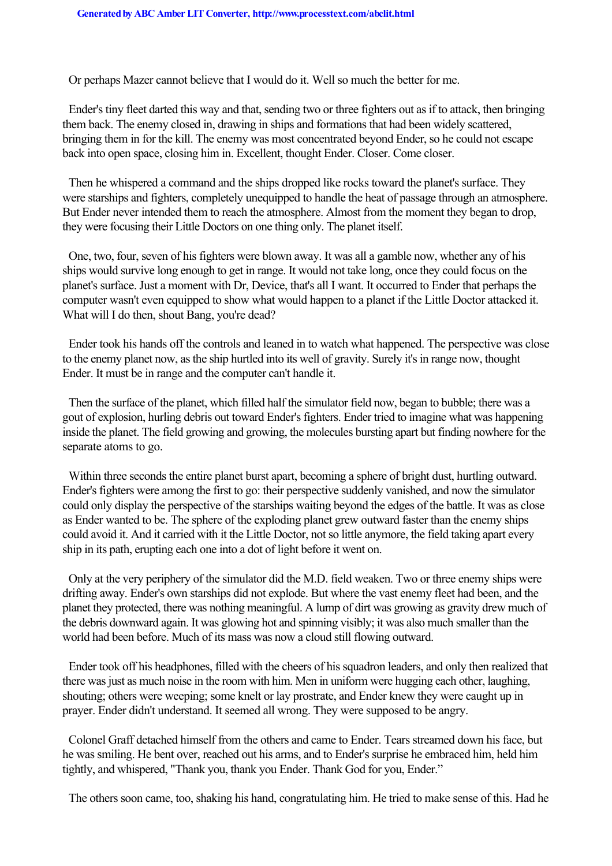Or perhaps Mazer cannot believe that I would do it. Well so much the better for me.

 Ender's tiny fleet darted this way and that, sending two or three fighters out as if to attack, then bringing them back. The enemy closed in, drawing in ships and formations that had been widely scattered, bringing them in for the kill. The enemy was most concentrated beyond Ender, so he could not escape back into open space, closing him in. Excellent, thought Ender. Closer. Come closer.

 Then he whispered a command and the ships dropped like rocks toward the planet's surface. They were starships and fighters, completely unequipped to handle the heat of passage through an atmosphere. But Ender never intended them to reach the atmosphere. Almost from the moment they began to drop, they were focusing their Little Doctors on one thing only. The planet itself.

 One, two, four, seven of his fighters were blown away. It was all a gamble now, whether any of his ships would survive long enough to get in range. It would not take long, once they could focus on the planet's surface. Just a moment with Dr, Device, that's all I want. It occurred to Ender that perhaps the computer wasn't even equipped to show what would happen to a planet if the Little Doctor attacked it. What will I do then, shout Bang, you're dead?

 Ender took his hands off the controls and leaned in to watch what happened. The perspective was close to the enemy planet now, as the ship hurtled into its well of gravity. Surely it's in range now, thought Ender. It must be in range and the computer can't handle it.

 Then the surface of the planet, which filled half the simulator field now, began to bubble; there was a gout of explosion, hurling debris out toward Ender's fighters. Ender tried to imagine what was happening inside the planet. The field growing and growing, the molecules bursting apart but finding nowhere for the separate atoms to go.

 Within three seconds the entire planet burst apart, becoming a sphere of bright dust, hurtling outward. Ender's fighters were among the first to go: their perspective suddenly vanished, and now the simulator could only display the perspective of the starships waiting beyond the edges of the battle. It was as close as Ender wanted to be. The sphere of the exploding planet grew outward faster than the enemy ships could avoid it. And it carried with it the Little Doctor, not so little anymore, the field taking apart every ship in its path, erupting each one into a dot of light before it went on.

 Only at the very periphery of the simulator did the M.D. field weaken. Two or three enemy ships were drifting away. Ender's own starships did not explode. But where the vast enemy fleet had been, and the planet they protected, there was nothing meaningful. A lump of dirt was growing as gravity drew much of the debris downward again. It was glowing hot and spinning visibly; it was also much smaller than the world had been before. Much of its mass was now a cloud still flowing outward.

 Ender took off his headphones, filled with the cheers of his squadron leaders, and only then realized that there was just as much noise in the room with him. Men in uniform were hugging each other, laughing, shouting; others were weeping; some knelt or lay prostrate, and Ender knew they were caught up in prayer. Ender didn't understand. It seemed all wrong. They were supposed to be angry.

 Colonel Graff detached himself from the others and came to Ender. Tears streamed down his face, but he was smiling. He bent over, reached out his arms, and to Ender's surprise he embraced him, held him tightly, and whispered, "Thank you, thank you Ender. Thank God for you, Ender."

The others soon came, too, shaking his hand, congratulating him. He tried to make sense of this. Had he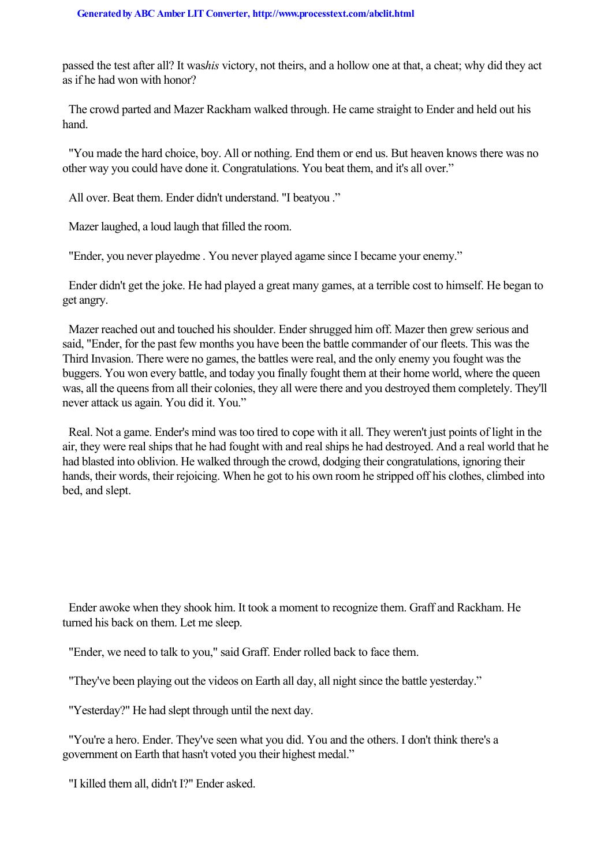passed the test after all? It was*his* victory, not theirs, and a hollow one at that, a cheat; why did they act as if he had won with honor?

 The crowd parted and Mazer Rackham walked through. He came straight to Ender and held out his hand.

 "You made the hard choice, boy. All or nothing. End them or end us. But heaven knows there was no other way you could have done it. Congratulations. You beat them, and it's all over."

All over. Beat them. Ender didn't understand. "I beatyou ."

Mazer laughed, a loud laugh that filled the room.

"Ender, you never playedme . You never played agame since I became your enemy."

 Ender didn't get the joke. He had played a great many games, at a terrible cost to himself. He began to get angry.

 Mazer reached out and touched his shoulder. Ender shrugged him off. Mazer then grew serious and said, "Ender, for the past few months you have been the battle commander of our fleets. This was the Third Invasion. There were no games, the battles were real, and the only enemy you fought was the buggers. You won every battle, and today you finally fought them at their home world, where the queen was, all the queens from all their colonies, they all were there and you destroyed them completely. They'll never attack us again. You did it. You."

 Real. Not a game. Ender's mind was too tired to cope with it all. They weren't just points of light in the air, they were real ships that he had fought with and real ships he had destroyed. And a real world that he had blasted into oblivion. He walked through the crowd, dodging their congratulations, ignoring their hands, their words, their rejoicing. When he got to his own room he stripped off his clothes, climbed into bed, and slept.

 Ender awoke when they shook him. It took a moment to recognize them. Graff and Rackham. He turned his back on them. Let me sleep.

"Ender, we need to talk to you," said Graff. Ender rolled back to face them.

"They've been playing out the videos on Earth all day, all night since the battle yesterday."

"Yesterday?" He had slept through until the next day.

 "You're a hero. Ender. They've seen what you did. You and the others. I don't think there's a government on Earth that hasn't voted you their highest medal."

"I killed them all, didn't I?" Ender asked.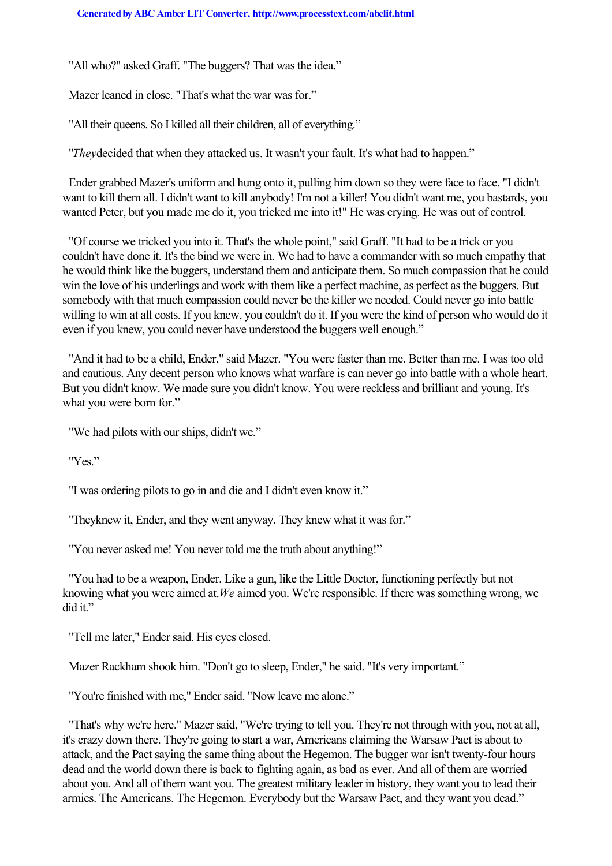"All who?" asked Graff. "The buggers? That was the idea."

Mazer leaned in close. "That's what the war was for."

"All their queens. So I killed all their children, all of everything."

"*They*decided that when they attacked us. It wasn't your fault. It's what had to happen."

 Ender grabbed Mazer's uniform and hung onto it, pulling him down so they were face to face. "I didn't want to kill them all. I didn't want to kill anybody! I'm not a killer! You didn't want me, you bastards, you wanted Peter, but you made me do it, you tricked me into it!" He was crying. He was out of control.

 "Of course we tricked you into it. That's the whole point," said Graff. "It had to be a trick or you couldn't have done it. It's the bind we were in. We had to have a commander with so much empathy that he would think like the buggers, understand them and anticipate them. So much compassion that he could win the love of his underlings and work with them like a perfect machine, as perfect as the buggers. But somebody with that much compassion could never be the killer we needed. Could never go into battle willing to win at all costs. If you knew, you couldn't do it. If you were the kind of person who would do it even if you knew, you could never have understood the buggers well enough."

 "And it had to be a child, Ender," said Mazer. "You were faster than me. Better than me. I was too old and cautious. Any decent person who knows what warfare is can never go into battle with a whole heart. But you didn't know. We made sure you didn't know. You were reckless and brilliant and young. It's what you were born for."

"We had pilots with our ships, didn't we."

"Yes."

"I was ordering pilots to go in and die and I didn't even know it."

"Theyknew it, Ender, and they went anyway. They knew what it was for."

"You never asked me! You never told me the truth about anything!"

 "You had to be a weapon, Ender. Like a gun, like the Little Doctor, functioning perfectly but not knowing what you were aimed at.*We* aimed you. We're responsible. If there was something wrong, we did it."

"Tell me later," Ender said. His eyes closed.

Mazer Rackham shook him. "Don't go to sleep, Ender," he said. "It's very important."

"You're finished with me," Ender said. "Now leave me alone."

 "That's why we're here." Mazer said, "We're trying to tell you. They're not through with you, not at all, it's crazy down there. They're going to start a war, Americans claiming the Warsaw Pact is about to attack, and the Pact saying the same thing about the Hegemon. The bugger war isn't twenty-four hours dead and the world down there is back to fighting again, as bad as ever. And all of them are worried about you. And all of them want you. The greatest military leader in history, they want you to lead their armies. The Americans. The Hegemon. Everybody but the Warsaw Pact, and they want you dead."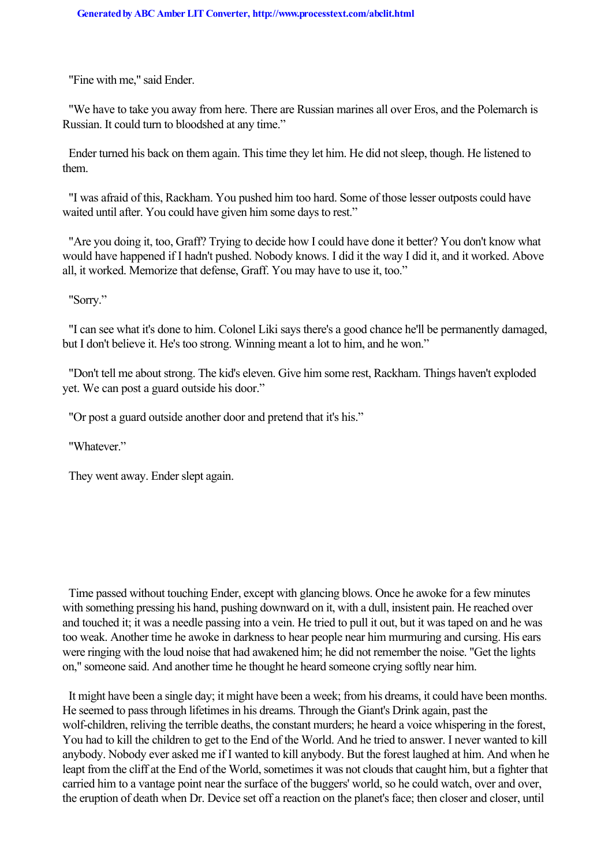"Fine with me," said Ender.

 "We have to take you away from here. There are Russian marines all over Eros, and the Polemarch is Russian. It could turn to bloodshed at any time."

 Ender turned his back on them again. This time they let him. He did not sleep, though. He listened to them.

 "I was afraid of this, Rackham. You pushed him too hard. Some of those lesser outposts could have waited until after. You could have given him some days to rest."

 "Are you doing it, too, Graff? Trying to decide how I could have done it better? You don't know what would have happened if I hadn't pushed. Nobody knows. I did it the way I did it, and it worked. Above all, it worked. Memorize that defense, Graff. You may have to use it, too."

"Sorry."

 "I can see what it's done to him. Colonel Liki says there's a good chance he'll be permanently damaged, but I don't believe it. He's too strong. Winning meant a lot to him, and he won."

 "Don't tell me about strong. The kid's eleven. Give him some rest, Rackham. Things haven't exploded yet. We can post a guard outside his door."

"Or post a guard outside another door and pretend that it's his."

"Whatever"

They went away. Ender slept again.

 Time passed without touching Ender, except with glancing blows. Once he awoke for a few minutes with something pressing his hand, pushing downward on it, with a dull, insistent pain. He reached over and touched it; it was a needle passing into a vein. He tried to pull it out, but it was taped on and he was too weak. Another time he awoke in darkness to hear people near him murmuring and cursing. His ears were ringing with the loud noise that had awakened him; he did not remember the noise. "Get the lights on," someone said. And another time he thought he heard someone crying softly near him.

 It might have been a single day; it might have been a week; from his dreams, it could have been months. He seemed to pass through lifetimes in his dreams. Through the Giant's Drink again, past the wolf-children, reliving the terrible deaths, the constant murders; he heard a voice whispering in the forest, You had to kill the children to get to the End of the World. And he tried to answer. I never wanted to kill anybody. Nobody ever asked me if I wanted to kill anybody. But the forest laughed at him. And when he leapt from the cliff at the End of the World, sometimes it was not clouds that caught him, but a fighter that carried him to a vantage point near the surface of the buggers' world, so he could watch, over and over, the eruption of death when Dr. Device set off a reaction on the planet's face; then closer and closer, until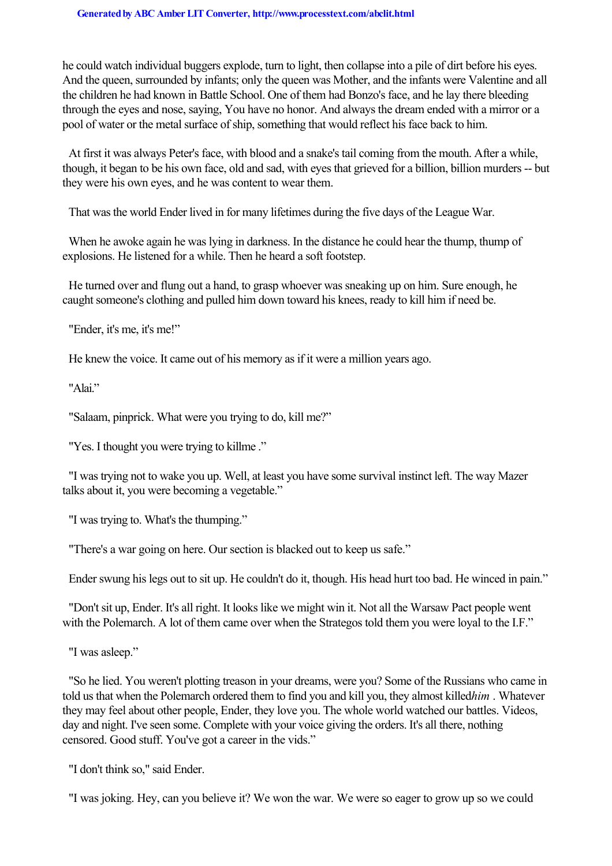he could watch individual buggers explode, turn to light, then collapse into a pile of dirt before his eyes. And the queen, surrounded by infants; only the queen was Mother, and the infants were Valentine and all the children he had known in Battle School. One of them had Bonzo's face, and he lay there bleeding through the eyes and nose, saying, You have no honor. And always the dream ended with a mirror or a pool of water or the metal surface of ship, something that would reflect his face back to him.

 At first it was always Peter's face, with blood and a snake's tail coming from the mouth. After a while, though, it began to be his own face, old and sad, with eyes that grieved for a billion, billion murders -- but they were his own eyes, and he was content to wear them.

That was the world Ender lived in for many lifetimes during the five days of the League War.

 When he awoke again he was lying in darkness. In the distance he could hear the thump, thump of explosions. He listened for a while. Then he heard a soft footstep.

 He turned over and flung out a hand, to grasp whoever was sneaking up on him. Sure enough, he caught someone's clothing and pulled him down toward his knees, ready to kill him if need be.

"Ender, it's me, it's me!"

He knew the voice. It came out of his memory as if it were a million years ago.

"Alai"

"Salaam, pinprick. What were you trying to do, kill me?"

"Yes. I thought you were trying to killme ."

 "I was trying not to wake you up. Well, at least you have some survival instinct left. The way Mazer talks about it, you were becoming a vegetable."

"I was trying to. What's the thumping."

"There's a war going on here. Our section is blacked out to keep us safe."

Ender swung his legs out to sit up. He couldn't do it, though. His head hurt too bad. He winced in pain."

 "Don't sit up, Ender. It's all right. It looks like we might win it. Not all the Warsaw Pact people went with the Polemarch. A lot of them came over when the Strategos told them you were loyal to the I.F."

"I was asleep."

 "So he lied. You weren't plotting treason in your dreams, were you? Some of the Russians who came in told us that when the Polemarch ordered them to find you and kill you, they almost killed*him* . Whatever they may feel about other people, Ender, they love you. The whole world watched our battles. Videos, day and night. I've seen some. Complete with your voice giving the orders. It's all there, nothing censored. Good stuff. You've got a career in the vids."

"I don't think so," said Ender.

"I was joking. Hey, can you believe it? We won the war. We were so eager to grow up so we could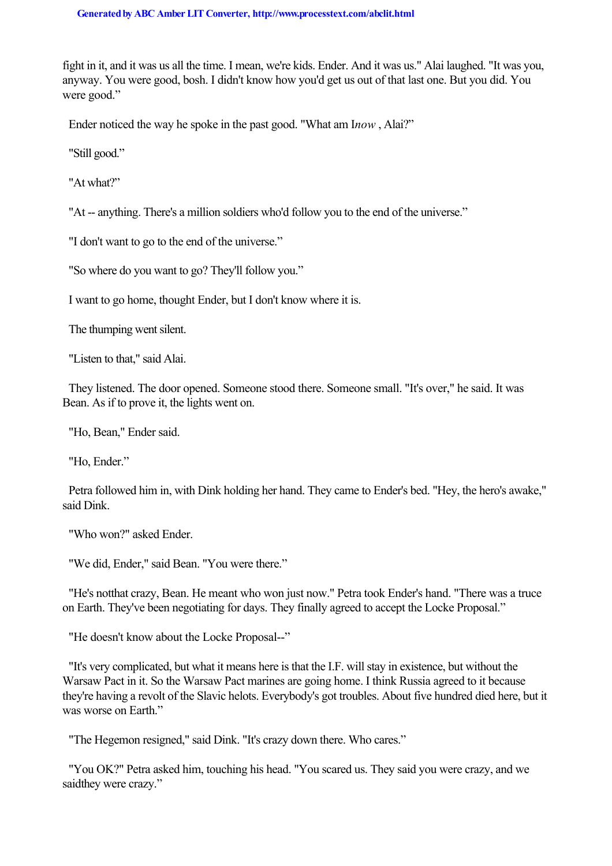fight in it, and it was us all the time. I mean, we're kids. Ender. And it was us." Alai laughed. "It was you, anyway. You were good, bosh. I didn't know how you'd get us out of that last one. But you did. You were good."

Ender noticed the way he spoke in the past good. "What am I*now* , Alai?"

"Still good."

"At what?"

"At -- anything. There's a million soldiers who'd follow you to the end of the universe."

"I don't want to go to the end of the universe."

"So where do you want to go? They'll follow you."

I want to go home, thought Ender, but I don't know where it is.

The thumping went silent.

"Listen to that," said Alai.

 They listened. The door opened. Someone stood there. Someone small. "It's over," he said. It was Bean. As if to prove it, the lights went on.

"Ho, Bean," Ender said.

"Ho, Ender."

 Petra followed him in, with Dink holding her hand. They came to Ender's bed. "Hey, the hero's awake," said Dink.

"Who won?" asked Ender.

"We did, Ender," said Bean. "You were there."

 "He's notthat crazy, Bean. He meant who won just now." Petra took Ender's hand. "There was a truce on Earth. They've been negotiating for days. They finally agreed to accept the Locke Proposal."

"He doesn't know about the Locke Proposal--"

 "It's very complicated, but what it means here is that the I.F. will stay in existence, but without the Warsaw Pact in it. So the Warsaw Pact marines are going home. I think Russia agreed to it because they're having a revolt of the Slavic helots. Everybody's got troubles. About five hundred died here, but it was worse on Earth."

"The Hegemon resigned," said Dink. "It's crazy down there. Who cares."

 "You OK?" Petra asked him, touching his head. "You scared us. They said you were crazy, and we saidthey were crazy."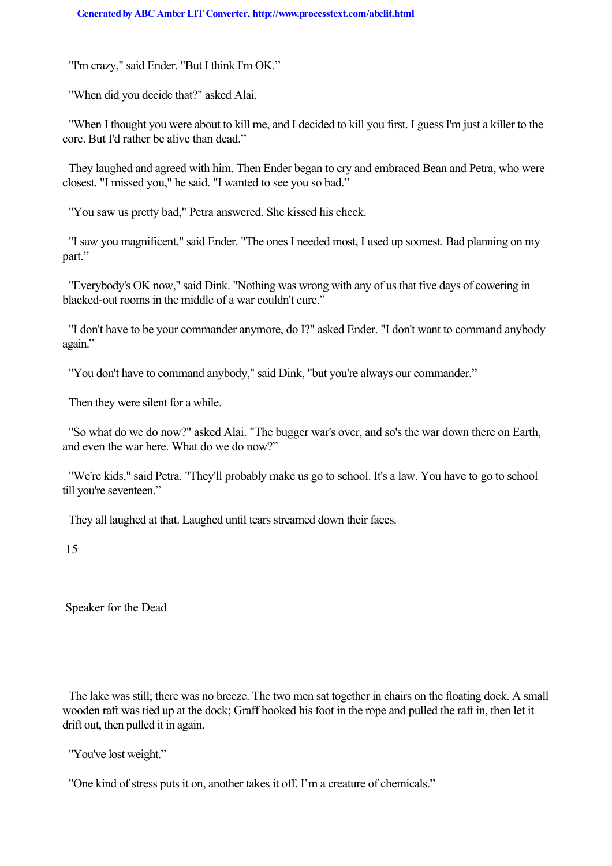"I'm crazy," said Ender. "But I think I'm OK."

"When did you decide that?" asked Alai.

 "When I thought you were about to kill me, and I decided to kill you first. I guess I'm just a killer to the core. But I'd rather be alive than dead."

 They laughed and agreed with him. Then Ender began to cry and embraced Bean and Petra, who were closest. "I missed you," he said. "I wanted to see you so bad."

"You saw us pretty bad," Petra answered. She kissed his cheek.

 "I saw you magnificent," said Ender. "The ones I needed most, I used up soonest. Bad planning on my part."

 "Everybody's OK now," said Dink. "Nothing was wrong with any of us that five days of cowering in blacked-out rooms in the middle of a war couldn't cure."

 "I don't have to be your commander anymore, do I?" asked Ender. "I don't want to command anybody again."

"You don't have to command anybody," said Dink, "but you're always our commander."

Then they were silent for a while.

 "So what do we do now?" asked Alai. "The bugger war's over, and so's the war down there on Earth, and even the war here. What do we do now?"

 "We're kids," said Petra. "They'll probably make us go to school. It's a law. You have to go to school till you're seventeen."

They all laughed at that. Laughed until tears streamed down their faces.

# 15

Speaker for the Dead

 The lake was still; there was no breeze. The two men sat together in chairs on the floating dock. A small wooden raft was tied up at the dock; Graff hooked his foot in the rope and pulled the raft in, then let it drift out, then pulled it in again.

"You've lost weight."

"One kind of stress puts it on, another takes it off. I'm a creature of chemicals."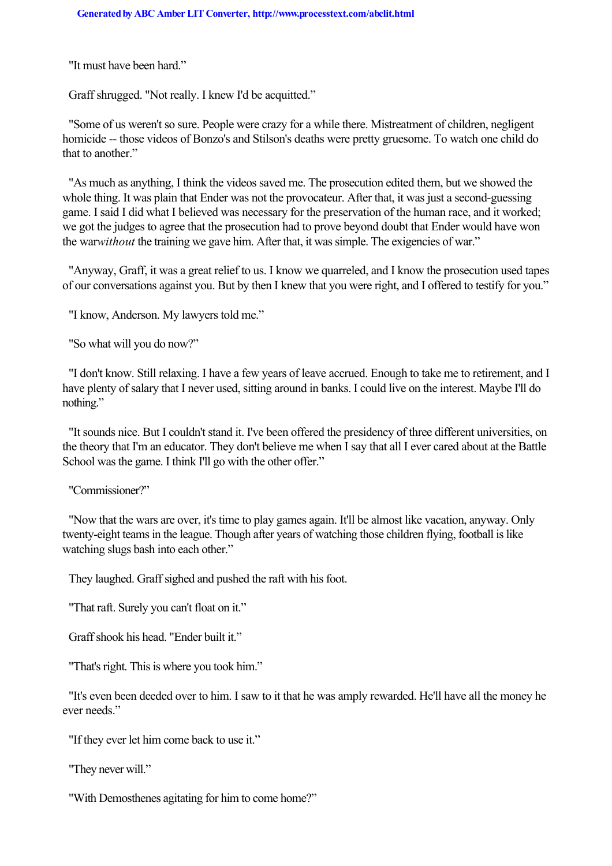"It must have been hard."

Graff shrugged. "Not really. I knew I'd be acquitted."

 "Some of us weren't so sure. People were crazy for a while there. Mistreatment of children, negligent homicide -- those videos of Bonzo's and Stilson's deaths were pretty gruesome. To watch one child do that to another"

 "As much as anything, I think the videos saved me. The prosecution edited them, but we showed the whole thing. It was plain that Ender was not the provocateur. After that, it was just a second-guessing game. I said I did what I believed was necessary for the preservation of the human race, and it worked; we got the judges to agree that the prosecution had to prove beyond doubt that Ender would have won the war*without* the training we gave him. After that, it was simple. The exigencies of war."

 "Anyway, Graff, it was a great relief to us. I know we quarreled, and I know the prosecution used tapes of our conversations against you. But by then I knew that you were right, and I offered to testify for you."

"I know, Anderson. My lawyers told me."

"So what will you do now?"

 "I don't know. Still relaxing. I have a few years of leave accrued. Enough to take me to retirement, and I have plenty of salary that I never used, sitting around in banks. I could live on the interest. Maybe I'll do nothing"

 "It sounds nice. But I couldn't stand it. I've been offered the presidency of three different universities, on the theory that I'm an educator. They don't believe me when I say that all I ever cared about at the Battle School was the game. I think I'll go with the other offer."

"Commissioner?"

 "Now that the wars are over, it's time to play games again. It'll be almost like vacation, anyway. Only twenty-eight teams in the league. Though after years of watching those children flying, football is like watching slugs bash into each other."

They laughed. Graff sighed and pushed the raft with his foot.

"That raft. Surely you can't float on it."

Graff shook his head. "Ender built it."

"That's right. This is where you took him."

 "It's even been deeded over to him. I saw to it that he was amply rewarded. He'll have all the money he ever needs."

"If they ever let him come back to use it."

"They never will."

"With Demosthenes agitating for him to come home?"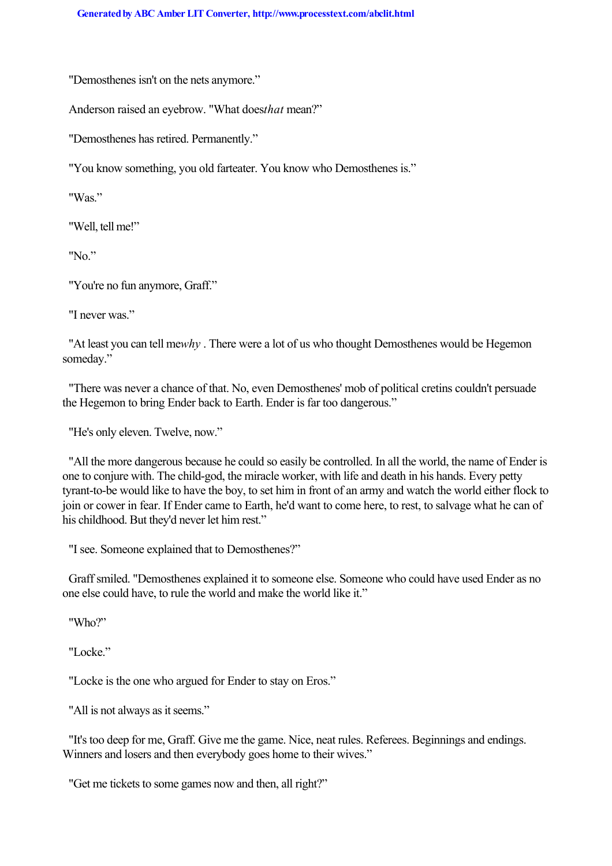"Demosthenes isn't on the nets anymore."

Anderson raised an eyebrow. "What does*that* mean?"

"Demosthenes has retired. Permanently."

"You know something, you old farteater. You know who Demosthenes is."

"Was."

"Well, tell me!"

"No."

"You're no fun anymore, Graff."

"I never was."

 "At least you can tell me*why* . There were a lot of us who thought Demosthenes would be Hegemon someday."

 "There was never a chance of that. No, even Demosthenes' mob of political cretins couldn't persuade the Hegemon to bring Ender back to Earth. Ender is far too dangerous."

"He's only eleven. Twelve, now."

 "All the more dangerous because he could so easily be controlled. In all the world, the name of Ender is one to conjure with. The child-god, the miracle worker, with life and death in his hands. Every petty tyrant-to-be would like to have the boy, to set him in front of an army and watch the world either flock to join or cower in fear. If Ender came to Earth, he'd want to come here, to rest, to salvage what he can of his childhood. But they'd never let him rest."

"I see. Someone explained that to Demosthenes?"

 Graff smiled. "Demosthenes explained it to someone else. Someone who could have used Ender as no one else could have, to rule the world and make the world like it."

"Who?"

"Locke"

"Locke is the one who argued for Ender to stay on Eros."

"All is not always as it seems."

 "It's too deep for me, Graff. Give me the game. Nice, neat rules. Referees. Beginnings and endings. Winners and losers and then everybody goes home to their wives."

"Get me tickets to some games now and then, all right?"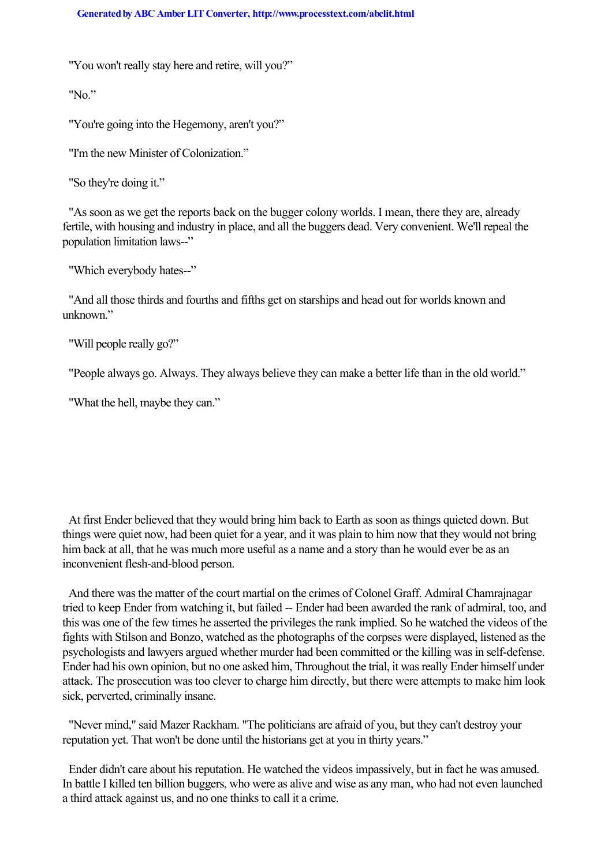"You won't really stay here and retire, will you?"

"No."

"You're going into the Hegemony, aren't you?"

"I'm the new Minister of Colonization."

"So they're doing it."

 "As soon as we get the reports back on the bugger colony worlds. I mean, there they are, already fertile, with housing and industry in place, and all the buggers dead. Very convenient. We'll repeal the population limitation laws--"

"Which everybody hates--"

 "And all those thirds and fourths and fifths get on starships and head out for worlds known and unknown."

"Will people really go?"

"People always go. Always. They always believe they can make a better life than in the old world."

"What the hell, maybe they can."

 At first Ender believed that they would bring him back to Earth as soon as things quieted down. But things were quiet now, had been quiet for a year, and it was plain to him now that they would not bring him back at all, that he was much more useful as a name and a story than he would ever be as an inconvenient flesh-and-blood person.

 And there was the matter of the court martial on the crimes of Colonel Graff. Admiral Chamrajnagar tried to keep Ender from watching it, but failed -- Ender had been awarded the rank of admiral, too, and this was one of the few times he asserted the privileges the rank implied. So he watched the videos of the fights with Stilson and Bonzo, watched as the photographs of the corpses were displayed, listened as the psychologists and lawyers argued whether murder had been committed or the killing was in self-defense. Ender had his own opinion, but no one asked him, Throughout the trial, it was really Ender himself under attack. The prosecution was too clever to charge him directly, but there were attempts to make him look sick, perverted, criminally insane.

 "Never mind," said Mazer Rackham. "The politicians are afraid of you, but they can't destroy your reputation yet. That won't be done until the historians get at you in thirty years."

 Ender didn't care about his reputation. He watched the videos impassively, but in fact he was amused. In battle I killed ten billion buggers, who were as alive and wise as any man, who had not even launched a third attack against us, and no one thinks to call it a crime.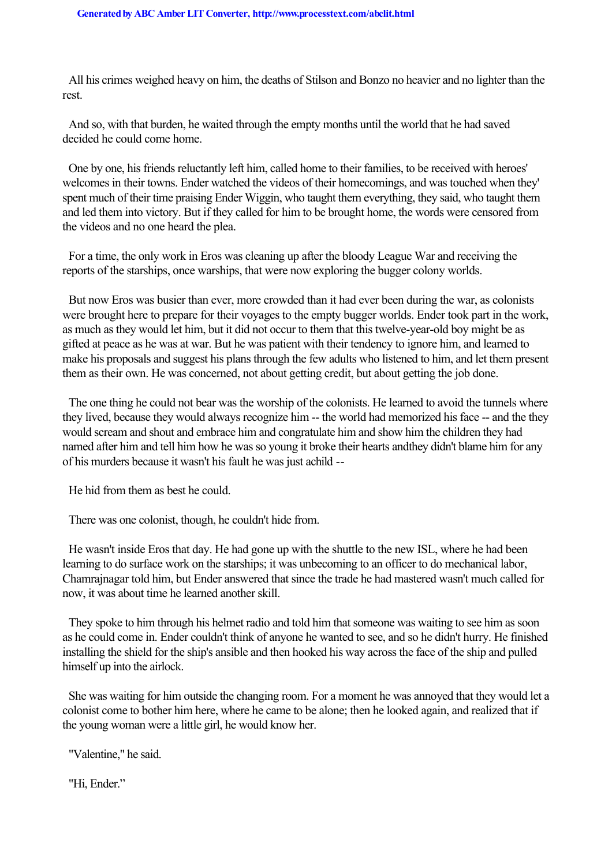All his crimes weighed heavy on him, the deaths of Stilson and Bonzo no heavier and no lighter than the rest.

 And so, with that burden, he waited through the empty months until the world that he had saved decided he could come home.

 One by one, his friends reluctantly left him, called home to their families, to be received with heroes' welcomes in their towns. Ender watched the videos of their homecomings, and was touched when they' spent much of their time praising Ender Wiggin, who taught them everything, they said, who taught them and led them into victory. But if they called for him to be brought home, the words were censored from the videos and no one heard the plea.

 For a time, the only work in Eros was cleaning up after the bloody League War and receiving the reports of the starships, once warships, that were now exploring the bugger colony worlds.

 But now Eros was busier than ever, more crowded than it had ever been during the war, as colonists were brought here to prepare for their voyages to the empty bugger worlds. Ender took part in the work, as much as they would let him, but it did not occur to them that this twelve-year-old boy might be as gifted at peace as he was at war. But he was patient with their tendency to ignore him, and learned to make his proposals and suggest his plans through the few adults who listened to him, and let them present them as their own. He was concerned, not about getting credit, but about getting the job done.

 The one thing he could not bear was the worship of the colonists. He learned to avoid the tunnels where they lived, because they would always recognize him -- the world had memorized his face -- and the they would scream and shout and embrace him and congratulate him and show him the children they had named after him and tell him how he was so young it broke their hearts andthey didn't blame him for any of his murders because it wasn't his fault he was just achild --

He hid from them as best he could.

There was one colonist, though, he couldn't hide from.

 He wasn't inside Eros that day. He had gone up with the shuttle to the new ISL, where he had been learning to do surface work on the starships; it was unbecoming to an officer to do mechanical labor, Chamrajnagar told him, but Ender answered that since the trade he had mastered wasn't much called for now, it was about time he learned another skill.

 They spoke to him through his helmet radio and told him that someone was waiting to see him as soon as he could come in. Ender couldn't think of anyone he wanted to see, and so he didn't hurry. He finished installing the shield for the ship's ansible and then hooked his way across the face of the ship and pulled himself up into the airlock.

 She was waiting for him outside the changing room. For a moment he was annoyed that they would let a colonist come to bother him here, where he came to be alone; then he looked again, and realized that if the young woman were a little girl, he would know her.

"Valentine," he said.

"Hi, Ender."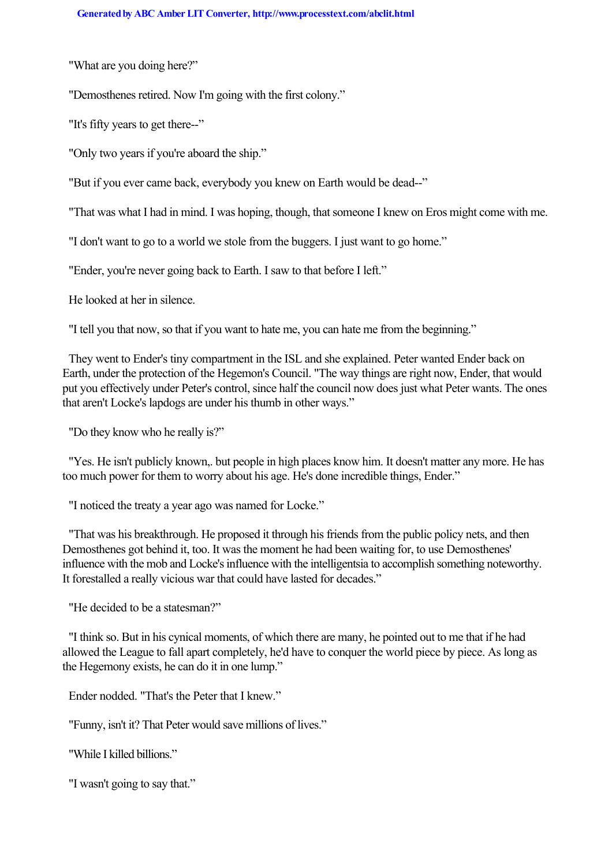"What are you doing here?"

"Demosthenes retired. Now I'm going with the first colony."

"It's fifty years to get there--"

"Only two years if you're aboard the ship."

"But if you ever came back, everybody you knew on Earth would be dead--"

"That was what I had in mind. I was hoping, though, that someone I knew on Eros might come with me.

"I don't want to go to a world we stole from the buggers. I just want to go home."

"Ender, you're never going back to Earth. I saw to that before I left."

He looked at her in silence.

"I tell you that now, so that if you want to hate me, you can hate me from the beginning."

 They went to Ender's tiny compartment in the ISL and she explained. Peter wanted Ender back on Earth, under the protection of the Hegemon's Council. "The way things are right now, Ender, that would put you effectively under Peter's control, since half the council now does just what Peter wants. The ones that aren't Locke's lapdogs are under his thumb in other ways."

"Do they know who he really is?"

 "Yes. He isn't publicly known,. but people in high places know him. It doesn't matter any more. He has too much power for them to worry about his age. He's done incredible things, Ender."

"I noticed the treaty a year ago was named for Locke."

 "That was his breakthrough. He proposed it through his friends from the public policy nets, and then Demosthenes got behind it, too. It was the moment he had been waiting for, to use Demosthenes' influence with the mob and Locke's influence with the intelligentsia to accomplish something noteworthy. It forestalled a really vicious war that could have lasted for decades."

"He decided to be a statesman?"

 "I think so. But in his cynical moments, of which there are many, he pointed out to me that if he had allowed the League to fall apart completely, he'd have to conquer the world piece by piece. As long as the Hegemony exists, he can do it in one lump."

Ender nodded. "That's the Peter that I knew."

"Funny, isn't it? That Peter would save millions of lives."

"While I killed billions."

"I wasn't going to say that."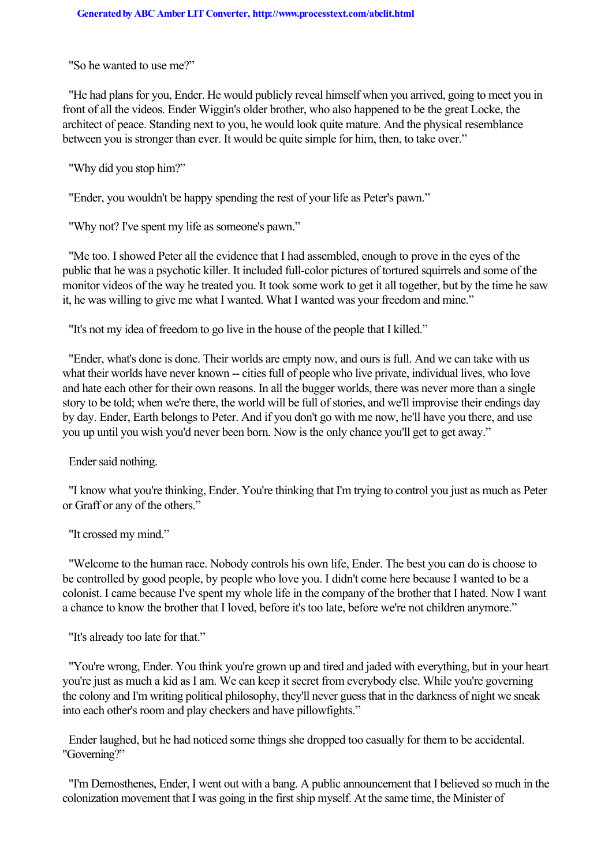"So he wanted to use me?"

 "He had plans for you, Ender. He would publicly reveal himself when you arrived, going to meet you in front of all the videos. Ender Wiggin's older brother, who also happened to be the great Locke, the architect of peace. Standing next to you, he would look quite mature. And the physical resemblance between you is stronger than ever. It would be quite simple for him, then, to take over."

"Why did you stop him?"

"Ender, you wouldn't be happy spending the rest of your life as Peter's pawn."

"Why not? I've spent my life as someone's pawn."

 "Me too. I showed Peter all the evidence that I had assembled, enough to prove in the eyes of the public that he was a psychotic killer. It included full-color pictures of tortured squirrels and some of the monitor videos of the way he treated you. It took some work to get it all together, but by the time he saw it, he was willing to give me what I wanted. What I wanted was your freedom and mine."

"It's not my idea of freedom to go live in the house of the people that I killed."

 "Ender, what's done is done. Their worlds are empty now, and ours is full. And we can take with us what their worlds have never known -- cities full of people who live private, individual lives, who love and hate each other for their own reasons. In all the bugger worlds, there was never more than a single story to be told; when we're there, the world will be full of stories, and we'll improvise their endings day by day. Ender, Earth belongs to Peter. And if you don't go with me now, he'll have you there, and use you up until you wish you'd never been born. Now is the only chance you'll get to get away."

Ender said nothing.

 "I know what you're thinking, Ender. You're thinking that I'm trying to control you just as much as Peter or Graff or any of the others."

"It crossed my mind."

 "Welcome to the human race. Nobody controls his own life, Ender. The best you can do is choose to be controlled by good people, by people who love you. I didn't come here because I wanted to be a colonist. I came because I've spent my whole life in the company of the brother that I hated. Now I want a chance to know the brother that I loved, before it's too late, before we're not children anymore."

"It's already too late for that."

 "You're wrong, Ender. You think you're grown up and tired and jaded with everything, but in your heart you're just as much a kid as I am. We can keep it secret from everybody else. While you're governing the colony and I'm writing political philosophy, they'll never guess that in the darkness of night we sneak into each other's room and play checkers and have pillowfights."

 Ender laughed, but he had noticed some things she dropped too casually for them to be accidental. "Governing?"

 "I'm Demosthenes, Ender, I went out with a bang. A public announcement that I believed so much in the colonization movement that I was going in the first ship myself. At the same time, the Minister of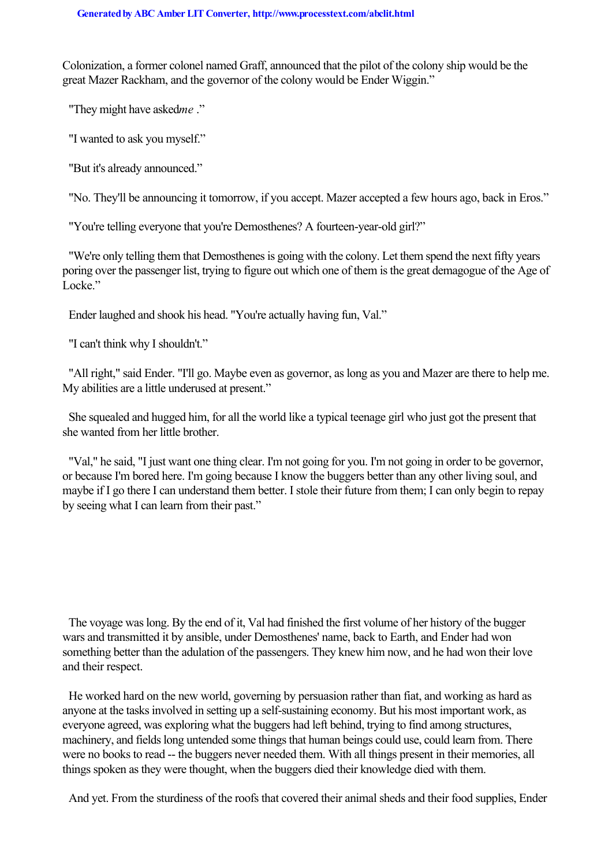Colonization, a former colonel named Graff, announced that the pilot of the colony ship would be the great Mazer Rackham, and the governor of the colony would be Ender Wiggin."

"They might have asked*me* ."

"I wanted to ask you myself."

"But it's already announced."

"No. They'll be announcing it tomorrow, if you accept. Mazer accepted a few hours ago, back in Eros."

"You're telling everyone that you're Demosthenes? A fourteen-year-old girl?"

 "We're only telling them that Demosthenes is going with the colony. Let them spend the next fifty years poring over the passenger list, trying to figure out which one of them is the great demagogue of the Age of Locke<sup>"</sup>

Ender laughed and shook his head. "You're actually having fun, Val."

"I can't think why I shouldn't."

 "All right," said Ender. "I'll go. Maybe even as governor, as long as you and Mazer are there to help me. My abilities are a little underused at present."

 She squealed and hugged him, for all the world like a typical teenage girl who just got the present that she wanted from her little brother.

 "Val," he said, "I just want one thing clear. I'm not going for you. I'm not going in order to be governor, or because I'm bored here. I'm going because I know the buggers better than any other living soul, and maybe if I go there I can understand them better. I stole their future from them; I can only begin to repay by seeing what I can learn from their past."

 The voyage was long. By the end of it, Val had finished the first volume of her history of the bugger wars and transmitted it by ansible, under Demosthenes' name, back to Earth, and Ender had won something better than the adulation of the passengers. They knew him now, and he had won their love and their respect.

 He worked hard on the new world, governing by persuasion rather than fiat, and working as hard as anyone at the tasks involved in setting up a self-sustaining economy. But his most important work, as everyone agreed, was exploring what the buggers had left behind, trying to find among structures, machinery, and fields long untended some things that human beings could use, could learn from. There were no books to read -- the buggers never needed them. With all things present in their memories, all things spoken as they were thought, when the buggers died their knowledge died with them.

And yet. From the sturdiness of the roofs that covered their animal sheds and their food supplies, Ender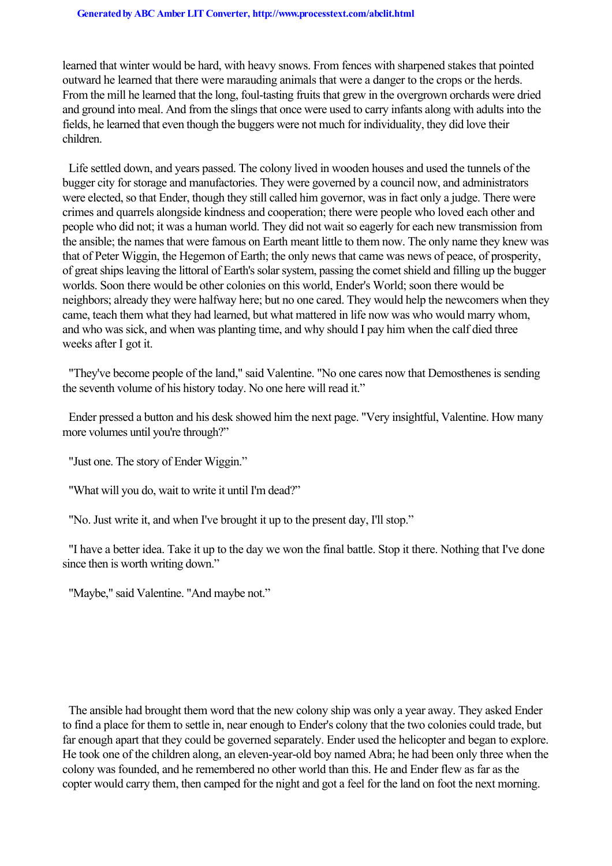learned that winter would be hard, with heavy snows. From fences with sharpened stakes that pointed outward he learned that there were marauding animals that were a danger to the crops or the herds. From the mill he learned that the long, foul-tasting fruits that grew in the overgrown orchards were dried and ground into meal. And from the slings that once were used to carry infants along with adults into the fields, he learned that even though the buggers were not much for individuality, they did love their children.

 Life settled down, and years passed. The colony lived in wooden houses and used the tunnels of the bugger city for storage and manufactories. They were governed by a council now, and administrators were elected, so that Ender, though they still called him governor, was in fact only a judge. There were crimes and quarrels alongside kindness and cooperation; there were people who loved each other and people who did not; it was a human world. They did not wait so eagerly for each new transmission from the ansible; the names that were famous on Earth meant little to them now. The only name they knew was that of Peter Wiggin, the Hegemon of Earth; the only news that came was news of peace, of prosperity, of great ships leaving the littoral of Earth's solar system, passing the comet shield and filling up the bugger worlds. Soon there would be other colonies on this world, Ender's World; soon there would be neighbors; already they were halfway here; but no one cared. They would help the newcomers when they came, teach them what they had learned, but what mattered in life now was who would marry whom, and who was sick, and when was planting time, and why should I pay him when the calf died three weeks after I got it.

 "They've become people of the land," said Valentine. "No one cares now that Demosthenes is sending the seventh volume of his history today. No one here will read it."

 Ender pressed a button and his desk showed him the next page. "Very insightful, Valentine. How many more volumes until you're through?"

"Just one. The story of Ender Wiggin."

"What will you do, wait to write it until I'm dead?"

"No. Just write it, and when I've brought it up to the present day, I'll stop."

 "I have a better idea. Take it up to the day we won the final battle. Stop it there. Nothing that I've done since then is worth writing down."

"Maybe," said Valentine. "And maybe not."

 The ansible had brought them word that the new colony ship was only a year away. They asked Ender to find a place for them to settle in, near enough to Ender's colony that the two colonies could trade, but far enough apart that they could be governed separately. Ender used the helicopter and began to explore. He took one of the children along, an eleven-year-old boy named Abra; he had been only three when the colony was founded, and he remembered no other world than this. He and Ender flew as far as the copter would carry them, then camped for the night and got a feel for the land on foot the next morning.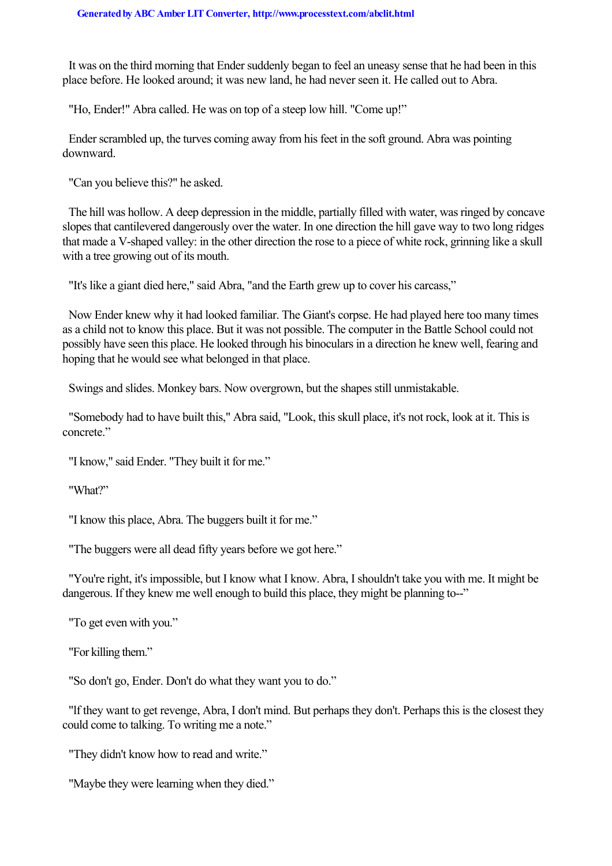## **Generated by ABC Amber LIT Converter, <http://www.processtext.com/abclit.html>**

 It was on the third morning that Ender suddenly began to feel an uneasy sense that he had been in this place before. He looked around; it was new land, he had never seen it. He called out to Abra.

"Ho, Ender!" Abra called. He was on top of a steep low hill. "Come up!"

 Ender scrambled up, the turves coming away from his feet in the soft ground. Abra was pointing downward.

"Can you believe this?" he asked.

 The hill was hollow. A deep depression in the middle, partially filled with water, was ringed by concave slopes that cantilevered dangerously over the water. In one direction the hill gave way to two long ridges that made a V-shaped valley: in the other direction the rose to a piece of white rock, grinning like a skull with a tree growing out of its mouth.

"It's like a giant died here," said Abra, "and the Earth grew up to cover his carcass,"

 Now Ender knew why it had looked familiar. The Giant's corpse. He had played here too many times as a child not to know this place. But it was not possible. The computer in the Battle School could not possibly have seen this place. He looked through his binoculars in a direction he knew well, fearing and hoping that he would see what belonged in that place.

Swings and slides. Monkey bars. Now overgrown, but the shapes still unmistakable.

 "Somebody had to have built this," Abra said, "Look, this skull place, it's not rock, look at it. This is concrete<sup>"</sup>

"I know," said Ender. "They built it for me."

"What?"

"I know this place, Abra. The buggers built it for me."

"The buggers were all dead fifty years before we got here."

 "You're right, it's impossible, but I know what I know. Abra, I shouldn't take you with me. It might be dangerous. If they knew me well enough to build this place, they might be planning to--"

"To get even with you."

"For killing them."

"So don't go, Ender. Don't do what they want you to do."

 "lf they want to get revenge, Abra, I don't mind. But perhaps they don't. Perhaps this is the closest they could come to talking. To writing me a note."

"They didn't know how to read and write."

"Maybe they were learning when they died."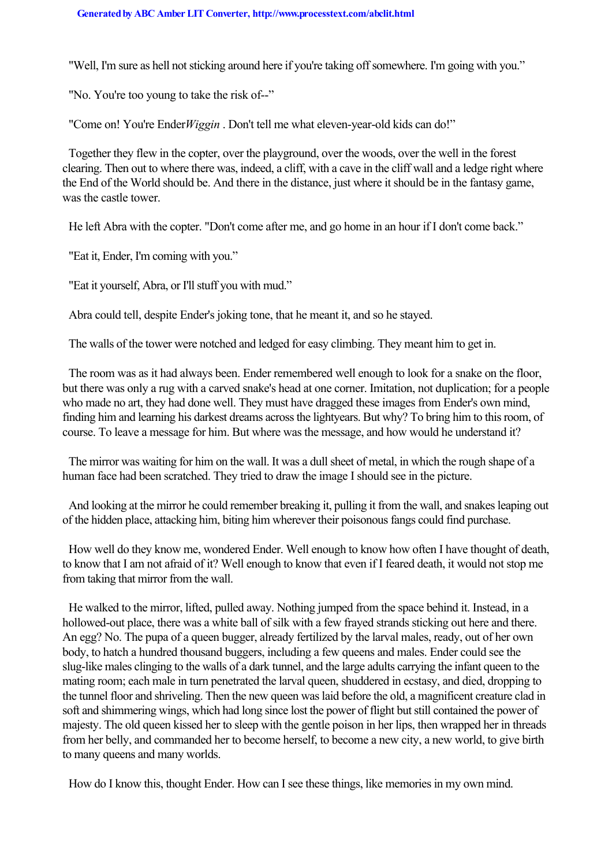## **Generated by ABC Amber LIT Converter, <http://www.processtext.com/abclit.html>**

"Well, I'm sure as hell not sticking around here if you're taking off somewhere. I'm going with you."

"No. You're too young to take the risk of--"

"Come on! You're Ender*Wiggin* . Don't tell me what eleven-year-old kids can do!"

 Together they flew in the copter, over the playground, over the woods, over the well in the forest clearing. Then out to where there was, indeed, a cliff, with a cave in the cliff wall and a ledge right where the End of the World should be. And there in the distance, just where it should be in the fantasy game, was the castle tower.

He left Abra with the copter. "Don't come after me, and go home in an hour if I don't come back."

"Eat it, Ender, I'm coming with you."

"Eat it yourself, Abra, or I'll stuff you with mud."

Abra could tell, despite Ender's joking tone, that he meant it, and so he stayed.

The walls of the tower were notched and ledged for easy climbing. They meant him to get in.

 The room was as it had always been. Ender remembered well enough to look for a snake on the floor, but there was only a rug with a carved snake's head at one corner. Imitation, not duplication; for a people who made no art, they had done well. They must have dragged these images from Ender's own mind, finding him and learning his darkest dreams across the lightyears. But why? To bring him to this room, of course. To leave a message for him. But where was the message, and how would he understand it?

 The mirror was waiting for him on the wall. It was a dull sheet of metal, in which the rough shape of a human face had been scratched. They tried to draw the image I should see in the picture.

 And looking at the mirror he could remember breaking it, pulling it from the wall, and snakes leaping out of the hidden place, attacking him, biting him wherever their poisonous fangs could find purchase.

 How well do they know me, wondered Ender. Well enough to know how often I have thought of death, to know that I am not afraid of it? Well enough to know that even if I feared death, it would not stop me from taking that mirror from the wall.

 He walked to the mirror, lifted, pulled away. Nothing jumped from the space behind it. Instead, in a hollowed-out place, there was a white ball of silk with a few frayed strands sticking out here and there. An egg? No. The pupa of a queen bugger, already fertilized by the larval males, ready, out of her own body, to hatch a hundred thousand buggers, including a few queens and males. Ender could see the slug-like males clinging to the walls of a dark tunnel, and the large adults carrying the infant queen to the mating room; each male in turn penetrated the larval queen, shuddered in ecstasy, and died, dropping to the tunnel floor and shriveling. Then the new queen was laid before the old, a magnificent creature clad in soft and shimmering wings, which had long since lost the power of flight but still contained the power of majesty. The old queen kissed her to sleep with the gentle poison in her lips, then wrapped her in threads from her belly, and commanded her to become herself, to become a new city, a new world, to give birth to many queens and many worlds.

How do I know this, thought Ender. How can I see these things, like memories in my own mind.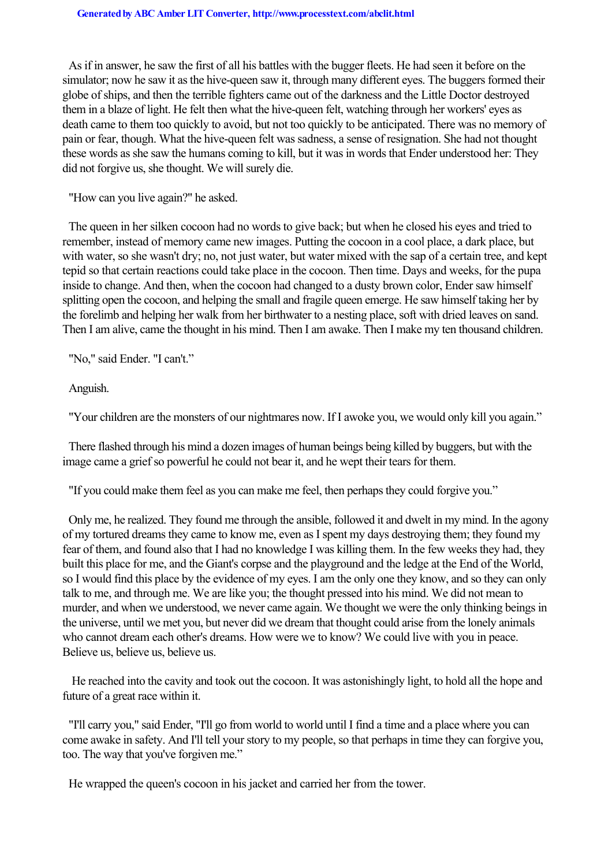As if in answer, he saw the first of all his battles with the bugger fleets. He had seen it before on the simulator; now he saw it as the hive-queen saw it, through many different eyes. The buggers formed their globe of ships, and then the terrible fighters came out of the darkness and the Little Doctor destroyed them in a blaze of light. He felt then what the hive-queen felt, watching through her workers' eyes as death came to them too quickly to avoid, but not too quickly to be anticipated. There was no memory of pain or fear, though. What the hive-queen felt was sadness, a sense of resignation. She had not thought these words as she saw the humans coming to kill, but it was in words that Ender understood her: They did not forgive us, she thought. We will surely die.

"How can you live again?" he asked.

 The queen in her silken cocoon had no words to give back; but when he closed his eyes and tried to remember, instead of memory came new images. Putting the cocoon in a cool place, a dark place, but with water, so she wasn't dry; no, not just water, but water mixed with the sap of a certain tree, and kept tepid so that certain reactions could take place in the cocoon. Then time. Days and weeks, for the pupa inside to change. And then, when the cocoon had changed to a dusty brown color, Ender saw himself splitting open the cocoon, and helping the small and fragile queen emerge. He saw himself taking her by the forelimb and helping her walk from her birthwater to a nesting place, soft with dried leaves on sand. Then I am alive, came the thought in his mind. Then I am awake. Then I make my ten thousand children.

"No," said Ender. "I can't."

Anguish.

"Your children are the monsters of our nightmares now. If I awoke you, we would only kill you again."

 There flashed through his mind a dozen images of human beings being killed by buggers, but with the image came a grief so powerful he could not bear it, and he wept their tears for them.

"If you could make them feel as you can make me feel, then perhaps they could forgive you."

 Only me, he realized. They found me through the ansible, followed it and dwelt in my mind. In the agony of my tortured dreams they came to know me, even as I spent my days destroying them; they found my fear of them, and found also that I had no knowledge I was killing them. In the few weeks they had, they built this place for me, and the Giant's corpse and the playground and the ledge at the End of the World, so I would find this place by the evidence of my eyes. I am the only one they know, and so they can only talk to me, and through me. We are like you; the thought pressed into his mind. We did not mean to murder, and when we understood, we never came again. We thought we were the only thinking beings in the universe, until we met you, but never did we dream that thought could arise from the lonely animals who cannot dream each other's dreams. How were we to know? We could live with you in peace. Believe us, believe us, believe us.

 He reached into the cavity and took out the cocoon. It was astonishingly light, to hold all the hope and future of a great race within it.

 "I'll carry you," said Ender, "I'll go from world to world until I find a time and a place where you can come awake in safety. And I'll tell your story to my people, so that perhaps in time they can forgive you, too. The way that you've forgiven me."

He wrapped the queen's cocoon in his jacket and carried her from the tower.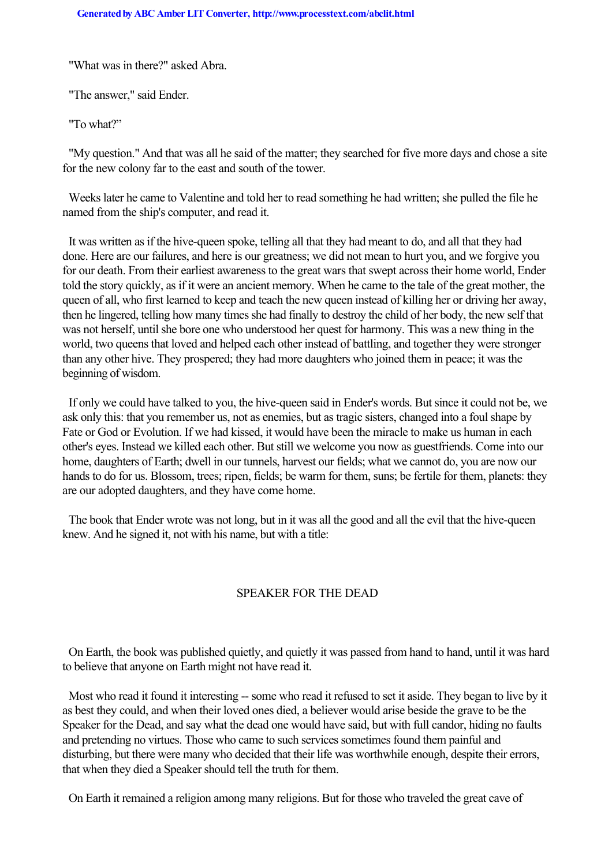"What was in there?" asked Abra.

"The answer," said Ender.

"To what?"

 "My question." And that was all he said of the matter; they searched for five more days and chose a site for the new colony far to the east and south of the tower.

 Weeks later he came to Valentine and told her to read something he had written; she pulled the file he named from the ship's computer, and read it.

 It was written as if the hive-queen spoke, telling all that they had meant to do, and all that they had done. Here are our failures, and here is our greatness; we did not mean to hurt you, and we forgive you for our death. From their earliest awareness to the great wars that swept across their home world, Ender told the story quickly, as if it were an ancient memory. When he came to the tale of the great mother, the queen of all, who first learned to keep and teach the new queen instead of killing her or driving her away, then he lingered, telling how many times she had finally to destroy the child of her body, the new self that was not herself, until she bore one who understood her quest for harmony. This was a new thing in the world, two queens that loved and helped each other instead of battling, and together they were stronger than any other hive. They prospered; they had more daughters who joined them in peace; it was the beginning of wisdom.

 If only we could have talked to you, the hive-queen said in Ender's words. But since it could not be, we ask only this: that you remember us, not as enemies, but as tragic sisters, changed into a foul shape by Fate or God or Evolution. If we had kissed, it would have been the miracle to make us human in each other's eyes. Instead we killed each other. But still we welcome you now as guestfriends. Come into our home, daughters of Earth; dwell in our tunnels, harvest our fields; what we cannot do, you are now our hands to do for us. Blossom, trees; ripen, fields; be warm for them, suns; be fertile for them, planets: they are our adopted daughters, and they have come home.

 The book that Ender wrote was not long, but in it was all the good and all the evil that the hive-queen knew. And he signed it, not with his name, but with a title:

## SPEAKER FOR THE DEAD

 On Earth, the book was published quietly, and quietly it was passed from hand to hand, until it was hard to believe that anyone on Earth might not have read it.

 Most who read it found it interesting -- some who read it refused to set it aside. They began to live by it as best they could, and when their loved ones died, a believer would arise beside the grave to be the Speaker for the Dead, and say what the dead one would have said, but with full candor, hiding no faults and pretending no virtues. Those who came to such services sometimes found them painful and disturbing, but there were many who decided that their life was worthwhile enough, despite their errors, that when they died a Speaker should tell the truth for them.

On Earth it remained a religion among many religions. But for those who traveled the great cave of